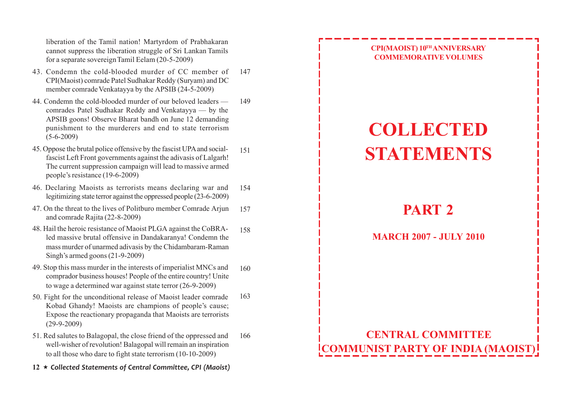liberation of the Tamil nation! Martyrdom of Prabhakaran cannot suppress the liberation struggle of Sri Lankan Tamils for a separate sovereign Tamil Eelam (20-5-2009)

- 43. Condemn the cold-blooded murder of CC member of CPI(Maoist) comrade Patel Sudhakar Reddy (Suryam) and DC member comrade Venkatayya by the APSIB (24-5-2009) 147
- 44. Condemn the cold-blooded murder of our beloved leaders comrades Patel Sudhakar Reddy and Venkatayya — by the APSIB goons! Observe Bharat bandh on June 12 demanding punishment to the murderers and end to state terrorism  $(5-6-2009)$ 149
- 45. Oppose the brutal police offensive by the fascist UPA and socialfascist Left Front governments against the adivasis of Lalgarh! The current suppression campaign will lead to massive armed people's resistance (19-6-2009) 151
- 46. Declaring Maoists as terrorists means declaring war and legitimizing state terror against the oppressed people (23-6-2009) 154
- 47. On the threat to the lives of Politburo member Comrade Arjun and comrade Rajita (22-8-2009) 157
- 48. Hail the heroic resistance of Maoist PLGA against the CoBRAled massive brutal offensive in Dandakaranya! Condemn the mass murder of unarmed adivasis by the Chidambaram-Raman Singh's armed goons (21-9-2009) 158
- 49. Stop this mass murder in the interests of imperialist MNCs and comprador business houses! People of the entire country! Unite to wage a determined war against state terror (26-9-2009) 160
- 50. Fight for the unconditional release of Maoist leader comrade Kobad Ghandy! Maoists are champions of people's cause; Expose the reactionary propaganda that Maoists are terrorists (29-9-2009) 163
- 51. Red salutes to Balagopal, the close friend of the oppressed and well-wisher of revolution! Balagopal will remain an inspiration to all those who dare to fight state terrorism (10-10-2009) 166
- **12**  *Collected Statements of Central Committee, CPI (Maoist)*



**CPI(MAOIST) 10TH ANNIVERSARY COMMEMORATIVE VOLUMES**

**MARCH 2007 - JULY 2010**

# **CENTRAL COMMITTEE COMMUNIST PARTY OF INDIA (MAOIST)**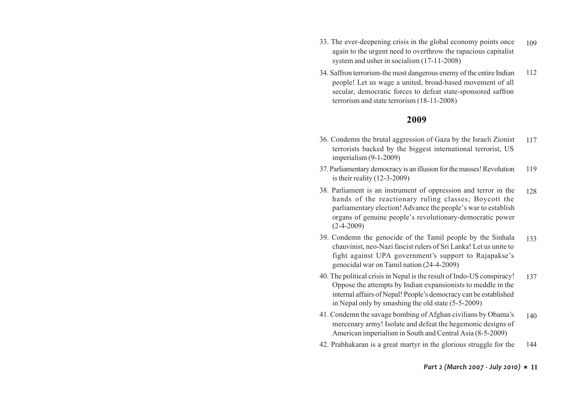- 33. The ever-deepening crisis in the global economy points once again to the urgent need to overthrow the rapacious capitalist system and usher in socialism (17-11-2008) 109
- 34. Saffron terrorism-the most dangerous enemy of the entire Indian people! Let us wage a united, broad-based movement of all secular, democratic forces to defeat state-sponsored saffron terrorism and state terrorism (18-11-2008) 112

### **2009**

- 36. Condemn the brutal aggression of Gaza by the Israeli Zionist terrorists backed by the biggest international terrorist, US imperialism (9-1-2009) 117
- 37. Parliamentary democracy is an illusion for the masses! Revolution is their reality (12-3-2009) 119
- 38. Parliament is an instrument of oppression and terror in the hands of the reactionary ruling classes; Boycott the parliamentary election! Advance the people's war to establish organs of genuine people's revolutionary-democratic power  $(2 - 4 - 2009)$ 128
- 39. Condemn the genocide of the Tamil people by the Sinhala chauvinist, neo-Nazi fascist rulers of Sri Lanka! Let us unite to fight against UPA government's support to Rajapakse's genocidal war on Tamil nation (24-4-2009) 133
- 40. The political crisis in Nepal is the result of Indo-US conspiracy! Oppose the attempts by Indian expansionists to meddle in the internal affairs of Nepal! People's democracy can be established in Nepal only by smashing the old state (5-5-2009) 137
- 41. Condemn the savage bombing of Afghan civilians by Obama's mercenary army! Isolate and defeat the hegemonic designs of American imperialism in South and Central Asia (8-5-2009) 140
- 42. Prabhakaran is a great martyr in the glorious struggle for the 144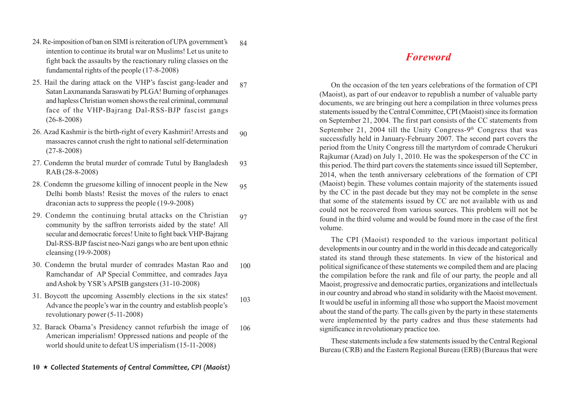- 24. Re-imposition of ban on SIMI is reiteration of UPA government's intention to continue its brutal war on Muslims! Let us unite to fight back the assaults by the reactionary ruling classes on the fundamental rights of the people (17-8-2008) 84
- 25. Hail the daring attack on the VHP's fascist gang-leader and Satan Laxmananda Saraswati by PLGA! Burning of orphanages and hapless Christian women shows the real criminal, communal face of the VHP-Bajrang Dal-RSS-BJP fascist gangs (26-8-2008) 87
- 26. Azad Kashmir is the birth-right of every Kashmiri! Arrests and massacres cannot crush the right to national self-determination (27-8-2008)  $9<sub>0</sub>$
- 27. Condemn the brutal murder of comrade Tutul by Bangladesh RAB (28-8-2008) 93
- 28. Condemn the gruesome killing of innocent people in the New Delhi bomb blasts! Resist the moves of the rulers to enact draconian acts to suppress the people (19-9-2008) 95
- 29. Condemn the continuing brutal attacks on the Christian community by the saffron terrorists aided by the state! All secular and democratic forces! Unite to fight back VHP-Bajrang Dal-RSS-BJP fascist neo-Nazi gangs who are bent upon ethnic cleansing (19-9-2008) 97
- 30. Condemn the brutal murder of comrades Mastan Rao and Ramchandar of AP Special Committee, and comrades Jaya and Ashok by YSR's APSIB gangsters (31-10-2008) 100

103

- 31. Boycott the upcoming Assembly elections in the six states! Advance the people's war in the country and establish people's revolutionary power (5-11-2008)
- 32. Barack Obama's Presidency cannot refurbish the image of American imperialism! Oppressed nations and people of the world should unite to defeat US imperialism (15-11-2008) 106

#### **10**  *Collected Statements of Central Committee, CPI (Maoist)*

### *Foreword*

On the occasion of the ten years celebrations of the formation of CPI (Maoist), as part of our endeavor to republish a number of valuable party documents, we are bringing out here a compilation in three volumes press statements issued by the Central Committee, CPI (Maoist) since its formation on September 21, 2004. The first part consists of the CC statements from September 21, 2004 till the Unity Congress- $9<sup>th</sup>$  Congress that was successfully held in January-February 2007. The second part covers the period from the Unity Congress till the martyrdom of comrade Cherukuri Rajkumar (Azad) on July 1, 2010. He was the spokesperson of the CC in this period. The third part covers the statements since issued till September, 2014, when the tenth anniversary celebrations of the formation of CPI (Maoist) begin. These volumes contain majority of the statements issued by the CC in the past decade but they may not be complete in the sense that some of the statements issued by CC are not available with us and could not be recovered from various sources. This problem will not be found in the third volume and would be found more in the case of the first volume.

The CPI (Maoist) responded to the various important political developments in our country and in the world in this decade and categorically stated its stand through these statements. In view of the historical and political significance of these statements we compiled them and are placing the compilation before the rank and file of our party, the people and all Maoist, progressive and democratic parties, organizations and intellectuals in our country and abroad who stand in solidarity with the Maoist movement. It would be useful in informing all those who support the Maoist movement about the stand of the party. The calls given by the party in these statements were implemented by the party cadres and thus these statements had significance in revolutionary practice too.

These statements include a few statements issued by the Central Regional Bureau (CRB) and the Eastern Regional Bureau (ERB) (Bureaus that were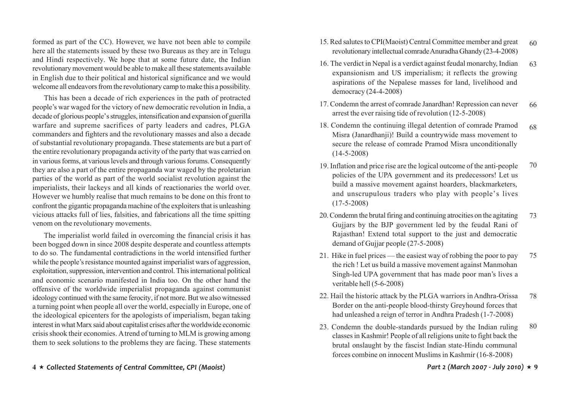formed as part of the CC). However, we have not been able to compile here all the statements issued by these two Bureaus as they are in Telugu and Hindi respectively. We hope that at some future date, the Indian revolutionary movement would be able to make all these statements available in English due to their political and historical significance and we would welcome all endeavors from the revolutionary camp to make this a possibility.

This has been a decade of rich experiences in the path of protracted people's war waged for the victory of new democratic revolution in India, a decade of glorious people's struggles, intensification and expansion of guerilla warfare and supreme sacrifices of party leaders and cadres, PLGA commanders and fighters and the revolutionary masses and also a decade of substantial revolutionary propaganda. These statements are but a part of the entire revolutionary propaganda activity of the party that was carried on in various forms, at various levels and through various forums. Consequently they are also a part of the entire propaganda war waged by the proletarian parties of the world as part of the world socialist revolution against the imperialists, their lackeys and all kinds of reactionaries the world over. However we humbly realise that much remains to be done on this front to confront the gigantic propaganda machine of the exploiters that is unleashing vicious attacks full of lies, falsities, and fabrications all the time spitting venom on the revolutionary movements.

The imperialist world failed in overcoming the financial crisis it has been bogged down in since 2008 despite desperate and countless attempts to do so. The fundamental contradictions in the world intensified further while the people's resistance mounted against imperialist wars of aggression, exploitation, suppression, intervention and control. This international political and economic scenario manifested in India too. On the other hand the offensive of the worldwide imperialist propaganda against communist ideology continued with the same ferocity, if not more. But we also witnessed a turning point when people all over the world, especially in Europe, one of the ideological epicenters for the apologists of imperialism, began taking interest in what Marx said about capitalist crises after the worldwide economic crisis shook their economies. A trend of turning to MLM is growing among them to seek solutions to the problems they are facing. These statements

**4**  *Collected Statements of Central Committee, CPI (Maoist)*

- 15. Red salutes to CPI(Maoist) Central Committee member and great revolutionary intellectual comrade Anuradha Ghandy (23-4-2008) 60
- 16. The verdict in Nepal is a verdict against feudal monarchy, Indian expansionism and US imperialism; it reflects the growing aspirations of the Nepalese masses for land, livelihood and democracy (24-4-2008) 63
- 17. Condemn the arrest of comrade Janardhan! Repression can never arrest the ever raising tide of revolution (12-5-2008) 66
- 18. Condemn the continuing illegal detention of comrade Pramod Misra (Janardhanji)! Build a countrywide mass movement to secure the release of comrade Pramod Misra unconditionally (14-5-2008) 68
- 19. Inflation and price rise are the logical outcome of the anti-people policies of the UPA government and its predecessors! Let us build a massive movement against hoarders, blackmarketers, and unscrupulous traders who play with people's lives (17-5-2008) 70
- 20. Condemn the brutal firing and continuing atrocities on the agitating Gujjars by the BJP government led by the feudal Rani of Rajasthan! Extend total support to the just and democratic demand of Gujjar people (27-5-2008) 73
- 21. Hike in fuel prices the easiest way of robbing the poor to pay the rich ! Let us build a massive movement against Manmohan Singh-led UPA government that has made poor man's lives a veritable hell (5-6-2008) 75
- 22. Hail the historic attack by the PLGA warriors in Andhra-Orissa Border on the anti-people blood-thirsty Greyhound forces that had unleashed a reign of terror in Andhra Pradesh (1-7-2008) 78
- 23. Condemn the double-standards pursued by the Indian ruling classes in Kashmir! People of all religions unite to fight back the brutal onslaught by the fascist Indian state-Hindu communal forces combine on innocent Muslims in Kashmir (16-8-2008) 80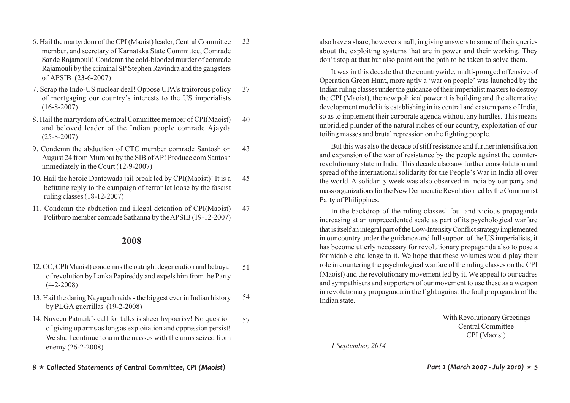- 6. Hail the martyrdom of the CPI (Maoist) leader, Central Committee member, and secretary of Karnataka State Committee, Comrade Sande Rajamouli! Condemn the cold-blooded murder of comrade Rajamouli by the criminal SP Stephen Ravindra and the gangsters of APSIB (23-6-2007) 33
- 7. Scrap the Indo-US nuclear deal! Oppose UPA's traitorous policy of mortgaging our country's interests to the US imperialists  $(16-8-2007)$ 37
- 8. Hail the martyrdom of Central Committee member of CPI(Maoist) and beloved leader of the Indian people comrade Ajayda (25-8-2007) 40
- 9. Condemn the abduction of CTC member comrade Santosh on August 24 from Mumbai by the SIB of AP! Produce com Santosh immediately in the Court (12-9-2007) 43
- 10. Hail the heroic Dantewada jail break led by CPI(Maoist)! It is a befitting reply to the campaign of terror let loose by the fascist ruling classes (18-12-2007) 45
- 11. Condemn the abduction and illegal detention of CPI(Maoist) Politburo member comrade Sathanna by the APSIB (19-12-2007) 47

### **2008**

- 12. CC, CPI(Maoist) condemns the outright degeneration and betrayal of revolution by Lanka Papireddy and expels him from the Party (4-2-2008) 51
- 13. Hail the daring Nayagarh raids the biggest ever in Indian history by PLGA guerrillas (19-2-2008) 54
- 14. Naveen Patnaik's call for talks is sheer hypocrisy! No question of giving up arms as long as exploitation and oppression persist! We shall continue to arm the masses with the arms seized from enemy (26-2-2008) 57
- **8**  *Collected Statements of Central Committee, CPI (Maoist)*

also have a share, however small, in giving answers to some of their queries about the exploiting systems that are in power and their working. They don't stop at that but also point out the path to be taken to solve them.

It was in this decade that the countrywide, multi-pronged offensive of Operation Green Hunt, more aptly a 'war on people' was launched by the Indian ruling classes under the guidance of their imperialist masters to destroy the CPI (Maoist), the new political power it is building and the alternative development model it is establishing in its central and eastern parts of India, so as to implement their corporate agenda without any hurdles. This means unbridled plunder of the natural riches of our country, exploitation of our toiling masses and brutal repression on the fighting people.

But this was also the decade of stiff resistance and further intensification and expansion of the war of resistance by the people against the counterrevolutionary state in India. This decade also saw further consolidation and spread of the international solidarity for the People's War in India all over the world. A solidarity week was also observed in India by our party and mass organizations for the New Democratic Revolution led by the Communist Party of Philippines.

In the backdrop of the ruling classes' foul and vicious propaganda increasing at an unprecedented scale as part of its psychological warfare that is itself an integral part of the Low-Intensity Conflict strategy implemented in our country under the guidance and full support of the US imperialists, it has become utterly necessary for revolutionary propaganda also to pose a formidable challenge to it. We hope that these volumes would play their role in countering the psychological warfare of the ruling classes on the CPI (Maoist) and the revolutionary movement led by it. We appeal to our cadres and sympathisers and supporters of our movement to use these as a weapon in revolutionary propaganda in the fight against the foul propaganda of the Indian state.

> With Revolutionary Greetings Central Committee CPI (Maoist)

*1 September, 2014*

*Part 2 (March 2007 - July 2010)* **5**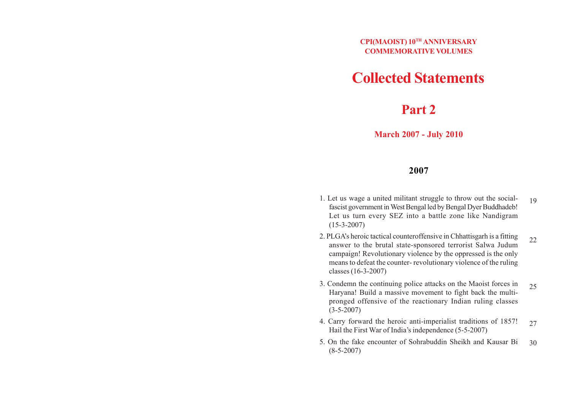**CPI(MAOIST) 10TH ANNIVERSARY COMMEMORATIVE VOLUMES**

# **Collected Statements**

### **Part 2**

### **March 2007 - July 2010**

### **2007**

- 1. Let us wage a united militant struggle to throw out the socialfascist government in West Bengal led by Bengal Dyer Buddhadeb! Let us turn every SEZ into a battle zone like Nandigram (15-3-2007) 19
- 2. PLGA's heroic tactical counteroffensive in Chhattisgarh is a fitting answer to the brutal state-sponsored terrorist Salwa Judum campaign! Revolutionary violence by the oppressed is the only means to defeat the counter- revolutionary violence of the ruling classes (16-3-2007) 22
- 3. Condemn the continuing police attacks on the Maoist forces in Haryana! Build a massive movement to fight back the multipronged offensive of the reactionary Indian ruling classes (3-5-2007) 25
- 4. Carry forward the heroic anti-imperialist traditions of 1857! Hail the First War of India's independence (5-5-2007) 27
- 5. On the fake encounter of Sohrabuddin Sheikh and Kausar Bi (8-5-2007) 30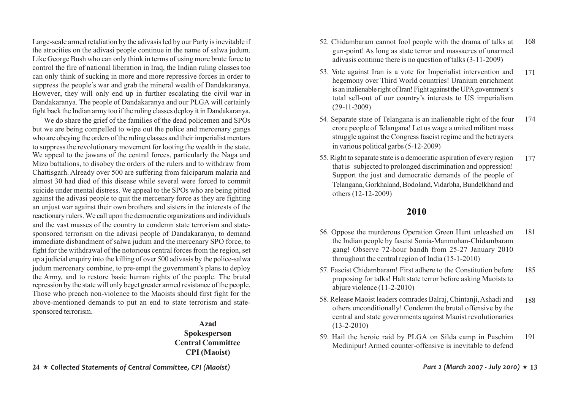Large-scale armed retaliation by the adivasis led by our Party is inevitable if the atrocities on the adivasi people continue in the name of salwa judum. Like George Bush who can only think in terms of using more brute force to control the fire of national liberation in Iraq, the Indian ruling classes too can only think of sucking in more and more repressive forces in order to suppress the people's war and grab the mineral wealth of Dandakaranya. However, they will only end up in further escalating the civil war in Dandakaranya. The people of Dandakaranya and our PLGA will certainly fight back the Indian army too if the ruling classes deploy it in Dandakaranya.

We do share the grief of the families of the dead policemen and SPOs but we are being compelled to wipe out the police and mercenary gangs who are obeying the orders of the ruling classes and their imperialist mentors to suppress the revolutionary movement for looting the wealth in the state. We appeal to the jawans of the central forces, particularly the Naga and Mizo battalions, to disobey the orders of the rulers and to withdraw from Chattisgarh. Already over 500 are suffering from falciparum malaria and almost 30 had died of this disease while several were forced to commit suicide under mental distress. We appeal to the SPOs who are being pitted against the adivasi people to quit the mercenary force as they are fighting an unjust war against their own brothers and sisters in the interests of the reactionary rulers. We call upon the democratic organizations and individuals and the vast masses of the country to condemn state terrorism and statesponsored terrorism on the adivasi people of Dandakaranya, to demand immediate disbandment of salwa judum and the mercenary SPO force, to fight for the withdrawal of the notorious central forces from the region, set up a judicial enquiry into the killing of over 500 adivasis by the police-salwa judum mercenary combine, to pre-empt the government's plans to deploy the Army, and to restore basic human rights of the people. The brutal repression by the state will only beget greater armed resistance of the people. Those who preach non-violence to the Maoists should first fight for the above-mentioned demands to put an end to state terrorism and statesponsored terrorism.

### **Azad Spokesperson Central Committee CPI (Maoist)**

- 52. Chidambaram cannot fool people with the drama of talks at gun-point! As long as state terror and massacres of unarmed adivasis continue there is no question of talks (3-11-2009) 168
- 53. Vote against Iran is a vote for Imperialist intervention and hegemony over Third World countries! Uranium enrichment is an inalienable right of Iran! Fight against the UPA government's total sell-out of our country's interests to US imperialism (29-11-2009) 171
- 54. Separate state of Telangana is an inalienable right of the four crore people of Telangana! Let us wage a united militant mass struggle against the Congress fascist regime and the betrayers in various political garbs (5-12-2009) 174
- 55. Right to separate state is a democratic aspiration of every region that is subjected to prolonged discrimination and oppression! Support the just and democratic demands of the people of Telangana, Gorkhaland, Bodoland, Vidarbha, Bundelkhand and others (12-12-2009) 177

### **2010**

- 56. Oppose the murderous Operation Green Hunt unleashed on the Indian people by fascist Sonia-Manmohan-Chidambaram gang! Observe 72-hour bandh from 25-27 January 2010 throughout the central region of India (15-1-2010) 181
- 57. Fascist Chidambaram! First adhere to the Constitution before proposing for talks! Halt state terror before asking Maoists to abjure violence (11-2-2010) 185
- 58. Release Maoist leaders comrades Balraj, Chintanji, Ashadi and others unconditionally! Condemn the brutal offensive by the central and state governments against Maoist revolutionaries (13-2-2010) 188
- 59. Hail the heroic raid by PLGA on Silda camp in Paschim Medinipur! Armed counter-offensive is inevitable to defend 191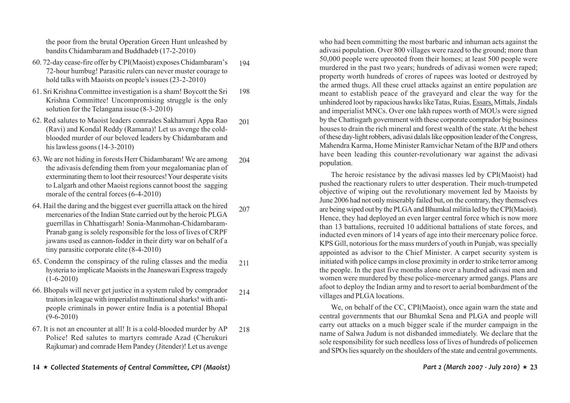the poor from the brutal Operation Green Hunt unleashed by bandits Chidambaram and Buddhadeb (17-2-2010)

- 60. 72-day cease-fire offer by CPI(Maoist) exposes Chidambaram's 72-hour humbug! Parasitic rulers can never muster courage to hold talks with Maoists on people's issues (23-2-2010) 194
- 61. Sri Krishna Committee investigation is a sham! Boycott the Sri Krishna Committee! Uncompromising struggle is the only solution for the Telangana issue (8-3-2010) 198
- 62. Red salutes to Maoist leaders comrades Sakhamuri Appa Rao (Ravi) and Kondal Reddy (Ramana)! Let us avenge the coldblooded murder of our beloved leaders by Chidambaram and his lawless goons (14-3-2010) 201
- 63. We are not hiding in forests Herr Chidambaram! We are among the adivasis defending them from your megalomaniac plan of exterminating them to loot their resources! Your desperate visits to Lalgarh and other Maoist regions cannot boost the sagging morale of the central forces (6-4-2010) 204
- 64. Hail the daring and the biggest ever guerrilla attack on the hired mercenaries of the Indian State carried out by the heroic PLGA guerrillas in Chhattisgarh! Sonia-Manmohan-Chidambaram-Pranab gang is solely responsible for the loss of lives of CRPF jawans used as cannon-fodder in their dirty war on behalf of a tiny parasitic corporate elite (8-4-2010) 207
- 65. Condemn the conspiracy of the ruling classes and the media hysteria to implicate Maoists in the Jnaneswari Express tragedy  $(1-6-2010)$ 211
- 66. Bhopals will never get justice in a system ruled by comprador traitors in league with imperialist multinational sharks! with antipeople criminals in power entire India is a potential Bhopal  $(9-6-2010)$ 214
- 67. It is not an encounter at all! It is a cold-blooded murder by AP Police! Red salutes to martyrs comrade Azad (Cherukuri Rajkumar) and comrade Hem Pandey (Jitender)! Let us avenge 218

#### **14**  *Collected Statements of Central Committee, CPI (Maoist)*

who had been committing the most barbaric and inhuman acts against the adivasi population. Over 800 villages were razed to the ground; more than 50,000 people were uprooted from their homes; at least 500 people were murdered in the past two years; hundreds of adivasi women were raped; property worth hundreds of crores of rupees was looted or destroyed by the armed thugs. All these cruel attacks against an entire population are meant to establish peace of the graveyard and clear the way for the unhindered loot by rapacious hawks like Tatas, Ruias, Essars, Mittals, Jindals and imperialist MNCs. Over one lakh rupees worth of MOUs were signed by the Chattisgarh government with these corporate comprador big business houses to drain the rich mineral and forest wealth of the state. At the behest of these day-light robbers, adivasi dalals like opposition leader of the Congress, Mahendra Karma, Home Minister Ramvichar Netam of the BJP and others have been leading this counter-revolutionary war against the adivasi population.

The heroic resistance by the adivasi masses led by CPI(Maoist) had pushed the reactionary rulers to utter desperation. Their much-trumpeted objective of wiping out the revolutionary movement led by Maoists by June 2006 had not only miserably failed but, on the contrary, they themselves are being wiped out by the PLGA and Bhumkal militia led by the CPI(Maoist). Hence, they had deployed an even larger central force which is now more than 13 battalions, recruited 10 additional battalions of state forces, and inducted even minors of 14 years of age into their mercenary police force. KPS Gill, notorious for the mass murders of youth in Punjab, was specially appointed as advisor to the Chief Minister. A carpet security system is initiated with police camps in close proximity in order to strike terror among the people. In the past five months alone over a hundred adivasi men and women were murdered by these police-mercenary armed gangs. Plans are afoot to deploy the Indian army and to resort to aerial bombardment of the villages and PLGA locations.

We, on behalf of the CC, CPI(Maoist), once again warn the state and central governments that our Bhumkal Sena and PLGA and people will carry out attacks on a much bigger scale if the murder campaign in the name of Salwa Judum is not disbanded immediately. We declare that the sole responsibility for such needless loss of lives of hundreds of policemen and SPOs lies squarely on the shoulders of the state and central governments.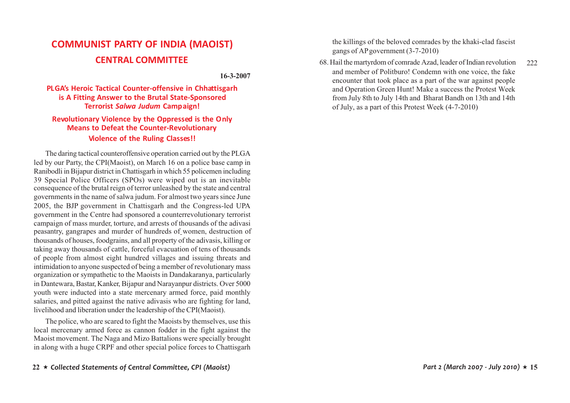**16-3-2007**

#### **PLGA's Heroic Tactical Counter-offensive in Chhattisgarh is A Fitting Answer to the Brutal State-Sponsored Terrorist** *Salwa Judum* **Campaign!**

### **Revolutionary Violence by the Oppressed is the Only Means to Defeat the Counter-Revolutionary Violence of the Ruling Classes!!**

The daring tactical counteroffensive operation carried out by the PLGA led by our Party, the CPI(Maoist), on March 16 on a police base camp in Ranibodli in Bijapur district in Chattisgarh in which 55 policemen including 39 Special Police Officers (SPOs) were wiped out is an inevitable consequence of the brutal reign of terror unleashed by the state and central governments in the name of salwa judum. For almost two years since June 2005, the BJP government in Chattisgarh and the Congress-led UPA government in the Centre had sponsored a counterrevolutionary terrorist campaign of mass murder, torture, and arrests of thousands of the adivasi peasantry, gangrapes and murder of hundreds of women, destruction of thousands of houses, foodgrains, and all property of the adivasis, killing or taking away thousands of cattle, forceful evacuation of tens of thousands of people from almost eight hundred villages and issuing threats and intimidation to anyone suspected of being a member of revolutionary mass organization or sympathetic to the Maoists in Dandakaranya, particularly in Dantewara, Bastar, Kanker, Bijapur and Narayanpur districts. Over 5000 youth were inducted into a state mercenary armed force, paid monthly salaries, and pitted against the native adivasis who are fighting for land, livelihood and liberation under the leadership of the CPI(Maoist).

The police, who are scared to fight the Maoists by themselves, use this local mercenary armed force as cannon fodder in the fight against the Maoist movement. The Naga and Mizo Battalions were specially brought in along with a huge CRPF and other special police forces to Chattisgarh

**22**  *Collected Statements of Central Committee, CPI (Maoist)*

the killings of the beloved comrades by the khaki-clad fascist gangs of AP government (3-7-2010)

68. Hail the martyrdom of comrade Azad, leader of Indian revolution and member of Politburo! Condemn with one voice, the fake encounter that took place as a part of the war against people and Operation Green Hunt! Make a success the Protest Week from July 8th to July 14th and Bharat Bandh on 13th and 14th of July, as a part of this Protest Week (4-7-2010) 222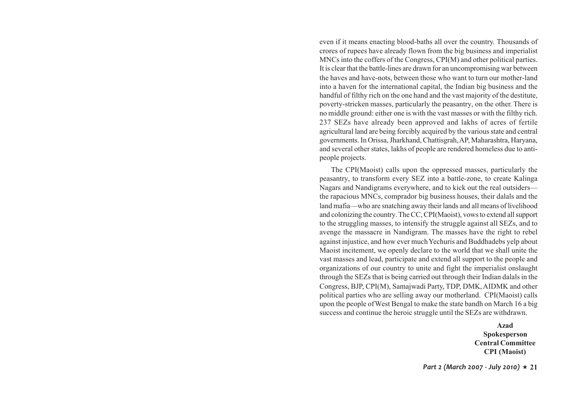even if it means enacting blood-baths all over the country. Thousands of crores of rupees have already flown from the big business and imperialist MNCs into the coffers of the Congress, CPI(M) and other political parties. It is clear that the battle-lines are drawn for an uncompromising war between the haves and have-nots, between those who want to turn our mother-land into a haven for the international capital, the Indian big business and the handful of filthy rich on the one hand and the vast majority of the destitute, poverty-stricken masses, particularly the peasantry, on the other. There is no middle ground: either one is with the vast masses or with the filthy rich. 237 SEZs have already been approved and lakhs of acres of fertile agricultural land are being forcibly acquired by the various state and central governments. In Orissa, Jharkhand, Chattisgrah, AP, Maharashtra, Haryana, and several other states, lakhs of people are rendered homeless due to antipeople projects.

The CPI(Maoist) calls upon the oppressed masses, particularly the peasantry, to transform every SEZ into a battle-zone, to create Kalinga Nagars and Nandigrams everywhere, and to kick out the real outsiders the rapacious MNCs, comprador big business houses, their dalals and the land mafia—who are snatching away their lands and all means of livelihood and colonizing the country. The CC, CPI(Maoist), vows to extend all support to the struggling masses, to intensify the struggle against all SEZs, and to avenge the massacre in Nandigram. The masses have the right to rebel against injustice, and how ever much Yechuris and Buddhadebs yelp about Maoist incitement, we openly declare to the world that we shall unite the vast masses and lead, participate and extend all support to the people and organizations of our country to unite and fight the imperialist onslaught through the SEZs that is being carried out through their Indian dalals in the Congress, BJP, CPI(M), Samajwadi Party, TDP, DMK, AIDMK and other political parties who are selling away our motherland. CPI(Maoist) calls upon the people of West Bengal to make the state bandh on March 16 a big success and continue the heroic struggle until the SEZs are withdrawn.

**Azad**

**Spokesperson Central Committee CPI (Maoist)**

*Part 2 (March 2007 - July 2010)* **21**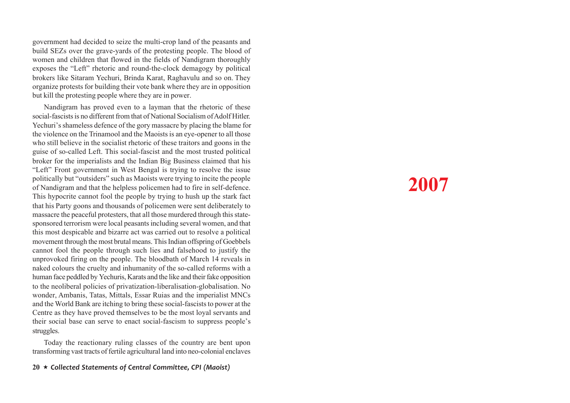government had decided to seize the multi-crop land of the peasants and build SEZs over the grave-yards of the protesting people. The blood of women and children that flowed in the fields of Nandigram thoroughly exposes the "Left" rhetoric and round-the-clock demagogy by political brokers like Sitaram Yechuri, Brinda Karat, Raghavulu and so on. They organize protests for building their vote bank where they are in opposition but kill the protesting people where they are in power.

Nandigram has proved even to a layman that the rhetoric of these social-fascists is no different from that of National Socialism of Adolf Hitler. Yechuri's shameless defence of the gory massacre by placing the blame for the violence on the Trinamool and the Maoists is an eye-opener to all those who still believe in the socialist rhetoric of these traitors and goons in the guise of so-called Left. This social-fascist and the most trusted political broker for the imperialists and the Indian Big Business claimed that his "Left" Front government in West Bengal is trying to resolve the issue politically but "outsiders" such as Maoists were trying to incite the people of Nandigram and that the helpless policemen had to fire in self-defence. This hypocrite cannot fool the people by trying to hush up the stark fact that his Party goons and thousands of policemen were sent deliberately to massacre the peaceful protesters, that all those murdered through this statesponsored terrorism were local peasants including several women, and that this most despicable and bizarre act was carried out to resolve a political movement through the most brutal means. This Indian offspring of Goebbels cannot fool the people through such lies and falsehood to justify the unprovoked firing on the people. The bloodbath of March 14 reveals in naked colours the cruelty and inhumanity of the so-called reforms with a human face peddled by Yechuris, Karats and the like and their fake opposition to the neoliberal policies of privatization-liberalisation-globalisation. No wonder, Ambanis, Tatas, Mittals, Essar Ruias and the imperialist MNCs and the World Bank are itching to bring these social-fascists to power at the Centre as they have proved themselves to be the most loyal servants and their social base can serve to enact social-fascism to suppress people's struggles.

Today the reactionary ruling classes of the country are bent upon transforming vast tracts of fertile agricultural land into neo-colonial enclaves

# **2007**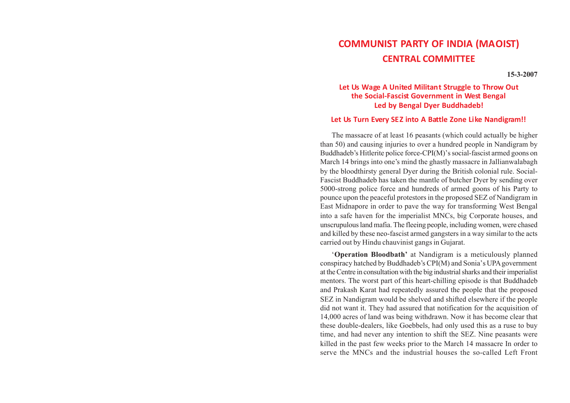**15-3-2007**

### **Let Us Wage A United Militant Struggle to Throw Out the Social-Fascist Government in West Bengal Led by Bengal Dyer Buddhadeb!**

#### **Let Us Turn Every SEZ into A Battle Zone Like Nandigram!!**

The massacre of at least 16 peasants (which could actually be higher than 50) and causing injuries to over a hundred people in Nandigram by Buddhadeb's Hitlerite police force-CPI(M)'s social-fascist armed goons on March 14 brings into one's mind the ghastly massacre in Jallianwalabagh by the bloodthirsty general Dyer during the British colonial rule. Social-Fascist Buddhadeb has taken the mantle of butcher Dyer by sending over 5000-strong police force and hundreds of armed goons of his Party to pounce upon the peaceful protestors in the proposed SEZ of Nandigram in East Midnapore in order to pave the way for transforming West Bengal into a safe haven for the imperialist MNCs, big Corporate houses, and unscrupulous land mafia. The fleeing people, including women, were chased and killed by these neo-fascist armed gangsters in a way similar to the acts carried out by Hindu chauvinist gangs in Gujarat.

'**Operation Bloodbath'** at Nandigram is a meticulously planned conspiracy hatched by Buddhadeb's CPI(M) and Sonia's UPA government at the Centre in consultation with the big industrial sharks and their imperialist mentors. The worst part of this heart-chilling episode is that Buddhadeb and Prakash Karat had repeatedly assured the people that the proposed SEZ in Nandigram would be shelved and shifted elsewhere if the people did not want it. They had assured that notification for the acquisition of 14,000 acres of land was being withdrawn. Now it has become clear that these double-dealers, like Goebbels, had only used this as a ruse to buy time, and had never any intention to shift the SEZ. Nine peasants were killed in the past few weeks prior to the March 14 massacre In order to serve the MNCs and the industrial houses the so-called Left Front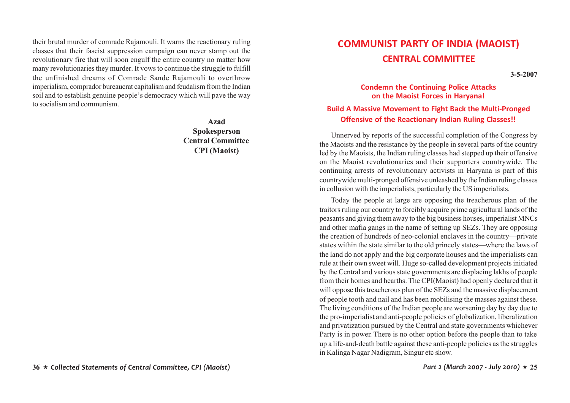their brutal murder of comrade Rajamouli. It warns the reactionary ruling classes that their fascist suppression campaign can never stamp out the revolutionary fire that will soon engulf the entire country no matter how many revolutionaries they murder. It vows to continue the struggle to fulfill the unfinished dreams of Comrade Sande Rajamouli to overthrow imperialism, comprador bureaucrat capitalism and feudalism from the Indian soil and to establish genuine people's democracy which will pave the way to socialism and communism.

> **Azad Spokesperson Central Committee CPI (Maoist)**

## **COMMUNIST PARTY OF INDIA (MAOIST) CENTRAL COMMITTEE**

**3-5-2007**

**Condemn the Continuing Police Attacks on the Maoist Forces in Haryana!**

### **Build A Massive Movement to Fight Back the Multi-Pronged Offensive of the Reactionary Indian Ruling Classes!!**

Unnerved by reports of the successful completion of the Congress by the Maoists and the resistance by the people in several parts of the country led by the Maoists, the Indian ruling classes had stepped up their offensive on the Maoist revolutionaries and their supporters countrywide. The continuing arrests of revolutionary activists in Haryana is part of this countrywide multi-pronged offensive unleashed by the Indian ruling classes in collusion with the imperialists, particularly the US imperialists.

Today the people at large are opposing the treacherous plan of the traitors ruling our country to forcibly acquire prime agricultural lands of the peasants and giving them away to the big business houses, imperialist MNCs and other mafia gangs in the name of setting up SEZs. They are opposing the creation of hundreds of neo-colonial enclaves in the country—private states within the state similar to the old princely states—where the laws of the land do not apply and the big corporate houses and the imperialists can rule at their own sweet will. Huge so-called development projects initiated by the Central and various state governments are displacing lakhs of people from their homes and hearths. The CPI(Maoist) had openly declared that it will oppose this treacherous plan of the SEZs and the massive displacement of people tooth and nail and has been mobilising the masses against these. The living conditions of the Indian people are worsening day by day due to the pro-imperialist and anti-people policies of globalization, liberalization and privatization pursued by the Central and state governments whichever Party is in power. There is no other option before the people than to take up a life-and-death battle against these anti-people policies as the struggles in Kalinga Nagar Nadigram, Singur etc show.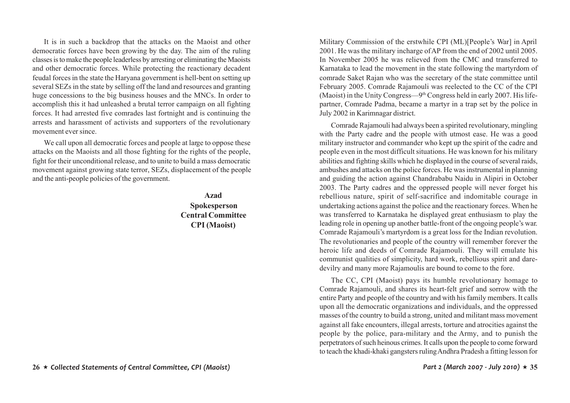It is in such a backdrop that the attacks on the Maoist and other democratic forces have been growing by the day. The aim of the ruling classes is to make the people leaderless by arresting or eliminating the Maoists and other democratic forces. While protecting the reactionary decadent feudal forces in the state the Haryana government is hell-bent on setting up several SEZs in the state by selling off the land and resources and granting huge concessions to the big business houses and the MNCs. In order to accomplish this it had unleashed a brutal terror campaign on all fighting forces. It had arrested five comrades last fortnight and is continuing the arrests and harassment of activists and supporters of the revolutionary movement ever since.

We call upon all democratic forces and people at large to oppose these attacks on the Maoists and all those fighting for the rights of the people, fight for their unconditional release, and to unite to build a mass democratic movement against growing state terror, SEZs, displacement of the people and the anti-people policies of the government.

> **Azad Spokesperson Central Committee CPI (Maoist)**

Military Commission of the erstwhile CPI (ML)[People's War] in April 2001. He was the military incharge of AP from the end of 2002 until 2005. In November 2005 he was relieved from the CMC and transferred to Karnataka to lead the movement in the state following the martyrdom of comrade Saket Rajan who was the secretary of the state committee until February 2005. Comrade Rajamouli was reelected to the CC of the CPI (Maoist) in the Unity Congress—9<sup>th</sup> Congress held in early 2007. His lifepartner, Comrade Padma, became a martyr in a trap set by the police in July 2002 in Karimnagar district.

Comrade Rajamouli had always been a spirited revolutionary, mingling with the Party cadre and the people with utmost ease. He was a good military instructor and commander who kept up the spirit of the cadre and people even in the most difficult situations. He was known for his military abilities and fighting skills which he displayed in the course of several raids, ambushes and attacks on the police forces. He was instrumental in planning and guiding the action against Chandrababu Naidu in Alipiri in October 2003. The Party cadres and the oppressed people will never forget his rebellious nature, spirit of self-sacrifice and indomitable courage in undertaking actions against the police and the reactionary forces. When he was transferred to Karnataka he displayed great enthusiasm to play the leading role in opening up another battle-front of the ongoing people's war. Comrade Rajamouli's martyrdom is a great loss for the Indian revolution. The revolutionaries and people of the country will remember forever the heroic life and deeds of Comrade Rajamouli. They will emulate his communist qualities of simplicity, hard work, rebellious spirit and daredevilry and many more Rajamoulis are bound to come to the fore.

The CC, CPI (Maoist) pays its humble revolutionary homage to Comrade Rajamouli, and shares its heart-felt grief and sorrow with the entire Party and people of the country and with his family members. It calls upon all the democratic organizations and individuals, and the oppressed masses of the country to build a strong, united and militant mass movement against all fake encounters, illegal arrests, torture and atrocities against the people by the police, para-military and the Army, and to punish the perpetrators of such heinous crimes. It calls upon the people to come forward to teach the khadi-khaki gangsters ruling Andhra Pradesh a fitting lesson for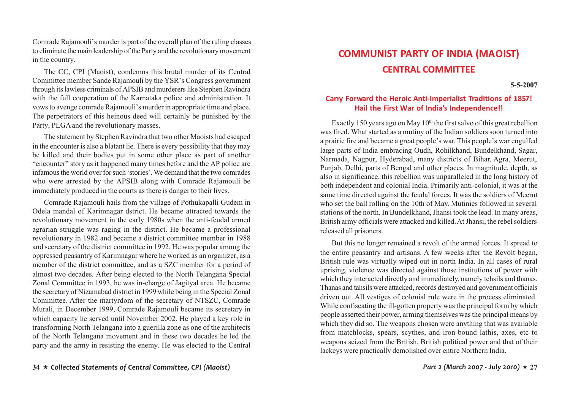Comrade Rajamouli's murder is part of the overall plan of the ruling classes to eliminate the main leadership of the Party and the revolutionary movement in the country.

The CC, CPI (Maoist), condemns this brutal murder of its Central Committee member Sande Rajamouli by the YSR's Congress government through its lawless criminals of APSIB and murderers like Stephen Ravindra with the full cooperation of the Karnataka police and administration. It vows to avenge comrade Rajamouli's murder in appropriate time and place. The perpetrators of this heinous deed will certainly be punished by the Party, PLGA and the revolutionary masses.

The statement by Stephen Ravindra that two other Maoists had escaped in the encounter is also a blatant lie. There is every possibility that they may be killed and their bodies put in some other place as part of another "encounter" story as it happened many times before and the AP police are infamous the world over for such 'stories'. We demand that the two comrades who were arrested by the APSIB along with Comrade Rajamouli be immediately produced in the courts as there is danger to their lives.

Comrade Rajamouli hails from the village of Pothukapalli Gudem in Odela mandal of Karimnagar dstrict. He became attracted towards the revolutionary movement in the early 1980s when the anti-feudal armed agrarian struggle was raging in the district. He became a professional revolutionary in 1982 and became a district committee member in 1988 and secretary of the district committee in 1992. He was popular among the oppressed peasantry of Karimnagar where he worked as an organizer, as a member of the district committee, and as a SZC member for a period of almost two decades. After being elected to the North Telangana Special Zonal Committee in 1993, he was in-charge of Jagityal area. He became the secretary of Nizamabad district in 1999 while being in the Special Zonal Committee. After the martyrdom of the secretary of NTSZC, Comrade Murali, in December 1999, Comrade Rajamouli became its secretary in which capacity he served until November 2002. He played a key role in transforming North Telangana into a guerilla zone as one of the architects of the North Telangana movement and in these two decades he led the party and the army in resisting the enemy. He was elected to the Central

# **COMMUNIST PARTY OF INDIA (MAOIST) CENTRAL COMMITTEE**

**5-5-2007**

### **Carry Forward the Heroic Anti-Imperialist Traditions of 1857! Hail the First War of India's Independence!!**

Exactly 150 years ago on May  $10<sup>th</sup>$  the first salvo of this great rebellion was fired. What started as a mutiny of the Indian soldiers soon turned into a prairie fire and became a great people's war. This people's war engulfed large parts of India embracing Oudh, Rohilkhand, Bundelkhand, Sagar, Narmada, Nagpur, Hyderabad, many districts of Bihar, Agra, Meerut, Punjab, Delhi, parts of Bengal and other places. In magnitude, depth, as also in significance, this rebellion was unparalleled in the long history of both independent and colonial India. Primarily anti-colonial, it was at the same time directed against the feudal forces. It was the soldiers of Meerut who set the ball rolling on the 10th of May. Mutinies followed in several stations of the north. In Bundelkhand, Jhansi took the lead. In many areas, British army officials were attacked and killed. At Jhansi, the rebel soldiers released all prisoners.

But this no longer remained a revolt of the armed forces. It spread to the entire peasantry and artisans. A few weeks after the Revolt began, British rule was virtually wiped out in north India. In all cases of rural uprising, violence was directed against those institutions of power with which they interacted directly and immediately, namely tehsils and thanas. Thanas and tahsils were attacked, records destroyed and government officials driven out. All vestiges of colonial rule were in the process eliminated. While confiscating the ill-gotten property was the principal form by which people asserted their power, arming themselves was the principal means by which they did so. The weapons chosen were anything that was available from matchlocks, spears, scythes, and iron-bound lathis, axes, etc to weapons seized from the British. British political power and that of their lackeys were practically demolished over entire Northern India.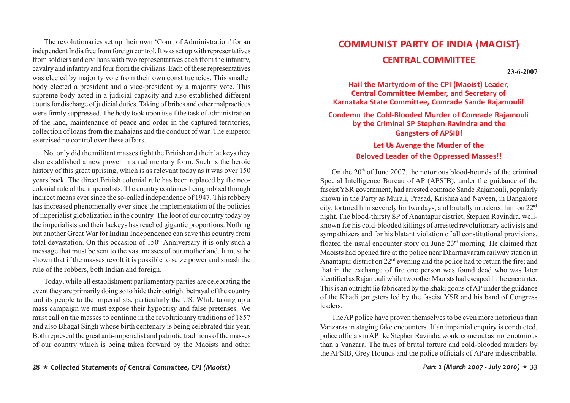The revolutionaries set up their own 'Court of Administration' for an independent India free from foreign control. It was set up with representatives from soldiers and civilians with two representatives each from the infantry, cavalry and infantry and four from the civilians. Each of these representatives was elected by majority vote from their own constituencies. This smaller body elected a president and a vice-president by a majority vote. This supreme body acted in a judicial capacity and also established different courts for discharge of judicial duties. Taking of bribes and other malpractices were firmly suppressed. The body took upon itself the task of administration of the land, maintenance of peace and order in the captured territories, collection of loans from the mahajans and the conduct of war. The emperor exercised no control over these affairs.

Not only did the militant masses fight the British and their lackeys they also established a new power in a rudimentary form. Such is the heroic history of this great uprising, which is as relevant today as it was over 150 years back. The direct British colonial rule has been replaced by the neocolonial rule of the imperialists. The country continues being robbed through indirect means ever since the so-called independence of 1947. This robbery has increased phenomenally ever since the implementation of the policies of imperialist globalization in the country. The loot of our country today by the imperialists and their lackeys has reached gigantic proportions. Nothing but another Great War for Indian Independence can save this country from total devastation. On this occasion of  $150<sup>th</sup>$  Anniversary it is only such a message that must be sent to the vast masses of our motherland. It must be shown that if the masses revolt it is possible to seize power and smash the rule of the robbers, both Indian and foreign.

Today, while all establishment parliamentary parties are celebrating the event they are primarily doing so to hide their outright betrayal of the country and its people to the imperialists, particularly the US. While taking up a mass campaign we must expose their hypocrisy and false pretenses. We must call on the masses to continue in the revolutionary traditions of 1857 and also Bhagat Singh whose birth centenary is being celebrated this year. Both represent the great anti-imperialist and patriotic traditions of the masses of our country which is being taken forward by the Maoists and other

### **COMMUNIST PARTY OF INDIA (MAOIST)**

### **CENTRAL COMMITTEE**

**23-6-2007**

**Hail the Martyrdom of the CPI (Maoist) Leader, Central Committee Member, and Secretary of Karnataka State Committee, Comrade Sande Rajamouli!**

### **Condemn the Cold-Blooded Murder of Comrade Rajamouli by the Criminal SP Stephen Ravindra and the Gangsters of APSIB!**

### **Let Us Avenge the Murder of the Beloved Leader of the Oppressed Masses!!**

On the  $20<sup>th</sup>$  of June 2007, the notorious blood-hounds of the criminal Special Intelligence Bureau of AP (APSIB), under the guidance of the fascist YSR government, had arrested comrade Sande Rajamouli, popularly known in the Party as Murali, Prasad, Krishna and Naveen, in Bangalore city, tortured him severely for two days, and brutally murdered him on  $22<sup>nd</sup>$ night. The blood-thirsty SP of Anantapur district, Stephen Ravindra, wellknown for his cold-blooded killings of arrested revolutionary activists and sympathizers and for his blatant violation of all constitutional provisions, floated the usual encounter story on June  $23<sup>rd</sup>$  morning. He claimed that Maoists had opened fire at the police near Dharmavaram railway station in Anantapur district on 22<sup>nd</sup> evening and the police had to return the fire; and that in the exchange of fire one person was found dead who was later identified as Rajamouli while two other Maoists had escaped in the encounter. This is an outright lie fabricated by the khaki goons of AP under the guidance of the Khadi gangsters led by the fascist YSR and his band of Congress leaders.

The AP police have proven themselves to be even more notorious than Vanzaras in staging fake encounters. If an impartial enquiry is conducted, police officials in AP like Stephen Ravindra would come out as more notorious than a Vanzara. The tales of brutal torture and cold-blooded murders by the APSIB, Grey Hounds and the police officials of AP are indescribable.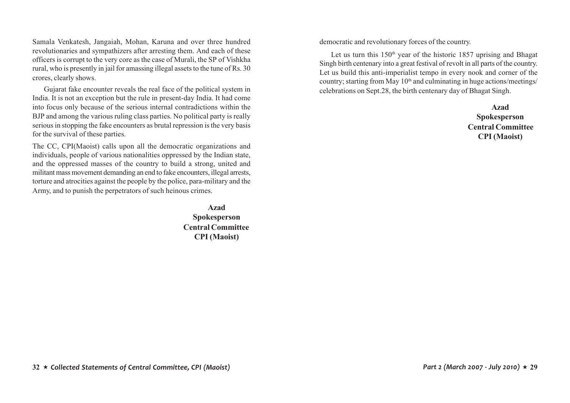Samala Venkatesh, Jangaiah, Mohan, Karuna and over three hundred revolutionaries and sympathizers after arresting them. And each of these officers is corrupt to the very core as the case of Murali, the SP of Vishkha rural, who is presently in jail for amassing illegal assets to the tune of Rs. 30 crores, clearly shows.

Gujarat fake encounter reveals the real face of the political system in India. It is not an exception but the rule in present-day India. It had come into focus only because of the serious internal contradictions within the BJP and among the various ruling class parties. No political party is really serious in stopping the fake encounters as brutal repression is the very basis for the survival of these parties.

The CC, CPI(Maoist) calls upon all the democratic organizations and individuals, people of various nationalities oppressed by the Indian state, and the oppressed masses of the country to build a strong, united and militant mass movement demanding an end to fake encounters, illegal arrests, torture and atrocities against the people by the police, para-military and the Army, and to punish the perpetrators of such heinous crimes.

> **Azad Spokesperson Central Committee CPI (Maoist)**

democratic and revolutionary forces of the country.

Let us turn this  $150<sup>th</sup>$  year of the historic 1857 uprising and Bhagat Singh birth centenary into a great festival of revolt in all parts of the country. Let us build this anti-imperialist tempo in every nook and corner of the country; starting from May  $10<sup>th</sup>$  and culminating in huge actions/meetings/ celebrations on Sept.28, the birth centenary day of Bhagat Singh.

> **Azad Spokesperson Central Committee CPI (Maoist)**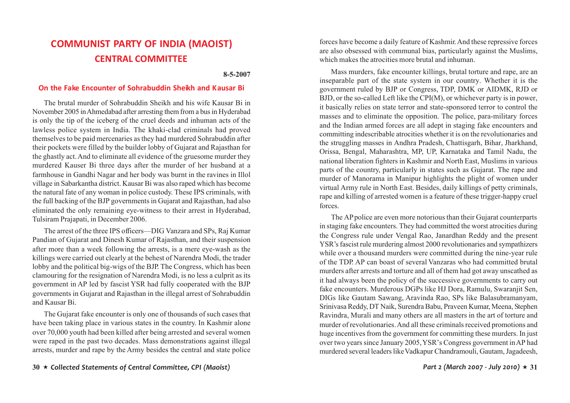#### **8-5-2007**

#### **On the Fake Encounter of Sohrabuddin Sheikh and Kausar Bi**

The brutal murder of Sohrabuddin Sheikh and his wife Kausar Bi in November 2005 in Ahmedabad after arresting them from a bus in Hyderabad is only the tip of the iceberg of the cruel deeds and inhuman acts of the lawless police system in India. The khaki-clad criminals had proved themselves to be paid mercenaries as they had murdered Sohrabuddin after their pockets were filled by the builder lobby of Gujarat and Rajasthan for the ghastly act. And to eliminate all evidence of the gruesome murder they murdered Kauser Bi three days after the murder of her husband at a farmhouse in Gandhi Nagar and her body was burnt in the ravines in Illol village in Sabarkantha district. Kausar Bi was also raped which has become the natural fate of any woman in police custody. These IPS criminals, with the full backing of the BJP governments in Gujarat and Rajasthan, had also eliminated the only remaining eye-witness to their arrest in Hyderabad, Tulsiram Prajapati, in December 2006.

The arrest of the three IPS officers—DIG Vanzara and SPs, Raj Kumar Pandian of Gujarat and Dinesh Kumar of Rajasthan, and their suspension after more than a week following the arrests, is a mere eye-wash as the killings were carried out clearly at the behest of Narendra Modi, the trader lobby and the political big-wigs of the BJP. The Congress, which has been clamouring for the resignation of Narendra Modi, is no less a culprit as its government in AP led by fascist YSR had fully cooperated with the BJP governments in Gujarat and Rajasthan in the illegal arrest of Sohrabuddin and Kausar Bi.

The Gujarat fake encounter is only one of thousands of such cases that have been taking place in various states in the country. In Kashmir alone over 70,000 youth had been killed after being arrested and several women were raped in the past two decades. Mass demonstrations against illegal arrests, murder and rape by the Army besides the central and state police forces have become a daily feature of Kashmir. And these repressive forces are also obsessed with communal bias, particularly against the Muslims, which makes the atrocities more brutal and inhuman.

Mass murders, fake encounter killings, brutal torture and rape, are an inseparable part of the state system in our country. Whether it is the government ruled by BJP or Congress, TDP, DMK or AIDMK, RJD or BJD, or the so-called Left like the CPI(M), or whichever party is in power, it basically relies on state terror and state-sponsored terror to control the masses and to eliminate the opposition. The police, para-military forces and the Indian armed forces are all adept in staging fake encounters and committing indescribable atrocities whether it is on the revolutionaries and the struggling masses in Andhra Pradesh, Chattisgarh, Bihar, Jharkhand, Orissa, Bengal, Maharashtra, MP, UP, Karnataka and Tamil Nadu, the national liberation fighters in Kashmir and North East, Muslims in various parts of the country, particularly in states such as Gujarat. The rape and murder of Manorama in Manipur highlights the plight of women under virtual Army rule in North East. Besides, daily killings of petty criminals, rape and killing of arrested women is a feature of these trigger-happy cruel forces.

The AP police are even more notorious than their Gujarat counterparts in staging fake encounters. They had committed the worst atrocities during the Congress rule under Vengal Rao, Janardhan Reddy and the present YSR's fascist rule murdering almost 2000 revolutionaries and sympathizers while over a thousand murders were committed during the nine-year rule of the TDP. AP can boast of several Vanzaras who had committed brutal murders after arrests and torture and all of them had got away unscathed as it had always been the policy of the successive governments to carry out fake encounters. Murderous DGPs like HJ Dora, Ramulu, Swaranjit Sen, DIGs like Gautam Sawang, Aravinda Rao, SPs like Balasubramanyam, Srinivasa Reddy, DT Naik, Surendra Babu, Praveen Kumar, Meena, Stephen Ravindra, Murali and many others are all masters in the art of torture and murder of revolutionaries. And all these criminals received promotions and huge incentives from the government for committing these murders. In just over two years since January 2005, YSR's Congress government in AP had murdered several leaders like Vadkapur Chandramouli, Gautam, Jagadeesh,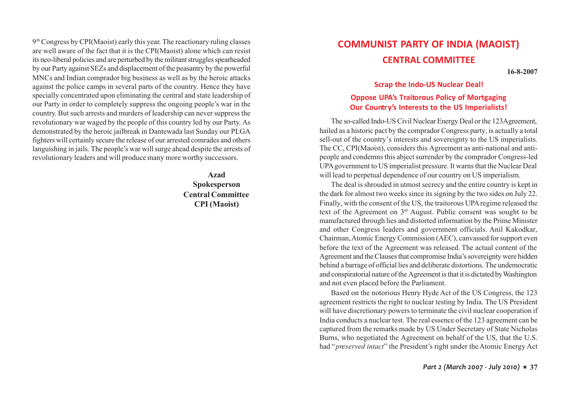9th Congress by CPI(Maoist) early this year. The reactionary ruling classes are well aware of the fact that it is the CPI(Maoist) alone which can resist its neo-liberal policies and are perturbed by the militant struggles spearheaded by our Party against SEZs and displacement of the peasantry by the powerful MNCs and Indian comprador big business as well as by the heroic attacks against the police camps in several parts of the country. Hence they have specially concentrated upon eliminating the central and state leadership of our Party in order to completely suppress the ongoing people's war in the country. But such arrests and murders of leadership can never suppress the revolutionary war waged by the people of this country led by our Party. As demonstrated by the heroic jailbreak in Dantewada last Sunday our PLGA fighters will certainly secure the release of our arrested comrades and others languishing in jails. The people's war will surge ahead despite the arrests of revolutionary leaders and will produce many more worthy successors.

> **Azad Spokesperson Central Committee CPI (Maoist)**

# **COMMUNIST PARTY OF INDIA (MAOIST) CENTRAL COMMITTEE**

**16-8-2007**

### **Scrap the Indo-US Nuclear Deal!**

### **Oppose UPA's Traitorous Policy of Mortgaging Our Country's Interests to the US Imperialists!**

The so-called Indo-US Civil Nuclear Energy Deal or the 123 Agreement, hailed as a historic pact by the comprador Congress party, is actually a total sell-out of the country's interests and sovereignty to the US imperialists. The CC, CPI(Maoist), considers this Agreement as anti-national and antipeople and condemns this abject surrender by the comprador Congress-led UPA government to US imperialist pressure. It warns that the Nuclear Deal will lead to perpetual dependence of our country on US imperialism.

The deal is shrouded in utmost secrecy and the entire country is kept in the dark for almost two weeks since its signing by the two sides on July 22. Finally, with the consent of the US, the traitorous UPA regime released the text of the Agreement on  $3<sup>rd</sup>$  August. Public consent was sought to be manufactured through lies and distorted information by the Prime Minister and other Congress leaders and government officials. Anil Kakodkar, Chairman, Atomic Energy Commission (AEC), canvassed for support even before the text of the Agreement was released. The actual content of the Agreement and the Clauses that compromise India's sovereignty were hidden behind a barrage of official lies and deliberate distortions. The undemocratic and conspiratorial nature of the Agreement is that it is dictated by Washington and not even placed before the Parliament.

Based on the notorious Henry Hyde Act of the US Congress, the 123 agreement restricts the right to nuclear testing by India. The US President will have discretionary powers to terminate the civil nuclear cooperation if India conducts a nuclear test. The real essence of the 123 agreement can be captured from the remarks made by US Under Secretary of State Nicholas Burns, who negotiated the Agreement on behalf of the US, that the U.S. had "*preserved intact*" the President's right under the Atomic Energy Act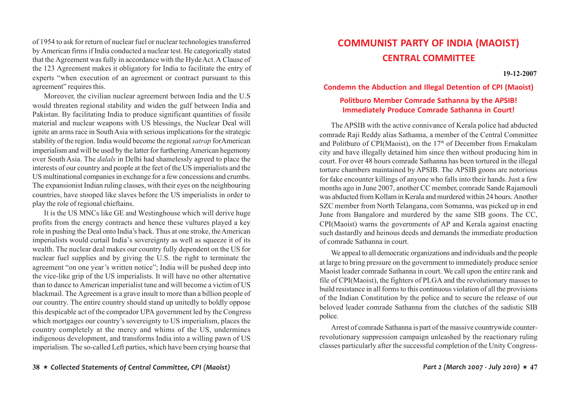of 1954 to ask for return of nuclear fuel or nuclear technologies transferred by American firms if India conducted a nuclear test. He categorically stated that the Agreement was fully in accordance with the Hyde Act. A Clause of the 123 Agreement makes it obligatory for India to facilitate the entry of experts "when execution of an agreement or contract pursuant to this agreement" requires this.

Moreover, the civilian nuclear agreement between India and the U.S would threaten regional stability and widen the gulf between India and Pakistan. By facilitating India to produce significant quantities of fissile material and nuclear weapons with US blessings, the Nuclear Deal will ignite an arms race in South Asia with serious implications for the strategic stability of the region. India would become the regional *satrap* for American imperialism and will be used by the latter for furthering American hegemony over South Asia. The *dalals* in Delhi had shamelessly agreed to place the interests of our country and people at the feet of the US imperialists and the US multinational companies in exchange for a few concessions and crumbs. The expansionist Indian ruling classes, with their eyes on the neighbouring countries, have stooped like slaves before the US imperialists in order to play the role of regional chieftains.

It is the US MNCs like GE and Westinghouse which will derive huge profits from the energy contracts and hence these vultures played a key role in pushing the Deal onto India's back. Thus at one stroke, the American imperialists would curtail India's sovereignty as well as squeeze it of its wealth. The nuclear deal makes our country fully dependent on the US for nuclear fuel supplies and by giving the U.S. the right to terminate the agreement "on one year's written notice"; India will be pushed deep into the vice-like grip of the US imperialists. It will have no other alternative than to dance to American imperialist tune and will become a victim of US blackmail. The Agreement is a grave insult to more than a billion people of our country. The entire country should stand up unitedly to boldly oppose this despicable act of the comprador UPA government led by the Congress which mortgages our country's sovereignty to US imperialism, places the country completely at the mercy and whims of the US, undermines indigenous development, and transforms India into a willing pawn of US imperialism. The so-called Left parties, which have been crying hoarse that

### **COMMUNIST PARTY OF INDIA (MAOIST) CENTRAL COMMITTEE**

#### **19-12-2007**

#### **Condemn the Abduction and Illegal Detention of CPI (Maoist)**

#### **Politburo Member Comrade Sathanna by the APSIB! Immediately Produce Comrade Sathanna in Court!**

The APSIB with the active connivance of Kerala police had abducted comrade Raji Reddy alias Sathanna, a member of the Central Committee and Politburo of CPI(Maoist), on the 17<sup>th</sup> of December from Ernakulam city and have illegally detained him since then without producing him in court. For over 48 hours comrade Sathanna has been tortured in the illegal torture chambers maintained by APSIB. The APSIB goons are notorious for fake encounter killings of anyone who falls into their hands. Just a few months ago in June 2007, another CC member, comrade Sande Rajamouli was abducted from Kollam in Kerala and murdered within 24 hours. Another SZC member from North Telangana, com Somanna, was picked up in end June from Bangalore and murdered by the same SIB goons. The CC, CPI(Maoist) warns the governments of AP and Kerala against enacting such dastardly and heinous deeds and demands the immediate production of comrade Sathanna in court.

We appeal to all democratic organizations and individuals and the people at large to bring pressure on the government to immediately produce senior Maoist leader comrade Sathanna in court. We call upon the entire rank and file of CPI(Maoist), the fighters of PLGA and the revolutionary masses to build resistance in all forms to this continuous violation of all the provisions of the Indian Constitution by the police and to secure the release of our beloved leader comrade Sathanna from the clutches of the sadistic SIB police.

Arrest of comrade Sathanna is part of the massive countrywide counterrevolutionary suppression campaign unleashed by the reactionary ruling classes particularly after the successful completion of the Unity Congress-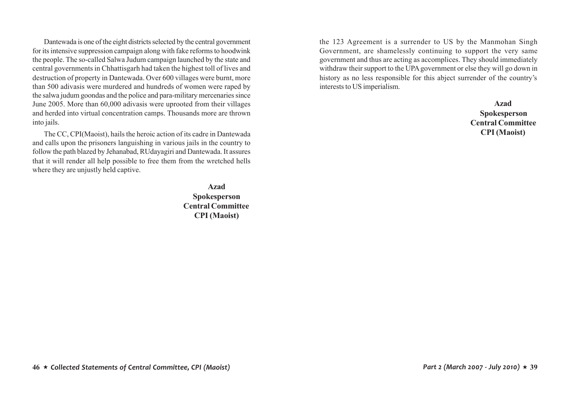Dantewada is one of the eight districts selected by the central government for its intensive suppression campaign along with fake reforms to hoodwink the people. The so-called Salwa Judum campaign launched by the state and central governments in Chhattisgarh had taken the highest toll of lives and destruction of property in Dantewada. Over 600 villages were burnt, more than 500 adivasis were murdered and hundreds of women were raped by the salwa judum goondas and the police and para-military mercenaries since June 2005. More than 60,000 adivasis were uprooted from their villages and herded into virtual concentration camps. Thousands more are thrown into jails.

The CC, CPI(Maoist), hails the heroic action of its cadre in Dantewada and calls upon the prisoners languishing in various jails in the country to follow the path blazed by Jehanabad, RUdayagiri and Dantewada. It assures that it will render all help possible to free them from the wretched hells where they are unjustly held captive.

> **Azad Spokesperson Central Committee CPI (Maoist)**

the 123 Agreement is a surrender to US by the Manmohan Singh Government, are shamelessly continuing to support the very same government and thus are acting as accomplices. They should immediately withdraw their support to the UPA government or else they will go down in history as no less responsible for this abject surrender of the country's interests to US imperialism.

> **Azad Spokesperson Central Committee CPI (Maoist)**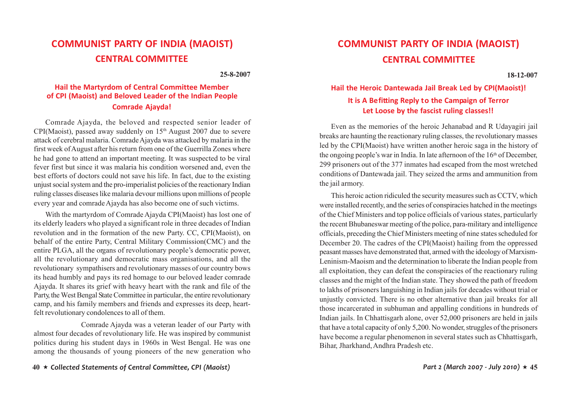**25-8-2007**

### **Hail the Martyrdom of Central Committee Member of CPI (Maoist) and Beloved Leader of the Indian People Comrade Ajayda!**

Comrade Ajayda, the beloved and respected senior leader of  $CPI(Maosit)$ , passed away suddenly on  $15<sup>th</sup>$  August 2007 due to severe attack of cerebral malaria. Comrade Ajayda was attacked by malaria in the first week of August after his return from one of the Guerrilla Zones where he had gone to attend an important meeting. It was suspected to be viral fever first but since it was malaria his condition worsened and, even the best efforts of doctors could not save his life. In fact, due to the existing unjust social system and the pro-imperialist policies of the reactionary Indian ruling classes diseases like malaria devour millions upon millions of people every year and comrade Ajayda has also become one of such victims.

With the martyrdom of Comrade Ajayda CPI(Maoist) has lost one of its elderly leaders who played a significant role in three decades of Indian revolution and in the formation of the new Party. CC, CPI(Maoist), on behalf of the entire Party, Central Military Commission(CMC) and the entire PLGA, all the organs of revolutionary people's democratic power, all the revolutionary and democratic mass organisations, and all the revolutionary sympathisers and revolutionary masses of our country bows its head humbly and pays its red homage to our beloved leader comrade Ajayda. It shares its grief with heavy heart with the rank and file of the Party, the West Bengal State Committee in particular, the entire revolutionary camp, and his family members and friends and expresses its deep, heartfelt revolutionary condolences to all of them.

 Comrade Ajayda was a veteran leader of our Party with almost four decades of revolutionary life. He was inspired by communist politics during his student days in 1960s in West Bengal. He was one among the thousands of young pioneers of the new generation who

# **COMMUNIST PARTY OF INDIA (MAOIST) CENTRAL COMMITTEE**

**18-12-007**

#### **Hail the Heroic Dantewada Jail Break Led by CPI(Maoist)!**

### **It is A Befitting Reply to the Campaign of Terror Let Loose by the fascist ruling classes!!**

Even as the memories of the heroic Jehanabad and R Udayagiri jail breaks are haunting the reactionary ruling classes, the revolutionary masses led by the CPI(Maoist) have written another heroic saga in the history of the ongoing people's war in India. In late afternoon of the  $16<sup>th</sup>$  of December, 299 prisoners out of the 377 inmates had escaped from the most wretched conditions of Dantewada jail. They seized the arms and ammunition from the jail armory.

This heroic action ridiculed the security measures such as CCTV, which were installed recently, and the series of conspiracies hatched in the meetings of the Chief Ministers and top police officials of various states, particularly the recent Bhubaneswar meeting of the police, para-military and intelligence officials, preceding the Chief Ministers meeting of nine states scheduled for December 20. The cadres of the CPI(Maoist) hailing from the oppressed peasant masses have demonstrated that, armed with the ideology of Marxism-Leninism-Maoism and the determination to liberate the Indian people from all exploitation, they can defeat the conspiracies of the reactionary ruling classes and the might of the Indian state. They showed the path of freedom to lakhs of prisoners languishing in Indian jails for decades without trial or unjustly convicted. There is no other alternative than jail breaks for all those incarcerated in subhuman and appalling conditions in hundreds of Indian jails. In Chhattisgarh alone, over 52,000 prisoners are held in jails that have a total capacity of only 5,200. No wonder, struggles of the prisoners have become a regular phenomenon in several states such as Chhattisgarh, Bihar, Jharkhand, Andhra Pradesh etc.

#### **40**  *Collected Statements of Central Committee, CPI (Maoist)*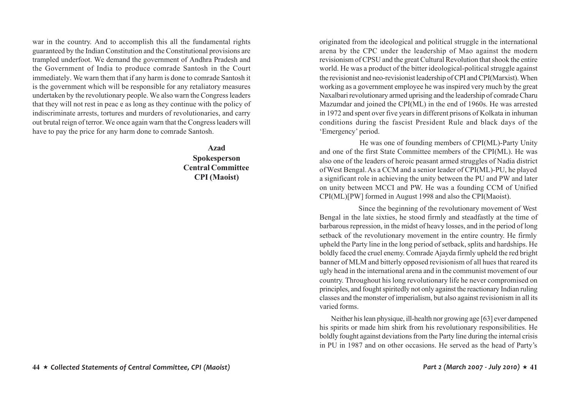war in the country. And to accomplish this all the fundamental rights guaranteed by the Indian Constitution and the Constitutional provisions are trampled underfoot. We demand the government of Andhra Pradesh and the Government of India to produce comrade Santosh in the Court immediately. We warn them that if any harm is done to comrade Santosh it is the government which will be responsible for any retaliatory measures undertaken by the revolutionary people. We also warn the Congress leaders that they will not rest in peac e as long as they continue with the policy of indiscriminate arrests, tortures and murders of revolutionaries, and carry out brutal reign of terror. We once again warn that the Congress leaders will have to pay the price for any harm done to comrade Santosh.

> **Azad Spokesperson Central Committee CPI (Maoist)**

originated from the ideological and political struggle in the international arena by the CPC under the leadership of Mao against the modern revisionism of CPSU and the great Cultural Revolution that shook the entire world. He was a product of the bitter ideological-political struggle against the revisionist and neo-revisionist leadership of CPI and CPI(Marxist). When working as a government employee he was inspired very much by the great Naxalbari revolutionary armed uprising and the leadership of comrade Charu Mazumdar and joined the CPI(ML) in the end of 1960s. He was arrested in 1972 and spent over five years in different prisons of Kolkata in inhuman conditions during the fascist President Rule and black days of the 'Emergency' period.

 He was one of founding members of CPI(ML)-Party Unity and one of the first State Committee members of the CPI(ML). He was also one of the leaders of heroic peasant armed struggles of Nadia district of West Bengal. As a CCM and a senior leader of CPI(ML)-PU, he played a significant role in achieving the unity between the PU and PW and later on unity between MCCI and PW. He was a founding CCM of Unified CPI(ML)[PW] formed in August 1998 and also the CPI(Maoist).

 Since the beginning of the revolutionary movement of West Bengal in the late sixties, he stood firmly and steadfastly at the time of barbarous repression, in the midst of heavy losses, and in the period of long setback of the revolutionary movement in the entire country. He firmly upheld the Party line in the long period of setback, splits and hardships. He boldly faced the cruel enemy. Comrade Ajayda firmly upheld the red bright banner of MLM and bitterly opposed revisionism of all hues that reared its ugly head in the international arena and in the communist movement of our country. Throughout his long revolutionary life he never compromised on principles, and fought spiritedly not only against the reactionary Indian ruling classes and the monster of imperialism, but also against revisionism in all its varied forms.

Neither his lean physique, ill-health nor growing age [63] ever dampened his spirits or made him shirk from his revolutionary responsibilities. He boldly fought against deviations from the Party line during the internal crisis in PU in 1987 and on other occasions. He served as the head of Party's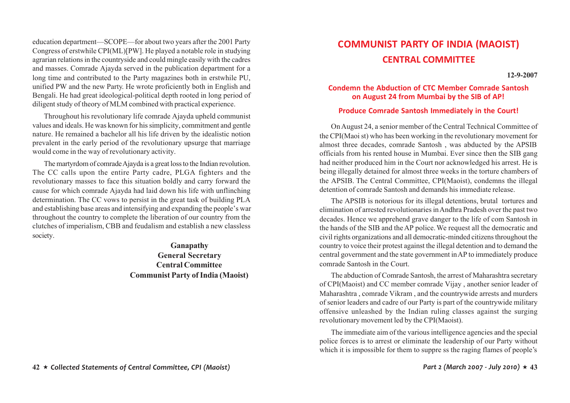education department—SCOPE—for about two years after the 2001 Party Congress of erstwhile CPI(ML)[PW]. He played a notable role in studying agrarian relations in the countryside and could mingle easily with the cadres and masses. Comrade Ajayda served in the publication department for a long time and contributed to the Party magazines both in erstwhile PU, unified PW and the new Party. He wrote proficiently both in English and Bengali. He had great ideological-political depth rooted in long period of diligent study of theory of MLM combined with practical experience.

Throughout his revolutionary life comrade Ajayda upheld communist values and ideals. He was known for his simplicity, commitment and gentle nature. He remained a bachelor all his life driven by the idealistic notion prevalent in the early period of the revolutionary upsurge that marriage would come in the way of revolutionary activity.

The martyrdom of comrade Ajayda is a great loss to the Indian revolution. The CC calls upon the entire Party cadre, PLGA fighters and the revolutionary masses to face this situation boldly and carry forward the cause for which comrade Ajayda had laid down his life with unflinching determination. The CC vows to persist in the great task of building PLA and establishing base areas and intensifying and expanding the people's war throughout the country to complete the liberation of our country from the clutches of imperialism, CBB and feudalism and establish a new classless society.

### **Ganapathy General Secretary Central Committee Communist Party of India (Maoist)**

# **COMMUNIST PARTY OF INDIA (MAOIST) CENTRAL COMMITTEE**

**12-9-2007**

### **Condemn the Abduction of CTC Member Comrade Santosh on August 24 from Mumbai by the SIB of AP!**

#### **Produce Comrade Santosh Immediately in the Court!**

On August 24, a senior member of the Central Technical Committee of the CPI(Maoi st) who has been working in the revolutionary movement for almost three decades, comrade Santosh , was abducted by the APSIB officials from his rented house in Mumbai. Ever since then the SIB gang had neither produced him in the Court nor acknowledged his arrest. He is being illegally detained for almost three weeks in the torture chambers of the APSIB. The Central Committee, CPI(Maoist), condemns the illegal detention of comrade Santosh and demands his immediate release.

The APSIB is notorious for its illegal detentions, brutal tortures and elimination of arrested revolutionaries in Andhra Pradesh over the past two decades. Hence we apprehend grave danger to the life of com Santosh in the hands of the SIB and the AP police. We request all the democratic and civil rights organizations and all democratic-minded citizens throughout the country to voice their protest against the illegal detention and to demand the central government and the state government in AP to immediately produce comrade Santosh in the Court.

The abduction of Comrade Santosh, the arrest of Maharashtra secretary of CPI(Maoist) and CC member comrade Vijay , another senior leader of Maharashtra , comrade Vikram , and the countrywide arrests and murders of senior leaders and cadre of our Party is part of the countrywide military offensive unleashed by the Indian ruling classes against the surging revolutionary movement led by the CPI(Maoist).

The immediate aim of the various intelligence agencies and the special police forces is to arrest or eliminate the leadership of our Party without which it is impossible for them to suppre ss the raging flames of people's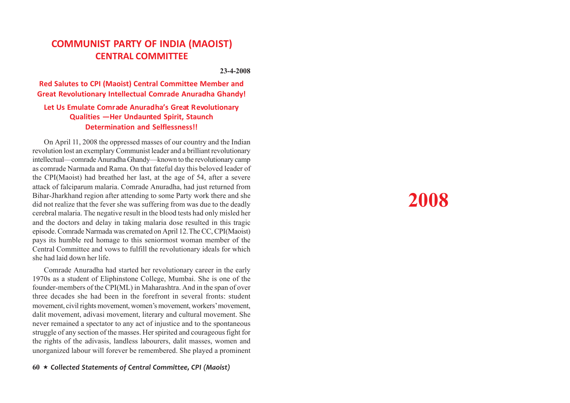**23-4-2008**

**Red Salutes to CPI (Maoist) Central Committee Member and Great Revolutionary Intellectual Comrade Anuradha Ghandy!**

### **Let Us Emulate Comrade Anuradha's Great Revolutionary Qualities —Her Undaunted Spirit, Staunch Determination and Selflessness!!**

On April 11, 2008 the oppressed masses of our country and the Indian revolution lost an exemplary Communist leader and a brilliant revolutionary intellectual—comrade Anuradha Ghandy—known to the revolutionary camp as comrade Narmada and Rama. On that fateful day this beloved leader of the CPI(Maoist) had breathed her last, at the age of 54, after a severe attack of falciparum malaria. Comrade Anuradha, had just returned from Bihar-Jharkhand region after attending to some Party work there and she did not realize that the fever she was suffering from was due to the deadly cerebral malaria. The negative result in the blood tests had only misled her and the doctors and delay in taking malaria dose resulted in this tragic episode. Comrade Narmada was cremated on April 12. The CC, CPI(Maoist) pays its humble red homage to this seniormost woman member of the Central Committee and vows to fulfill the revolutionary ideals for which she had laid down her life.

Comrade Anuradha had started her revolutionary career in the early 1970s as a student of Eliphinstone College, Mumbai. She is one of the founder-members of the CPI(ML) in Maharashtra. And in the span of over three decades she had been in the forefront in several fronts: student movement, civil rights movement, women's movement, workers' movement, dalit movement, adivasi movement, literary and cultural movement. She never remained a spectator to any act of injustice and to the spontaneous struggle of any section of the masses. Her spirited and courageous fight for the rights of the adivasis, landless labourers, dalit masses, women and unorganized labour will forever be remembered. She played a prominent

#### **60**  *Collected Statements of Central Committee, CPI (Maoist)*

# **2008**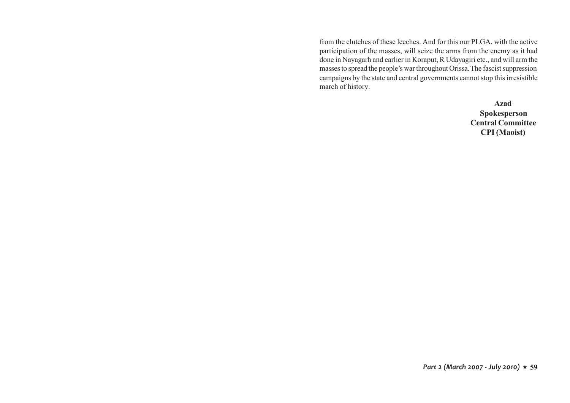from the clutches of these leeches. And for this our PLGA, with the active participation of the masses, will seize the arms from the enemy as it had done in Nayagarh and earlier in Koraput, R Udayagiri etc., and will arm the masses to spread the people's war throughout Orissa. The fascist suppression campaigns by the state and central governments cannot stop this irresistible march of history.

> **Azad Spokesperson Central Committee CPI (Maoist)**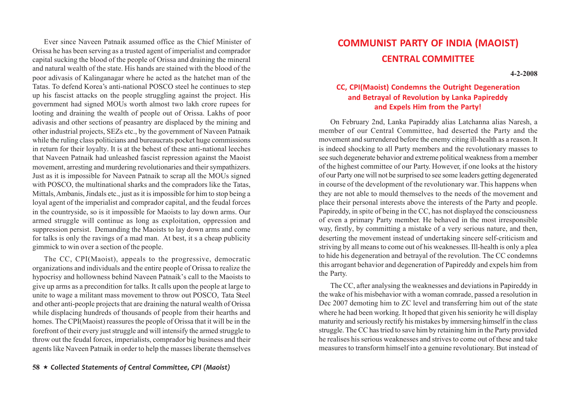Ever since Naveen Patnaik assumed office as the Chief Minister of Orissa he has been serving as a trusted agent of imperialist and comprador capital sucking the blood of the people of Orissa and draining the mineral and natural wealth of the state. His hands are stained with the blood of the poor adivasis of Kalinganagar where he acted as the hatchet man of the Tatas. To defend Korea's anti-national POSCO steel he continues to step up his fascist attacks on the people struggling against the project. His government had signed MOUs worth almost two lakh crore rupees for looting and draining the wealth of people out of Orissa. Lakhs of poor adivasis and other sections of peasantry are displaced by the mining and other industrial projects, SEZs etc., by the government of Naveen Patnaik while the ruling class politicians and bureaucrats pocket huge commissions in return for their loyalty. It is at the behest of these anti-national leeches that Naveen Patnaik had unleashed fascist repression against the Maoist movement, arresting and murdering revolutionaries and their sympathizers. Just as it is impossible for Naveen Patnaik to scrap all the MOUs signed with POSCO, the multinational sharks and the compradors like the Tatas, Mittals, Ambanis, Jindals etc., just as it is impossible for him to stop being a loyal agent of the imperialist and comprador capital, and the feudal forces in the countryside, so is it impossible for Maoists to lay down arms. Our armed struggle will continue as long as exploitation, oppression and suppression persist. Demanding the Maoists to lay down arms and come for talks is only the ravings of a mad man. At best, it s a cheap publicity gimmick to win over a section of the people.

The CC, CPI(Maoist), appeals to the progressive, democratic organizations and individuals and the entire people of Orissa to realize the hypocrisy and hollowness behind Naveen Patnaik's call to the Maoists to give up arms as a precondition for talks. It calls upon the people at large to unite to wage a militant mass movement to throw out POSCO, Tata Steel and other anti-people projects that are draining the natural wealth of Orissa while displacing hundreds of thousands of people from their hearths and homes. The CPI(Maoist) reassures the people of Orissa that it will be in the forefront of their every just struggle and will intensify the armed struggle to throw out the feudal forces, imperialists, comprador big business and their agents like Naveen Patnaik in order to help the masses liberate themselves

#### **58**  *Collected Statements of Central Committee, CPI (Maoist)*

## **COMMUNIST PARTY OF INDIA (MAOIST) CENTRAL COMMITTEE**

**4-2-2008**

### **CC, CPI(Maoist) Condemns the Outright Degeneration and Betrayal of Revolution by Lanka Papireddy and Expels Him from the Party!**

On February 2nd, Lanka Papiraddy alias Latchanna alias Naresh, a member of our Central Committee, had deserted the Party and the movement and surrendered before the enemy citing ill-health as a reason. It is indeed shocking to all Party members and the revolutionary masses to see such degenerate behavior and extreme political weakness from a member of the highest committee of our Party. However, if one looks at the history of our Party one will not be surprised to see some leaders getting degenerated in course of the development of the revolutionary war. This happens when they are not able to mould themselves to the needs of the movement and place their personal interests above the interests of the Party and people. Papireddy, in spite of being in the CC, has not displayed the consciousness of even a primary Party member. He behaved in the most irresponsible way, firstly, by committing a mistake of a very serious nature, and then, deserting the movement instead of undertaking sincere self-criticism and striving by all means to come out of his weaknesses. Ill-health is only a plea to hide his degeneration and betrayal of the revolution. The CC condemns this arrogant behavior and degeneration of Papireddy and expels him from the Party.

The CC, after analysing the weaknesses and deviations in Papireddy in the wake of his misbehavior with a woman comrade, passed a resolution in Dec 2007 demoting him to ZC level and transferring him out of the state where he had been working. It hoped that given his seniority he will display maturity and seriously rectify his mistakes by immersing himself in the class struggle. The CC has tried to save him by retaining him in the Party provided he realises his serious weaknesses and strives to come out of these and take measures to transform himself into a genuine revolutionary. But instead of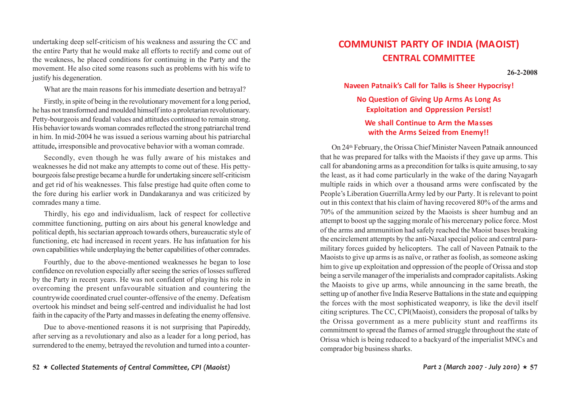undertaking deep self-criticism of his weakness and assuring the CC and the entire Party that he would make all efforts to rectify and come out of the weakness, he placed conditions for continuing in the Party and the movement. He also cited some reasons such as problems with his wife to justify his degeneration.

What are the main reasons for his immediate desertion and betrayal?

Firstly, in spite of being in the revolutionary movement for a long period, he has not transformed and moulded himself into a proletarian revolutionary. Petty-bourgeois and feudal values and attitudes continued to remain strong. His behavior towards woman comrades reflected the strong patriarchal trend in him. In mid-2004 he was issued a serious warning about his patriarchal attitude**,** irresponsible and provocative behavior with a woman comrade.

Secondly, even though he was fully aware of his mistakes and weaknesses he did not make any attempts to come out of these. His pettybourgeois false prestige became a hurdle for undertaking sincere self-criticism and get rid of his weaknesses. This false prestige had quite often come to the fore during his earlier work in Dandakaranya and was criticized by comrades many a time.

Thirdly, his ego and individualism, lack of respect for collective committee functioning, putting on airs about his general knowledge and political depth, his sectarian approach towards others, bureaucratic style of functioning, etc had increased in recent years. He has infatuation for his own capabilities while underplaying the better capabilities of other comrades.

Fourthly, due to the above-mentioned weaknesses he began to lose confidence on revolution especially after seeing the series of losses suffered by the Party in recent years. He was not confident of playing his role in overcoming the present unfavourable situation and countering the countrywide coordinated cruel counter-offensive of the enemy. Defeatism overtook his mindset and being self-centred and individualist he had lost faith in the capacity of the Party and masses in defeating the enemy offensive.

Due to above-mentioned reasons it is not surprising that Papireddy, after serving as a revolutionary and also as a leader for a long period, has surrendered to the enemy, betrayed the revolution and turned into a counter-

### **COMMUNIST PARTY OF INDIA (MAOIST) CENTRAL COMMITTEE**

**26-2-2008**

**Naveen Patnaik's Call for Talks is Sheer Hypocrisy!**

### **No Question of Giving Up Arms As Long As Exploitation and Oppression Persist!**

### **We shall Continue to Arm the Masses with the Arms Seized from Enemy!!**

On 24th February, the Orissa Chief Minister Naveen Patnaik announced that he was prepared for talks with the Maoists if they gave up arms. This call for abandoning arms as a precondition for talks is quite amusing, to say the least, as it had come particularly in the wake of the daring Nayagarh multiple raids in which over a thousand arms were confiscated by the People's Liberation Guerrilla Army led by our Party. It is relevant to point out in this context that his claim of having recovered 80% of the arms and 70% of the ammunition seized by the Maoists is sheer humbug and an attempt to boost up the sagging morale of his mercenary police force. Most of the arms and ammunition had safely reached the Maoist bases breaking the encirclement attempts by the anti-Naxal special police and central paramilitary forces guided by helicopters. The call of Naveen Patnaik to the Maoists to give up arms is as naïve, or rather as foolish, as someone asking him to give up exploitation and oppression of the people of Orissa and stop being a servile manager of the imperialists and comprador capitalists. Asking the Maoists to give up arms, while announcing in the same breath, the setting up of another five India Reserve Battalions in the state and equipping the forces with the most sophisticated weaponry, is like the devil itself citing scriptures. The CC, CPI(Maoist), considers the proposal of talks by the Orissa government as a mere publicity stunt and reaffirms its commitment to spread the flames of armed struggle throughout the state of Orissa which is being reduced to a backyard of the imperialist MNCs and comprador big business sharks.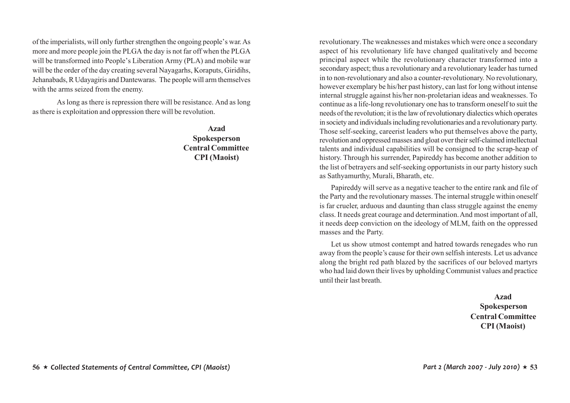of the imperialists, will only further strengthen the ongoing people's war. As more and more people join the PLGA the day is not far off when the PLGA will be transformed into People's Liberation Army (PLA) and mobile war will be the order of the day creating several Nayagarhs, Koraputs, Giridihs, Jehanabads, R Udayagiris and Dantewaras. The people will arm themselves with the arms seized from the enemy.

As long as there is repression there will be resistance. And as long as there is exploitation and oppression there will be revolution.

> **Azad Spokesperson Central Committee CPI (Maoist)**

revolutionary. The weaknesses and mistakes which were once a secondary aspect of his revolutionary life have changed qualitatively and become principal aspect while the revolutionary character transformed into a secondary aspect; thus a revolutionary and a revolutionary leader has turned in to non-revolutionary and also a counter-revolutionary. No revolutionary, however exemplary be his/her past history, can last for long without intense internal struggle against his/her non-proletarian ideas and weaknesses. To continue as a life-long revolutionary one has to transform oneself to suit the needs of the revolution; it is the law of revolutionary dialectics which operates in society and individuals including revolutionaries and a revolutionary party. Those self-seeking, careerist leaders who put themselves above the party, revolution and oppressed masses and gloat over their self-claimed intellectual talents and individual capabilities will be consigned to the scrap-heap of history. Through his surrender, Papireddy has become another addition to the list of betrayers and self-seeking opportunists in our party history such as Sathyamurthy, Murali, Bharath, etc.

Papireddy will serve as a negative teacher to the entire rank and file of the Party and the revolutionary masses. The internal struggle within oneself is far crueler, arduous and daunting than class struggle against the enemy class. It needs great courage and determination. And most important of all, it needs deep conviction on the ideology of MLM, faith on the oppressed masses and the Party.

Let us show utmost contempt and hatred towards renegades who run away from the people's cause for their own selfish interests. Let us advance along the bright red path blazed by the sacrifices of our beloved martyrs who had laid down their lives by upholding Communist values and practice until their last breath.

> **Azad Spokesperson Central Committee CPI (Maoist)**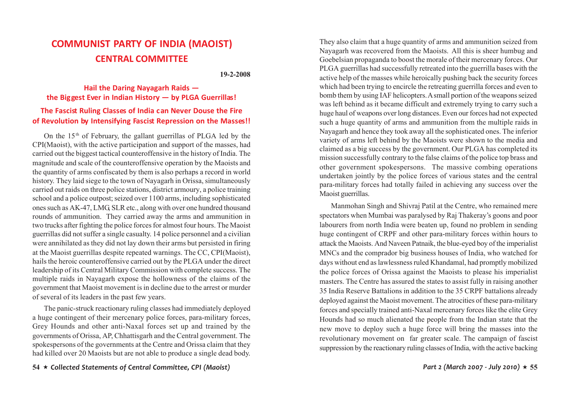**19-2-2008**

### **Hail the Daring Nayagarh Raids the Biggest Ever in Indian History — by PLGA Guerrillas!**

### **The Fascist Ruling Classes of India can Never Douse the Fire of Revolution by Intensifying Fascist Repression on the Masses!!**

On the  $15<sup>th</sup>$  of February, the gallant guerrillas of PLGA led by the CPI(Maoist), with the active participation and support of the masses, had carried out the biggest tactical counteroffensive in the history of India. The magnitude and scale of the counteroffensive operation by the Maoists and the quantity of arms confiscated by them is also perhaps a record in world history. They laid siege to the town of Nayagarh in Orissa, simultaneously carried out raids on three police stations, district armoury, a police training school and a police outpost; seized over 1100 arms, including sophisticated ones such as AK-47, LMG, SLR etc., along with over one hundred thousand rounds of ammunition. They carried away the arms and ammunition in two trucks after fighting the police forces for almost four hours. The Maoist guerrillas did not suffer a single casualty. 14 police personnel and a civilian were annihilated as they did not lay down their arms but persisted in firing at the Maoist guerrillas despite repeated warnings. The CC, CPI(Maoist), hails the heroic counteroffensive carried out by the PLGA under the direct leadership of its Central Military Commission with complete success. The multiple raids in Nayagarh expose the hollowness of the claims of the government that Maoist movement is in decline due to the arrest or murder of several of its leaders in the past few years.

The panic-struck reactionary ruling classes had immediately deployed a huge contingent of their mercenary police forces, para-military forces, Grey Hounds and other anti-Naxal forces set up and trained by the governments of Orissa, AP, Chhattisgarh and the Central government. The spokespersons of the governments at the Centre and Orissa claim that they had killed over 20 Maoists but are not able to produce a single dead body. They also claim that a huge quantity of arms and ammunition seized from Nayagarh was recovered from the Maoists. All this is sheer humbug and Goebelsian propaganda to boost the morale of their mercenary forces. Our PLGA guerrillas had successfully retreated into the guerrilla bases with the active help of the masses while heroically pushing back the security forces which had been trying to encircle the retreating guerrilla forces and even to bomb them by using IAF helicopters. A small portion of the weapons seized was left behind as it became difficult and extremely trying to carry such a huge haul of weapons over long distances. Even our forces had not expected such a huge quantity of arms and ammunition from the multiple raids in Nayagarh and hence they took away all the sophisticated ones. The inferior variety of arms left behind by the Maoists were shown to the media and claimed as a big success by the government. Our PLGA has completed its mission successfully contrary to the false claims of the police top brass and other government spokespersons. The massive combing operations undertaken jointly by the police forces of various states and the central para-military forces had totally failed in achieving any success over the Maoist guerrillas.

Manmohan Singh and Shivraj Patil at the Centre, who remained mere spectators when Mumbai was paralysed by Raj Thakeray's goons and poor labourers from north India were beaten up, found no problem in sending huge contingent of CRPF and other para-military forces within hours to attack the Maoists. And Naveen Patnaik, the blue-eyed boy of the imperialist MNCs and the comprador big business houses of India, who watched for days without end as lawlessness ruled Khandamal, had promptly mobilized the police forces of Orissa against the Maoists to please his imperialist masters. The Centre has assured the states to assist fully in raising another 35 India Reserve Battalions in addition to the 35 CRPF battalions already deployed against the Maoist movement. The atrocities of these para-military forces and specially trained anti-Naxal mercenary forces like the elite Grey Hounds had so much alienated the people from the Indian state that the new move to deploy such a huge force will bring the masses into the revolutionary movement on far greater scale. The campaign of fascist suppression by the reactionary ruling classes of India, with the active backing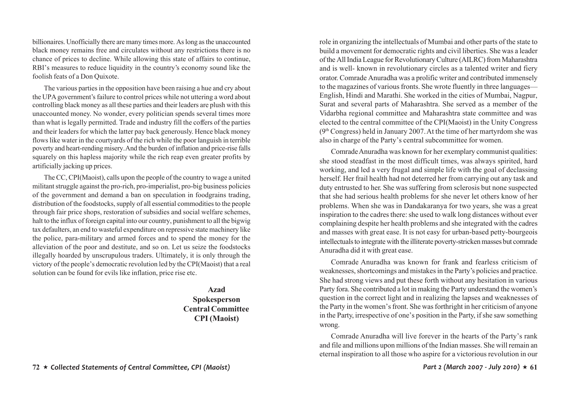billionaires. Unofficially there are many times more. As long as the unaccounted black money remains free and circulates without any restrictions there is no chance of prices to decline. While allowing this state of affairs to continue, RBI's measures to reduce liquidity in the country's economy sound like the foolish feats of a Don Quixote.

The various parties in the opposition have been raising a hue and cry about the UPA government's failure to control prices while not uttering a word about controlling black money as all these parties and their leaders are plush with this unaccounted money. No wonder, every politician spends several times more than what is legally permitted. Trade and industry fill the coffers of the parties and their leaders for which the latter pay back generously. Hence black money flows like water in the courtyards of the rich while the poor languish in terrible poverty and heart-rending misery. And the burden of inflation and price-rise falls squarely on this hapless majority while the rich reap even greater profits by artificially jacking up prices.

The CC, CPI(Maoist), calls upon the people of the country to wage a united militant struggle against the pro-rich, pro-imperialist, pro-big business policies of the government and demand a ban on speculation in foodgrains trading, distribution of the foodstocks, supply of all essential commodities to the people through fair price shops, restoration of subsidies and social welfare schemes, halt to the influx of foreign capital into our country, punishment to all the bigwig tax defaulters, an end to wasteful expenditure on repressive state machinery like the police, para-military and armed forces and to spend the money for the alleviation of the poor and destitute, and so on. Let us seize the foodstocks illegally hoarded by unscrupulous traders. Ultimately, it is only through the victory of the people's democratic revolution led by the CPI(Maoist) that a real solution can be found for evils like inflation, price rise etc.

> **Azad Spokesperson Central Committee CPI (Maoist)**

role in organizing the intellectuals of Mumbai and other parts of the state to build a movement for democratic rights and civil liberties. She was a leader of the All India League for Revolutionary Culture (AILRC) from Maharashtra and is well- known in revolutionary circles as a talented writer and fiery orator. Comrade Anuradha was a prolific writer and contributed immensely to the magazines of various fronts. She wrote fluently in three languages— English, Hindi and Marathi. She worked in the cities of Mumbai, Nagpur, Surat and several parts of Maharashtra. She served as a member of the Vidarbha regional committee and Maharashtra state committee and was elected to the central committee of the CPI(Maoist) in the Unity Congress  $(9<sup>th</sup> Congress)$  held in January 2007. At the time of her martyrdom she was also in charge of the Party's central subcommittee for women.

Comrade Anuradha was known for her exemplary communist qualities: she stood steadfast in the most difficult times, was always spirited, hard working, and led a very frugal and simple life with the goal of declassing herself. Her frail health had not deterred her from carrying out any task and duty entrusted to her. She was suffering from sclerosis but none suspected that she had serious health problems for she never let others know of her problems. When she was in Dandakaranya for two years, she was a great inspiration to the cadres there: she used to walk long distances without ever complaining despite her health problems and she integrated with the cadres and masses with great ease. It is not easy for urban-based petty-bourgeois intellectuals to integrate with the illiterate poverty-stricken masses but comrade Anuradha did it with great ease.

Comrade Anuradha was known for frank and fearless criticism of weaknesses, shortcomings and mistakes in the Party's policies and practice. She had strong views and put these forth without any hesitation in various Party fora. She contributed a lot in making the Party understand the women's question in the correct light and in realizing the lapses and weaknesses of the Party in the women's front. She was forthright in her criticism of anyone in the Party, irrespective of one's position in the Party, if she saw something wrong.

Comrade Anuradha will live forever in the hearts of the Party's rank and file and millions upon millions of the Indian masses. She will remain an eternal inspiration to all those who aspire for a victorious revolution in our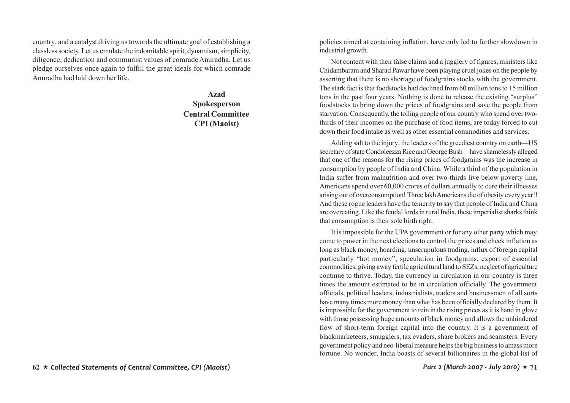country, and a catalyst driving us towards the ultimate goal of establishing a classless society. Let us emulate the indomitable spirit, dynamism, simplicity, diligence, dedication and communist values of comrade Anuradha. Let us pledge ourselves once again to fulfill the great ideals for which comrade Anuradha had laid down her life.

> **Azad Spokesperson Central Committee CPI (Maoist)**

policies aimed at containing inflation, have only led to further slowdown in industrial growth.

Not content with their false claims and a jugglery of figures, ministers like Chidambaram and Sharad Pawar have been playing cruel jokes on the people by asserting that there is no shortage of foodgrains stocks with the government. The stark fact is that foodstocks had declined from 60 million tons to 15 million tons in the past four years. Nothing is done to release the existing "surplus" foodstocks to bring down the prices of foodgrains and save the people from starvation. Consequently, the toiling people of our country who spend over twothirds of their incomes on the purchase of food items, are today forced to cut down their food intake as well as other essential commodities and services.

Adding salt to the injury, the leaders of the greediest country on earth—US secretary of state Condoleezza Rice and George Bush—have shamelessly alleged that one of the reasons for the rising prices of foodgrains was the increase in consumption by people of India and China. While a third of the population in India suffer from malnutrition and over two-thirds live below poverty line, Americans spend over 60,000 crores of dollars annually to cure their illnesses arising out of overconsumption! Three lakh Americans die of obesity every year!! And these rogue leaders have the temerity to say that people of India and China are overeating. Like the feudal lords in rural India, these imperialist sharks think that consumption is their sole birth right.

It is impossible for the UPA government or for any other party which may come to power in the next elections to control the prices and check inflation as long as black money, hoarding, unscrupulous trading, influx of foreign capital particularly "hot money", speculation in foodgrains, export of essential commodities, giving away fertile agricultural land to SEZs, neglect of agriculture continue to thrive. Today, the currency in circulation in our country is three times the amount estimated to be in circulation officially. The government officials, political leaders, industrialists, traders and businessmen of all sorts have many times more money than what has been officially declared by them. It is impossible for the government to rein in the rising prices as it is hand in glove with those possessing huge amounts of black money and allows the unhindered flow of short-term foreign capital into the country. It is a government of blackmarketeers, smugglers, tax evaders, share brokers and scamsters. Every government policy and neo-liberal measure helps the big business to amass more fortune. No wonder, India boasts of several billionaires in the global list of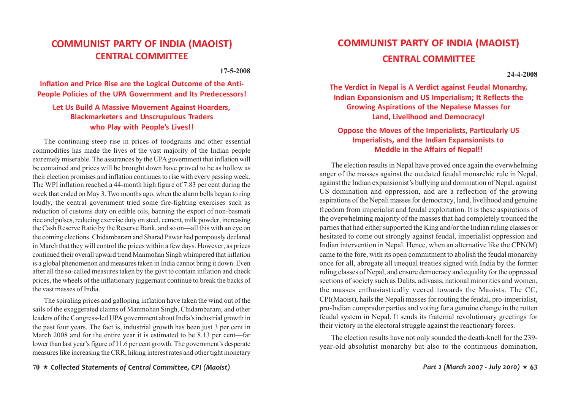**17-5-2008**

**Inflation and Price Rise are the Logical Outcome of the Anti-People Policies of the UPA Government and Its Predecessors!**

### **Let Us Build A Massive Movement Against Hoarders, Blackmarketers and Unscrupulous Traders who Play with People's Lives!!**

The continuing steep rise in prices of foodgrains and other essential commodities has made the lives of the vast majority of the Indian people extremely miserable. The assurances by the UPA government that inflation will be contained and prices will be brought down have proved to be as hollow as their election promises and inflation continues to rise with every passing week. The WPI inflation reached a 44-month high figure of 7.83 per cent during the week that ended on May 3. Two months ago, when the alarm bells began to ring loudly, the central government tried some fire-fighting exercises such as reduction of customs duty on edible oils, banning the export of non-basmati rice and pulses, reducing exercise duty on steel, cement, milk powder, increasing the Cash Reserve Ratio by the Reserve Bank, and so on—all this with an eye on the coming elections. Chidambaram and Sharad Pawar had pompously declared in March that they will control the prices within a few days. However, as prices continued their overall upward trend Manmohan Singh whimpered that inflation is a global phenomenon and measures taken in India cannot bring it down. Even after all the so-called measures taken by the govt to contain inflation and check prices, the wheels of the inflationary juggernaut continue to break the backs of the vast masses of India.

The spiraling prices and galloping inflation have taken the wind out of the sails of the exaggerated claims of Manmohan Singh, Chidambaram, and other leaders of the Congress-led UPA government about India's industrial growth in the past four years. The fact is, industrial growth has been just 3 per cent in March 2008 and for the entire year it is estimated to be 8.13 per cent—far lower than last year's figure of 11.6 per cent growth. The government's desperate measures like increasing the CRR, hiking interest rates and other tight monetary

### **COMMUNIST PARTY OF INDIA (MAOIST) CENTRAL COMMITTEE**

**24-4-2008**

**The Verdict in Nepal is A Verdict against Feudal Monarchy, Indian Expansionism and US Imperialism; It Reflects the Growing Aspirations of the Nepalese Masses for Land, Livelihood and Democracy!**

### **Oppose the Moves of the Imperialists, Particularly US Imperialists, and the Indian Expansionists to Meddle in the Affairs of Nepal!!**

The election results in Nepal have proved once again the overwhelming anger of the masses against the outdated feudal monarchic rule in Nepal, against the Indian expansionist's bullying and domination of Nepal, against US domination and oppression, and are a reflection of the growing aspirations of the Nepali masses for democracy, land, livelihood and genuine freedom from imperialist and feudal exploitation. It is these aspirations of the overwhelming majority of the masses that had completely trounced the parties that had either supported the King and/or the Indian ruling classes or hesitated to come out strongly against feudal, imperialist oppression and Indian intervention in Nepal. Hence, when an alternative like the CPN(M) came to the fore, with its open commitment to abolish the feudal monarchy once for all, abrogate all unequal treaties signed with India by the former ruling classes of Nepal, and ensure democracy and equality for the oppressed sections of society such as Dalits, adivasis, national minorities and women, the masses enthusiastically veered towards the Maoists. The CC, CPI(Maoist), hails the Nepali masses for routing the feudal, pro-imperialist, pro-Indian comprador parties and voting for a genuine change in the rotten feudal system in Nepal. It sends its fraternal revolutionary greetings for their victory in the electoral struggle against the reactionary forces.

The election results have not only sounded the death-knell for the 239 year-old absolutist monarchy but also to the continuous domination,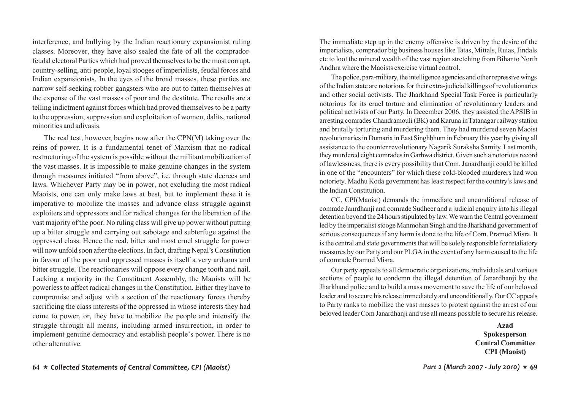interference, and bullying by the Indian reactionary expansionist ruling classes. Moreover, they have also sealed the fate of all the compradorfeudal electoral Parties which had proved themselves to be the most corrupt, country-selling, anti-people, loyal stooges of imperialists, feudal forces and Indian expansionists. In the eyes of the broad masses, these parties are narrow self-seeking robber gangsters who are out to fatten themselves at the expense of the vast masses of poor and the destitute. The results are a telling indictment against forces which had proved themselves to be a party to the oppression, suppression and exploitation of women, dalits, national minorities and adivasis.

The real test, however, begins now after the CPN(M) taking over the reins of power. It is a fundamental tenet of Marxism that no radical restructuring of the system is possible without the militant mobilization of the vast masses. It is impossible to make genuine changes in the system through measures initiated "from above", i.e. through state decrees and laws. Whichever Party may be in power, not excluding the most radical Maoists, one can only make laws at best, but to implement these it is imperative to mobilize the masses and advance class struggle against exploiters and oppressors and for radical changes for the liberation of the vast majority of the poor. No ruling class will give up power without putting up a bitter struggle and carrying out sabotage and subterfuge against the oppressed class. Hence the real, bitter and most cruel struggle for power will now unfold soon after the elections. In fact, drafting Nepal's Constitution in favour of the poor and oppressed masses is itself a very arduous and bitter struggle. The reactionaries will oppose every change tooth and nail. Lacking a majority in the Constituent Assembly, the Maoists will be powerless to affect radical changes in the Constitution. Either they have to compromise and adjust with a section of the reactionary forces thereby sacrificing the class interests of the oppressed in whose interests they had come to power, or, they have to mobilize the people and intensify the struggle through all means, including armed insurrection, in order to implement genuine democracy and establish people's power. There is no other alternative.

The immediate step up in the enemy offensive is driven by the desire of the imperialists, comprador big business houses like Tatas, Mittals, Ruias, Jindals etc to loot the mineral wealth of the vast region stretching from Bihar to North Andhra where the Maoists exercise virtual control.

The police, para-military, the intelligence agencies and other repressive wings of the Indian state are notorious for their extra-judicial killings of revolutionaries and other social activists. The Jharkhand Special Task Force is particularly notorious for its cruel torture and elimination of revolutionary leaders and political activists of our Party. In December 2006, they assisted the APSIB in arresting comrades Chandramouli (BK) and Karuna in Tatanagar railway station and brutally torturing and murdering them. They had murdered seven Maoist revolutionaries in Dumaria in East Singhbhum in February this year by giving all assistance to the counter revolutionary Nagarik Suraksha Samity. Last month, they murdered eight comrades in Garhwa district. Given such a notorious record of lawlessness, there is every possibility that Com. Janardhanji could be killed in one of the "encounters" for which these cold-blooded murderers had won notoriety. Madhu Koda government has least respect for the country's laws and the Indian Constitution.

CC, CPI(Maoist) demands the immediate and unconditional release of comrade Janrdhanji and comrade Sudheer and a judicial enquiry into his illegal detention beyond the 24 hours stipulated by law. We warn the Central government led by the imperialist stooge Manmohan Singh and the Jharkhand government of serious consequences if any harm is done to the life of Com. Pramod Misra. It is the central and state governments that will be solely responsible for retaliatory measures by our Party and our PLGA in the event of any harm caused to the life of comrade Pramod Misra.

Our party appeals to all democratic organizations, individuals and various sections of people to condemn the illegal detention of Janardhanji by the Jharkhand police and to build a mass movement to save the life of our beloved leader and to secure his release immediately and unconditionally. Our CC appeals to Party ranks to mobilize the vast masses to protest against the arrest of our beloved leader Com Janardhanji and use all means possible to secure his release.

> **Azad Spokesperson Central Committee CPI (Maoist)**

*Part 2 (March 2007 - July 2010)*  $\star$  69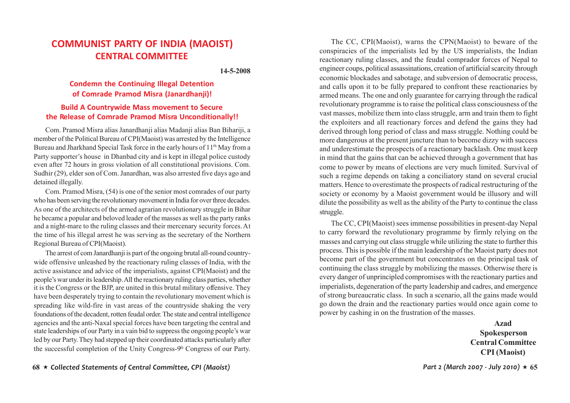**14-5-2008**

### **Condemn the Continuing Illegal Detention of Comrade Pramod Misra (Janardhanji)!**

### **Build A Countrywide Mass movement to Secure the Release of Comrade Pramod Misra Unconditionally!!**

Com. Pramod Misra alias Janardhanji alias Madanji alias Ban Bihariji, a member of the Political Bureau of CPI(Maoist) was arrested by the Intelligence Bureau and Jharkhand Special Task force in the early hours of 11<sup>th</sup> May from a Party supporter's house in Dhanbad city and is kept in illegal police custody even after 72 hours in gross violation of all constitutional provisions. Com. Sudhir (29), elder son of Com. Janardhan, was also arrested five days ago and detained illegally.

Com. Pramod Misra, (54) is one of the senior most comrades of our party who has been serving the revolutionary movement in India for over three decades. As one of the architects of the armed agrarian revolutionary struggle in Bihar he became a popular and beloved leader of the masses as well as the party ranks and a night-mare to the ruling classes and their mercenary security forces. At the time of his illegal arrest he was serving as the secretary of the Northern Regional Bureau of CPI(Maoist).

The arrest of com Janardhanji is part of the ongoing brutal all-round countrywide offensive unleashed by the reactionary ruling classes of India, with the active assistance and advice of the imperialists, against CPI(Maoist) and the people's war under its leadership. All the reactionary ruling class parties, whether it is the Congress or the BJP, are united in this brutal military offensive. They have been desperately trying to contain the revolutionary movement which is spreading like wild-fire in vast areas of the countryside shaking the very foundations of the decadent, rotten feudal order. The state and central intelligence agencies and the anti-Naxal special forces have been targeting the central and state leaderships of our Party in a vain bid to suppress the ongoing people's war led by our Party. They had stepped up their coordinated attacks particularly after the successful completion of the Unity Congress-9th Congress of our Party.

The CC, CPI(Maoist), warns the CPN(Maoist) to beware of the conspiracies of the imperialists led by the US imperialists, the Indian reactionary ruling classes, and the feudal comprador forces of Nepal to engineer coups, political assassinations, creation of artificial scarcity through economic blockades and sabotage, and subversion of democratic process, and calls upon it to be fully prepared to confront these reactionaries by armed means. The one and only guarantee for carrying through the radical revolutionary programme is to raise the political class consciousness of the vast masses, mobilize them into class struggle, arm and train them to fight the exploiters and all reactionary forces and defend the gains they had derived through long period of class and mass struggle. Nothing could be more dangerous at the present juncture than to become dizzy with success and underestimate the prospects of a reactionary backlash. One must keep in mind that the gains that can be achieved through a government that has come to power by means of elections are very much limited. Survival of such a regime depends on taking a conciliatory stand on several crucial matters. Hence to overestimate the prospects of radical restructuring of the society or economy by a Maoist government would be illusory and will dilute the possibility as well as the ability of the Party to continue the class struggle.

The CC, CPI(Maoist) sees immense possibilities in present-day Nepal to carry forward the revolutionary programme by firmly relying on the masses and carrying out class struggle while utilizing the state to further this process. This is possible if the main leadership of the Maoist party does not become part of the government but concentrates on the principal task of continuing the class struggle by mobilizing the masses. Otherwise there is every danger of unprincipled compromises with the reactionary parties and imperialists, degeneration of the party leadership and cadres, and emergence of strong bureaucratic class. In such a scenario, all the gains made would go down the drain and the reactionary parties would once again come to power by cashing in on the frustration of the masses.

> **Azad Spokesperson Central Committee CPI (Maoist)**

**68**  *Collected Statements of Central Committee, CPI (Maoist)*

*Part 2 (March 2007 - July 2010)*  $\star$  65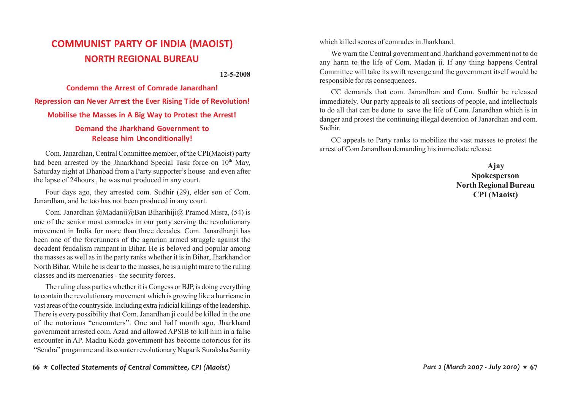### **COMMUNIST PARTY OF INDIA (MAOIST) NORTH REGIONAL BUREAU**

**12-5-2008**

**Condemn the Arrest of Comrade Janardhan! Repression can Never Arrest the Ever Rising Tide of Revolution! Mobilise the Masses in A Big Way to Protest the Arrest!**

### **Demand the Jharkhand Government to Release him Unconditionally!**

Com. Janardhan, Central Committee member, of the CPI(Maoist) party had been arrested by the Jhnarkhand Special Task force on  $10<sup>th</sup>$  May, Saturday night at Dhanbad from a Party supporter's house and even after the lapse of 24hours , he was not produced in any court.

Four days ago, they arrested com. Sudhir (29), elder son of Com. Janardhan, and he too has not been produced in any court.

Com. Janardhan @Madanji@Ban Biharihiji@ Pramod Misra, (54) is one of the senior most comrades in our party serving the revolutionary movement in India for more than three decades. Com. Janardhanji has been one of the forerunners of the agrarian armed struggle against the decadent feudalism rampant in Bihar. He is beloved and popular among the masses as well as in the party ranks whether it is in Bihar, Jharkhand or North Bihar. While he is dear to the masses, he is a night mare to the ruling classes and its mercenaries - the security forces.

The ruling class parties whether it is Congess or BJP, is doing everything to contain the revolutionary movement which is growing like a hurricane in vast areas of the countryside. Including extra judicial killings of the leadership. There is every possibility that Com. Janardhan ji could be killed in the one of the notorious "encounters". One and half month ago, Jharkhand government arrested com. Azad and allowed APSIB to kill him in a false encounter in AP. Madhu Koda government has become notorious for its "Sendra" progamme and its counter revolutionary Nagarik Suraksha Samity

**66**  *Collected Statements of Central Committee, CPI (Maoist)*

which killed scores of comrades in Jharkhand.

We warn the Central government and Jharkhand government not to do any harm to the life of Com. Madan ji. If any thing happens Central Committee will take its swift revenge and the government itself would be responsible for its consequences.

CC demands that com. Janardhan and Com. Sudhir be released immediately. Our party appeals to all sections of people, and intellectuals to do all that can be done to save the life of Com. Janardhan which is in danger and protest the continuing illegal detention of Janardhan and com. Sudhir.

CC appeals to Party ranks to mobilize the vast masses to protest the arrest of Com Janardhan demanding his immediate release.

> **Ajay Spokesperson North Regional Bureau CPI (Maoist)**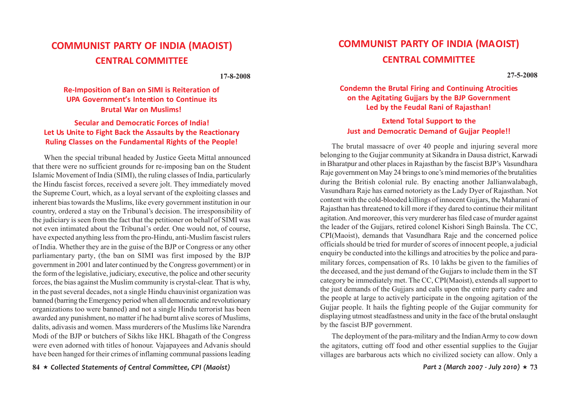**17-8-2008**

### **Re-Imposition of Ban on SIMI is Reiteration of UPA Government's Intention to Continue its Brutal War on Muslims!**

### **Secular and Democratic Forces of India! Let Us Unite to Fight Back the Assaults by the Reactionary Ruling Classes on the Fundamental Rights of the People!**

When the special tribunal headed by Justice Geeta Mittal announced that there were no sufficient grounds for re-imposing ban on the Student Islamic Movement of India (SIMI), the ruling classes of India, particularly the Hindu fascist forces, received a severe jolt. They immediately moved the Supreme Court, which, as a loyal servant of the exploiting classes and inherent bias towards the Muslims, like every government institution in our country, ordered a stay on the Tribunal's decision. The irresponsibility of the judiciary is seen from the fact that the petitioner on behalf of SIMI was not even intimated about the Tribunal's order. One would not, of course, have expected anything less from the pro-Hindu, anti-Muslim fascist rulers of India. Whether they are in the guise of the BJP or Congress or any other parliamentary party, (the ban on SIMI was first imposed by the BJP government in 2001 and later continued by the Congress government) or in the form of the legislative, judiciary, executive, the police and other security forces, the bias against the Muslim community is crystal-clear. That is why, in the past several decades, not a single Hindu chauvinist organization was banned (barring the Emergency period when all democratic and revolutionary organizations too were banned) and not a single Hindu terrorist has been awarded any punishment, no matter if he had burnt alive scores of Muslims, dalits, adivasis and women. Mass murderers of the Muslims like Narendra Modi of the BJP or butchers of Sikhs like HKL Bhagath of the Congress were even adorned with titles of honour. Vajapayees and Advanis should have been hanged for their crimes of inflaming communal passions leading

# **COMMUNIST PARTY OF INDIA (MAOIST) CENTRAL COMMITTEE**

**27-5-2008**

### **Condemn the Brutal Firing and Continuing Atrocities on the Agitating Gujjars by the BJP Government Led by the Feudal Rani of Rajasthan!**

### **Extend Total Support to the Just and Democratic Demand of Gujjar People!!**

The brutal massacre of over 40 people and injuring several more belonging to the Gujjar community at Sikandra in Dausa district, Karwadi in Bharatpur and other places in Rajasthan by the fascist BJP's Vasundhara Raje government on May 24 brings to one's mind memories of the brutalities during the British colonial rule. By enacting another Jallianwalabagh, Vasundhara Raje has earned notoriety as the Lady Dyer of Rajasthan. Not content with the cold-blooded killings of innocent Gujjars, the Maharani of Rajasthan has threatened to kill more if they dared to continue their militant agitation. And moreover, this very murderer has filed case of murder against the leader of the Gujjars, retired colonel Kishori Singh Bainsla. The CC, CPI(Maoist), demands that Vasundhara Raje and the concerned police officials should be tried for murder of scores of innocent people, a judicial enquiry be conducted into the killings and atrocities by the police and paramilitary forces, compensation of Rs. 10 lakhs be given to the families of the deceased, and the just demand of the Gujjars to include them in the ST category be immediately met. The CC, CPI(Maoist), extends all support to the just demands of the Gujjars and calls upon the entire party cadre and the people at large to actively participate in the ongoing agitation of the Gujjar people. It hails the fighting people of the Gujjar community for displaying utmost steadfastness and unity in the face of the brutal onslaught by the fascist BJP government.

The deployment of the para-military and the Indian Army to cow down the agitators, cutting off food and other essential supplies to the Gujjar villages are barbarous acts which no civilized society can allow. Only a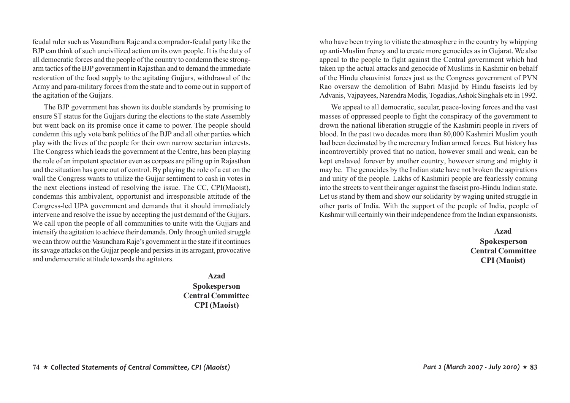feudal ruler such as Vasundhara Raje and a comprador-feudal party like the BJP can think of such uncivilized action on its own people. It is the duty of all democratic forces and the people of the country to condemn these strongarm tactics of the BJP government in Rajasthan and to demand the immediate restoration of the food supply to the agitating Gujjars, withdrawal of the Army and para-military forces from the state and to come out in support of the agitation of the Gujjars.

The BJP government has shown its double standards by promising to ensure ST status for the Gujjars during the elections to the state Assembly but went back on its promise once it came to power. The people should condemn this ugly vote bank politics of the BJP and all other parties which play with the lives of the people for their own narrow sectarian interests. The Congress which leads the government at the Centre, has been playing the role of an impotent spectator even as corpses are piling up in Rajasthan and the situation has gone out of control. By playing the role of a cat on the wall the Congress wants to utilize the Gujjar sentiment to cash in votes in the next elections instead of resolving the issue. The CC, CPI(Maoist), condemns this ambivalent, opportunist and irresponsible attitude of the Congress-led UPA government and demands that it should immediately intervene and resolve the issue by accepting the just demand of the Gujjars. We call upon the people of all communities to unite with the Guijars and intensify the agitation to achieve their demands. Only through united struggle we can throw out the Vasundhara Raje's government in the state if it continues its savage attacks on the Gujjar people and persists in its arrogant, provocative and undemocratic attitude towards the agitators.

### **Azad**

**Spokesperson Central Committee CPI (Maoist)**

who have been trying to vitiate the atmosphere in the country by whipping up anti-Muslim frenzy and to create more genocides as in Gujarat. We also appeal to the people to fight against the Central government which had taken up the actual attacks and genocide of Muslims in Kashmir on behalf of the Hindu chauvinist forces just as the Congress government of PVN Rao oversaw the demolition of Babri Masjid by Hindu fascists led by Advanis, Vajpayees, Narendra Modis, Togadias, Ashok Singhals etc in 1992.

We appeal to all democratic, secular, peace-loving forces and the vast masses of oppressed people to fight the conspiracy of the government to drown the national liberation struggle of the Kashmiri people in rivers of blood. In the past two decades more than 80,000 Kashmiri Muslim youth had been decimated by the mercenary Indian armed forces. But history has incontrovertibly proved that no nation, however small and weak, can be kept enslaved forever by another country, however strong and mighty it may be. The genocides by the Indian state have not broken the aspirations and unity of the people. Lakhs of Kashmiri people are fearlessly coming into the streets to vent their anger against the fascist pro-Hindu Indian state. Let us stand by them and show our solidarity by waging united struggle in other parts of India. With the support of the people of India, people of Kashmir will certainly win their independence from the Indian expansionists.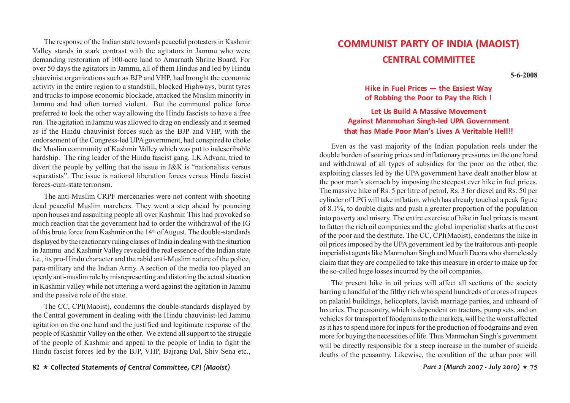The response of the Indian state towards peaceful protesters in Kashmir Valley stands in stark contrast with the agitators in Jammu who were demanding restoration of 100-acre land to Amarnath Shrine Board. For over 50 days the agitators in Jammu, all of them Hindus and led by Hindu chauvinist organizations such as BJP and VHP, had brought the economic activity in the entire region to a standstill, blocked Highways, burnt tyres and trucks to impose economic blockade, attacked the Muslim minority in Jammu and had often turned violent. But the communal police force preferred to look the other way allowing the Hindu fascists to have a free run. The agitation in Jammu was allowed to drag on endlessly and it seemed as if the Hindu chauvinist forces such as the BJP and VHP, with the endorsement of the Congress-led UPA government, had conspired to choke the Muslim community of Kashmir Valley which was put to indescribable hardship. The ring leader of the Hindu fascist gang, LK Advani, tried to divert the people by yelling that the issue in J&K is "nationalists versus separatists". The issue is national liberation forces versus Hindu fascist forces-cum-state terrorism.

The anti-Muslim CRPF mercenaries were not content with shooting dead peaceful Muslim marchers. They went a step ahead by pouncing upon houses and assaulting people all over Kashmir. This had provoked so much reaction that the government had to order the withdrawal of the IG of this brute force from Kashmir on the 14th of August. The double-standards displayed by the reactionary ruling classes of India in dealing with the situation in Jammu and Kashmir Valley revealed the real essence of the Indian state i.e., its pro-Hindu character and the rabid anti-Muslim nature of the police, para-military and the Indian Army. A section of the media too played an openly anti-muslim role by misrepresenting and distorting the actual situation in Kashmir valley while not uttering a word against the agitation in Jammu and the passive role of the state.

The CC, CPI(Maoist), condemns the double-standards displayed by the Central government in dealing with the Hindu chauvinist-led Jammu agitation on the one hand and the justified and legitimate response of the people of Kashmir Valley on the other. We extend all support to the struggle of the people of Kashmir and appeal to the people of India to fight the Hindu fascist forces led by the BJP, VHP, Bajrang Dal, Shiv Sena etc.,

# **COMMUNIST PARTY OF INDIA (MAOIST) CENTRAL COMMITTEE**

**5-6-2008**

**Hike in Fuel Prices — the Easiest Way of Robbing the Poor to Pay the Rich !**

### **Let Us Build A Massive Movement Against Manmohan Singh-led UPA Government that has Made Poor Man's Lives A Veritable Hell!!**

Even as the vast majority of the Indian population reels under the double burden of soaring prices and inflationary pressures on the one hand and withdrawal of all types of subsidies for the poor on the other, the exploiting classes led by the UPA government have dealt another blow at the poor man's stomach by imposing the steepest ever hike in fuel prices. The massive hike of Rs. 5 per litre of petrol, Rs. 3 for diesel and Rs. 50 per cylinder of LPG will take inflation, which has already touched a peak figure of 8.1%, to double digits and push a greater proportion of the population into poverty and misery. The entire exercise of hike in fuel prices is meant to fatten the rich oil companies and the global imperialist sharks at the cost of the poor and the destitute. The CC, CPI(Maoist), condemns the hike in oil prices imposed by the UPA government led by the traitorous anti-people imperialist agents like Manmohan Singh and Muarli Deora who shamelessly claim that they are compelled to take this measure in order to make up for the so-called huge losses incurred by the oil companies.

The present hike in oil prices will affect all sections of the society barring a handful of the filthy rich who spend hundreds of crores of rupees on palatial buildings, helicopters, lavish marriage parties, and unheard of luxuries. The peasantry, which is dependent on tractors, pump sets, and on vehicles for transport of foodgrains to the markets, will be the worst affected as it has to spend more for inputs for the production of foodgrains and even more for buying the necessities of life. Thus Manmohan Singh's government will be directly responsible for a steep increase in the number of suicide deaths of the peasantry. Likewise, the condition of the urban poor will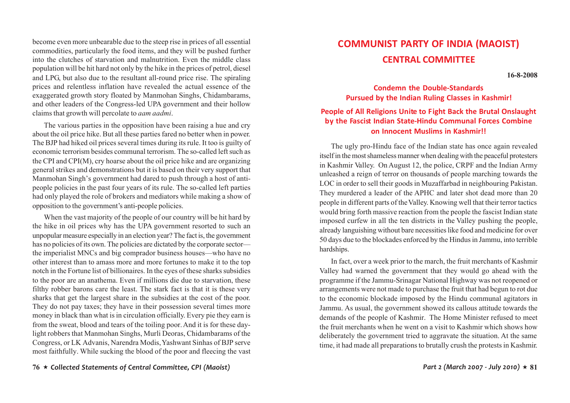become even more unbearable due to the steep rise in prices of all essential commodities, particularly the food items, and they will be pushed further into the clutches of starvation and malnutrition. Even the middle class population will be hit hard not only by the hike in the prices of petrol, diesel and LPG, but also due to the resultant all-round price rise. The spiraling prices and relentless inflation have revealed the actual essence of the exaggerated growth story floated by Manmohan Singhs, Chidambarams, and other leaders of the Congress-led UPA government and their hollow claims that growth will percolate to *aam aadmi*.

The various parties in the opposition have been raising a hue and cry about the oil price hike. But all these parties fared no better when in power. The BJP had hiked oil prices several times during its rule. It too is guilty of economic terrorism besides communal terrorism. The so-called left such as the CPI and CPI(M), cry hoarse about the oil price hike and are organizing general strikes and demonstrations but it is based on their very support that Manmohan Singh's government had dared to push through a host of antipeople policies in the past four years of its rule. The so-called left parties had only played the role of brokers and mediators while making a show of opposition to the government's anti-people policies.

When the vast majority of the people of our country will be hit hard by the hike in oil prices why has the UPA government resorted to such an unpopular measure especially in an election year? The fact is, the government has no policies of its own. The policies are dictated by the corporate sector the imperialist MNCs and big comprador business houses—who have no other interest than to amass more and more fortunes to make it to the top notch in the Fortune list of billionaires. In the eyes of these sharks subsidies to the poor are an anathema. Even if millions die due to starvation, these filthy robber barons care the least. The stark fact is that it is these very sharks that get the largest share in the subsidies at the cost of the poor. They do not pay taxes; they have in their possession several times more money in black than what is in circulation officially. Every pie they earn is from the sweat, blood and tears of the toiling poor. And it is for these daylight robbers that Manmohan Singhs, Murli Deoras, Chidambarams of the Congress, or LK Advanis, Narendra Modis, Yashwant Sinhas of BJP serve most faithfully. While sucking the blood of the poor and fleecing the vast

# **COMMUNIST PARTY OF INDIA (MAOIST) CENTRAL COMMITTEE**

**16-8-2008**

## **Condemn the Double-Standards Pursued by the Indian Ruling Classes in Kashmir!**

## **People of All Religions Unite to Fight Back the Brutal Onslaught by the Fascist Indian State-Hindu Communal Forces Combine on Innocent Muslims in Kashmir!!**

The ugly pro-Hindu face of the Indian state has once again revealed itself in the most shameless manner when dealing with the peaceful protesters in Kashmir Valley. On August 12, the police, CRPF and the Indian Army unleashed a reign of terror on thousands of people marching towards the LOC in order to sell their goods in Muzaffarbad in neighbouring Pakistan. They murdered a leader of the APHC and later shot dead more than 20 people in different parts of the Valley. Knowing well that their terror tactics would bring forth massive reaction from the people the fascist Indian state imposed curfew in all the ten districts in the Valley pushing the people, already languishing without bare necessities like food and medicine for over 50 days due to the blockades enforced by the Hindus in Jammu, into terrible hardships.

In fact, over a week prior to the march, the fruit merchants of Kashmir Valley had warned the government that they would go ahead with the programme if the Jammu-Srinagar National Highway was not reopened or arrangements were not made to purchase the fruit that had begun to rot due to the economic blockade imposed by the Hindu communal agitators in Jammu. As usual, the government showed its callous attitude towards the demands of the people of Kashmir. The Home Minister refused to meet the fruit merchants when he went on a visit to Kashmir which shows how deliberately the government tried to aggravate the situation. At the same time, it had made all preparations to brutally crush the protests in Kashmir.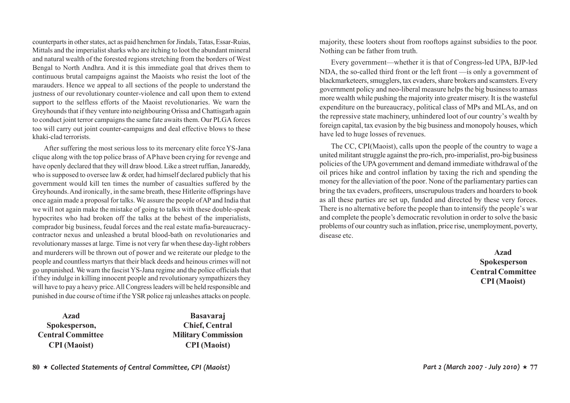counterparts in other states, act as paid henchmen for Jindals, Tatas, Essar-Ruias, Mittals and the imperialist sharks who are itching to loot the abundant mineral and natural wealth of the forested regions stretching from the borders of West Bengal to North Andhra. And it is this immediate goal that drives them to continuous brutal campaigns against the Maoists who resist the loot of the marauders. Hence we appeal to all sections of the people to understand the justness of our revolutionary counter-violence and call upon them to extend support to the selfless efforts of the Maoist revolutionaries. We warn the Greyhounds that if they venture into neighbouring Orissa and Chattisgarh again to conduct joint terror campaigns the same fate awaits them. Our PLGA forces too will carry out joint counter-campaigns and deal effective blows to these khaki-clad terrorists.

After suffering the most serious loss to its mercenary elite force YS-Jana clique along with the top police brass of AP have been crying for revenge and have openly declared that they will draw blood. Like a street ruffian, Janareddy, who is supposed to oversee law  $\&$  order, had himself declared publicly that his government would kill ten times the number of casualties suffered by the Greyhounds. And ironically, in the same breath, these Hitlerite offsprings have once again made a proposal for talks. We assure the people of AP and India that we will not again make the mistake of going to talks with these double-speak hypocrites who had broken off the talks at the behest of the imperialists, comprador big business, feudal forces and the real estate mafia-bureaucracycontractor nexus and unleashed a brutal blood-bath on revolutionaries and revolutionary masses at large. Time is not very far when these day-light robbers and murderers will be thrown out of power and we reiterate our pledge to the people and countless martyrs that their black deeds and heinous crimes will not go unpunished. We warn the fascist YS-Jana regime and the police officials that if they indulge in killing innocent people and revolutionary sympathizers they will have to pay a heavy price. All Congress leaders will be held responsible and punished in due course of time if the YSR police raj unleashes attacks on people.

| <b>Azad</b>              | <b>Basavaraj</b>           |
|--------------------------|----------------------------|
| Spokesperson,            | <b>Chief, Central</b>      |
| <b>Central Committee</b> | <b>Military Commission</b> |
| <b>CPI</b> (Maoist)      | <b>CPI</b> (Maoist)        |

majority, these looters shout from rooftops against subsidies to the poor. Nothing can be father from truth.

Every government—whether it is that of Congress-led UPA, BJP-led NDA, the so-called third front or the left front —is only a government of blackmarketeers, smugglers, tax evaders, share brokers and scamsters. Every government policy and neo-liberal measure helps the big business to amass more wealth while pushing the majority into greater misery. It is the wasteful expenditure on the bureaucracy, political class of MPs and MLAs, and on the repressive state machinery, unhindered loot of our country's wealth by foreign capital, tax evasion by the big business and monopoly houses, which have led to huge losses of revenues.

The CC, CPI(Maoist), calls upon the people of the country to wage a united militant struggle against the pro-rich, pro-imperialist, pro-big business policies of the UPA government and demand immediate withdrawal of the oil prices hike and control inflation by taxing the rich and spending the money for the alleviation of the poor. None of the parliamentary parties can bring the tax evaders, profiteers, unscrupulous traders and hoarders to book as all these parties are set up, funded and directed by these very forces. There is no alternative before the people than to intensify the people's war and complete the people's democratic revolution in order to solve the basic problems of our country such as inflation, price rise, unemployment, poverty, disease etc.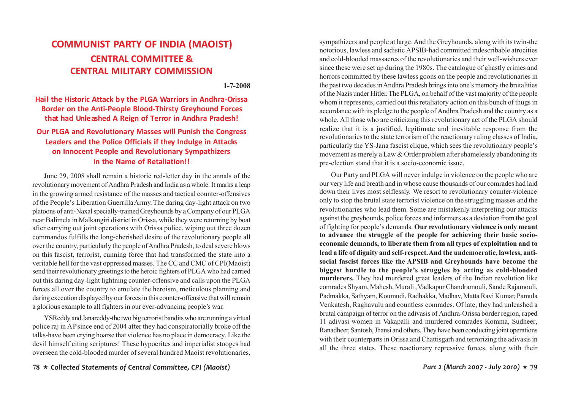## **COMMUNIST PARTY OF INDIA (MAOIST) CENTRAL COMMITTEE & CENTRAL MILITARY COMMISSION**

**1-7-2008**

**Hail the Historic Attack by the PLGA Warriors in Andhra-Orissa Border on the Anti-People Blood-Thirsty Greyhound Forces that had Unleashed A Reign of Terror in Andhra Pradesh!**

## **Our PLGA and Revolutionary Masses will Punish the Congress Leaders and the Police Officials if they Indulge in Attacks on Innocent People and Revolutionary Sympathizers in the Name of Retaliation!!**

June 29, 2008 shall remain a historic red-letter day in the annals of the revolutionary movement of Andhra Pradesh and India as a whole. It marks a leap in the growing armed resistance of the masses and tactical counter-offensives of the People's Liberation Guerrilla Army. The daring day-light attack on two platoons of anti-Naxal specially-trained Greyhounds by a Company of our PLGA near Balimela in Malkangiri district in Orissa, while they were returning by boat after carrying out joint operations with Orissa police, wiping out three dozen commandos fulfills the long-cherished desire of the revolutionary people all over the country, particularly the people of Andhra Pradesh, to deal severe blows on this fascist, terrorist, cunning force that had transformed the state into a veritable hell for the vast oppressed masses. The CC and CMC of CPI(Maoist) send their revolutionary greetings to the heroic fighters of PLGA who had carried out this daring day-light lightning counter-offensive and calls upon the PLGA forces all over the country to emulate the heroism, meticulous planning and daring execution displayed by our forces in this counter-offensive that will remain a glorious example to all fighters in our ever-advancing people's war.

YSReddy and Janareddy-the two big terrorist bandits who are running a virtual police raj in AP since end of 2004 after they had conspiratorially broke off the talks-have been crying hoarse that violence has no place in democracy. Like the devil himself citing scriptures! These hypocrites and imperialist stooges had overseen the cold-blooded murder of several hundred Maoist revolutionaries,

sympathizers and people at large. And the Greyhounds, along with its twin-the notorious, lawless and sadistic APSIB-had committed indescribable atrocities and cold-blooded massacres of the revolutionaries and their well-wishers ever since these were set up during the 1980s. The catalogue of ghastly crimes and horrors committed by these lawless goons on the people and revolutionaries in the past two decades in Andhra Pradesh brings into one's memory the brutalities of the Nazis under Hitler. The PLGA, on behalf of the vast majority of the people whom it represents, carried out this retaliatory action on this bunch of thugs in accordance with its pledge to the people of Andhra Pradesh and the country as a whole. All those who are criticizing this revolutionary act of the PLGA should realize that it is a justified, legitimate and inevitable response from the revolutionaries to the state terrorism of the reactionary ruling classes of India, particularly the YS-Jana fascist clique, which sees the revolutionary people's movement as merely a Law & Order problem after shamelessly abandoning its pre-election stand that it is a socio-economic issue.

Our Party and PLGA will never indulge in violence on the people who are our very life and breath and in whose cause thousands of our comrades had laid down their lives most selflessly. We resort to revolutionary counter-violence only to stop the brutal state terrorist violence on the struggling masses and the revolutionaries who lead them. Some are mistakenly interpreting our attacks against the greyhounds, police forces and informers as a deviation from the goal of fighting for people's demands. **Our revolutionary violence is only meant to advance the struggle of the people for achieving their basic socioeconomic demands, to liberate them from all types of exploitation and to lead a life of dignity and self-respect. And the undemocratic, lawless, antisocial fascist forces like the APSIB and Greyhounds have become the biggest hurdle to the people's struggles by acting as cold-blooded murderers.** They had murdered great leaders of the Indian revolution like comrades Shyam, Mahesh, Murali , Vadkapur Chandramouli, Sande Rajamouli, Padmakka, Sathyam, Koumudi, Radhakka, Madhav, Matta Ravi Kumar, Pamula Venkatesh, Raghavulu and countless comrades. Of late, they had unleashed a brutal campaign of terror on the adivasis of Andhra-Orissa border region, raped 11 adivasi women in Vakapalli and murdered comrades Komma, Sudheer, Ranadheer, Santosh, Jhansi and others. They have been conducting joint operations with their counterparts in Orissa and Chattisgarh and terrorizing the adivasis in all the three states. These reactionary repressive forces, along with their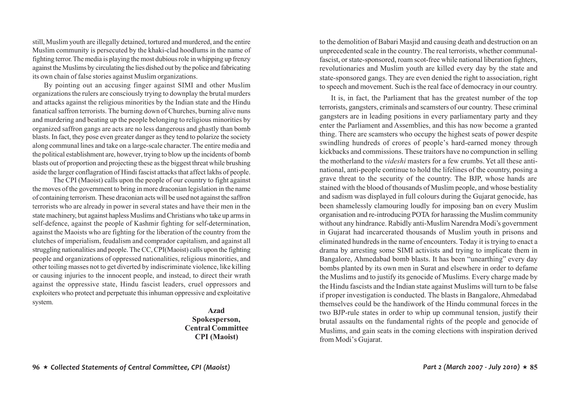still, Muslim youth are illegally detained, tortured and murdered, and the entire Muslim community is persecuted by the khaki-clad hoodlums in the name of fighting terror. The media is playing the most dubious role in whipping up frenzy against the Muslims by circulating the lies dished out by the police and fabricating its own chain of false stories against Muslim organizations.

By pointing out an accusing finger against SIMI and other Muslim organizations the rulers are consciously trying to downplay the brutal murders and attacks against the religious minorities by the Indian state and the Hindu fanatical saffron terrorists. The burning down of Churches, burning alive nuns and murdering and beating up the people belonging to religious minorities by organized saffron gangs are acts are no less dangerous and ghastly than bomb blasts. In fact, they pose even greater danger as they tend to polarize the society along communal lines and take on a large-scale character. The entire media and the political establishment are, however, trying to blow up the incidents of bomb blasts out of proportion and projecting these as the biggest threat while brushing aside the larger conflagration of Hindi fascist attacks that affect lakhs of people.

 The CPI (Maoist) calls upon the people of our country to fight against the moves of the government to bring in more draconian legislation in the name of containing terrorism. These draconian acts will be used not against the saffron terrorists who are already in power in several states and have their men in the state machinery, but against hapless Muslims and Christians who take up arms in self-defence, against the people of Kashmir fighting for self-determination, against the Maoists who are fighting for the liberation of the country from the clutches of imperialism, feudalism and comprador capitalism, and against all struggling nationalities and people. The CC, CPI(Maoist) calls upon the fighting people and organizations of oppressed nationalities, religious minorities, and other toiling masses not to get diverted by indiscriminate violence, like killing or causing injuries to the innocent people, and instead, to direct their wrath against the oppressive state, Hindu fascist leaders, cruel oppressors and exploiters who protect and perpetuate this inhuman oppressive and exploitative system.

> **Azad Spokesperson, Central Committee CPI (Maoist)**

to the demolition of Babari Masjid and causing death and destruction on an unprecedented scale in the country. The real terrorists, whether communalfascist, or state-sponsored, roam scot-free while national liberation fighters, revolutionaries and Muslim youth are killed every day by the state and state-sponsored gangs. They are even denied the right to association, right to speech and movement. Such is the real face of democracy in our country.

It is, in fact, the Parliament that has the greatest number of the top terrorists, gangsters, criminals and scamsters of our country. These criminal gangsters are in leading positions in every parliamentary party and they enter the Parliament and Assemblies, and this has now become a granted thing. There are scamsters who occupy the highest seats of power despite swindling hundreds of crores of people's hard-earned money through kickbacks and commissions. These traitors have no compunction in selling the motherland to the *videshi* masters for a few crumbs. Yet all these antinational, anti-people continue to hold the lifelines of the country, posing a grave threat to the security of the country. The BJP, whose hands are stained with the blood of thousands of Muslim people, and whose bestiality and sadism was displayed in full colours during the Gujarat genocide, has been shamelessly clamouring loudly for imposing ban on every Muslim organisation and re-introducing POTA for harassing the Muslim community without any hindrance. Rabidly anti-Muslim Narendra Modi's government in Gujarat had incarcerated thousands of Muslim youth in prisons and eliminated hundreds in the name of encounters. Today it is trying to enact a drama by arresting some SIMI activists and trying to implicate them in Bangalore, Ahmedabad bomb blasts. It has been "unearthing" every day bombs planted by its own men in Surat and elsewhere in order to defame the Muslims and to justify its genocide of Muslims. Every charge made by the Hindu fascists and the Indian state against Muslims will turn to be false if proper investigation is conducted. The blasts in Bangalore, Ahmedabad themselves could be the handiwork of the Hindu communal forces in the two BJP-rule states in order to whip up communal tension, justify their brutal assaults on the fundamental rights of the people and genocide of Muslims, and gain seats in the coming elections with inspiration derived from Modi's Gujarat.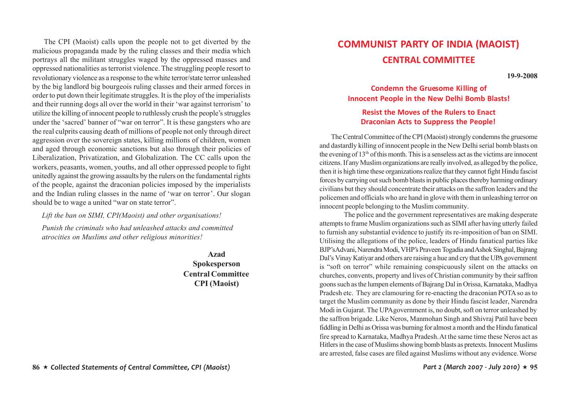The CPI (Maoist) calls upon the people not to get diverted by the malicious propaganda made by the ruling classes and their media which portrays all the militant struggles waged by the oppressed masses and oppressed nationalities as terrorist violence. The struggling people resort to revolutionary violence as a response to the white terror/state terror unleashed by the big landlord big bourgeois ruling classes and their armed forces in order to put down their legitimate struggles. It is the ploy of the imperialists and their running dogs all over the world in their 'war against terrorism' to utilize the killing of innocent people to ruthlessly crush the people's struggles under the 'sacred' banner of "war on terror". It is these gangsters who are the real culprits causing death of millions of people not only through direct aggression over the sovereign states, killing millions of children, women and aged through economic sanctions but also through their policies of Liberalization, Privatization, and Globalization. The CC calls upon the workers, peasants, women, youths, and all other oppressed people to fight unitedly against the growing assaults by the rulers on the fundamental rights of the people, against the draconian policies imposed by the imperialists and the Indian ruling classes in the name of 'war on terror'. Our slogan should be to wage a united "war on state terror".

*Lift the ban on SIMI, CPI(Maoist) and other organisations!*

*Punish the criminals who had unleashed attacks and committed atrocities on Muslims and other religious minorities!*

> **Azad Spokesperson Central Committee CPI (Maoist)**

# **COMMUNIST PARTY OF INDIA (MAOIST) CENTRAL COMMITTEE**

**19-9-2008**

**Condemn the Gruesome Killing of Innocent People in the New Delhi Bomb Blasts!**

### **Resist the Moves of the Rulers to Enact Draconian Acts to Suppress the People!**

The Central Committee of the CPI (Maoist) strongly condemns the gruesome and dastardly killing of innocent people in the New Delhi serial bomb blasts on the evening of  $13<sup>th</sup>$  of this month. This is a senseless act as the victims are innocent citizens. If any Muslim organizations are really involved, as alleged by the police, then it is high time these organizations realize that they cannot fight Hindu fascist forces by carrying out such bomb blasts in public places thereby harming ordinary civilians but they should concentrate their attacks on the saffron leaders and the policemen and officials who are hand in glove with them in unleashing terror on innocent people belonging to the Muslim community.

The police and the government representatives are making desperate attempts to frame Muslim organizations such as SIMI after having utterly failed to furnish any substantial evidence to justify its re-imposition of ban on SIMI. Utilising the allegations of the police, leaders of Hindu fanatical parties like BJP's Advani, Narendra Modi, VHP's Praveen Togadia and Ashok Singhal, Bajrang Dal's Vinay Katiyar and others are raising a hue and cry that the UPA government is "soft on terror" while remaining conspicuously silent on the attacks on churches, convents, property and lives of Christian community by their saffron goons such as the lumpen elements of Bajrang Dal in Orissa, Karnataka, Madhya Pradesh etc. They are clamouring for re-enacting the draconian POTA so as to target the Muslim community as done by their Hindu fascist leader, Narendra Modi in Gujarat. The UPA government is, no doubt, soft on terror unleashed by the saffron brigade. Like Neros, Manmohan Singh and Shivraj Patil have been fiddling in Delhi as Orissa was burning for almost a month and the Hindu fanatical fire spread to Karnataka, Madhya Pradesh. At the same time these Neros act as Hitlers in the case of Muslims showing bomb blasts as pretexts. Innocent Muslims are arrested, false cases are filed against Muslims without any evidence. Worse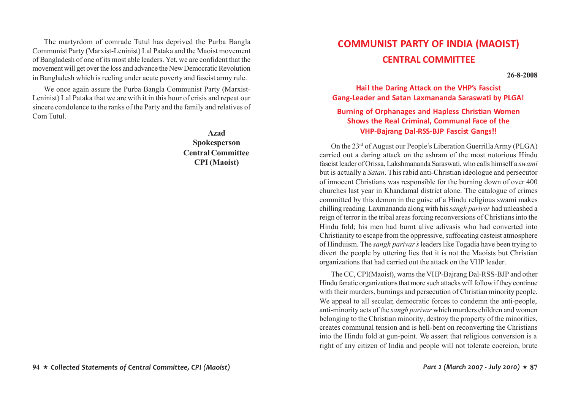The martyrdom of comrade Tutul has deprived the Purba Bangla Communist Party (Marxist-Leninist) Lal Pataka and the Maoist movement of Bangladesh of one of its most able leaders. Yet, we are confident that the movement will get over the loss and advance the New Democratic Revolution in Bangladesh which is reeling under acute poverty and fascist army rule.

We once again assure the Purba Bangla Communist Party (Marxist-Leninist) Lal Pataka that we are with it in this hour of crisis and repeat our sincere condolence to the ranks of the Party and the family and relatives of Com Tutul.

> **Azad Spokesperson Central Committee CPI (Maoist)**

# **COMMUNIST PARTY OF INDIA (MAOIST) CENTRAL COMMITTEE**

**26-8-2008**

**Hail the Daring Attack on the VHP's Fascist Gang-Leader and Satan Laxmananda Saraswati by PLGA!**

## **Burning of Orphanages and Hapless Christian Women Shows the Real Criminal, Communal Face of the VHP-Bajrang Dal-RSS-BJP Fascist Gangs!!**

On the 23<sup>rd</sup> of August our People's Liberation Guerrilla Army (PLGA) carried out a daring attack on the ashram of the most notorious Hindu fascist leader of Orissa, Lakshmananda Saraswati, who calls himself a *swami* but is actually a *Satan*. This rabid anti-Christian ideologue and persecutor of innocent Christians was responsible for the burning down of over 400 churches last year in Khandamal district alone. The catalogue of crimes committed by this demon in the guise of a Hindu religious swami makes chilling reading. Laxmananda along with his *sangh parivar* had unleashed a reign of terror in the tribal areas forcing reconversions of Christians into the Hindu fold; his men had burnt alive adivasis who had converted into Christianity to escape from the oppressive, suffocating casteist atmosphere of Hinduism. The *sangh parivar's* leaders like Togadia have been trying to divert the people by uttering lies that it is not the Maoists but Christian organizations that had carried out the attack on the VHP leader.

The CC, CPI(Maoist), warns the VHP-Bajrang Dal-RSS-BJP and other Hindu fanatic organizations that more such attacks will follow if they continue with their murders, burnings and persecution of Christian minority people. We appeal to all secular, democratic forces to condemn the anti-people. anti-minority acts of the *sangh parivar* which murders children and women belonging to the Christian minority, destroy the property of the minorities, creates communal tension and is hell-bent on reconverting the Christians into the Hindu fold at gun-point. We assert that religious conversion is a right of any citizen of India and people will not tolerate coercion, brute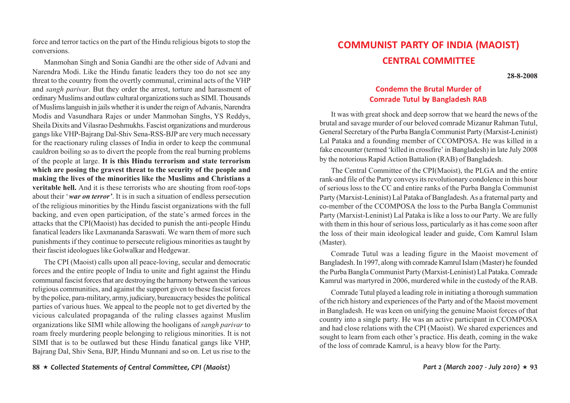force and terror tactics on the part of the Hindu religious bigots to stop the conversions.

Manmohan Singh and Sonia Gandhi are the other side of Advani and Narendra Modi. Like the Hindu fanatic leaders they too do not see any threat to the country from the overtly communal, criminal acts of the VHP and *sangh parivar*. But they order the arrest, torture and harassment of ordinary Muslims and outlaw cultural organizations such as SIMI. Thousands of Muslims languish in jails whether it is under the reign of Advanis, Narendra Modis and Vasundhara Rajes or under Manmohan Singhs, YS Reddys, Sheila Dixits and Vilasrao Deshmukhs. Fascist organizations and murderous gangs like VHP-Bajrang Dal-Shiv Sena-RSS-BJP are very much necessary for the reactionary ruling classes of India in order to keep the communal cauldron boiling so as to divert the people from the real burning problems of the people at large. **It is this Hindu terrorism and state terrorism which are posing the gravest threat to the security of the people and making the lives of the minorities like the Muslims and Christians a veritable hell.** And it is these terrorists who are shouting from roof-tops about their '*war on terror'*. It is in such a situation of endless persecution of the religious minorities by the Hindu fascist organizations with the full backing, and even open participation, of the state's armed forces in the attacks that the CPI(Maoist) has decided to punish the anti-people Hindu fanatical leaders like Laxmananda Saraswati. We warn them of more such punishments if they continue to persecute religious minorities as taught by their fascist ideologues like Golwalkar and Hedgewar.

The CPI (Maoist) calls upon all peace-loving, secular and democratic forces and the entire people of India to unite and fight against the Hindu communal fascist forces that are destroying the harmony between the various religious communities, and against the support given to these fascist forces by the police, para-military, army, judiciary, bureaucracy besides the political parties of various hues. We appeal to the people not to get diverted by the vicious calculated propaganda of the ruling classes against Muslim organizations like SIMI while allowing the hooligans of *sangh parivar* to roam freely murdering people belonging to religious minorities. It is not SIMI that is to be outlawed but these Hindu fanatical gangs like VHP, Bajrang Dal, Shiv Sena, BJP, Hindu Munnani and so on. Let us rise to the

# **COMMUNIST PARTY OF INDIA (MAOIST) CENTRAL COMMITTEE**

**28-8-2008**

### **Condemn the Brutal Murder of Comrade Tutul by Bangladesh RAB**

It was with great shock and deep sorrow that we heard the news of the brutal and savage murder of our beloved comrade Mizanur Rahman Tutul, General Secretary of the Purba Bangla Communist Party (Marxist-Leninist) Lal Pataka and a founding member of CCOMPOSA. He was killed in a fake encounter (termed 'killed in crossfire' in Bangladesh) in late July 2008 by the notorious Rapid Action Battalion (RAB) of Bangladesh.

The Central Committee of the CPI(Maoist), the PLGA and the entire rank-and file of the Party conveys its revolutionary condolence in this hour of serious loss to the CC and entire ranks of the Purba Bangla Communist Party (Marxist-Leninist) Lal Pataka of Bangladesh. As a fraternal party and co-member of the CCOMPOSA the loss to the Purba Bangla Communist Party (Marxist-Leninist) Lal Pataka is like a loss to our Party. We are fully with them in this hour of serious loss, particularly as it has come soon after the loss of their main ideological leader and guide, Com Kamrul Islam (Master).

Comrade Tutul was a leading figure in the Maoist movement of Bangladesh. In 1997, along with comrade Kamrul Islam (Master) he founded the Purba Bangla Communist Party (Marxist-Leninist) Lal Pataka. Comrade Kamrul was martyred in 2006, murdered while in the custody of the RAB.

Comrade Tutul played a leading role in initiating a thorough summation of the rich history and experiences of the Party and of the Maoist movement in Bangladesh. He was keen on unifying the genuine Maoist forces of that country into a single party. He was an active participant in CCOMPOSA and had close relations with the CPI (Maoist). We shared experiences and sought to learn from each other's practice. His death, coming in the wake of the loss of comrade Kamrul, is a heavy blow for the Party.

#### **88**  *Collected Statements of Central Committee, CPI (Maoist)*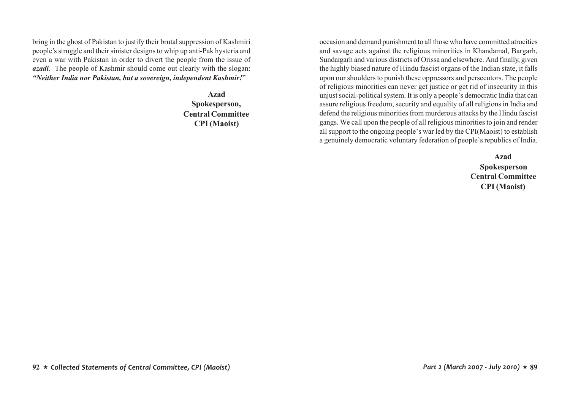bring in the ghost of Pakistan to justify their brutal suppression of Kashmiri people's struggle and their sinister designs to whip up anti-Pak hysteria and even a war with Pakistan in order to divert the people from the issue of *azadi*. The people of Kashmir should come out clearly with the slogan: *"Neither India nor Pakistan, but a sovereign, independent Kashmir!*"

> **Azad Spokesperson, Central Committee CPI (Maoist)**

occasion and demand punishment to all those who have committed atrocities and savage acts against the religious minorities in Khandamal, Bargarh, Sundargarh and various districts of Orissa and elsewhere. And finally, given the highly biased nature of Hindu fascist organs of the Indian state, it falls upon our shoulders to punish these oppressors and persecutors. The people of religious minorities can never get justice or get rid of insecurity in this unjust social-political system. It is only a people's democratic India that can assure religious freedom, security and equality of all religions in India and defend the religious minorities from murderous attacks by the Hindu fascist gangs. We call upon the people of all religious minorities to join and render all support to the ongoing people's war led by the CPI(Maoist) to establish a genuinely democratic voluntary federation of people's republics of India.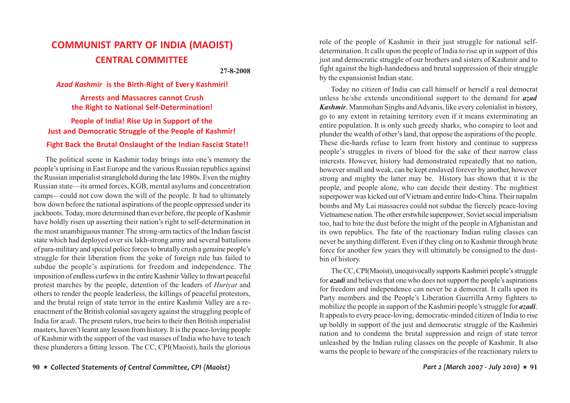**27-8-2008**

*Azad Kashmir* **is the Birth-Right of Every Kashmiri!**

### **Arrests and Massacres cannot Crush the Right to National Self-Determination!**

### **People of India! Rise Up in Support of the Just and Democratic Struggle of the People of Kashmir!**

### **Fight Back the Brutal Onslaught of the Indian Fascist State!!**

The political scene in Kashmir today brings into one's memory the people's uprising in East Europe and the various Russian republics against the Russian imperialist stranglehold during the late 1980s. Even the mighty Russian state—its armed forces, KGB, mental asylums and concentration camps—could not cow down the will of the people. It had to ultimately bow down before the national aspirations of the people oppressed under its jackboots. Today, more determined than ever before, the people of Kashmir have boldly risen up asserting their nation's right to self-determination in the most unambiguous manner. The strong-arm tactics of the Indian fascist state which had deployed over six lakh-strong army and several battalions of para-military and special police forces to brutally crush a genuine people's struggle for their liberation from the yoke of foreign rule has failed to subdue the people's aspirations for freedom and independence. The imposition of endless curfews in the entire Kashmir Valley to thwart peaceful protest marches by the people, detention of the leaders of *Huriyat* and others to render the people leaderless, the killings of peaceful protestors, and the brutal reign of state terror in the entire Kashmir Valley are a reenactment of the British colonial savagery against the struggling people of India for a*zadi*. The present rulers, true heirs to their then British imperialist masters, haven't learnt any lesson from history. It is the peace-loving people of Kashmir with the support of the vast masses of India who have to teach these plunderers a fitting lesson. The CC, CPI(Maoist), hails the glorious

role of the people of Kashmir in their just struggle for national selfdetermination. It calls upon the people of India to rise up in support of this just and democratic struggle of our brothers and sisters of Kashmir and to fight against the high-handedness and brutal suppression of their struggle by the expansionist Indian state.

Today no citizen of India can call himself or herself a real democrat unless he/she extends unconditional support to the demand for *azad Kashmir*. Manmohan Singhs and Advanis, like every colonialist in history, go to any extent in retaining territory even if it means exterminating an entire population. It is only such greedy sharks, who conspire to loot and plunder the wealth of other's land, that oppose the aspirations of the people. These die-hards refuse to learn from history and continue to suppress people's struggles in rivers of blood for the sake of their narrow class interests. However, history had demonstrated repeatedly that no nation, however small and weak, can be kept enslaved forever by another, however strong and mighty the latter may be. History has shown that it is the people, and people alone, who can decide their destiny. The mightiest superpower was kicked out of Vietnam and entire Indo-China. Their napalm bombs and My Lai massacres could not subdue the fiercely peace-loving Vietnamese nation. The other erstwhile superpower, Soviet social imperialism too, had to bite the dust before the might of the people in Afghanistan and its own republics. The fate of the reactionary Indian ruling classes can never be anything different. Even if they cling on to Kashmir through brute force for another few years they will ultimately be consigned to the dustbin of history.

The CC, CPI(Maoist), unequivocally supports Kashmiri people's struggle for *azadi* and believes that one who does not support the people's aspirations for freedom and independence can never be a democrat. It calls upon its Party members and the People's Liberation Guerrilla Army fighters to mobilize the people in support of the Kashmiri people's struggle for *azadi*. It appeals to every peace-loving, democratic-minded citizen of India to rise up boldly in support of the just and democratic struggle of the Kashmiri nation and to condemn the brutal suppression and reign of state terror unleashed by the Indian ruling classes on the people of Kashmir. It also warns the people to beware of the conspiracies of the reactionary rulers to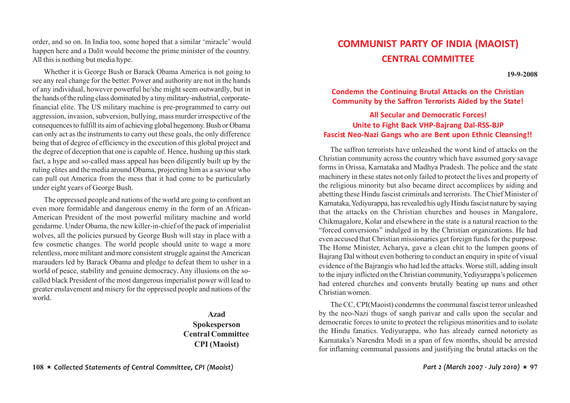order, and so on. In India too, some hoped that a similar 'miracle' would happen here and a Dalit would become the prime minister of the country. All this is nothing but media hype.

Whether it is George Bush or Barack Obama America is not going to see any real change for the better. Power and authority are not in the hands of any individual, however powerful he/she might seem outwardly, but in the hands of the ruling class dominated by a tiny military-industrial, corporatefinancial elite. The US military machine is pre-programmed to carry out aggression, invasion, subversion, bullying, mass murder irrespective of the consequences to fulfill its aim of achieving global hegemony. Bush or Obama can only act as the instruments to carry out these goals, the only difference being that of degree of efficiency in the execution of this global project and the degree of deception that one is capable of. Hence, hushing up this stark fact, a hype and so-called mass appeal has been diligently built up by the ruling elites and the media around Obama, projecting him as a saviour who can pull out America from the mess that it had come to be particularly under eight years of George Bush.

The oppressed people and nations of the world are going to confront an even more formidable and dangerous enemy in the form of an African-American President of the most powerful military machine and world gendarme. Under Obama, the new killer-in-chief of the pack of imperialist wolves, all the policies pursued by George Bush will stay in place with a few cosmetic changes. The world people should unite to wage a more relentless, more militant and more consistent struggle against the American marauders led by Barack Obama and pledge to defeat them to usher in a world of peace, stability and genuine democracy. Any illusions on the socalled black President of the most dangerous imperialist power will lead to greater enslavement and misery for the oppressed people and nations of the world.

### **Azad**

**Spokesperson Central Committee CPI (Maoist)**

**19-9-2008**

**Condemn the Continuing Brutal Attacks on the Christian Community by the Saffron Terrorists Aided by the State!**

## **All Secular and Democratic Forces! Unite to Fight Back VHP-Bajrang Dal-RSS-BJP Fascist Neo-Nazi Gangs who are Bent upon Ethnic Cleansing!!**

The saffron terrorists have unleashed the worst kind of attacks on the Christian community across the country which have assumed gory savage forms in Orissa, Karnataka and Madhya Pradesh. The police and the state machinery in these states not only failed to protect the lives and property of the religious minority but also became direct accomplices by aiding and abetting these Hindu fascist criminals and terrorists. The Chief Minister of Karnataka, Yediyurappa, has revealed his ugly Hindu fascist nature by saying that the attacks on the Christian churches and houses in Mangalore, Chikmagalore, Kolar and elsewhere in the state is a natural reaction to the "forced conversions" indulged in by the Christian organizations. He had even accused that Christian missionaries get foreign funds for the purpose. The Home Minister, Acharya, gave a clean chit to the lumpen goons of Bajrang Dal without even bothering to conduct an enquiry in spite of visual evidence of the Bajrangis who had led the attacks. Worse still, adding insult to the injury inflicted on the Christian community, Yediyurappa's policemen had entered churches and convents brutally beating up nuns and other Christian women.

The CC, CPI(Maoist) condemns the communal fascist terror unleashed by the neo-Nazi thugs of sangh parivar and calls upon the secular and democratic forces to unite to protect the religious minorities and to isolate the Hindu fanatics. Yediyurappa, who has already earned notoriety as Karnataka's Narendra Modi in a span of few months, should be arrested for inflaming communal passions and justifying the brutal attacks on the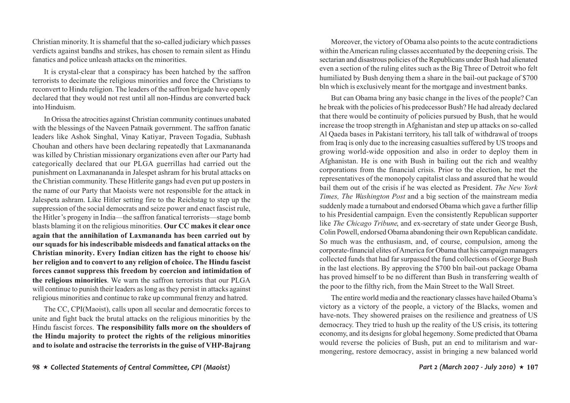Christian minority. It is shameful that the so-called judiciary which passes verdicts against bandhs and strikes, has chosen to remain silent as Hindu fanatics and police unleash attacks on the minorities.

It is crystal-clear that a conspiracy has been hatched by the saffron terrorists to decimate the religious minorities and force the Christians to reconvert to Hindu religion. The leaders of the saffron brigade have openly declared that they would not rest until all non-Hindus are converted back into Hinduism.

In Orissa the atrocities against Christian community continues unabated with the blessings of the Naveen Patnaik government. The saffron fanatic leaders like Ashok Singhal, Vinay Katiyar, Praveen Togadia, Subhash Chouhan and others have been declaring repeatedly that Laxmanananda was killed by Christian missionary organizations even after our Party had categorically declared that our PLGA guerrillas had carried out the punishment on Laxmanananda in Jalespet ashram for his brutal attacks on the Christian community. These Hitlerite gangs had even put up posters in the name of our Party that Maoists were not responsible for the attack in Jalespeta ashram. Like Hitler setting fire to the Reichstag to step up the suppression of the social democrats and seize power and enact fascist rule, the Hitler's progeny in India—the saffron fanatical terrorists—stage bomb blasts blaming it on the religious minorities. **Our CC makes it clear once again that the annihilation of Laxmananda has been carried out by our squads for his indescribable misdeeds and fanatical attacks on the Christian minority. Every Indian citizen has the right to choose his/ her religion and to convert to any religion of choice. The Hindu fascist forces cannot suppress this freedom by coercion and intimidation of the religious minorities**. We warn the saffron terrorists that our PLGA will continue to punish their leaders as long as they persist in attacks against religious minorities and continue to rake up communal frenzy and hatred.

The CC, CPI(Maoist), calls upon all secular and democratic forces to unite and fight back the brutal attacks on the religious minorities by the Hindu fascist forces. **The responsibility falls more on the shoulders of the Hindu majority to protect the rights of the religious minorities and to isolate and ostracise the terrorists in the guise of VHP-Bajrang**

Moreover, the victory of Obama also points to the acute contradictions within the American ruling classes accentuated by the deepening crisis. The sectarian and disastrous policies of the Republicans under Bush had alienated even a section of the ruling elites such as the Big Three of Detroit who felt humiliated by Bush denying them a share in the bail-out package of \$700 bln which is exclusively meant for the mortgage and investment banks.

But can Obama bring any basic change in the lives of the people? Can he break with the policies of his predecessor Bush? He had already declared that there would be continuity of policies pursued by Bush, that he would increase the troop strength in Afghanistan and step up attacks on so-called Al Qaeda bases in Pakistani territory, his tall talk of withdrawal of troops from Iraq is only due to the increasing casualties suffered by US troops and growing world-wide opposition and also in order to deploy them in Afghanistan. He is one with Bush in bailing out the rich and wealthy corporations from the financial crisis. Prior to the election, he met the representatives of the monopoly capitalist class and assured that he would bail them out of the crisis if he was elected as President. *The New York Times, The Washington Post* and a big section of the mainstream media suddenly made a turnabout and endorsed Obama which gave a further fillip to his Presidential campaign. Even the consistently Republican supporter like *The Chicago Tribune*, and ex-secretary of state under George Bush, Colin Powell, endorsed Obama abandoning their own Republican candidate. So much was the enthusiasm, and, of course, compulsion, among the corporate-financial elites of America for Obama that his campaign managers collected funds that had far surpassed the fund collections of George Bush in the last elections. By approving the \$700 bln bail-out package Obama has proved himself to be no different than Bush in transferring wealth of the poor to the filthy rich, from the Main Street to the Wall Street.

The entire world media and the reactionary classes have hailed Obama's victory as a victory of the people, a victory of the Blacks, women and have-nots. They showered praises on the resilience and greatness of US democracy. They tried to hush up the reality of the US crisis, its tottering economy, and its designs for global hegemony. Some predicted that Obama would reverse the policies of Bush, put an end to militarism and warmongering, restore democracy, assist in bringing a new balanced world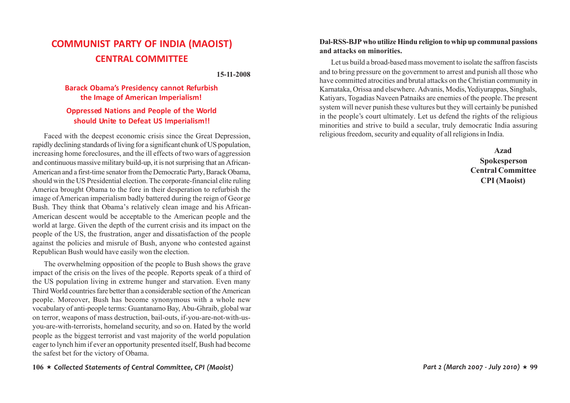**15-11-2008**

### **Barack Obama's Presidency cannot Refurbish the Image of American Imperialism!**

### **Oppressed Nations and People of the World should Unite to Defeat US Imperialism!!**

Faced with the deepest economic crisis since the Great Depression, rapidly declining standards of living for a significant chunk of US population, increasing home foreclosures, and the ill effects of two wars of aggression and continuous massive military build-up, it is not surprising that an African-American and a first-time senator from the Democratic Party, Barack Obama, should win the US Presidential election. The corporate-financial elite ruling America brought Obama to the fore in their desperation to refurbish the image of American imperialism badly battered during the reign of George Bush. They think that Obama's relatively clean image and his African-American descent would be acceptable to the American people and the world at large. Given the depth of the current crisis and its impact on the people of the US, the frustration, anger and dissatisfaction of the people against the policies and misrule of Bush, anyone who contested against Republican Bush would have easily won the election.

The overwhelming opposition of the people to Bush shows the grave impact of the crisis on the lives of the people. Reports speak of a third of the US population living in extreme hunger and starvation. Even many Third World countries fare better than a considerable section of the American people. Moreover, Bush has become synonymous with a whole new vocabulary of anti-people terms: Guantanamo Bay, Abu-Ghraib, global war on terror, weapons of mass destruction, bail-outs, if-you-are-not-with-usyou-are-with-terrorists, homeland security, and so on. Hated by the world people as the biggest terrorist and vast majority of the world population eager to lynch him if ever an opportunity presented itself, Bush had become the safest bet for the victory of Obama.

#### **106**  *Collected Statements of Central Committee, CPI (Maoist)*

### **Dal-RSS-BJP who utilize Hindu religion to whip up communal passions and attacks on minorities.**

Let us build a broad-based mass movement to isolate the saffron fascists and to bring pressure on the government to arrest and punish all those who have committed atrocities and brutal attacks on the Christian community in Karnataka, Orissa and elsewhere. Advanis, Modis, Yediyurappas, Singhals, Katiyars, Togadias Naveen Patnaiks are enemies of the people. The present system will never punish these vultures but they will certainly be punished in the people's court ultimately. Let us defend the rights of the religious minorities and strive to build a secular, truly democratic India assuring religious freedom, security and equality of all religions in India.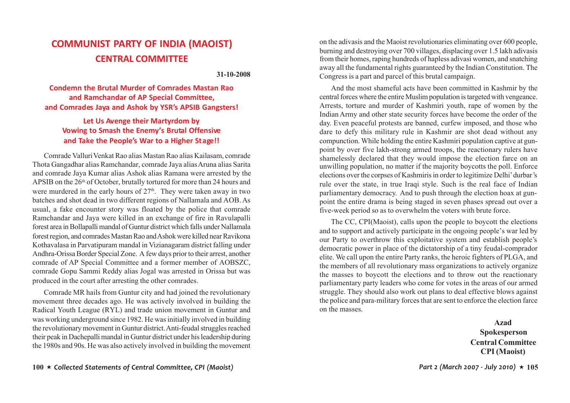**31-10-2008**

### **Condemn the Brutal Murder of Comrades Mastan Rao and Ramchandar of AP Special Committee, and Comrades Jaya and Ashok by YSR's APSIB Gangsters!**

## **Let Us Avenge their Martyrdom by Vowing to Smash the Enemy's Brutal Offensive and Take the People's War to a Higher Stage!!**

Comrade Valluri Venkat Rao alias Mastan Rao alias Kailasam, comrade Thota Gangadhar alias Ramchandar, comrade Jaya alias Aruna alias Sarita and comrade Jaya Kumar alias Ashok alias Ramana were arrested by the APSIB on the 26<sup>th</sup> of October, brutally tortured for more than 24 hours and were murdered in the early hours of  $27<sup>th</sup>$ . They were taken away in two batches and shot dead in two different regions of Nallamala and AOB. As usual, a fake encounter story was floated by the police that comrade Ramchandar and Jaya were killed in an exchange of fire in Ravulapalli forest area in Bollapalli mandal of Guntur district which falls under Nallamala forest region, and comrades Mastan Rao and Ashok were killed near Ravikona Kothavalasa in Parvatipuram mandal in Vizianagaram district falling under Andhra-Orissa Border Special Zone. A few days prior to their arrest, another comrade of AP Special Committee and a former member of AOBSZC, comrade Gopu Sammi Reddy alias Jogal was arrested in Orissa but was produced in the court after arresting the other comrades.

Comrade MR hails from Guntur city and had joined the revolutionary movement three decades ago. He was actively involved in building the Radical Youth League (RYL) and trade union movement in Guntur and was working underground since 1982. He was initially involved in building the revolutionary movement in Guntur district. Anti-feudal struggles reached their peak in Dachepalli mandal in Guntur district under his leadership during the 1980s and 90s. He was also actively involved in building the movement on the adivasis and the Maoist revolutionaries eliminating over 600 people, burning and destroying over 700 villages, displacing over 1.5 lakh adivasis from their homes, raping hundreds of hapless adivasi women, and snatching away all the fundamental rights guaranteed by the Indian Constitution. The Congress is a part and parcel of this brutal campaign.

And the most shameful acts have been committed in Kashmir by the central forces where the entire Muslim population is targeted with vengeance. Arrests, torture and murder of Kashmiri youth, rape of women by the Indian Army and other state security forces have become the order of the day. Even peaceful protests are banned, curfew imposed, and those who dare to defy this military rule in Kashmir are shot dead without any compunction. While holding the entire Kashmiri population captive at gunpoint by over five lakh-strong armed troops, the reactionary rulers have shamelessly declared that they would impose the election farce on an unwilling population, no matter if the majority boycotts the poll. Enforce elections over the corpses of Kashmiris in order to legitimize Delhi' durbar's rule over the state, in true Iraqi style. Such is the real face of Indian parliamentary democracy. And to push through the election hoax at gunpoint the entire drama is being staged in seven phases spread out over a five-week period so as to overwhelm the voters with brute force.

The CC, CPI(Maoist), calls upon the people to boycott the elections and to support and actively participate in the ongoing people's war led by our Party to overthrow this exploitative system and establish people's democratic power in place of the dictatorship of a tiny feudal-comprador elite. We call upon the entire Party ranks, the heroic fighters of PLGA, and the members of all revolutionary mass organizations to actively organize the masses to boycott the elections and to throw out the reactionary parliamentary party leaders who come for votes in the areas of our armed struggle. They should also work out plans to deal effective blows against the police and para-military forces that are sent to enforce the election farce on the masses.

> **Azad Spokesperson Central Committee CPI (Maoist)**

*Part 2 (March 2007 - July 2010)*  $\star$  105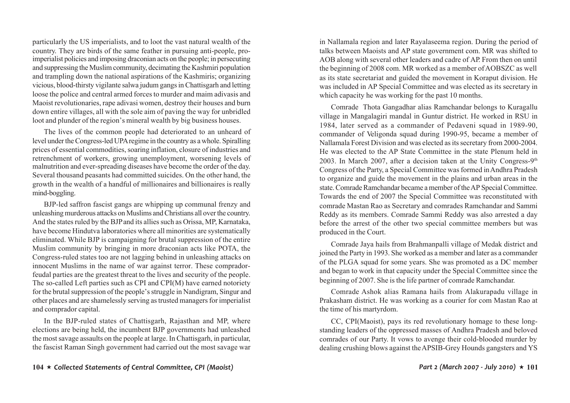particularly the US imperialists, and to loot the vast natural wealth of the country. They are birds of the same feather in pursuing anti-people, proimperialist policies and imposing draconian acts on the people; in persecuting and suppressing the Muslim community, decimating the Kashmiri population and trampling down the national aspirations of the Kashmiris; organizing vicious, blood-thirsty vigilante salwa judum gangs in Chattisgarh and letting loose the police and central armed forces to murder and maim adivasis and Maoist revolutionaries, rape adivasi women, destroy their houses and burn down entire villages, all with the sole aim of paving the way for unbridled loot and plunder of the region's mineral wealth by big business houses.

The lives of the common people had deteriorated to an unheard of level under the Congress-led UPA regime in the country as a whole. Spiralling prices of essential commodities, soaring inflation, closure of industries and retrenchment of workers, growing unemployment, worsening levels of malnutrition and ever-spreading diseases have become the order of the day. Several thousand peasants had committed suicides. On the other hand, the growth in the wealth of a handful of millionaires and billionaires is really mind-boggling.

BJP-led saffron fascist gangs are whipping up communal frenzy and unleashing murderous attacks on Muslims and Christians all over the country. And the states ruled by the BJP and its allies such as Orissa, MP, Karnataka, have become Hindutva laboratories where all minorities are systematically eliminated. While BJP is campaigning for brutal suppression of the entire Muslim community by bringing in more draconian acts like POTA, the Congress-ruled states too are not lagging behind in unleashing attacks on innocent Muslims in the name of war against terror. These compradorfeudal parties are the greatest threat to the lives and security of the people. The so-called Left parties such as CPI and CPI(M) have earned notoriety for the brutal suppression of the people's struggle in Nandigram, Singur and other places and are shamelessly serving as trusted managers for imperialist and comprador capital.

In the BJP-ruled states of Chattisgarh, Rajasthan and MP, where elections are being held, the incumbent BJP governments had unleashed the most savage assaults on the people at large. In Chattisgarh, in particular, the fascist Raman Singh government had carried out the most savage war in Nallamala region and later Rayalaseema region. During the period of talks between Maoists and AP state government com. MR was shifted to AOB along with several other leaders and cadre of AP. From then on until the beginning of 2008 com. MR worked as a member of AOBSZC as well as its state secretariat and guided the movement in Koraput division. He was included in AP Special Committee and was elected as its secretary in which capacity he was working for the past 10 months.

Comrade Thota Gangadhar alias Ramchandar belongs to Kuragallu village in Mangalagiri mandal in Guntur district. He worked in RSU in 1984, later served as a commander of Pedaveni squad in 1989-90, commander of Veligonda squad during 1990-95, became a member of Nallamala Forest Division and was elected as its secretary from 2000-2004. He was elected to the AP State Committee in the state Plenum held in 2003. In March 2007, after a decision taken at the Unity Congress- $9<sup>th</sup>$ Congress of the Party, a Special Committee was formed in Andhra Pradesh to organize and guide the movement in the plains and urban areas in the state. Comrade Ramchandar became a member of the AP Special Committee. Towards the end of 2007 the Special Committee was reconstituted with comrade Mastan Rao as Secretary and comrades Ramchandar and Sammi Reddy as its members. Comrade Sammi Reddy was also arrested a day before the arrest of the other two special committee members but was produced in the Court.

Comrade Jaya hails from Brahmanpalli village of Medak district and joined the Party in 1993. She worked as a member and later as a commander of the PLGA squad for some years. She was promoted as a DC member and began to work in that capacity under the Special Committee since the beginning of 2007. She is the life partner of comrade Ramchandar.

Comrade Ashok alias Ramana hails from Alakurapadu village in Prakasham district. He was working as a courier for com Mastan Rao at the time of his martyrdom.

CC, CPI(Maoist), pays its red revolutionary homage to these longstanding leaders of the oppressed masses of Andhra Pradesh and beloved comrades of our Party. It vows to avenge their cold-blooded murder by dealing crushing blows against the APSIB-Grey Hounds gangsters and YS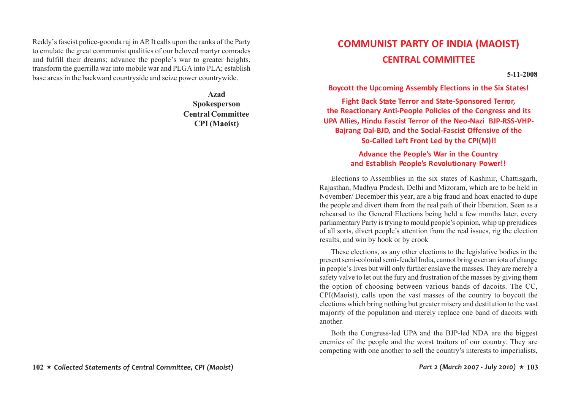Reddy's fascist police-goonda raj in AP. It calls upon the ranks of the Party to emulate the great communist qualities of our beloved martyr comrades and fulfill their dreams; advance the people's war to greater heights, transform the guerrilla war into mobile war and PLGA into PLA; establish base areas in the backward countryside and seize power countrywide.

> **Azad Spokesperson Central Committee CPI (Maoist)**

# **COMMUNIST PARTY OF INDIA (MAOIST) CENTRAL COMMITTEE**

**5-11-2008**

**Boycott the Upcoming Assembly Elections in the Six States!**

**Fight Back State Terror and State-Sponsored Terror, the Reactionary Anti-People Policies of the Congress and its UPA Allies, Hindu Fascist Terror of the Neo-Nazi BJP-RSS-VHP-Bajrang Dal-BJD, and the Social-Fascist Offensive of the So-Called Left Front Led by the CPI(M)!!**

### **Advance the People's War in the Country and Establish People's Revolutionary Power!!**

Elections to Assemblies in the six states of Kashmir, Chattisgarh, Rajasthan, Madhya Pradesh, Delhi and Mizoram, which are to be held in November/ December this year, are a big fraud and hoax enacted to dupe the people and divert them from the real path of their liberation. Seen as a rehearsal to the General Elections being held a few months later, every parliamentary Party is trying to mould people's opinion, whip up prejudices of all sorts, divert people's attention from the real issues, rig the election results, and win by hook or by crook

These elections, as any other elections to the legislative bodies in the present semi-colonial semi-feudal India, cannot bring even an iota of change in people's lives but will only further enslave the masses. They are merely a safety valve to let out the fury and frustration of the masses by giving them the option of choosing between various bands of dacoits. The CC, CPI(Maoist), calls upon the vast masses of the country to boycott the elections which bring nothing but greater misery and destitution to the vast majority of the population and merely replace one band of dacoits with another.

Both the Congress-led UPA and the BJP-led NDA are the biggest enemies of the people and the worst traitors of our country. They are competing with one another to sell the country's interests to imperialists,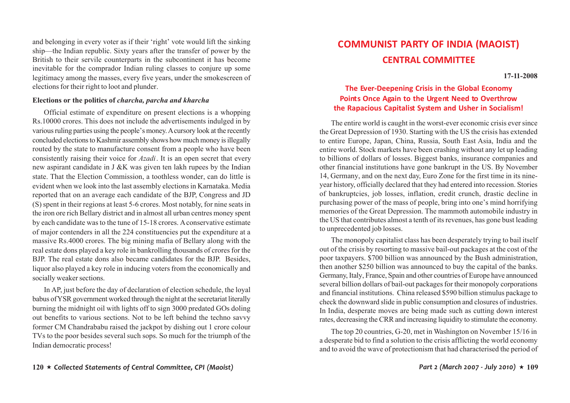and belonging in every voter as if their 'right' vote would lift the sinking ship—the Indian republic. Sixty years after the transfer of power by the British to their servile counterparts in the subcontinent it has become inevitable for the comprador Indian ruling classes to conjure up some legitimacy among the masses, every five years, under the smokescreen of elections for their right to loot and plunder.

### **Elections or the politics of** *charcha, parcha and kharcha*

Official estimate of expenditure on present elections is a whopping Rs.10000 crores. This does not include the advertisements indulged in by various ruling parties using the people's money. A cursory look at the recently concluded elections to Kashmir assembly shows how much money is illegally routed by the state to manufacture consent from a people who have been consistently raising their voice for *Azadi*. It is an open secret that every new aspirant candidate in J &K was given ten lakh rupees by the Indian state. That the Election Commission, a toothless wonder, can do little is evident when we look into the last assembly elections in Karnataka. Media reported that on an average each candidate of the BJP, Congress and JD (S) spent in their regions at least 5-6 crores. Most notably, for nine seats in the iron ore rich Bellary district and in almost all urban centres money spent by each candidate was to the tune of 15-18 crores. A conservative estimate of major contenders in all the 224 constituencies put the expenditure at a massive Rs.4000 crores. The big mining mafia of Bellary along with the real estate dons played a key role in bankrolling thousands of crores for the BJP. The real estate dons also became candidates for the BJP. Besides, liquor also played a key role in inducing voters from the economically and socially weaker sections.

In AP, just before the day of declaration of election schedule, the loyal babus of YSR government worked through the night at the secretariat literally burning the midnight oil with lights off to sign 3000 predated GOs doling out benefits to various sections. Not to be left behind the techno savvy former CM Chandrababu raised the jackpot by dishing out 1 crore colour TVs to the poor besides several such sops. So much for the triumph of the Indian democratic process!

# **COMMUNIST PARTY OF INDIA (MAOIST) CENTRAL COMMITTEE**

**17-11-2008**

### **The Ever-Deepening Crisis in the Global Economy Points Once Again to the Urgent Need to Overthrow the Rapacious Capitalist System and Usher in Socialism!**

The entire world is caught in the worst-ever economic crisis ever since the Great Depression of 1930. Starting with the US the crisis has extended to entire Europe, Japan, China, Russia, South East Asia, India and the entire world. Stock markets have been crashing without any let up leading to billions of dollars of losses. Biggest banks, insurance companies and other financial institutions have gone bankrupt in the US. By November 14, Germany, and on the next day, Euro Zone for the first time in its nineyear history, officially declared that they had entered into recession. Stories of bankruptcies, job losses, inflation, credit crunch, drastic decline in purchasing power of the mass of people, bring into one's mind horrifying memories of the Great Depression. The mammoth automobile industry in the US that contributes almost a tenth of its revenues, has gone bust leading to unprecedented job losses.

The monopoly capitalist class has been desperately trying to bail itself out of the crisis by resorting to massive bail-out packages at the cost of the poor taxpayers. \$700 billion was announced by the Bush administration, then another \$250 billion was announced to buy the capital of the banks. Germany, Italy, France, Spain and other countries of Europe have announced several billion dollars of bail-out packages for their monopoly corporations and financial institutions. China released \$590 billion stimulus package to check the downward slide in public consumption and closures of industries. In India, desperate moves are being made such as cutting down interest rates, decreasing the CRR and increasing liquidity to stimulate the economy.

The top 20 countries, G-20, met in Washington on November 15/16 in a desperate bid to find a solution to the crisis afflicting the world economy and to avoid the wave of protectionism that had characterised the period of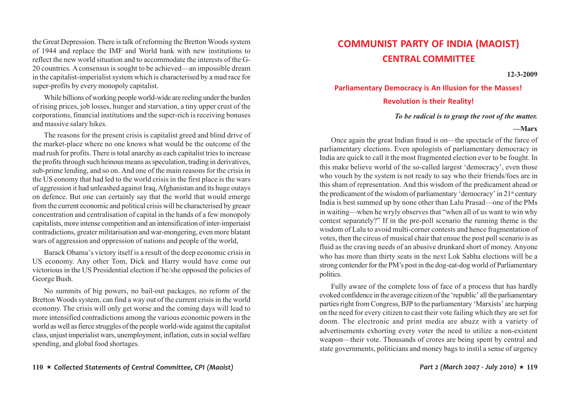the Great Depression. There is talk of reforming the Bretton Woods system of 1944 and replace the IMF and World bank with new institutions to reflect the new world situation and to accommodate the interests of the G-20 countries. A consensus is sought to be achieved—an impossible dream in the capitalist-imperialist system which is characterised by a mad race for super-profits by every monopoly capitalist.

While billions of working people world-wide are reeling under the burden of rising prices, job losses, hunger and starvation, a tiny upper crust of the corporations, financial institutions and the super-rich is receiving bonuses and massive salary hikes.

The reasons for the present crisis is capitalist greed and blind drive of the market-place where no one knows what would be the outcome of the mad rush for profits. There is total anarchy as each capitalist tries to increase the profits through such heinous means as speculation, trading in derivatives, sub-prime lending, and so on. And one of the main reasons for the crisis in the US eonomy that had led to the world crisis in the first place is the wars of aggression it had unleashed against Iraq, Afghanistan and its huge outays on defence. But one can certainly say that the world that would emerge from the current economic and political crisis will be characterised by greaer concentration and centralisation of capital in the hands of a few monopoly capitalists, more intense competition and an intensification of inter-imperiaist contradictions, greater militarisation and war-mongering, even more blatant wars of aggression and oppression of nations and people of the world,

Barack Obama's victory itself is a result of the deep economic crisis in US economy. Any other Tom, Dick and Harry would have come out victorious in the US Presidential election if he/she opposed the policies of George Bush.

No summits of big powers, no bail-out packages, no reform of the Bretton Woods system, can find a way out of the current crisis in the world economy. The crisis will only get worse and the coming days will lead to more intensified contradictions among the various economic powers in the world as well as fierce struggles of the people world-wide against the capitalist class, unjust imperialist wars, unemployment, inflation, cuts in social welfare spending, and global food shortages.

# **COMMUNIST PARTY OF INDIA (MAOIST) CENTRAL COMMITTEE**

**12-3-2009**

### **Parliamentary Democracy is An Illusion for the Masses!**

### **Revolution is their Reality!**

#### *To be radical is to grasp the root of the matter.*

#### **—Marx**

Once again the great Indian fraud is on—the spectacle of the farce of parliamentary elections. Even apologists of parliamentary democracy in India are quick to call it the most fragmented election ever to be fought. In this make believe world of the so-called largest 'democracy', even those who vouch by the system is not ready to say who their friends/foes are in this sham of representation. And this wisdom of the predicament ahead or the predicament of the wisdom of parliamentary 'democracy' in  $21<sup>st</sup>$  century India is best summed up by none other than Lalu Prasad—one of the PMs in waiting—when he wryly observes that "when all of us want to win why contest separately?" If in the pre-poll scenario the running theme is the wisdom of Lalu to avoid multi-corner contests and hence fragmentation of votes, then the circus of musical chair that ensue the post poll scenario is as fluid as the craving needs of an abusive drunkard short of money. Anyone who has more than thirty seats in the next Lok Sabha elections will be a strong contender for the PM's post in the dog-eat-dog world of Parliamentary politics.

Fully aware of the complete loss of face of a process that has hardly evoked confidence in the average citizen of the 'republic' all the parliamentary parties right from Congress, BJP to the parliamentary 'Marxists' are harping on the need for every citizen to cast their vote failing which they are set for doom. The electronic and print media are abuzz with a variety of advertisements exhorting every voter the need to utilize a non-existent weapon—their vote. Thousands of crores are being spent by central and state governments, politicians and money bags to instil a sense of urgency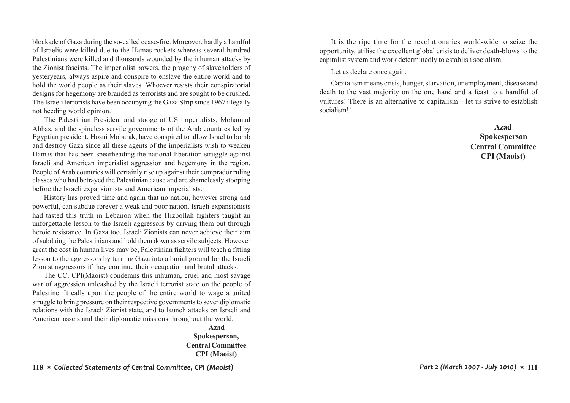blockade of Gaza during the so-called cease-fire. Moreover, hardly a handful of Israelis were killed due to the Hamas rockets whereas several hundred Palestinians were killed and thousands wounded by the inhuman attacks by the Zionist fascists. The imperialist powers, the progeny of slaveholders of yesteryears, always aspire and conspire to enslave the entire world and to hold the world people as their slaves. Whoever resists their conspiratorial designs for hegemony are branded as terrorists and are sought to be crushed. The Israeli terrorists have been occupying the Gaza Strip since 1967 illegally not heeding world opinion.

The Palestinian President and stooge of US imperialists, Mohamud Abbas, and the spineless servile governments of the Arab countries led by Egyptian president, Hosni Mobarak, have conspired to allow Israel to bomb and destroy Gaza since all these agents of the imperialists wish to weaken Hamas that has been spearheading the national liberation struggle against Israeli and American imperialist aggression and hegemony in the region. People of Arab countries will certainly rise up against their comprador ruling classes who had betrayed the Palestinian cause and are shamelessly stooping before the Israeli expansionists and American imperialists.

History has proved time and again that no nation, however strong and powerful, can subdue forever a weak and poor nation. Israeli expansionists had tasted this truth in Lebanon when the Hizbollah fighters taught an unforgettable lesson to the Israeli aggressors by driving them out through heroic resistance. In Gaza too, Israeli Zionists can never achieve their aim of subduing the Palestinians and hold them down as servile subjects. However great the cost in human lives may be, Palestinian fighters will teach a fitting lesson to the aggressors by turning Gaza into a burial ground for the Israeli Zionist aggressors if they continue their occupation and brutal attacks.

The CC, CPI(Maoist) condemns this inhuman, cruel and most savage war of aggression unleashed by the Israeli terrorist state on the people of Palestine. It calls upon the people of the entire world to wage a united struggle to bring pressure on their respective governments to sever diplomatic relations with the Israeli Zionist state, and to launch attacks on Israeli and American assets and their diplomatic missions throughout the world.

> **Azad Spokesperson, Central Committee CPI (Maoist)**

**118**  *Collected Statements of Central Committee, CPI (Maoist)*

It is the ripe time for the revolutionaries world-wide to seize the opportunity, utilise the excellent global crisis to deliver death-blows to the capitalist system and work determinedly to establish socialism.

Let us declare once again:

Capitalism means crisis, hunger, starvation, unemployment, disease and death to the vast majority on the one hand and a feast to a handful of vultures! There is an alternative to capitalism—let us strive to establish socialism!!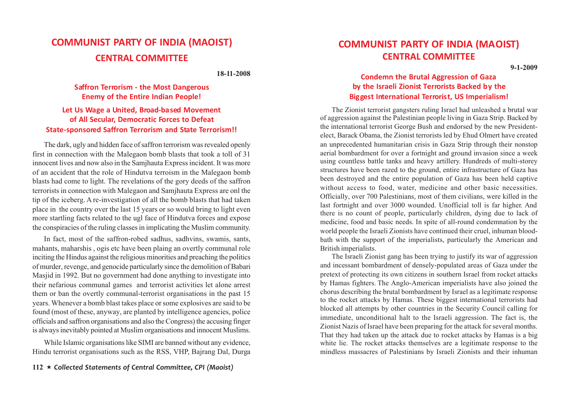**18-11-2008**

### **Saffron Terrorism - the Most Dangerous Enemy of the Entire Indian People!**

### **Let Us Wage a United, Broad-based Movement of All Secular, Democratic Forces to Defeat State-sponsored Saffron Terrorism and State Terrorism!!**

The dark, ugly and hidden face of saffron terrorism was revealed openly first in connection with the Malegaon bomb blasts that took a toll of 31 innocent lives and now also in the Samjhauta Express incident. It was more of an accident that the role of Hindutva terroism in the Malegaon bomb blasts had come to light. The revelations of the gory deeds of the saffron terrorists in connection with Malegaon and Samjhauta Express are onl the tip of the iceberg. A re-investigation of all the bomb blasts that had taken place in the country over the last 15 years or so would bring to light even more startling facts related to the ugl face of Hindutva forces and expose the conspiracies of the ruling classes in implicating the Muslim community.

In fact, most of the saffron-robed sadhus, sadhvins, swamis, sants, mahants, maharshis , ogis etc have been plaing an overtly communal role inciting the Hindus against the religious minorities and preaching the politics of murder, revenge, and genocide particularly since the demolition of Babari Masjid in 1992. But no government had done anything to investigate into their nefarious communal games and terrorist activities let alone arrest them or ban the overtly communal-terrorist organisations in the past 15 years. Whenever a bomb blast takes place or some explosives are said to be found (most of these, anyway, are planted by intelligence agencies, police officials and saffron organisations and also the Congress) the accusing finger is always inevitably pointed at Muslim organisations and innocent Muslims.

While Islamic organisations like SIMI are banned without any evidence, Hindu terrorist organisations such as the RSS, VHP, Bajrang Dal, Durga

## **COMMUNIST PARTY OF INDIA (MAOIST) CENTRAL COMMITTEE**

**9-1-2009**

### **Condemn the Brutal Aggression of Gaza by the Israeli Zionist Terrorists Backed by the Biggest International Terrorist, US Imperialism!**

The Zionist terrorist gangsters ruling Israel had unleashed a brutal war of aggression against the Palestinian people living in Gaza Strip. Backed by the international terrorist George Bush and endorsed by the new Presidentelect, Barack Obama, the Zionist terrorists led by Ehud Olmert have created an unprecedented humanitarian crisis in Gaza Strip through their nonstop aerial bombardment for over a fortnight and ground invasion since a week using countless battle tanks and heavy artillery. Hundreds of multi-storey structures have been razed to the ground, entire infrastructure of Gaza has been destroyed and the entire population of Gaza has been held captive without access to food, water, medicine and other basic necessities. Officially, over 700 Palestinians, most of them civilians, were killed in the last fortnight and over 3000 wounded. Unofficial toll is far higher. And there is no count of people, particularly children, dying due to lack of medicine, food and basic needs. In spite of all-round condemnation by the world people the Israeli Zionists have continued their cruel, inhuman bloodbath with the support of the imperialists, particularly the American and British imperialists.

The Israeli Zionist gang has been trying to justify its war of aggression and incessant bombardment of densely-populated areas of Gaza under the pretext of protecting its own citizens in southern Israel from rocket attacks by Hamas fighters. The Anglo-American imperialists have also joined the chorus describing the brutal bombardment by Israel as a legitimate response to the rocket attacks by Hamas. These biggest international terrorists had blocked all attempts by other countries in the Security Council calling for immediate, unconditional halt to the Israeli aggression. The fact is, the Zionist Nazis of Israel have been preparing for the attack for several months. That they had taken up the attack due to rocket attacks by Hamas is a big white lie. The rocket attacks themselves are a legitimate response to the mindless massacres of Palestinians by Israeli Zionists and their inhuman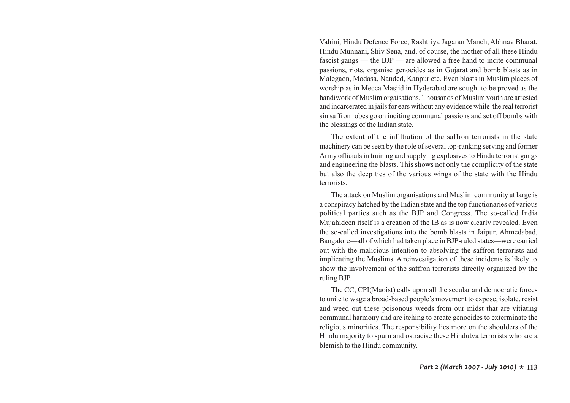Vahini, Hindu Defence Force, Rashtriya Jagaran Manch, Abhnav Bharat, Hindu Munnani, Shiv Sena, and, of course, the mother of all these Hindu fascist gangs — the BJP — are allowed a free hand to incite communal passions, riots, organise genocides as in Gujarat and bomb blasts as in Malegaon, Modasa, Nanded, Kanpur etc. Even blasts in Muslim places of worship as in Mecca Masjid in Hyderabad are sought to be proved as the handiwork of Muslim orgaisations. Thousands of Muslim youth are arrested and incarcerated in jails for ears without any evidence while the real terrorist sin saffron robes go on inciting communal passions and set off bombs with the blessings of the Indian state.

The extent of the infiltration of the saffron terrorists in the state machinery can be seen by the role of several top-ranking serving and former Army officials in training and supplying explosives to Hindu terrorist gangs and engineering the blasts. This shows not only the complicity of the state but also the deep ties of the various wings of the state with the Hindu terrorists.

The attack on Muslim organisations and Muslim community at large is a conspiracy hatched by the Indian state and the top functionaries of various political parties such as the BJP and Congress. The so-called India Mujahideen itself is a creation of the IB as is now clearly revealed. Even the so-called investigations into the bomb blasts in Jaipur, Ahmedabad, Bangalore—all of which had taken place in BJP-ruled states—were carried out with the malicious intention to absolving the saffron terrorists and implicating the Muslims. A reinvestigation of these incidents is likely to show the involvement of the saffron terrorists directly organized by the ruling BJP.

The CC, CPI(Maoist) calls upon all the secular and democratic forces to unite to wage a broad-based people's movement to expose, isolate, resist and weed out these poisonous weeds from our midst that are vitiating communal harmony and are itching to create genocides to exterminate the religious minorities. The responsibility lies more on the shoulders of the Hindu majority to spurn and ostracise these Hindutva terrorists who are a blemish to the Hindu community.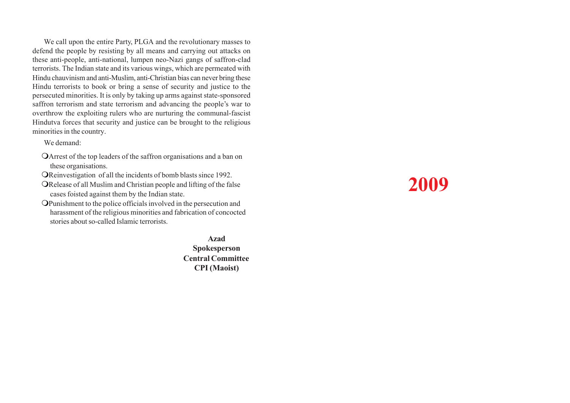We call upon the entire Party, PLGA and the revolutionary masses to defend the people by resisting by all means and carrying out attacks on these anti-people, anti-national, lumpen neo-Nazi gangs of saffron-clad terrorists. The Indian state and its various wings, which are permeated with Hindu chauvinism and anti-Muslim, anti-Christian bias can never bring these Hindu terrorists to book or bring a sense of security and justice to the persecuted minorities. It is only by taking up arms against state-sponsored saffron terrorism and state terrorism and advancing the people's war to overthrow the exploiting rulers who are nurturing the communal-fascist Hindutva forces that security and justice can be brought to the religious minorities in the country.

We demand:

- Arrest of the top leaders of the saffron organisations and a ban on these organisations.
- Reinvestigation of all the incidents of bomb blasts since 1992.
- Release of all Muslim and Christian people and lifting of the false cases foisted against them by the Indian state.
- Punishment to the police officials involved in the persecution and harassment of the religious minorities and fabrication of concocted stories about so-called Islamic terrorists.

**Azad Spokesperson Central Committee CPI (Maoist)**

**2009**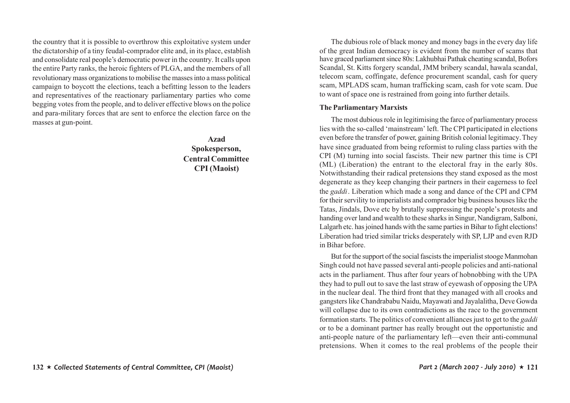the country that it is possible to overthrow this exploitative system under the dictatorship of a tiny feudal-comprador elite and, in its place, establish and consolidate real people's democratic power in the country. It calls upon the entire Party ranks, the heroic fighters of PLGA, and the members of all revolutionary mass organizations to mobilise the masses into a mass political campaign to boycott the elections, teach a befitting lesson to the leaders and representatives of the reactionary parliamentary parties who come begging votes from the people, and to deliver effective blows on the police and para-military forces that are sent to enforce the election farce on the masses at gun-point.

> **Azad Spokesperson, Central Committee CPI (Maoist)**

The dubious role of black money and money bags in the every day life of the great Indian democracy is evident from the number of scams that have graced parliament since 80s: Lakhubhai Pathak cheating scandal, Bofors Scandal, St. Kitts forgery scandal, JMM bribery scandal, hawala scandal, telecom scam, coffingate, defence procurement scandal, cash for query scam, MPLADS scam, human trafficking scam, cash for vote scam. Due to want of space one is restrained from going into further details.

#### **The Parliamentary Marxists**

The most dubious role in legitimising the farce of parliamentary process lies with the so-called 'mainstream' left. The CPI participated in elections even before the transfer of power, gaining British colonial legitimacy. They have since graduated from being reformist to ruling class parties with the CPI (M) turning into social fascists. Their new partner this time is CPI (ML) (Liberation) the entrant to the electoral fray in the early 80s. Notwithstanding their radical pretensions they stand exposed as the most degenerate as they keep changing their partners in their eagerness to feel the *gaddi*. Liberation which made a song and dance of the CPI and CPM for their servility to imperialists and comprador big business houses like the Tatas, Jindals, Dove etc by brutally suppressing the people's protests and handing over land and wealth to these sharks in Singur, Nandigram, Salboni, Lalgarh etc. has joined hands with the same parties in Bihar to fight elections! Liberation had tried similar tricks desperately with SP, LJP and even RJD in Bihar before.

But for the support of the social fascists the imperialist stooge Manmohan Singh could not have passed several anti-people policies and anti-national acts in the parliament. Thus after four years of hobnobbing with the UPA they had to pull out to save the last straw of eyewash of opposing the UPA in the nuclear deal. The third front that they managed with all crooks and gangsters like Chandrababu Naidu, Mayawati and Jayalalitha, Deve Gowda will collapse due to its own contradictions as the race to the government formation starts. The politics of convenient alliances just to get to the *gaddi* or to be a dominant partner has really brought out the opportunistic and anti-people nature of the parliamentary left—even their anti-communal pretensions. When it comes to the real problems of the people their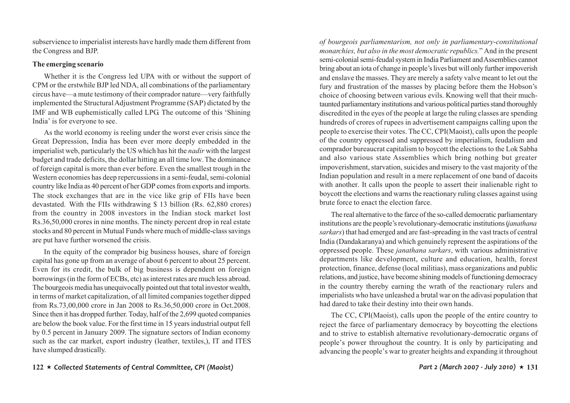subservience to imperialist interests have hardly made them different from the Congress and BJP.

### **The emerging scenario**

Whether it is the Congress led UPA with or without the support of CPM or the erstwhile BJP led NDA, all combinations of the parliamentary circus have—a mute testimony of their comprador nature—very faithfully implemented the Structural Adjustment Programme (SAP) dictated by the IMF and WB euphemistically called LPG. The outcome of this 'Shining India' is for everyone to see.

As the world economy is reeling under the worst ever crisis since the Great Depression, India has been ever more deeply embedded in the imperialist web, particularly the US which has hit the *nadir* with the largest budget and trade deficits, the dollar hitting an all time low. The dominance of foreign capital is more than ever before. Even the smallest trough in the Western economies has deep repercussions in a semi-feudal, semi-colonial country like India as 40 percent of her GDP comes from exports and imports. The stock exchanges that are in the vice like grip of FIIs have been devastated. With the FIIs withdrawing \$ 13 billion (Rs. 62,880 crores) from the country in 2008 investors in the Indian stock market lost Rs.36,50,000 crores in nine months. The ninety percent drop in real estate stocks and 80 percent in Mutual Funds where much of middle-class savings are put have further worsened the crisis.

In the equity of the comprador big business houses, share of foreign capital has gone up from an average of about 6 percent to about 25 percent. Even for its credit, the bulk of big business is dependent on foreign borrowings (in the form of ECBs, etc) as interest rates are much less abroad. The bourgeois media has unequivocally pointed out that total investor wealth, in terms of market capitalization, of all limited companies together dipped from Rs.73,00,000 crore in Jan 2008 to Rs.36,50,000 crore in Oct.2008. Since then it has dropped further. Today, half of the 2,699 quoted companies are below the book value. For the first time in 15 years industrial output fell by 0.5 percent in January 2009. The signature sectors of Indian economy such as the car market, export industry (leather, textiles,), IT and ITES have slumped drastically.

*of bourgeois parliamentarism, not only in parliamentary-constitutional monarchies, but also in the most democratic republics.*" And in the present semi-colonial semi-feudal system in India Parliament and Assemblies cannot bring about an iota of change in people's lives but will only further impoverish and enslave the masses. They are merely a safety valve meant to let out the fury and frustration of the masses by placing before them the Hobson's choice of choosing between various evils. Knowing well that their muchtaunted parliamentary institutions and various political parties stand thoroughly discredited in the eyes of the people at large the ruling classes are spending hundreds of crores of rupees in advertisement campaigns calling upon the people to exercise their votes. The CC, CPI(Maoist), calls upon the people of the country oppressed and suppressed by imperialism, feudalism and comprador bureaucrat capitalism to boycott the elections to the Lok Sabha and also various state Assemblies which bring nothing but greater impoverishment, starvation, suicides and misery to the vast majority of the Indian population and result in a mere replacement of one band of dacoits with another. It calls upon the people to assert their inalienable right to boycott the elections and warns the reactionary ruling classes against using brute force to enact the election farce.

The real alternative to the farce of the so-called democratic parliamentary institutions are the people's revolutionary-democratic institutions (*janathana sarkars*) that had emerged and are fast-spreading in the vast tracts of central India (Dandakaranya) and which genuinely represent the aspirations of the oppressed people. These *janathana sarkars*, with various administrative departments like development, culture and education, health, forest protection, finance, defense (local militias), mass organizations and public relations, and justice, have become shining models of functioning democracy in the country thereby earning the wrath of the reactionary rulers and imperialists who have unleashed a brutal war on the adivasi population that had dared to take their destiny into their own hands.

The CC, CPI(Maoist), calls upon the people of the entire country to reject the farce of parliamentary democracy by boycotting the elections and to strive to establish alternative revolutionary-democratic organs of people's power throughout the country. It is only by participating and advancing the people's war to greater heights and expanding it throughout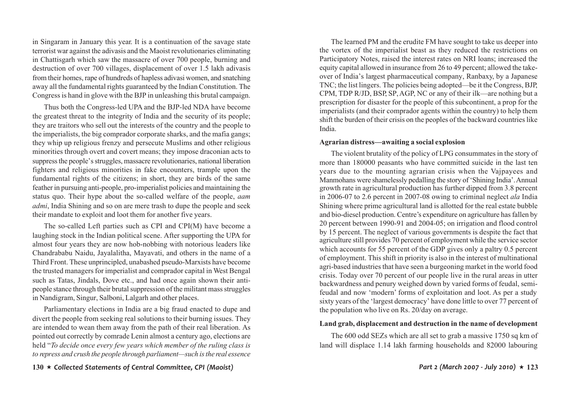in Singaram in January this year. It is a continuation of the savage state terrorist war against the adivasis and the Maoist revolutionaries eliminating in Chattisgarh which saw the massacre of over 700 people, burning and destruction of over 700 villages, displacement of over 1.5 lakh adivasis from their homes, rape of hundreds of hapless adivasi women, and snatching away all the fundamental rights guaranteed by the Indian Constitution. The Congress is hand in glove with the BJP in unleashing this brutal campaign.

Thus both the Congress-led UPA and the BJP-led NDA have become the greatest threat to the integrity of India and the security of its people; they are traitors who sell out the interests of the country and the people to the imperialists, the big comprador corporate sharks, and the mafia gangs; they whip up religious frenzy and persecute Muslims and other religious minorities through overt and covert means; they impose draconian acts to suppress the people's struggles, massacre revolutionaries, national liberation fighters and religious minorities in fake encounters, trample upon the fundamental rights of the citizens; in short, they are birds of the same feather in pursuing anti-people, pro-imperialist policies and maintaining the status quo. Their hype about the so-called welfare of the people, *aam admi*, India Shining and so on are mere trash to dupe the people and seek their mandate to exploit and loot them for another five years.

The so-called Left parties such as CPI and CPI(M) have become a laughing stock in the Indian political scene. After supporting the UPA for almost four years they are now hob-nobbing with notorious leaders like Chandrababu Naidu, Jayalalitha, Mayavati, and others in the name of a Third Front. These unprincipled, unabashed pseudo-Marxists have become the trusted managers for imperialist and comprador capital in West Bengal such as Tatas, Jindals, Dove etc., and had once again shown their antipeople stance through their brutal suppression of the militant mass struggles in Nandigram, Singur, Salboni, Lalgarh and other places.

Parliamentary elections in India are a big fraud enacted to dupe and divert the people from seeking real solutions to their burning issues. They are intended to wean them away from the path of their real liberation. As pointed out correctly by comrade Lenin almost a century ago, elections are held "*To decide once every few years which member of the ruling class is to repress and crush the people through parliament—such is the real essence*

The learned PM and the erudite FM have sought to take us deeper into the vortex of the imperialist beast as they reduced the restrictions on Participatory Notes, raised the interest rates on NRI loans; increased the equity capital allowed in insurance from 26 to 49 percent; allowed the takeover of India's largest pharmaceutical company, Ranbaxy, by a Japanese TNC; the list lingers. The policies being adopted—be it the Congress, BJP, CPM, TDP R/JD, BSP, SP, AGP, NC or any of their ilk—are nothing but a prescription for disaster for the people of this subcontinent, a prop for the imperialists (and their comprador agents within the country) to help them shift the burden of their crisis on the peoples of the backward countries like India.

#### **Agrarian distress—awaiting a social explosion**

The violent brutality of the policy of LPG consummates in the story of more than 180000 peasants who have committed suicide in the last ten years due to the mounting agrarian crisis when the Vajpayees and Manmohans were shamelessly pedalling the story of 'Shining India'. Annual growth rate in agricultural production has further dipped from 3.8 percent in 2006-07 to 2.6 percent in 2007-08 owing to criminal neglect *ala* India Shining where prime agricultural land is allotted for the real estate bubble and bio-diesel production. Centre's expenditure on agriculture has fallen by 20 percent between 1990-91 and 2004-05; on irrigation and flood control by 15 percent. The neglect of various governments is despite the fact that agriculture still provides 70 percent of employment while the service sector which accounts for 55 percent of the GDP gives only a paltry 0.5 percent of employment. This shift in priority is also in the interest of multinational agri-based industries that have seen a burgeoning market in the world food crisis. Today over 70 percent of our people live in the rural areas in utter backwardness and penury weighed down by varied forms of feudal, semifeudal and now 'modern' forms of exploitation and loot. As per a study sixty years of the 'largest democracy' have done little to over 77 percent of the population who live on Rs. 20/day on average.

### **Land grab, displacement and destruction in the name of development**

The 600 odd SEZs which are all set to grab a massive 1750 sq km of land will displace 1.14 lakh farming households and 82000 labouring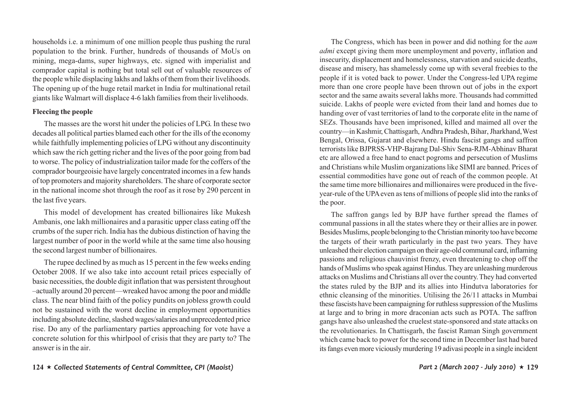households i.e. a minimum of one million people thus pushing the rural population to the brink. Further, hundreds of thousands of MoUs on mining, mega-dams, super highways, etc. signed with imperialist and comprador capital is nothing but total sell out of valuable resources of the people while displacing lakhs and lakhs of them from their livelihoods. The opening up of the huge retail market in India for multinational retail giants like Walmart will displace 4-6 lakh families from their livelihoods.

### **Fleecing the people**

The masses are the worst hit under the policies of LPG. In these two decades all political parties blamed each other for the ills of the economy while faithfully implementing policies of LPG without any discontinuity which saw the rich getting richer and the lives of the poor going from bad to worse. The policy of industrialization tailor made for the coffers of the comprador bourgeoisie have largely concentrated incomes in a few hands of top promoters and majority shareholders. The share of corporate sector in the national income shot through the roof as it rose by 290 percent in the last five years.

This model of development has created billionaires like Mukesh Ambanis, one lakh millionaires and a parasitic upper class eating off the crumbs of the super rich. India has the dubious distinction of having the largest number of poor in the world while at the same time also housing the second largest number of billionaires.

The rupee declined by as much as 15 percent in the few weeks ending October 2008. If we also take into account retail prices especially of basic necessities, the double digit inflation that was persistent throughout –actually around 20 percent—wreaked havoc among the poor and middle class. The near blind faith of the policy pundits on jobless growth could not be sustained with the worst decline in employment opportunities including absolute decline, slashed wages/salaries and unprecedented price rise. Do any of the parliamentary parties approaching for vote have a concrete solution for this whirlpool of crisis that they are party to? The answer is in the air.

The Congress, which has been in power and did nothing for the *aam admi* except giving them more unemployment and poverty, inflation and insecurity, displacement and homelessness, starvation and suicide deaths, disease and misery, has shamelessly come up with several freebies to the people if it is voted back to power. Under the Congress-led UPA regime more than one crore people have been thrown out of jobs in the export sector and the same awaits several lakhs more. Thousands had committed suicide. Lakhs of people were evicted from their land and homes due to handing over of vast territories of land to the corporate elite in the name of SEZs. Thousands have been imprisoned, killed and maimed all over the country—in Kashmir, Chattisgarh, Andhra Pradesh, Bihar, Jharkhand, West Bengal, Orissa, Gujarat and elsewhere. Hindu fascist gangs and saffron terrorists like BJPRSS-VHP-Bajrang Dal-Shiv Sena-RJM-Abhinav Bharat etc are allowed a free hand to enact pogroms and persecution of Muslims and Christians while Muslim organizations like SIMI are banned. Prices of essential commodities have gone out of reach of the common people. At the same time more billionaires and millionaires were produced in the fiveyear-rule of the UPA even as tens of millions of people slid into the ranks of the poor.

The saffron gangs led by BJP have further spread the flames of communal passions in all the states where they or their allies are in power. Besides Muslims, people belonging to the Christian minority too have become the targets of their wrath particularly in the past two years. They have unleashed their election campaign on their age-old communal card, inflaming passions and religious chauvinist frenzy, even threatening to chop off the hands of Muslims who speak against Hindus. They are unleashing murderous attacks on Muslims and Christians all over the country. They had converted the states ruled by the BJP and its allies into Hindutva laboratories for ethnic cleansing of the minorities. Utilising the 26/11 attacks in Mumbai these fascists have been campaigning for ruthless suppression of the Muslims at large and to bring in more draconian acts such as POTA. The saffron gangs have also unleashed the cruelest state-sponsored and state attacks on the revolutionaries. In Chattisgarh, the fascist Raman Singh government which came back to power for the second time in December last had bared its fangs even more viciously murdering 19 adivasi people in a single incident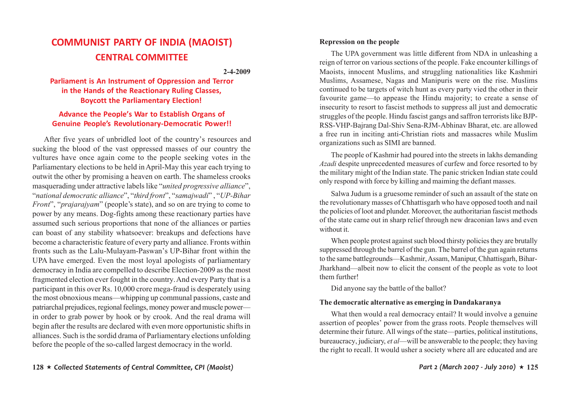**2-4-2009**

## **Parliament is An Instrument of Oppression and Terror in the Hands of the Reactionary Ruling Classes, Boycott the Parliamentary Election!**

### **Advance the People's War to Establish Organs of Genuine People's Revolutionary-Democratic Power!!**

After five years of unbridled loot of the country's resources and sucking the blood of the vast oppressed masses of our country the vultures have once again come to the people seeking votes in the Parliamentary elections to be held in April-May this year each trying to outwit the other by promising a heaven on earth. The shameless crooks masquerading under attractive labels like "*united progressive alliance*", "*national democratic alliance*", "*third front*", "*samajwadi*" , "*UP-Bihar Front*", "*prajarajyam*" (people's state), and so on are trying to come to power by any means. Dog-fights among these reactionary parties have assumed such serious proportions that none of the alliances or parties can boast of any stability whatsoever: breakups and defections have become a characteristic feature of every party and alliance. Fronts within fronts such as the Lalu-Mulayam-Paswan's UP-Bihar front within the UPA have emerged. Even the most loyal apologists of parliamentary democracy in India are compelled to describe Election-2009 as the most fragmented election ever fought in the country. And every Party that is a participant in this over Rs. 10,000 crore mega-fraud is desperately using the most obnoxious means—whipping up communal passions, caste and patriarchal prejudices, regional feelings, money power and muscle power in order to grab power by hook or by crook. And the real drama will begin after the results are declared with even more opportunistic shifts in alliances. Such is the sordid drama of Parliamentary elections unfolding before the people of the so-called largest democracy in the world.

### **Repression on the people**

The UPA government was little different from NDA in unleashing a reign of terror on various sections of the people. Fake encounter killings of Maoists, innocent Muslims, and struggling nationalities like Kashmiri Muslims, Assamese, Nagas and Manipuris were on the rise. Muslims continued to be targets of witch hunt as every party vied the other in their favourite game—to appease the Hindu majority; to create a sense of insecurity to resort to fascist methods to suppress all just and democratic struggles of the people. Hindu fascist gangs and saffron terrorists like BJP-RSS-VHP-Bajrang Dal-Shiv Sena-RJM-Abhinav Bharat, etc. are allowed a free run in inciting anti-Christian riots and massacres while Muslim organizations such as SIMI are banned.

The people of Kashmir had poured into the streets in lakhs demanding *Azadi* despite unprecedented measures of curfew and force resorted to by the military might of the Indian state. The panic stricken Indian state could only respond with force by killing and maiming the defiant masses.

Salwa Judum is a gruesome reminder of such an assault of the state on the revolutionary masses of Chhattisgarh who have opposed tooth and nail the policies of loot and plunder. Moreover, the authoritarian fascist methods of the state came out in sharp relief through new draconian laws and even without it.

When people protest against such blood thirsty policies they are brutally suppressed through the barrel of the gun. The barrel of the gun again returns to the same battlegrounds—Kashmir, Assam, Manipur, Chhattisgarh, Bihar-Jharkhand—albeit now to elicit the consent of the people as vote to loot them further!

Did anyone say the battle of the ballot?

### **The democratic alternative as emerging in Dandakaranya**

What then would a real democracy entail? It would involve a genuine assertion of peoples' power from the grass roots. People themselves will determine their future. All wings of the state—parties, political institutions, bureaucracy, judiciary, *et al*—will be answerable to the people; they having the right to recall. It would usher a society where all are educated and are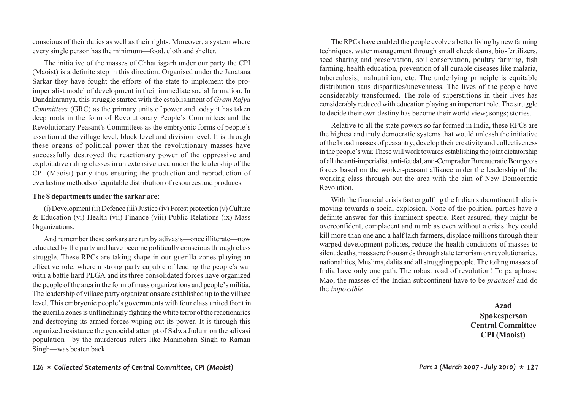conscious of their duties as well as their rights. Moreover, a system where every single person has the minimum—food, cloth and shelter.

The initiative of the masses of Chhattisgarh under our party the CPI (Maoist) is a definite step in this direction. Organised under the Janatana Sarkar they have fought the efforts of the state to implement the proimperialist model of development in their immediate social formation. In Dandakaranya, this struggle started with the establishment of *Gram Rajya Committees* (GRC) as the primary units of power and today it has taken deep roots in the form of Revolutionary People's Committees and the Revolutionary Peasant's Committees as the embryonic forms of people's assertion at the village level, block level and division level. It is through these organs of political power that the revolutionary masses have successfully destroyed the reactionary power of the oppressive and exploitative ruling classes in an extensive area under the leadership of the CPI (Maoist) party thus ensuring the production and reproduction of everlasting methods of equitable distribution of resources and produces.

#### **The 8 departments under the sarkar are:**

(i) Development (ii) Defence (iii) Justice (iv) Forest protection (v) Culture & Education (vi) Health (vii) Finance (viii) Public Relations (ix) Mass Organizations.

And remember these sarkars are run by adivasis—once illiterate—now educated by the party and have become politically conscious through class struggle. These RPCs are taking shape in our guerilla zones playing an effective role, where a strong party capable of leading the people's war with a battle hard PLGA and its three consolidated forces have organized the people of the area in the form of mass organizations and people's militia. The leadership of village party organizations are established up to the village level. This embryonic people's governments with four class united front in the guerilla zones is unflinchingly fighting the white terror of the reactionaries and destroying its armed forces wiping out its power. It is through this organized resistance the genocidal attempt of Salwa Judum on the adivasi population—by the murderous rulers like Manmohan Singh to Raman Singh—was beaten back.

The RPCs have enabled the people evolve a better living by new farming techniques, water management through small check dams, bio-fertilizers, seed sharing and preservation, soil conservation, poultry farming, fish farming, health education, prevention of all curable diseases like malaria, tuberculosis, malnutrition, etc. The underlying principle is equitable distribution sans disparities/unevenness. The lives of the people have considerably transformed. The role of superstitions in their lives has considerably reduced with education playing an important role. The struggle to decide their own destiny has become their world view; songs; stories.

Relative to all the state powers so far formed in India, these RPCs are the highest and truly democratic systems that would unleash the initiative of the broad masses of peasantry, develop their creativity and collectiveness in the people's war. These will work towards establishing the joint dictatorship of all the anti-imperialist, anti-feudal, anti-Comprador Bureaucratic Bourgeois forces based on the worker-peasant alliance under the leadership of the working class through out the area with the aim of New Democratic Revolution.

With the financial crisis fast engulfing the Indian subcontinent India is moving towards a social explosion. None of the political parties have a definite answer for this imminent spectre. Rest assured, they might be overconfident, complacent and numb as even without a crisis they could kill more than one and a half lakh farmers, displace millions through their warped development policies, reduce the health conditions of masses to silent deaths, massacre thousands through state terrorism on revolutionaries, nationalities, Muslims, dalits and all struggling people. The toiling masses of India have only one path. The robust road of revolution! To paraphrase Mao, the masses of the Indian subcontinent have to be *practical* and do the *impossible*!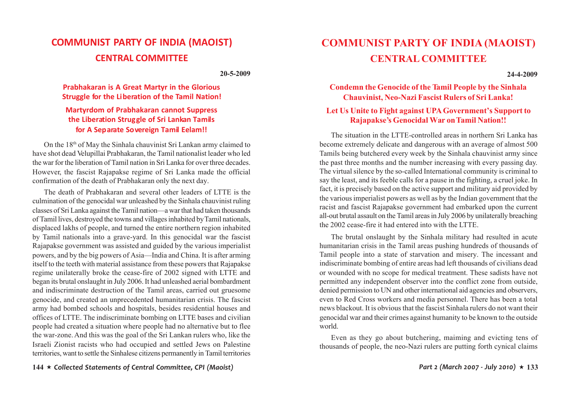**20-5-2009**

### **Prabhakaran is A Great Martyr in the Glorious Struggle for the Liberation of the Tamil Nation!**

## **Martyrdom of Prabhakaran cannot Suppress the Liberation Struggle of Sri Lankan Tamils for A Separate Sovereign Tamil Eelam!!**

On the 18th of May the Sinhala chauvinist Sri Lankan army claimed to have shot dead Velupillai Prabhakaran, the Tamil nationalist leader who led the war for the liberation of Tamil nation in Sri Lanka for over three decades. However, the fascist Rajapakse regime of Sri Lanka made the official confirmation of the death of Prabhakaran only the next day.

The death of Prabhakaran and several other leaders of LTTE is the culmination of the genocidal war unleashed by the Sinhala chauvinist ruling classes of Sri Lanka against the Tamil nation—a war that had taken thousands of Tamil lives, destroyed the towns and villages inhabited by Tamil nationals, displaced lakhs of people, and turned the entire northern region inhabited by Tamil nationals into a grave-yard. In this genocidal war the fascist Rajapakse government was assisted and guided by the various imperialist powers, and by the big powers of Asia—India and China. It is after arming itself to the teeth with material assistance from these powers that Rajapakse regime unilaterally broke the cease-fire of 2002 signed with LTTE and began its brutal onslaught in July 2006. It had unleashed aerial bombardment and indiscriminate destruction of the Tamil areas, carried out gruesome genocide, and created an unprecedented humanitarian crisis. The fascist army had bombed schools and hospitals, besides residential houses and offices of LTTE. The indiscriminate bombing on LTTE bases and civilian people had created a situation where people had no alternative but to flee the war-zone. And this was the goal of the Sri Lankan rulers who, like the Israeli Zionist racists who had occupied and settled Jews on Palestine territories, want to settle the Sinhalese citizens permanently in Tamil territories

# **COMMUNIST PARTY OF INDIA (MAOIST) CENTRAL COMMITTEE**

**24-4-2009**

## **Condemn the Genocide of the Tamil People by the Sinhala Chauvinist, Neo-Nazi Fascist Rulers of Sri Lanka!**

### **Let Us Unite to Fight against UPA Government's Support to Rajapakse's Genocidal War on Tamil Nation!!**

The situation in the LTTE-controlled areas in northern Sri Lanka has become extremely delicate and dangerous with an average of almost 500 Tamils being butchered every week by the Sinhala chauvinist army since the past three months and the number increasing with every passing day. The virtual silence by the so-called International community is criminal to say the least, and its feeble calls for a pause in the fighting, a cruel joke. In fact, it is precisely based on the active support and military aid provided by the various imperialist powers as well as by the Indian government that the racist and fascist Rajapakse government had embarked upon the current all-out brutal assault on the Tamil areas in July 2006 by unilaterally breaching the 2002 cease-fire it had entered into with the LTTE.

The brutal onslaught by the Sinhala military had resulted in acute humanitarian crisis in the Tamil areas pushing hundreds of thousands of Tamil people into a state of starvation and misery. The incessant and indiscriminate bombing of entire areas had left thousands of civilians dead or wounded with no scope for medical treatment. These sadists have not permitted any independent observer into the conflict zone from outside, denied permission to UN and other international aid agencies and observers, even to Red Cross workers and media personnel. There has been a total news blackout. It is obvious that the fascist Sinhala rulers do not want their genocidal war and their crimes against humanity to be known to the outside world.

Even as they go about butchering, maiming and evicting tens of thousands of people, the neo-Nazi rulers are putting forth cynical claims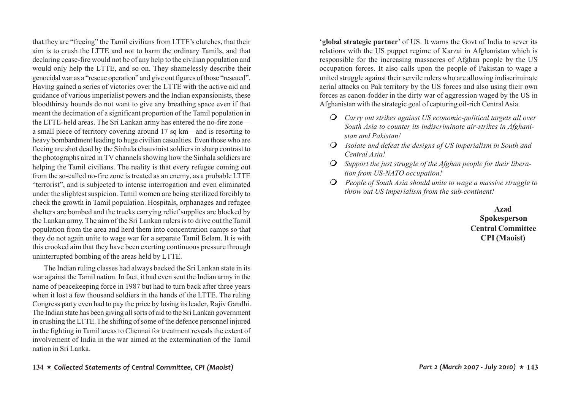that they are "freeing" the Tamil civilians from LTTE's clutches, that their aim is to crush the LTTE and not to harm the ordinary Tamils, and that declaring cease-fire would not be of any help to the civilian population and would only help the LTTE, and so on. They shamelessly describe their genocidal war as a "rescue operation" and give out figures of those "rescued". Having gained a series of victories over the LTTE with the active aid and guidance of various imperialist powers and the Indian expansionists, these bloodthirsty hounds do not want to give any breathing space even if that meant the decimation of a significant proportion of the Tamil population in the LTTE-held areas. The Sri Lankan army has entered the no-fire zone a small piece of territory covering around 17 sq km—and is resorting to heavy bombardment leading to huge civilian casualties. Even those who are fleeing are shot dead by the Sinhala chauvinist soldiers in sharp contrast to the photographs aired in TV channels showing how the Sinhala soldiers are helping the Tamil civilians. The reality is that every refugee coming out from the so-called no-fire zone is treated as an enemy, as a probable LTTE "terrorist", and is subjected to intense interrogation and even eliminated under the slightest suspicion. Tamil women are being sterilized forcibly to check the growth in Tamil population. Hospitals, orphanages and refugee shelters are bombed and the trucks carrying relief supplies are blocked by the Lankan army. The aim of the Sri Lankan rulers is to drive out the Tamil population from the area and herd them into concentration camps so that they do not again unite to wage war for a separate Tamil Eelam. It is with this crooked aim that they have been exerting continuous pressure through uninterrupted bombing of the areas held by LTTE.

The Indian ruling classes had always backed the Sri Lankan state in its war against the Tamil nation. In fact, it had even sent the Indian army in the name of peacekeeping force in 1987 but had to turn back after three years when it lost a few thousand soldiers in the hands of the LTTE. The ruling Congress party even had to pay the price by losing its leader, Rajiv Gandhi. The Indian state has been giving all sorts of aid to the Sri Lankan government in crushing the LTTE. The shifting of some of the defence personnel injured in the fighting in Tamil areas to Chennai for treatment reveals the extent of involvement of India in the war aimed at the extermination of the Tamil nation in Sri Lanka.

**134**  *Collected Statements of Central Committee, CPI (Maoist)*

'**global strategic partner**' of US. It warns the Govt of India to sever its relations with the US puppet regime of Karzai in Afghanistan which is responsible for the increasing massacres of Afghan people by the US occupation forces. It also calls upon the people of Pakistan to wage a united struggle against their servile rulers who are allowing indiscriminate aerial attacks on Pak territory by the US forces and also using their own forces as canon-fodder in the dirty war of aggression waged by the US in Afghanistan with the strategic goal of capturing oil-rich Central Asia.

- *Carry out strikes against US economic-political targets all over South Asia to counter its indiscriminate air-strikes in Afghanistan and Pakistan!*
- *Isolate and defeat the designs of US imperialism in South and Central Asia!*
- *Support the just struggle of the Afghan people for their liberation from US-NATO occupation!*
- *People of South Asia should unite to wage a massive struggle to throw out US imperialism from the sub-continent!*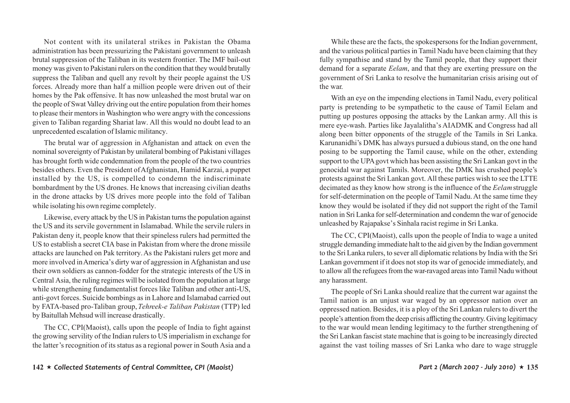Not content with its unilateral strikes in Pakistan the Obama administration has been pressurizing the Pakistani government to unleash brutal suppression of the Taliban in its western frontier. The IMF bail-out money was given to Pakistani rulers on the condition that they would brutally suppress the Taliban and quell any revolt by their people against the US forces. Already more than half a million people were driven out of their homes by the Pak offensive. It has now unleashed the most brutal war on the people of Swat Valley driving out the entire population from their homes to please their mentors in Washington who were angry with the concessions given to Taliban regarding Shariat law. All this would no doubt lead to an unprecedented escalation of Islamic militancy.

The brutal war of aggression in Afghanistan and attack on even the nominal sovereignty of Pakistan by unilateral bombing of Pakistani villages has brought forth wide condemnation from the people of the two countries besides others. Even the President of Afghanistan, Hamid Karzai, a puppet installed by the US, is compelled to condemn the indiscriminate bombardment by the US drones. He knows that increasing civilian deaths in the drone attacks by US drives more people into the fold of Taliban while isolating his own regime completely.

Likewise, every attack by the US in Pakistan turns the population against the US and its servile government in Islamabad. While the servile rulers in Pakistan deny it, people know that their spineless rulers had permitted the US to establish a secret CIA base in Pakistan from where the drone missile attacks are launched on Pak territory. As the Pakistani rulers get more and more involved in America's dirty war of aggression in Afghanistan and use their own soldiers as cannon-fodder for the strategic interests of the US in Central Asia, the ruling regimes will be isolated from the population at large while strengthening fundamentalist forces like Taliban and other anti-US, anti-govt forces. Suicide bombings as in Lahore and Islamabad carried out by FATA-based pro-Taliban group, *Tehreek-e Taliban Pakistan* (TTP) led by Baitullah Mehsud will increase drastically.

The CC, CPI(Maoist), calls upon the people of India to fight against the growing servility of the Indian rulers to US imperialism in exchange for the latter's recognition of its status as a regional power in South Asia and a

While these are the facts, the spokespersons for the Indian government, and the various political parties in Tamil Nadu have been claiming that they fully sympathise and stand by the Tamil people, that they support their demand for a separate *Eelam*, and that they are exerting pressure on the government of Sri Lanka to resolve the humanitarian crisis arising out of the war.

With an eye on the impending elections in Tamil Nadu, every political party is pretending to be sympathetic to the cause of Tamil Eelam and putting up postures opposing the attacks by the Lankan army. All this is mere eye-wash. Parties like Jayalalitha's AIADMK and Congress had all along been bitter opponents of the struggle of the Tamils in Sri Lanka. Karunanidhi's DMK has always pursued a dubious stand, on the one hand posing to be supporting the Tamil cause, while on the other, extending support to the UPA govt which has been assisting the Sri Lankan govt in the genocidal war against Tamils. Moreover, the DMK has crushed people's protests against the Sri Lankan govt. All these parties wish to see the LTTE decimated as they know how strong is the influence of the *Eelam* struggle for self-determination on the people of Tamil Nadu. At the same time they know they would be isolated if they did not support the right of the Tamil nation in Sri Lanka for self-determination and condemn the war of genocide unleashed by Rajapakse's Sinhala racist regime in Sri Lanka.

The CC, CPI(Maoist), calls upon the people of India to wage a united struggle demanding immediate halt to the aid given by the Indian government to the Sri Lanka rulers, to sever all diplomatic relations by India with the Sri Lankan government if it does not stop its war of genocide immediately, and to allow all the refugees from the war-ravaged areas into Tamil Nadu without any harassment.

The people of Sri Lanka should realize that the current war against the Tamil nation is an unjust war waged by an oppressor nation over an oppressed nation. Besides, it is a ploy of the Sri Lankan rulers to divert the people's attention from the deep crisis afflicting the country. Giving legitimacy to the war would mean lending legitimacy to the further strengthening of the Sri Lankan fascist state machine that is going to be increasingly directed against the vast toiling masses of Sri Lanka who dare to wage struggle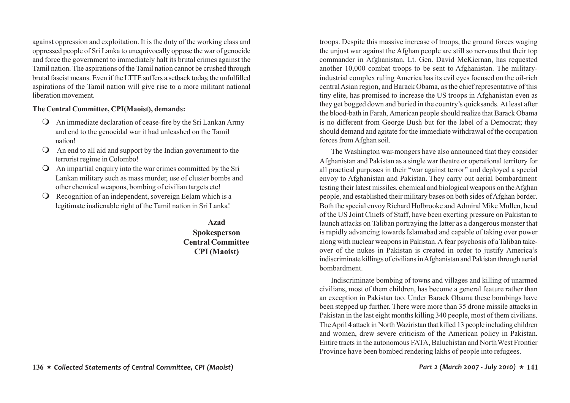against oppression and exploitation. It is the duty of the working class and oppressed people of Sri Lanka to unequivocally oppose the war of genocide and force the government to immediately halt its brutal crimes against the Tamil nation. The aspirations of the Tamil nation cannot be crushed through brutal fascist means. Even if the LTTE suffers a setback today, the unfulfilled aspirations of the Tamil nation will give rise to a more militant national liberation movement.

### **The Central Committee, CPI(Maoist), demands:**

- An immediate declaration of cease-fire by the Sri Lankan Army and end to the genocidal war it had unleashed on the Tamil nation!
- An end to all aid and support by the Indian government to the terrorist regime in Colombo!
- An impartial enquiry into the war crimes committed by the Sri Lankan military such as mass murder, use of cluster bombs and other chemical weapons, bombing of civilian targets etc!
- Q Recognition of an independent, sovereign Eelam which is a legitimate inalienable right of the Tamil nation in Sri Lanka!

**Azad Spokesperson Central Committee CPI (Maoist)**

**136**  *Collected Statements of Central Committee, CPI (Maoist)*

troops. Despite this massive increase of troops, the ground forces waging the unjust war against the Afghan people are still so nervous that their top commander in Afghanistan, Lt. Gen. David McKiernan, has requested another 10,000 combat troops to be sent to Afghanistan. The militaryindustrial complex ruling America has its evil eyes focused on the oil-rich central Asian region, and Barack Obama, as the chief representative of this tiny elite, has promised to increase the US troops in Afghanistan even as they get bogged down and buried in the country's quicksands. At least after the blood-bath in Farah, American people should realize that Barack Obama is no different from George Bush but for the label of a Democrat; they should demand and agitate for the immediate withdrawal of the occupation forces from Afghan soil.

The Washington war-mongers have also announced that they consider Afghanistan and Pakistan as a single war theatre or operational territory for all practical purposes in their "war against terror" and deployed a special envoy to Afghanistan and Pakistan. They carry out aerial bombardment testing their latest missiles, chemical and biological weapons on the Afghan people, and established their military bases on both sides of Afghan border. Both the special envoy Richard Holbrooke and Admiral Mike Mullen, head of the US Joint Chiefs of Staff, have been exerting pressure on Pakistan to launch attacks on Taliban portraying the latter as a dangerous monster that is rapidly advancing towards Islamabad and capable of taking over power along with nuclear weapons in Pakistan. A fear psychosis of a Taliban takeover of the nukes in Pakistan is created in order to justify America's indiscriminate killings of civilians in Afghanistan and Pakistan through aerial bombardment.

Indiscriminate bombing of towns and villages and killing of unarmed civilians, most of them children, has become a general feature rather than an exception in Pakistan too. Under Barack Obama these bombings have been stepped up further. There were more than 35 drone missile attacks in Pakistan in the last eight months killing 340 people, most of them civilians. The April 4 attack in North Waziristan that killed 13 people including children and women, drew severe criticism of the American policy in Pakistan. Entire tracts in the autonomous FATA, Baluchistan and North West Frontier Province have been bombed rendering lakhs of people into refugees.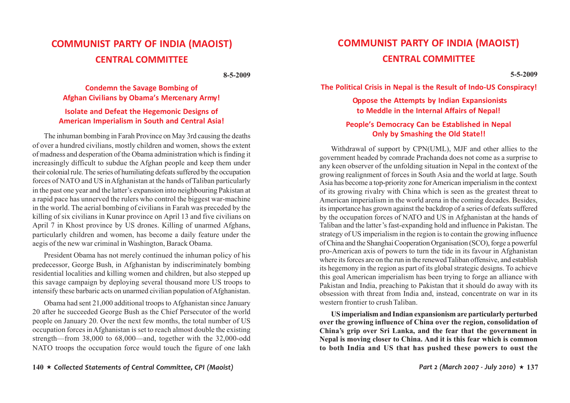**8-5-2009**

## **Condemn the Savage Bombing of Afghan Civilians by Obama's Mercenary Army!**

### **Isolate and Defeat the Hegemonic Designs of American Imperialism in South and Central Asia!**

The inhuman bombing in Farah Province on May 3rd causing the deaths of over a hundred civilians, mostly children and women, shows the extent of madness and desperation of the Obama administration which is finding it increasingly difficult to subdue the Afghan people and keep them under their colonial rule. The series of humiliating defeats suffered by the occupation forces of NATO and US in Afghanistan at the hands of Taliban particularly in the past one year and the latter's expansion into neighbouring Pakistan at a rapid pace has unnerved the rulers who control the biggest war-machine in the world. The aerial bombing of civilians in Farah was preceded by the killing of six civilians in Kunar province on April 13 and five civilians on April 7 in Khost province by US drones. Killing of unarmed Afghans, particularly children and women, has become a daily feature under the aegis of the new war criminal in Washington, Barack Obama.

President Obama has not merely continued the inhuman policy of his predecessor, George Bush, in Afghanistan by indiscriminately bombing residential localities and killing women and children, but also stepped up this savage campaign by deploying several thousand more US troops to intensify these barbaric acts on unarmed civilian population of Afghanistan.

Obama had sent 21,000 additional troops to Afghanistan since January 20 after he succeeded George Bush as the Chief Persecutor of the world people on January 20. Over the next few months, the total number of US occupation forces in Afghanistan is set to reach almost double the existing strength—from 38,000 to 68,000—and, together with the 32,000-odd NATO troops the occupation force would touch the figure of one lakh

## **COMMUNIST PARTY OF INDIA (MAOIST) CENTRAL COMMITTEE**

**5-5-2009**

**The Political Crisis in Nepal is the Result of Indo-US Conspiracy!**

### **Oppose the Attempts by Indian Expansionists to Meddle in the Internal Affairs of Nepal!**

### **People's Democracy Can be Established in Nepal Only by Smashing the Old State!!**

Withdrawal of support by CPN(UML), MJF and other allies to the government headed by comrade Prachanda does not come as a surprise to any keen observer of the unfolding situation in Nepal in the context of the growing realignment of forces in South Asia and the world at large. South Asia has become a top-priority zone for American imperialism in the context of its growing rivalry with China which is seen as the greatest threat to American imperialism in the world arena in the coming decades. Besides, its importance has grown against the backdrop of a series of defeats suffered by the occupation forces of NATO and US in Afghanistan at the hands of Taliban and the latter's fast-expanding hold and influence in Pakistan. The strategy of US imperialism in the region is to contain the growing influence of China and the Shanghai Cooperation Organisation (SCO), forge a powerful pro-American axis of powers to turn the tide in its favour in Afghanistan where its forces are on the run in the renewed Taliban offensive, and establish its hegemony in the region as part of its global strategic designs. To achieve this goal American imperialism has been trying to forge an alliance with Pakistan and India, preaching to Pakistan that it should do away with its obsession with threat from India and, instead, concentrate on war in its western frontier to crush Taliban.

**US imperialism and Indian expansionism are particularly perturbed over the growing influence of China over the region, consolidation of China's grip over Sri Lanka, and the fear that the government in Nepal is moving closer to China. And it is this fear which is common to both India and US that has pushed these powers to oust the**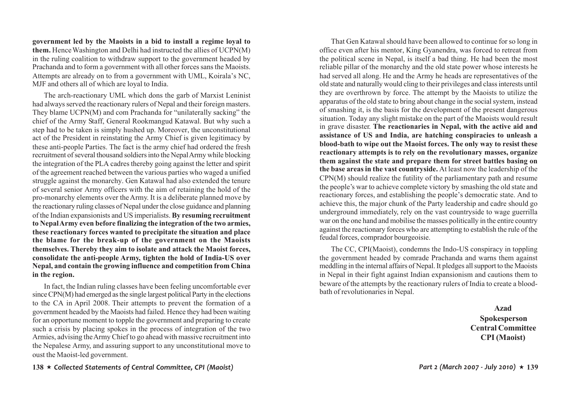**government led by the Maoists in a bid to install a regime loyal to them.** Hence Washington and Delhi had instructed the allies of UCPN(M) in the ruling coalition to withdraw support to the government headed by Prachanda and to form a government with all other forces sans the Maoists. Attempts are already on to from a government with UML, Koirala's NC, MJF and others all of which are loyal to India.

The arch-reactionary UML which dons the garb of Marxist Leninist had always served the reactionary rulers of Nepal and their foreign masters. They blame UCPN(M) and com Prachanda for "unilaterally sacking" the chief of the Army Staff, General Rookmangud Katawal. But why such a step had to be taken is simply hushed up. Moreover, the unconstitutional act of the President in reinstating the Army Chief is given legitimacy by these anti-people Parties. The fact is the army chief had ordered the fresh recruitment of several thousand soldiers into the Nepal Army while blocking the integration of the PLA cadres thereby going against the letter and spirit of the agreement reached between the various parties who waged a unified struggle against the monarchy. Gen Katawal had also extended the tenure of several senior Army officers with the aim of retaining the hold of the pro-monarchy elements over the Army. It is a deliberate planned move by the reactionary ruling classes of Nepal under the close guidance and planning of the Indian expansionists and US imperialists. **By resuming recruitment to Nepal Army even before finalizing the integration of the two armies, these reactionary forces wanted to precipitate the situation and place the blame for the break-up of the government on the Maoists themselves. Thereby they aim to isolate and attack the Maoist forces, consolidate the anti-people Army, tighten the hold of India-US over Nepal, and contain the growing influence and competition from China in the region.**

In fact, the Indian ruling classes have been feeling uncomfortable ever since CPN(M) had emerged as the single largest political Party in the elections to the CA in April 2008. Their attempts to prevent the formation of a government headed by the Maoists had failed. Hence they had been waiting for an opportune moment to topple the government and preparing to create such a crisis by placing spokes in the process of integration of the two Armies, advising the Army Chief to go ahead with massive recruitment into the Nepalese Army, and assuring support to any unconstitutional move to oust the Maoist-led government.

**138**  *Collected Statements of Central Committee, CPI (Maoist)*

That Gen Katawal should have been allowed to continue for so long in office even after his mentor, King Gyanendra, was forced to retreat from the political scene in Nepal, is itself a bad thing. He had been the most reliable pillar of the monarchy and the old state power whose interests he had served all along. He and the Army he heads are representatives of the old state and naturally would cling to their privileges and class interests until they are overthrown by force. The attempt by the Maoists to utilize the apparatus of the old state to bring about change in the social system, instead of smashing it, is the basis for the development of the present dangerous situation. Today any slight mistake on the part of the Maoists would result in grave disaster. **The reactionaries in Nepal, with the active aid and assistance of US and India, are hatching conspiracies to unleash a blood-bath to wipe out the Maoist forces. The only way to resist these reactionary attempts is to rely on the revolutionary masses, organize them against the state and prepare them for street battles basing on the base areas in the vast countryside.** At least now the leadership of the CPN(M) should realize the futility of the parliamentary path and resume the people's war to achieve complete victory by smashing the old state and reactionary forces, and establishing the people's democratic state. And to achieve this, the major chunk of the Party leadership and cadre should go underground immediately, rely on the vast countryside to wage guerrilla war on the one hand and mobilise the masses politically in the entire country against the reactionary forces who are attempting to establish the rule of the feudal forces, comprador bourgeoisie.

The CC, CPI(Maoist), condemns the Indo-US conspiracy in toppling the government headed by comrade Prachanda and warns them against meddling in the internal affairs of Nepal. It pledges all support to the Maoists in Nepal in their fight against Indian expansionism and cautions them to beware of the attempts by the reactionary rulers of India to create a bloodbath of revolutionaries in Nepal.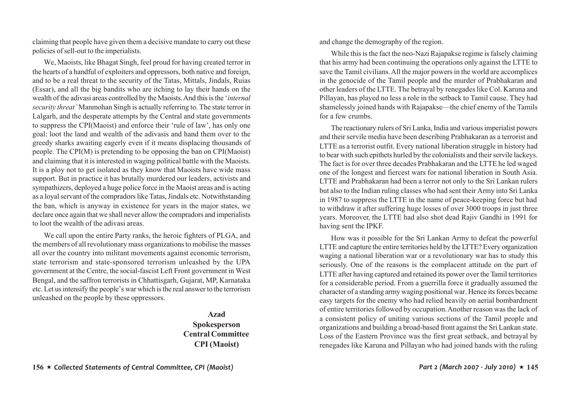claiming that people have given them a decisive mandate to carry out these policies of sell-out to the imperialists.

We, Maoists, like Bhagat Singh, feel proud for having created terror in the hearts of a handful of exploiters and oppressors, both native and foreign, and to be a real threat to the security of the Tatas, Mittals, Jindals, Ruias (Essar), and all the big bandits who are itching to lay their hands on the wealth of the adivasi areas controlled by the Maoists. And this is the '*internal security threat'* Manmohan Singh is actually referring to. The state terror in Lalgarh, and the desperate attempts by the Central and state governments to suppress the CPI(Maoist) and enforce their 'rule of law', has only one goal: loot the land and wealth of the adivasis and hand them over to the greedy sharks awaiting eagerly even if it means displacing thousands of people. The CPI(M) is pretending to be opposing the ban on CPI(Maoist) and claiming that it is interested in waging political battle with the Maoists. It is a ploy not to get isolated as they know that Maoists have wide mass support. But in practice it has brutally murdered our leaders, activists and sympathizers, deployed a huge police force in the Maoist areas and is acting as a loyal servant of the compradors like Tatas, Jindals etc. Notwithstanding the ban, which is anyway in existence for years in the major states, we declare once again that we shall never allow the compradors and imperialists to loot the wealth of the adivasi areas.

We call upon the entire Party ranks, the heroic fighters of PLGA, and the members of all revolutionary mass organizations to mobilise the masses all over the country into militant movements against economic terrorism, state terrorism and state-sponsored terrorism unleashed by the UPA government at the Centre, the social-fascist Left Front government in West Bengal, and the saffron terrorists in Chhattisgarh, Gujarat, MP, Karnataka etc. Let us intensify the people's war which is the real answer to the terrorism unleashed on the people by these oppressors.

#### **Azad**

**Spokesperson Central Committee CPI (Maoist)**

and change the demography of the region.

While this is the fact the neo-Nazi Rajapakse regime is falsely claiming that his army had been continuing the operations only against the LTTE to save the Tamil civilians. All the major powers in the world are accomplices in the genocide of the Tamil people and the murder of Prabhakaran and other leaders of the LTTE. The betrayal by renegades like Col. Karuna and Pillayan, has played no less a role in the setback to Tamil cause. They had shamelessly joined hands with Rajapakse—the chief enemy of the Tamils for a few crumbs.

The reactionary rulers of Sri Lanka, India and various imperialist powers and their servile media have been describing Prabhakaran as a terrorist and LTTE as a terrorist outfit. Every national liberation struggle in history had to bear with such epithets hurled by the colonialists and their servile lackeys. The fact is for over three decades Prabhakaran and the LTTE he led waged one of the longest and fiercest wars for national liberation in South Asia. LTTE and Prabhakaran had been a terror not only to the Sri Lankan rulers but also to the Indian ruling classes who had sent their Army into Sri Lanka in 1987 to suppress the LTTE in the name of peace-keeping force but had to withdraw it after suffering huge losses of over 3000 troops in just three years. Moreover, the LTTE had also shot dead Rajiv Gandhi in 1991 for having sent the IPKF.

How was it possible for the Sri Lankan Army to defeat the powerful LTTE and capture the entire territories held by the LTTE? Every organization waging a national liberation war or a revolutionary war has to study this seriously. One of the reasons is the complacent attitude on the part of LTTE after having captured and retained its power over the Tamil territories for a considerable period. From a guerrilla force it gradually assumed the character of a standing army waging positional war. Hence its forces became easy targets for the enemy who had relied heavily on aerial bombardment of entire territories followed by occupation. Another reason was the lack of a consistent policy of uniting various sections of the Tamil people and organizations and building a broad-based front against the Sri Lankan state. Loss of the Eastern Province was the first great setback, and betrayal by renegades like Karuna and Pillayan who had joined hands with the ruling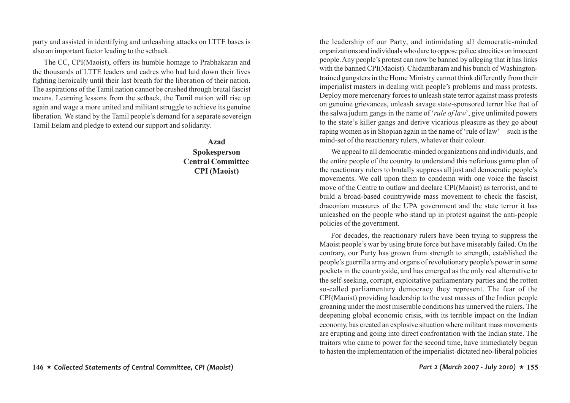party and assisted in identifying and unleashing attacks on LTTE bases is also an important factor leading to the setback.

The CC, CPI(Maoist), offers its humble homage to Prabhakaran and the thousands of LTTE leaders and cadres who had laid down their lives fighting heroically until their last breath for the liberation of their nation. The aspirations of the Tamil nation cannot be crushed through brutal fascist means. Learning lessons from the setback, the Tamil nation will rise up again and wage a more united and militant struggle to achieve its genuine liberation. We stand by the Tamil people's demand for a separate sovereign Tamil Eelam and pledge to extend our support and solidarity.

> **Azad Spokesperson Central Committee CPI (Maoist)**

the leadership of our Party, and intimidating all democratic-minded organizations and individuals who dare to oppose police atrocities on innocent people. Any people's protest can now be banned by alleging that it has links with the banned CPI(Maoist). Chidambaram and his bunch of Washingtontrained gangsters in the Home Ministry cannot think differently from their imperialist masters in dealing with people's problems and mass protests. Deploy more mercenary forces to unleash state terror against mass protests on genuine grievances, unleash savage state-sponsored terror like that of the salwa judum gangs in the name of '*rule of law*', give unlimited powers to the state's killer gangs and derive vicarious pleasure as they go about raping women as in Shopian again in the name of 'rule of law'—such is the mind-set of the reactionary rulers, whatever their colour.

We appeal to all democratic-minded organizations and individuals, and the entire people of the country to understand this nefarious game plan of the reactionary rulers to brutally suppress all just and democratic people's movements. We call upon them to condemn with one voice the fascist move of the Centre to outlaw and declare CPI(Maoist) as terrorist, and to build a broad-based countrywide mass movement to check the fascist, draconian measures of the UPA government and the state terror it has unleashed on the people who stand up in protest against the anti-people policies of the government.

For decades, the reactionary rulers have been trying to suppress the Maoist people's war by using brute force but have miserably failed. On the contrary, our Party has grown from strength to strength, established the people's guerrilla army and organs of revolutionary people's power in some pockets in the countryside, and has emerged as the only real alternative to the self-seeking, corrupt, exploitative parliamentary parties and the rotten so-called parliamentary democracy they represent. The fear of the CPI(Maoist) providing leadership to the vast masses of the Indian people groaning under the most miserable conditions has unnerved the rulers. The deepening global economic crisis, with its terrible impact on the Indian economy, has created an explosive situation where militant mass movements are erupting and going into direct confrontation with the Indian state. The traitors who came to power for the second time, have immediately begun to hasten the implementation of the imperialist-dictated neo-liberal policies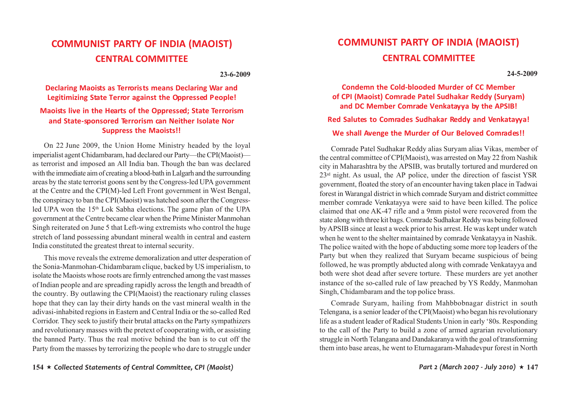**23-6-2009**

**Declaring Maoists as Terrorists means Declaring War and Legitimizing State Terror against the Oppressed People!**

### **Maoists live in the Hearts of the Oppressed; State Terrorism and State-sponsored Terrorism can Neither Isolate Nor Suppress the Maoists!!**

On 22 June 2009, the Union Home Ministry headed by the loyal imperialist agent Chidambaram, had declared our Party—the CPI(Maoist) as terrorist and imposed an All India ban. Though the ban was declared with the immediate aim of creating a blood-bath in Lalgarh and the surrounding areas by the state terrorist goons sent by the Congress-led UPA government at the Centre and the CPI(M)-led Left Front government in West Bengal, the conspiracy to ban the CPI(Maoist) was hatched soon after the Congressled UPA won the 15th Lok Sabha elections. The game plan of the UPA government at the Centre became clear when the Prime Minister Manmohan Singh reiterated on June 5 that Left-wing extremists who control the huge stretch of land possessing abundant mineral wealth in central and eastern India constituted the greatest threat to internal security.

This move reveals the extreme demoralization and utter desperation of the Sonia-Manmohan-Chidambaram clique, backed by US imperialism, to isolate the Maoists whose roots are firmly entrenched among the vast masses of Indian people and are spreading rapidly across the length and breadth of the country. By outlawing the CPI(Maoist) the reactionary ruling classes hope that they can lay their dirty hands on the vast mineral wealth in the adivasi-inhabited regions in Eastern and Central India or the so-called Red Corridor. They seek to justify their brutal attacks on the Party sympathizers and revolutionary masses with the pretext of cooperating with, or assisting the banned Party. Thus the real motive behind the ban is to cut off the Party from the masses by terrorizing the people who dare to struggle under

### **COMMUNIST PARTY OF INDIA (MAOIST) CENTRAL COMMITTEE**

**24-5-2009**

### **Condemn the Cold-blooded Murder of CC Member of CPI (Maoist) Comrade Patel Sudhakar Reddy (Suryam) and DC Member Comrade Venkatayya by the APSIB!**

#### **Red Salutes to Comrades Sudhakar Reddy and Venkatayya!**

#### **We shall Avenge the Murder of Our Beloved Comrades!!**

Comrade Patel Sudhakar Reddy alias Suryam alias Vikas, member of the central committee of CPI(Maoist), was arrested on May 22 from Nashik city in Maharashtra by the APSIB, was brutally tortured and murdered on  $23<sup>rd</sup>$  night. As usual, the AP police, under the direction of fascist YSR government, floated the story of an encounter having taken place in Tadwai forest in Warangal district in which comrade Suryam and district committee member comrade Venkatayya were said to have been killed. The police claimed that one AK-47 rifle and a 9mm pistol were recovered from the state along with three kit bags. Comrade Sudhakar Reddy was being followed by APSIB since at least a week prior to his arrest. He was kept under watch when he went to the shelter maintained by comrade Venkatayya in Nashik. The police waited with the hope of abducting some more top leaders of the Party but when they realized that Suryam became suspicious of being followed, he was promptly abducted along with comrade Venkatayya and both were shot dead after severe torture. These murders are yet another instance of the so-called rule of law preached by YS Reddy, Manmohan Singh, Chidambaram and the top police brass.

Comrade Suryam, hailing from Mahbbobnagar district in south Telengana, is a senior leader of the CPI(Maoist) who began his revolutionary life as a student leader of Radical Students Union in early '80s. Responding to the call of the Party to build a zone of armed agrarian revolutionary struggle in North Telangana and Dandakaranya with the goal of transforming them into base areas, he went to Eturnagaram-Mahadevpur forest in North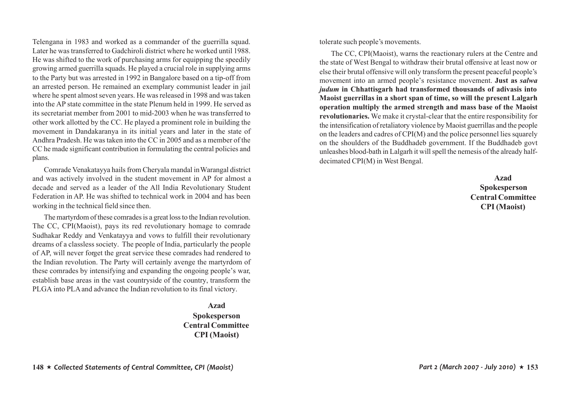Telengana in 1983 and worked as a commander of the guerrilla squad. Later he was transferred to Gadchiroli district where he worked until 1988. He was shifted to the work of purchasing arms for equipping the speedily growing armed guerrilla squads. He played a crucial role in supplying arms to the Party but was arrested in 1992 in Bangalore based on a tip-off from an arrested person. He remained an exemplary communist leader in jail where he spent almost seven years. He was released in 1998 and was taken into the AP state committee in the state Plenum held in 1999. He served as its secretariat member from 2001 to mid-2003 when he was transferred to other work allotted by the CC. He played a prominent role in building the movement in Dandakaranya in its initial years and later in the state of Andhra Pradesh. He was taken into the CC in 2005 and as a member of the CC he made significant contribution in formulating the central policies and plans.

Comrade Venakatayya hails from Cheryala mandal in Warangal district and was actively involved in the student movement in AP for almost a decade and served as a leader of the All India Revolutionary Student Federation in AP. He was shifted to technical work in 2004 and has been working in the technical field since then.

The martyrdom of these comrades is a great loss to the Indian revolution. The CC, CPI(Maoist), pays its red revolutionary homage to comrade Sudhakar Reddy and Venkatayya and vows to fulfill their revolutionary dreams of a classless society. The people of India, particularly the people of AP, will never forget the great service these comrades had rendered to the Indian revolution. The Party will certainly avenge the martyrdom of these comrades by intensifying and expanding the ongoing people's war, establish base areas in the vast countryside of the country, transform the PLGA into PLA and advance the Indian revolution to its final victory.

> **Azad Spokesperson Central Committee CPI (Maoist)**

tolerate such people's movements.

The CC, CPI(Maoist), warns the reactionary rulers at the Centre and the state of West Bengal to withdraw their brutal offensive at least now or else their brutal offensive will only transform the present peaceful people's movement into an armed people's resistance movement. **Just as** *salwa judum* **in Chhattisgarh had transformed thousands of adivasis into Maoist guerrillas in a short span of time, so will the present Lalgarh operation multiply the armed strength and mass base of the Maoist revolutionaries.** We make it crystal-clear that the entire responsibility for the intensification of retaliatory violence by Maoist guerrillas and the people on the leaders and cadres of CPI(M) and the police personnel lies squarely on the shoulders of the Buddhadeb government. If the Buddhadeb govt unleashes blood-bath in Lalgarh it will spell the nemesis of the already halfdecimated CPI(M) in West Bengal.

> **Azad Spokesperson Central Committee CPI (Maoist)**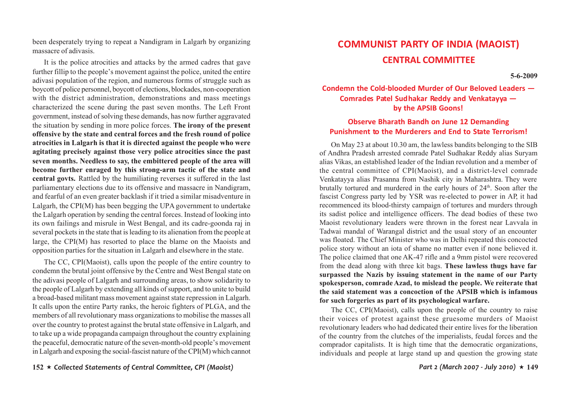been desperately trying to repeat a Nandigram in Lalgarh by organizing massacre of adivasis.

It is the police atrocities and attacks by the armed cadres that gave further fillip to the people's movement against the police, united the entire adivasi population of the region, and numerous forms of struggle such as boycott of police personnel, boycott of elections, blockades, non-cooperation with the district administration, demonstrations and mass meetings characterized the scene during the past seven months. The Left Front government, instead of solving these demands, has now further aggravated the situation by sending in more police forces. **The irony of the present offensive by the state and central forces and the fresh round of police atrocities in Lalgarh is that it is directed against the people who were agitating precisely against those very police atrocities since the past seven months. Needless to say, the embittered people of the area will become further enraged by this strong-arm tactic of the state and central govts.** Rattled by the humiliating reverses it suffered in the last parliamentary elections due to its offensive and massacre in Nandigram, and fearful of an even greater backlash if it tried a similar misadventure in Lalgarh, the CPI(M) has been begging the UPA government to undertake the Lalgarh operation by sending the central forces. Instead of looking into its own failings and misrule in West Bengal, and its cadre-goonda raj in several pockets in the state that is leading to its alienation from the people at large, the CPI(M) has resorted to place the blame on the Maoists and opposition parties for the situation in Lalgarh and elsewhere in the state.

The CC, CPI(Maoist), calls upon the people of the entire country to condemn the brutal joint offensive by the Centre and West Bengal state on the adivasi people of Lalgarh and surrounding areas, to show solidarity to the people of Lalgarh by extending all kinds of support, and to unite to build a broad-based militant mass movement against state repression in Lalgarh. It calls upon the entire Party ranks, the heroic fighters of PLGA, and the members of all revolutionary mass organizations to mobilise the masses all over the country to protest against the brutal state offensive in Lalgarh, and to take up a wide propaganda campaign throughout the country explaining the peaceful, democratic nature of the seven-month-old people's movement in Lalgarh and exposing the social-fascist nature of the CPI(M) which cannot

### **COMMUNIST PARTY OF INDIA (MAOIST) CENTRAL COMMITTEE**

**5-6-2009**

### **Condemn the Cold-blooded Murder of Our Beloved Leaders — Comrades Patel Sudhakar Reddy and Venkatayya by the APSIB Goons!**

### **Observe Bharath Bandh on June 12 Demanding Punishment to the Murderers and End to State Terrorism!**

On May 23 at about 10.30 am, the lawless bandits belonging to the SIB of Andhra Pradesh arrested comrade Patel Sudhakar Reddy alias Suryam alias Vikas, an established leader of the Indian revolution and a member of the central committee of CPI(Maoist), and a district-level comrade Venkatayya alias Prasanna from Nashik city in Maharashtra. They were brutally tortured and murdered in the early hours of 24<sup>th</sup>. Soon after the fascist Congress party led by YSR was re-elected to power in AP, it had recommenced its blood-thirsty campaign of tortures and murders through its sadist police and intelligence officers. The dead bodies of these two Maoist revolutionary leaders were thrown in the forest near Lavvala in Tadwai mandal of Warangal district and the usual story of an encounter was floated. The Chief Minister who was in Delhi repeated this concocted police story without an iota of shame no matter even if none believed it. The police claimed that one AK-47 rifle and a 9mm pistol were recovered from the dead along with three kit bags. **These lawless thugs have far surpassed the Nazis by issuing statement in the name of our Party spokesperson, comrade Azad, to mislead the people. We reiterate that the said statement was a concoction of the APSIB which is infamous for such forgeries as part of its psychological warfare.**

The CC, CPI(Maoist), calls upon the people of the country to raise their voices of protest against these gruesome murders of Maoist revolutionary leaders who had dedicated their entire lives for the liberation of the country from the clutches of the imperialists, feudal forces and the comprador capitalists. It is high time that the democratic organizations, individuals and people at large stand up and question the growing state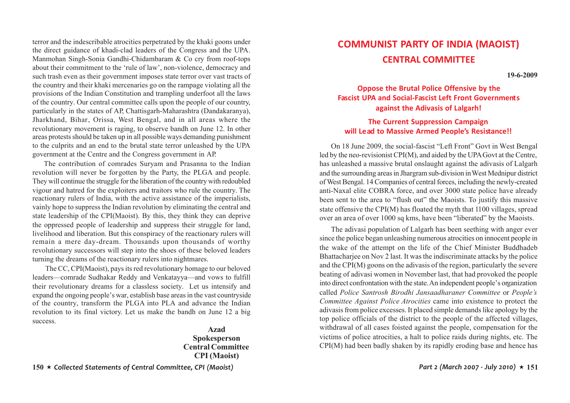terror and the indescribable atrocities perpetrated by the khaki goons under the direct guidance of khadi-clad leaders of the Congress and the UPA. Manmohan Singh-Sonia Gandhi-Chidambaram & Co cry from roof-tops about their commitment to the 'rule of law', non-violence, democracy and such trash even as their government imposes state terror over vast tracts of the country and their khaki mercenaries go on the rampage violating all the provisions of the Indian Constitution and trampling underfoot all the laws of the country. Our central committee calls upon the people of our country, particularly in the states of AP, Chattisgarh-Maharashtra (Dandakaranya), Jharkhand, Bihar, Orissa, West Bengal, and in all areas where the revolutionary movement is raging, to observe bandh on June 12. In other areas protests should be taken up in all possible ways demanding punishment to the culprits and an end to the brutal state terror unleashed by the UPA government at the Centre and the Congress government in AP.

The contribution of comrades Suryam and Prasanna to the Indian revolution will never be forgotten by the Party, the PLGA and people. They will continue the struggle for the liberation of the country with redoubled vigour and hatred for the exploiters and traitors who rule the country. The reactionary rulers of India, with the active assistance of the imperialists, vainly hope to suppress the Indian revolution by eliminating the central and state leadership of the CPI(Maoist). By this, they think they can deprive the oppressed people of leadership and suppress their struggle for land, livelihood and liberation. But this conspiracy of the reactionary rulers will remain a mere day-dream. Thousands upon thousands of worthy revolutionary successors will step into the shoes of these beloved leaders turning the dreams of the reactionary rulers into nightmares.

 The CC, CPI(Maoist), pays its red revolutionary homage to our beloved leaders—comrade Sudhakar Reddy and Venkatayya—and vows to fulfill their revolutionary dreams for a classless society. Let us intensify and expand the ongoing people's war, establish base areas in the vast countryside of the country, transform the PLGA into PLA and advance the Indian revolution to its final victory. Let us make the bandh on June 12 a big success.

#### **Azad**

**Spokesperson Central Committee CPI (Maoist)**

**150**  *Collected Statements of Central Committee, CPI (Maoist)*

# **COMMUNIST PARTY OF INDIA (MAOIST) CENTRAL COMMITTEE**

**19-6-2009**

### **Oppose the Brutal Police Offensive by the Fascist UPA and Social-Fascist Left Front Governments against the Adivasis of Lalgarh!**

### **The Current Suppression Campaign will Lead to Massive Armed People's Resistance!!**

On 18 June 2009, the social-fascist "Left Front" Govt in West Bengal led by the neo-revisionist CPI(M), and aided by the UPA Govt at the Centre, has unleashed a massive brutal onslaught against the adivasis of Lalgarh and the surrounding areas in Jhargram sub-division in West Mednipur district of West Bengal. 14 Companies of central forces, including the newly-created anti-Naxal elite COBRA force, and over 3000 state police have already been sent to the area to "flush out" the Maoists. To justify this massive state offensive the CPI(M) has floated the myth that 1100 villages, spread over an area of over 1000 sq kms, have been "liberated" by the Maoists.

The adivasi population of Lalgarh has been seething with anger ever since the police began unleashing numerous atrocities on innocent people in the wake of the attempt on the life of the Chief Minister Buddhadeb Bhattachariee on Nov 2 last. It was the indiscriminate attacks by the police and the CPI(M) goons on the adivasis of the region, particularly the severe beating of adivasi women in November last, that had provoked the people into direct confrontation with the state. An independent people's organization called *Police Santrosh Birodhi Jansaadharaner Committee* or *People's Committee Against Police Atrocities* came into existence to protect the adivasis from police excesses. It placed simple demands like apology by the top police officials of the district to the people of the affected villages, withdrawal of all cases foisted against the people, compensation for the victims of police atrocities, a halt to police raids during nights, etc. The CPI(M) had been badly shaken by its rapidly eroding base and hence has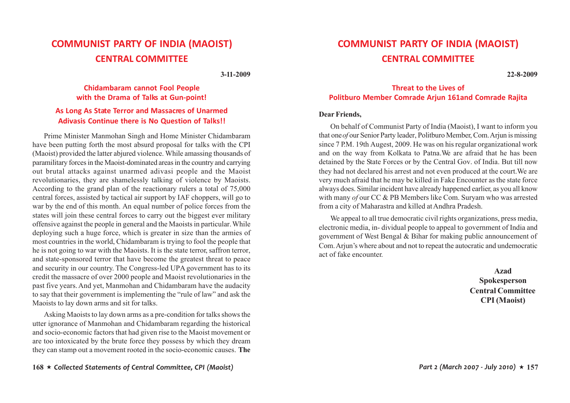**3-11-2009**

### **Chidambaram cannot Fool People with the Drama of Talks at Gun-point!**

### **As Long As State Terror and Massacres of Unarmed Adivasis Continue there is No Question of Talks!!**

Prime Minister Manmohan Singh and Home Minister Chidambaram have been putting forth the most absurd proposal for talks with the CPI (Maoist) provided the latter abjured violence. While amassing thousands of paramilitary forces in the Maoist-dominated areas in the country and carrying out brutal attacks against unarmed adivasi people and the Maoist revolutionaries, they are shamelessly talking of violence by Maoists. According to the grand plan of the reactionary rulers a total of 75,000 central forces, assisted by tactical air support by IAF choppers, will go to war by the end of this month. An equal number of police forces from the states will join these central forces to carry out the biggest ever military offensive against the people in general and the Maoists in particular. While deploying such a huge force, which is greater in size than the armies of most countries in the world, Chidambaram is trying to fool the people that he is not going to war with the Maoists. It is the state terror, saffron terror, and state-sponsored terror that have become the greatest threat to peace and security in our country. The Congress-led UPA government has to its credit the massacre of over 2000 people and Maoist revolutionaries in the past five years. And yet, Manmohan and Chidambaram have the audacity to say that their government is implementing the "rule of law" and ask the Maoists to lay down arms and sit for talks.

Asking Maoists to lay down arms as a pre-condition for talks shows the utter ignorance of Manmohan and Chidambaram regarding the historical and socio-economic factors that had given rise to the Maoist movement or are too intoxicated by the brute force they possess by which they dream they can stamp out a movement rooted in the socio-economic causes. **The**

### **COMMUNIST PARTY OF INDIA (MAOIST) CENTRAL COMMITTEE**

**22-8-2009**

#### **Threat to the Lives of Politburo Member Comrade Arjun 161and Comrade Rajita**

#### **Dear Friends,**

On behalf of Communist Party of India (Maoist), I want to inform you that one *of* our Senior Party leader, Politburo Member, Com. Arjun is missing since 7 P.M. 19th Augest, 2009. He was on his regular organizational work and on the way from Kolkata to Patna.We are afraid that he has been detained by the State Forces or by the Central Gov. of India. But till now they had not declared his arrest and not even produced at the court.We are very much afraid that he may be killed in Fake Encounter as the state force always does. Similar incident have already happened earlier, as you all know with many *of* our CC & PB Members like Com. Suryam who was arrested from a city of Maharastra and killed at Andhra Pradesh.

We appeal to all true democratic civil rights organizations, press media, electronic media, in- dividual people to appeal to government of India and government of West Bengal & Bihar for making public announcement of Com. Arjun's where about and not to repeat the autocratic and undemocratic act of fake encounter.

> **Azad Spokesperson Central Committee CPI (Maoist)**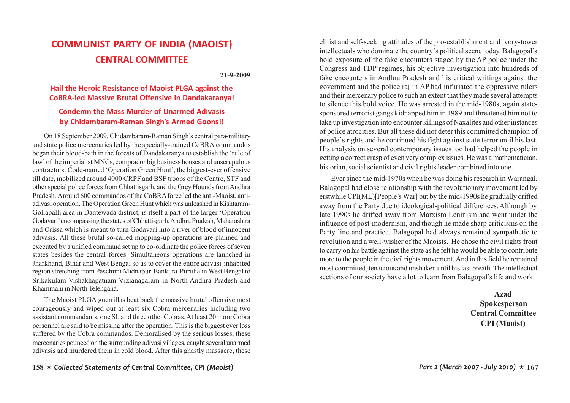**21-9-2009**

#### **Hail the Heroic Resistance of Maoist PLGA against the CoBRA-led Massive Brutal Offensive in Dandakaranya!**

### **Condemn the Mass Murder of Unarmed Adivasis by Chidambaram-Raman Singh's Armed Goons!!**

On 18 September 2009, Chidambaram-Raman Singh's central para-military and state police mercenaries led by the specially-trained CoBRA commandos began their blood-bath in the forests of Dandakaranya to establish the 'rule of law' of the imperialist MNCs, comprador big business houses and unscrupulous contractors. Code-named 'Operation Green Hunt', the biggest-ever offensive till date, mobilized around 4000 CRPF and BSF troops of the Centre, STF and other special police forces from Chhattisgarh, and the Grey Hounds from Andhra Pradesh. Around 600 commandos of the CoBRA force led the anti-Maoist, antiadivasi operation. The Operation Green Hunt which was unleashed in Kishtaram-Gollapalli area in Dantewada district, is itself a part of the larger 'Operation Godavari' encompassing the states of Chhattisgarh, Andhra Pradesh, Maharashtra and Orissa which is meant to turn Godavari into a river of blood of innocent adivasis. All these brutal so-called mopping-up operations are planned and executed by a unified command set up to co-ordinate the police forces of seven states besides the central forces. Simultaneous operations are launched in Jharkhand, Bihar and West Bengal so as to cover the entire adivasi-inhabited region stretching from Paschimi Midnapur-Bankura-Purulia in West Bengal to Srikakulam-Vishakhapatnam-Vizianagaram in North Andhra Pradesh and Khammam in North Telengana.

The Maoist PLGA guerrillas beat back the massive brutal offensive most courageously and wiped out at least six Cobra mercenaries including two assistant commandants, one SI, and three other Cobras. At least 20 more Cobra personnel are said to be missing after the operation. This is the biggest ever loss suffered by the Cobra commandos. Demoralised by the serious losses, these mercenaries pounced on the surrounding adivasi villages, caught several unarmed adivasis and murdered them in cold blood. After this ghastly massacre, these

**158**  *Collected Statements of Central Committee, CPI (Maoist)*

elitist and self-seeking attitudes of the pro-establishment and ivory-tower intellectuals who dominate the country's political scene today. Balagopal's bold exposure of the fake encounters staged by the AP police under the Congress and TDP regimes, his objective investigation into hundreds of fake encounters in Andhra Pradesh and his critical writings against the government and the police raj in AP had infuriated the oppressive rulers and their mercenary police to such an extent that they made several attempts to silence this bold voice. He was arrested in the mid-1980s, again statesponsored terrorist gangs kidnapped him in 1989 and threatened him not to take up investigation into encounter killings of Naxalites and other instances of police atrocities. But all these did not deter this committed champion of people's rights and he continued his fight against state terror until his last. His analysis on several contemporary issues too had helped the people in getting a correct grasp of even very complex issues. He was a mathematician, historian, social scientist and civil rights leader combined into one.

Ever since the mid-1970s when he was doing his research in Warangal, Balagopal had close relationship with the revolutionary movement led by erstwhile CPI(ML)[People's War] but by the mid-1990s he gradually drifted away from the Party due to ideological-political differences. Although by late 1990s he drifted away from Marxism Leninism and went under the influence of post-modernism, and though he made sharp criticisms on the Party line and practice, Balagopal had always remained sympathetic to revolution and a well-wisher of the Maoists. He chose the civil rights front to carry on his battle against the state as he felt he would be able to contribute more to the people in the civil rights movement. And in this field he remained most committed, tenacious and unshaken until his last breath. The intellectual sections of our society have a lot to learn from Balagopal's life and work.

> **Azad Spokesperson Central Committee CPI (Maoist)**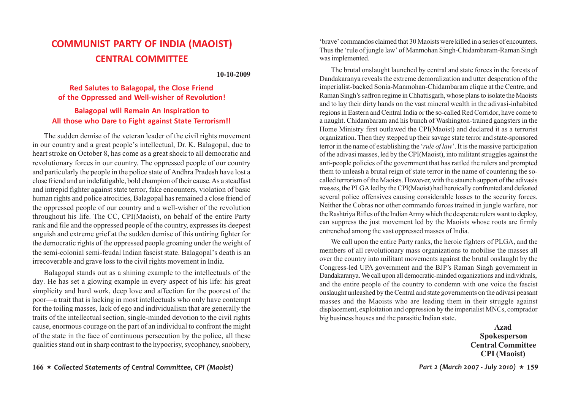**10-10-2009**

### **Red Salutes to Balagopal, the Close Friend of the Oppressed and Well-wisher of Revolution!**

### **Balagopal will Remain An Inspiration to All those who Dare to Fight against State Terrorism!!**

The sudden demise of the veteran leader of the civil rights movement in our country and a great people's intellectual, Dr. K. Balagopal, due to heart stroke on October 8, has come as a great shock to all democratic and revolutionary forces in our country. The oppressed people of our country and particularly the people in the police state of Andhra Pradesh have lost a close friend and an indefatigable, bold champion of their cause. As a steadfast and intrepid fighter against state terror, fake encounters, violation of basic human rights and police atrocities, Balagopal has remained a close friend of the oppressed people of our country and a well-wisher of the revolution throughout his life. The CC, CPI(Maoist), on behalf of the entire Party rank and file and the oppressed people of the country, expresses its deepest anguish and extreme grief at the sudden demise of this untiring fighter for the democratic rights of the oppressed people groaning under the weight of the semi-colonial semi-feudal Indian fascist state. Balagopal's death is an irrecoverable and grave loss to the civil rights movement in India.

Balagopal stands out as a shining example to the intellectuals of the day. He has set a glowing example in every aspect of his life: his great simplicity and hard work, deep love and affection for the poorest of the poor—a trait that is lacking in most intellectuals who only have contempt for the toiling masses, lack of ego and individualism that are generally the traits of the intellectual section, single-minded devotion to the civil rights cause, enormous courage on the part of an individual to confront the might of the state in the face of continuous persecution by the police, all these qualities stand out in sharp contrast to the hypocrisy, sycophancy, snobbery, 'brave' commandos claimed that 30 Maoists were killed in a series of encounters. Thus the 'rule of jungle law' of Manmohan Singh-Chidambaram-Raman Singh was implemented.

The brutal onslaught launched by central and state forces in the forests of Dandakaranya reveals the extreme demoralization and utter desperation of the imperialist-backed Sonia-Manmohan-Chidambaram clique at the Centre, and Raman Singh's saffron regime in Chhattisgarh, whose plans to isolate the Maoists and to lay their dirty hands on the vast mineral wealth in the adivasi-inhabited regions in Eastern and Central India or the so-called Red Corridor, have come to a naught. Chidambaram and his bunch of Washington-trained gangsters in the Home Ministry first outlawed the CPI(Maoist) and declared it as a terrorist organization. Then they stepped up their savage state terror and state-sponsored terror in the name of establishing the '*rule of law*'. It is the massive participation of the adivasi masses, led by the CPI(Maoist), into militant struggles against the anti-people policies of the government that has rattled the rulers and prompted them to unleash a brutal reign of state terror in the name of countering the socalled terrorism of the Maoists. However, with the staunch support of the adivasis masses, the PLGA led by the CPI(Maoist) had heroically confronted and defeated several police offensives causing considerable losses to the security forces. Neither the Cobras nor other commando forces trained in jungle warfare, nor the Rashtriya Rifles of the Indian Army which the desperate rulers want to deploy, can suppress the just movement led by the Maoists whose roots are firmly entrenched among the vast oppressed masses of India.

We call upon the entire Party ranks, the heroic fighters of PLGA, and the members of all revolutionary mass organizations to mobilise the masses all over the country into militant movements against the brutal onslaught by the Congress-led UPA government and the BJP's Raman Singh government in Dandakaranya. We call upon all democratic-minded organizations and individuals, and the entire people of the country to condemn with one voice the fascist onslaught unleashed by the Central and state governments on the adivasi peasant masses and the Maoists who are leading them in their struggle against displacement, exploitation and oppression by the imperialist MNCs, comprador big business houses and the parasitic Indian state.

> **Azad Spokesperson Central Committee CPI (Maoist)**

*Part 2 (March 2007 - July 2010)* **159**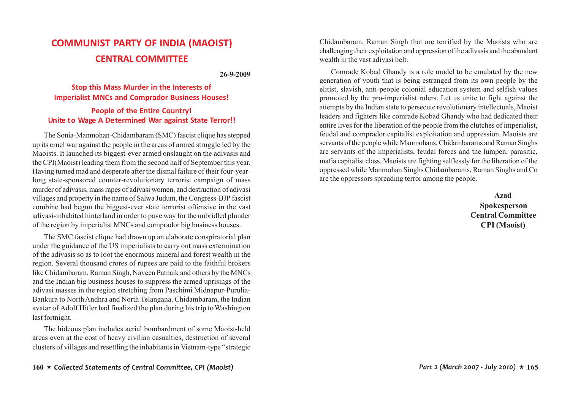**26-9-2009**

### **Stop this Mass Murder in the Interests of Imperialist MNCs and Comprador Business Houses!**

#### **People of the Entire Country! Unite to Wage A Determined War against State Terror!!**

The Sonia-Manmohan-Chidambaram (SMC) fascist clique has stepped up its cruel war against the people in the areas of armed struggle led by the Maoists. It launched its biggest-ever armed onslaught on the adivasis and the CPI(Maoist) leading them from the second half of September this year. Having turned mad and desperate after the dismal failure of their four-yearlong state-sponsored counter-revolutionary terrorist campaign of mass murder of adivasis, mass rapes of adivasi women, and destruction of adivasi villages and property in the name of Salwa Judum, the Congress-BJP fascist combine had begun the biggest-ever state terrorist offensive in the vast adivasi-inhabited hinterland in order to pave way for the unbridled plunder of the region by imperialist MNCs and comprador big business houses.

The SMC fascist clique had drawn up an elaborate conspiratorial plan under the guidance of the US imperialists to carry out mass extermination of the adivasis so as to loot the enormous mineral and forest wealth in the region. Several thousand crores of rupees are paid to the faithful brokers like Chidambaram, Raman Singh, Naveen Patnaik and others by the MNCs and the Indian big business houses to suppress the armed uprisings of the adivasi masses in the region stretching from Paschimi Midnapur-Purulia-Bankura to North Andhra and North Telangana. Chidambaram, the Indian avatar of Adolf Hitler had finalized the plan during his trip to Washington last fortnight.

The hideous plan includes aerial bombardment of some Maoist-held areas even at the cost of heavy civilian casualties, destruction of several clusters of villages and resettling the inhabitants in Vietnam-type "strategic Chidambaram, Raman Singh that are terrified by the Maoists who are challenging their exploitation and oppression of the adivasis and the abundant wealth in the vast adivasi belt.

Comrade Kobad Ghandy is a role model to be emulated by the new generation of youth that is being estranged from its own people by the elitist, slavish, anti-people colonial education system and selfish values promoted by the pro-imperialist rulers. Let us unite to fight against the attempts by the Indian state to persecute revolutionary intellectuals, Maoist leaders and fighters like comrade Kobad Ghandy who had dedicated their entire lives for the liberation of the people from the clutches of imperialist, feudal and comprador capitalist exploitation and oppression. Maoists are servants of the people while Manmohans, Chidambarams and Raman Singhs are servants of the imperialists, feudal forces and the lumpen, parasitic, mafia capitalist class. Maoists are fighting selflessly for the liberation of the oppressed while Manmohan Singhs Chidambarams, Raman Singhs and Co are the oppressors spreading terror among the people.

> **Azad Spokesperson Central Committee CPI (Maoist)**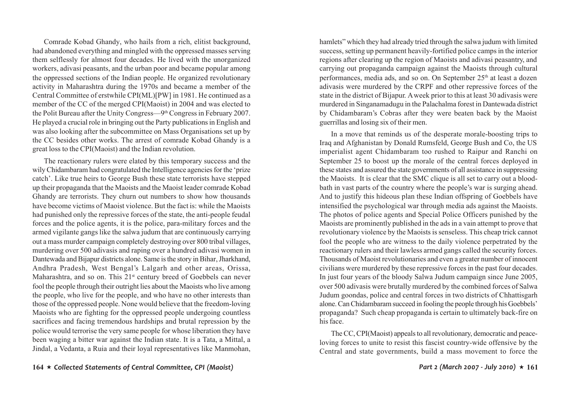Comrade Kobad Ghandy, who hails from a rich, elitist background, had abandoned everything and mingled with the oppressed masses serving them selflessly for almost four decades. He lived with the unorganized workers, adivasi peasants, and the urban poor and became popular among the oppressed sections of the Indian people. He organized revolutionary activity in Maharashtra during the 1970s and became a member of the Central Committee of erstwhile CPI(ML)[PW] in 1981. He continued as a member of the CC of the merged CPI(Maoist) in 2004 and was elected to the Polit Bureau after the Unity Congress—9th Congress in February 2007. He played a crucial role in bringing out the Party publications in English and was also looking after the subcommittee on Mass Organisations set up by the CC besides other works. The arrest of comrade Kobad Ghandy is a great loss to the CPI(Maoist) and the Indian revolution.

The reactionary rulers were elated by this temporary success and the wily Chidambaram had congratulated the Intelligence agencies for the 'prize catch'. Like true heirs to George Bush these state terrorists have stepped up their propaganda that the Maoists and the Maoist leader comrade Kobad Ghandy are terrorists. They churn out numbers to show how thousands have become victims of Maoist violence. But the fact is: while the Maoists had punished only the repressive forces of the state, the anti-people feudal forces and the police agents, it is the police, para-military forces and the armed vigilante gangs like the salwa judum that are continuously carrying out a mass murder campaign completely destroying over 800 tribal villages, murdering over 500 adivasis and raping over a hundred adivasi women in Dantewada and Bijapur districts alone. Same is the story in Bihar, Jharkhand, Andhra Pradesh, West Bengal's Lalgarh and other areas, Orissa, Maharashtra, and so on. This  $21<sup>st</sup>$  century breed of Goebbels can never fool the people through their outright lies about the Maoists who live among the people, who live for the people, and who have no other interests than those of the oppressed people. None would believe that the freedom-loving Maoists who are fighting for the oppressed people undergoing countless sacrifices and facing tremendous hardships and brutal repression by the police would terrorise the very same people for whose liberation they have been waging a bitter war against the Indian state. It is a Tata, a Mittal, a Jindal, a Vedanta, a Ruia and their loyal representatives like Manmohan,

hamlets" which they had already tried through the salwa judum with limited success, setting up permanent heavily-fortified police camps in the interior regions after clearing up the region of Maoists and adivasi peasantry, and carrying out propaganda campaign against the Maoists through cultural performances, media ads, and so on. On September 25<sup>th</sup> at least a dozen adivasis were murdered by the CRPF and other repressive forces of the state in the district of Bijapur. A week prior to this at least 30 adivasis were murdered in Singanamadugu in the Palachalma forest in Dantewada district by Chidambaram's Cobras after they were beaten back by the Maoist guerrillas and losing six of their men.

In a move that reminds us of the desperate morale-boosting trips to Iraq and Afghanistan by Donald Rumsfeld, George Bush and Co, the US imperialist agent Chidambaram too rushed to Raipur and Ranchi on September 25 to boost up the morale of the central forces deployed in these states and assured the state governments of all assistance in suppressing the Maoists. It is clear that the SMC clique is all set to carry out a bloodbath in vast parts of the country where the people's war is surging ahead. And to justify this hideous plan these Indian offspring of Goebbels have intensified the psychological war through media ads against the Maoists. The photos of police agents and Special Police Officers punished by the Maoists are prominently published in the ads in a vain attempt to prove that revolutionary violence by the Maoists is senseless. This cheap trick cannot fool the people who are witness to the daily violence perpetrated by the reactionary rulers and their lawless armed gangs called the security forces. Thousands of Maoist revolutionaries and even a greater number of innocent civilians were murdered by these repressive forces in the past four decades. In just four years of the bloody Salwa Judum campaign since June 2005, over 500 adivasis were brutally murdered by the combined forces of Salwa Judum goondas, police and central forces in two districts of Chhattisgarh alone. Can Chidambaram succeed in fooling the people through his Goebbels' propaganda? Such cheap propaganda is certain to ultimately back-fire on his face.

The CC, CPI(Maoist) appeals to all revolutionary, democratic and peaceloving forces to unite to resist this fascist country-wide offensive by the Central and state governments, build a mass movement to force the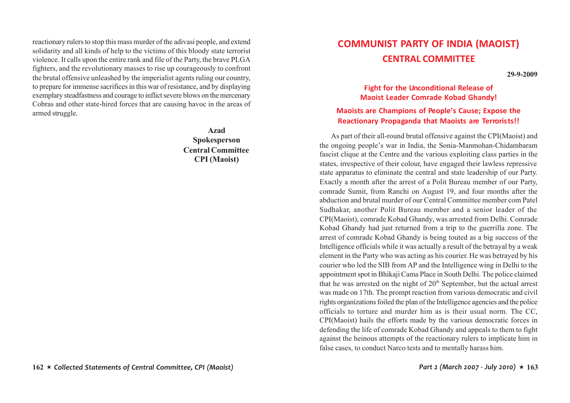reactionary rulers to stop this mass murder of the adivasi people, and extend solidarity and all kinds of help to the victims of this bloody state terrorist violence. It calls upon the entire rank and file of the Party, the brave PLGA fighters, and the revolutionary masses to rise up courageously to confront the brutal offensive unleashed by the imperialist agents ruling our country, to prepare for immense sacrifices in this war of resistance, and by displaying exemplary steadfastness and courage to inflict severe blows on the mercenary Cobras and other state-hired forces that are causing havoc in the areas of armed struggle.

> **Azad Spokesperson Central Committee CPI (Maoist)**

### **COMMUNIST PARTY OF INDIA (MAOIST) CENTRAL COMMITTEE**

**29-9-2009**

**Fight for the Unconditional Release of Maoist Leader Comrade Kobad Ghandy!**

### **Maoists are Champions of People's Cause; Expose the Reactionary Propaganda that Maoists are Terrorists!!**

As part of their all-round brutal offensive against the CPI(Maoist) and the ongoing people's war in India, the Sonia-Manmohan-Chidambaram fascist clique at the Centre and the various exploiting class parties in the states, irrespective of their colour, have engaged their lawless repressive state apparatus to eliminate the central and state leadership of our Party. Exactly a month after the arrest of a Polit Bureau member of our Party, comrade Sumit, from Ranchi on August 19, and four months after the abduction and brutal murder of our Central Committee member com Patel Sudhakar, another Polit Bureau member and a senior leader of the CPI(Maoist), comrade Kobad Ghandy, was arrested from Delhi. Comrade Kobad Ghandy had just returned from a trip to the guerrilla zone. The arrest of comrade Kobad Ghandy is being touted as a big success of the Intelligence officials while it was actually a result of the betrayal by a weak element in the Party who was acting as his courier. He was betrayed by his courier who led the SIB from AP and the Intelligence wing in Delhi to the appointment spot in Bhikaji Cama Place in South Delhi. The police claimed that he was arrested on the night of  $20<sup>th</sup>$  September, but the actual arrest was made on 17th. The prompt reaction from various democratic and civil rights organizations foiled the plan of the Intelligence agencies and the police officials to torture and murder him as is their usual norm. The CC, CPI(Maoist) hails the efforts made by the various democratic forces in defending the life of comrade Kobad Ghandy and appeals to them to fight against the heinous attempts of the reactionary rulers to implicate him in false cases, to conduct Narco tests and to mentally harass him.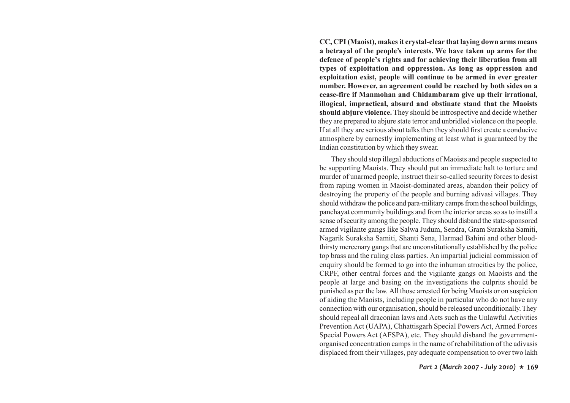**CC, CPI (Maoist), makes it crystal-clear that laying down arms means a betrayal of the people's interests. We have taken up arms for the defence of people's rights and for achieving their liberation from all types of exploitation and oppression. As long as oppression and exploitation exist, people will continue to be armed in ever greater number. However, an agreement could be reached by both sides on a cease-fire if Manmohan and Chidambaram give up their irrational, illogical, impractical, absurd and obstinate stand that the Maoists should abjure violence.** They should be introspective and decide whether they are prepared to abjure state terror and unbridled violence on the people. If at all they are serious about talks then they should first create a conducive atmosphere by earnestly implementing at least what is guaranteed by the Indian constitution by which they swear.

They should stop illegal abductions of Maoists and people suspected to be supporting Maoists. They should put an immediate halt to torture and murder of unarmed people, instruct their so-called security forces to desist from raping women in Maoist-dominated areas, abandon their policy of destroying the property of the people and burning adivasi villages. They should withdraw the police and para-military camps from the school buildings, panchayat community buildings and from the interior areas so as to instill a sense of security among the people. They should disband the state-sponsored armed vigilante gangs like Salwa Judum, Sendra, Gram Suraksha Samiti, Nagarik Suraksha Samiti, Shanti Sena, Harmad Bahini and other bloodthirsty mercenary gangs that are unconstitutionally established by the police top brass and the ruling class parties. An impartial judicial commission of enquiry should be formed to go into the inhuman atrocities by the police, CRPF, other central forces and the vigilante gangs on Maoists and the people at large and basing on the investigations the culprits should be punished as per the law. All those arrested for being Maoists or on suspicion of aiding the Maoists, including people in particular who do not have any connection with our organisation, should be released unconditionally. They should repeal all draconian laws and Acts such as the Unlawful Activities Prevention Act (UAPA), Chhattisgarh Special Powers Act, Armed Forces Special Powers Act (AFSPA), etc. They should disband the governmentorganised concentration camps in the name of rehabilitation of the adivasis displaced from their villages, pay adequate compensation to over two lakh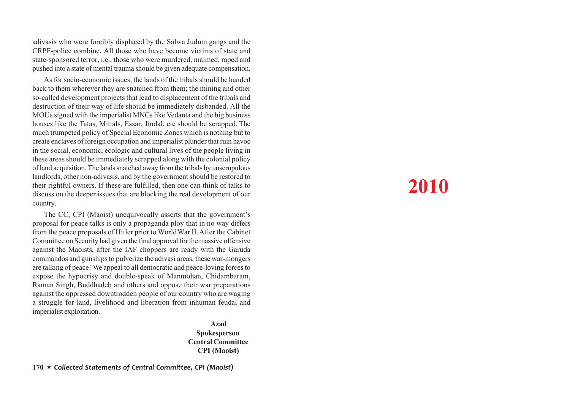adivasis who were forcibly displaced by the Salwa Judum gangs and the CRPF-police combine. All those who have become victims of state and state-sponsored terror, i.e., those who were murdered, maimed, raped and pushed into a state of mental trauma should be given adequate compensation.

As for socio-economic issues, the lands of the tribals should be handed back to them wherever they are snatched from them; the mining and other so-called development projects that lead to displacement of the tribals and destruction of their way of life should be immediately disbanded. All the MOUs signed with the imperialist MNCs like Vedanta and the big business houses like the Tatas, Mittals, Essar, Jindal, etc should be scrapped. The much trumpeted policy of Special Economic Zones which is nothing but to create enclaves of foreign occupation and imperialist plunder that ruin havoc in the social, economic, ecologic and cultural lives of the people living in these areas should be immediately scrapped along with the colonial policy of land acquisition. The lands snatched away from the tribals by unscrupulous landlords, other non-adivasis, and by the government should be restored to their rightful owners. If these are fulfilled, then one can think of talks to discuss on the deeper issues that are blocking the real development of our country.

The CC, CPI (Maoist) unequivocally asserts that the government's proposal for peace talks is only a propaganda ploy that in no way differs from the peace proposals of Hitler prior to World War II. After the Cabinet Committee on Security had given the final approval for the massive offensive against the Maoists, after the IAF choppers are ready with the Garuda commandos and gunships to pulverize the adivasi areas, these war-mongers are talking of peace! We appeal to all democratic and peace-loving forces to expose the hypocrisy and double-speak of Manmohan, Chidambaram, Raman Singh, Buddhadeb and others and oppose their war preparations against the oppressed downtrodden people of our country who are waging a struggle for land, livelihood and liberation from inhuman feudal and imperialist exploitation.

> **Azad Spokesperson Central Committee CPI (Maoist)**

# **2010**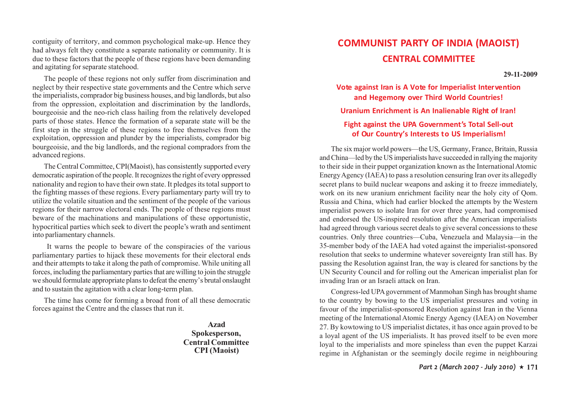contiguity of territory, and common psychological make-up. Hence they had always felt they constitute a separate nationality or community. It is due to these factors that the people of these regions have been demanding and agitating for separate statehood.

The people of these regions not only suffer from discrimination and neglect by their respective state governments and the Centre which serve the imperialists, comprador big business houses, and big landlords, but also from the oppression, exploitation and discrimination by the landlords, bourgeoisie and the neo-rich class hailing from the relatively developed parts of those states. Hence the formation of a separate state will be the first step in the struggle of these regions to free themselves from the exploitation, oppression and plunder by the imperialists, comprador big bourgeoisie, and the big landlords, and the regional compradors from the advanced regions.

The Central Committee, CPI(Maoist), has consistently supported every democratic aspiration of the people. It recognizes the right of every oppressed nationality and region to have their own state. It pledges its total support to the fighting masses of these regions. Every parliamentary party will try to utilize the volatile situation and the sentiment of the people of the various regions for their narrow electoral ends. The people of these regions must beware of the machinations and manipulations of these opportunistic, hypocritical parties which seek to divert the people's wrath and sentiment into parliamentary channels.

 It warns the people to beware of the conspiracies of the various parliamentary parties to hijack these movements for their electoral ends and their attempts to take it along the path of compromise. While uniting all forces, including the parliamentary parties that are willing to join the struggle we should formulate appropriate plans to defeat the enemy's brutal onslaught and to sustain the agitation with a clear long-term plan.

The time has come for forming a broad front of all these democratic forces against the Centre and the classes that run it.

> **Azad Spokesperson, Central Committee CPI (Maoist)**

### **COMMUNIST PARTY OF INDIA (MAOIST) CENTRAL COMMITTEE**

**29-11-2009**

### **Vote against Iran is A Vote for Imperialist Intervention and Hegemony over Third World Countries!**

#### **Uranium Enrichment is An Inalienable Right of Iran!**

### **Fight against the UPA Government's Total Sell-out of Our Country's Interests to US Imperialism!**

The six major world powers—the US, Germany, France, Britain, Russia and China—led by the US imperialists have succeeded in rallying the majority to their side in their puppet organization known as the International Atomic Energy Agency (IAEA) to pass a resolution censuring Iran over its allegedly secret plans to build nuclear weapons and asking it to freeze immediately, work on its new uranium enrichment facility near the holy city of Qom. Russia and China, which had earlier blocked the attempts by the Western imperialist powers to isolate Iran for over three years, had compromised and endorsed the US-inspired resolution after the American imperialists had agreed through various secret deals to give several concessions to these countries. Only three countries—Cuba, Venezuela and Malaysia—in the 35-member body of the IAEA had voted against the imperialist-sponsored resolution that seeks to undermine whatever sovereignty Iran still has. By passing the Resolution against Iran, the way is cleared for sanctions by the UN Security Council and for rolling out the American imperialist plan for invading Iran or an Israeli attack on Iran.

Congress-led UPA government of Manmohan Singh has brought shame to the country by bowing to the US imperialist pressures and voting in favour of the imperialist-sponsored Resolution against Iran in the Vienna meeting of the International Atomic Energy Agency (IAEA) on November 27. By kowtowing to US imperialist dictates, it has once again proved to be a loyal agent of the US imperialists. It has proved itself to be even more loyal to the imperialists and more spineless than even the puppet Karzai regime in Afghanistan or the seemingly docile regime in neighbouring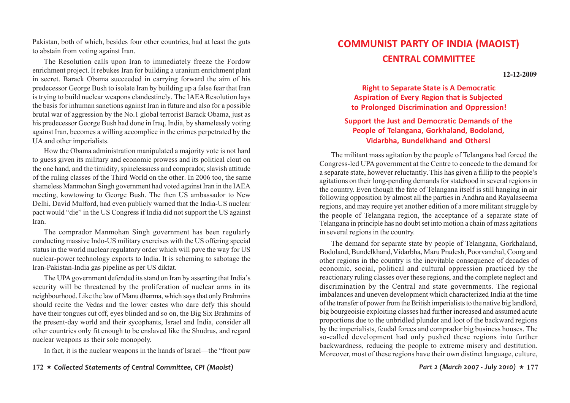Pakistan, both of which, besides four other countries, had at least the guts to abstain from voting against Iran.

The Resolution calls upon Iran to immediately freeze the Fordow enrichment project. It rebukes Iran for building a uranium enrichment plant in secret. Barack Obama succeeded in carrying forward the aim of his predecessor George Bush to isolate Iran by building up a false fear that Iran is trying to build nuclear weapons clandestinely. The IAEA Resolution lays the basis for inhuman sanctions against Iran in future and also for a possible brutal war of aggression by the No.1 global terrorist Barack Obama, just as his predecessor George Bush had done in Iraq. India, by shamelessly voting against Iran, becomes a willing accomplice in the crimes perpetrated by the UA and other imperialists.

How the Obama administration manipulated a majority vote is not hard to guess given its military and economic prowess and its political clout on the one hand, and the timidity, spinelessness and comprador, slavish attitude of the ruling classes of the Third World on the other. In 2006 too, the same shameless Manmohan Singh government had voted against Iran in the IAEA meeting, kowtowing to George Bush. The then US ambassador to New Delhi, David Mulford, had even publicly warned that the India-US nuclear pact would "die" in the US Congress if India did not support the US against Iran.

The comprador Manmohan Singh government has been regularly conducting massive Indo-US military exercises with the US offering special status in the world nuclear regulatory order which will pave the way for US nuclear-power technology exports to India. It is scheming to sabotage the Iran-Pakistan-India gas pipeline as per US diktat.

The UPA government defended its stand on Iran by asserting that India's security will be threatened by the proliferation of nuclear arms in its neighbourhood. Like the law of Manu dharma, which says that only Brahmins should recite the Vedas and the lower castes who dare defy this should have their tongues cut off, eyes blinded and so on, the Big Six Brahmins of the present-day world and their sycophants, Israel and India, consider all other countries only fit enough to be enslaved like the Shudras, and regard nuclear weapons as their sole monopoly.

In fact, it is the nuclear weapons in the hands of Israel—the "front paw

### **COMMUNIST PARTY OF INDIA (MAOIST) CENTRAL COMMITTEE**

**12-12-2009**

**Right to Separate State is A Democratic Aspiration of Every Region that is Subjected to Prolonged Discrimination and Oppression!**

### **Support the Just and Democratic Demands of the People of Telangana, Gorkhaland, Bodoland, Vidarbha, Bundelkhand and Others!**

The militant mass agitation by the people of Telangana had forced the Congress-led UPA government at the Centre to concede to the demand for a separate state, however reluctantly. This has given a fillip to the people's agitations on their long-pending demands for statehood in several regions in the country. Even though the fate of Telangana itself is still hanging in air following opposition by almost all the parties in Andhra and Rayalaseema regions, and may require yet another edition of a more militant struggle by the people of Telangana region, the acceptance of a separate state of Telangana in principle has no doubt set into motion a chain of mass agitations in several regions in the country.

The demand for separate state by people of Telangana, Gorkhaland, Bodoland, Bundelkhand, Vidarbha, Maru Pradesh, Poorvanchal, Coorg and other regions in the country is the inevitable consequence of decades of economic, social, political and cultural oppression practiced by the reactionary ruling classes over these regions, and the complete neglect and discrimination by the Central and state governments. The regional imbalances and uneven development which characterized India at the time of the transfer of power from the British imperialists to the native big landlord, big bourgeoisie exploiting classes had further increased and assumed acute proportions due to the unbridled plunder and loot of the backward regions by the imperialists, feudal forces and comprador big business houses. The so-called development had only pushed these regions into further backwardness, reducing the people to extreme misery and destitution. Moreover, most of these regions have their own distinct language, culture,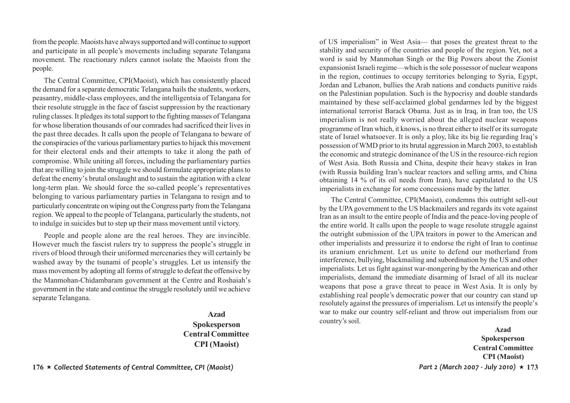from the people. Maoists have always supported and will continue to support and participate in all people's movements including separate Telangana movement. The reactionary rulers cannot isolate the Maoists from the people.

The Central Committee, CPI(Maoist), which has consistently placed the demand for a separate democratic Telangana hails the students, workers, peasantry, middle-class employees, and the intelligentsia of Telangana for their resolute struggle in the face of fascist suppression by the reactionary ruling classes. It pledges its total support to the fighting masses of Telangana for whose liberation thousands of our comrades had sacrificed their lives in the past three decades. It calls upon the people of Telangana to beware of the conspiracies of the various parliamentary parties to hijack this movement for their electoral ends and their attempts to take it along the path of compromise. While uniting all forces, including the parliamentary parties that are willing to join the struggle we should formulate appropriate plans to defeat the enemy's brutal onslaught and to sustain the agitation with a clear long-term plan. We should force the so-called people's representatives belonging to various parliamentary parties in Telangana to resign and to particularly concentrate on wiping out the Congress party from the Telangana region. We appeal to the people of Telangana, particularly the students, not to indulge in suicides but to step up their mass movement until victory.

People and people alone are the real heroes. They are invincible. However much the fascist rulers try to suppress the people's struggle in rivers of blood through their uniformed mercenaries they will certainly be washed away by the tsunami of people's struggles. Let us intensify the mass movement by adopting all forms of struggle to defeat the offensive by the Manmohan-Chidambaram government at the Centre and Roshaiah's government in the state and continue the struggle resolutely until we achieve separate Telangana.

### **Azad**

**Spokesperson Central Committee CPI (Maoist)**

of US imperialism" in West Asia— that poses the greatest threat to the stability and security of the countries and people of the region. Yet, not a word is said by Manmohan Singh or the Big Powers about the Zionist expansionist Israeli regime—which is the sole possessor of nuclear weapons in the region, continues to occupy territories belonging to Syria, Egypt, Jordan and Lebanon, bullies the Arab nations and conducts punitive raids on the Palestinian population. Such is the hypocrisy and double standards maintained by these self-acclaimed global gendarmes led by the biggest international terrorist Barack Obama. Just as in Iraq, in Iran too, the US imperialism is not really worried about the alleged nuclear weapons programme of Iran which, it knows, is no threat either to itself or its surrogate state of Israel whatsoever. It is only a ploy, like its big lie regarding Iraq's possession of WMD prior to its brutal aggression in March 2003, to establish the economic and strategic dominance of the US in the resource-rich region of West Asia. Both Russia and China, despite their heavy stakes in Iran (with Russia building Iran's nuclear reactors and selling arms, and China obtaining 14 % of its oil needs from Iran), have capitulated to the US imperialists in exchange for some concessions made by the latter.

The Central Committee, CPI(Maoist), condemns this outright sell-out by the UPA government to the US blackmailers and regards its vote against Iran as an insult to the entire people of India and the peace-loving people of the entire world. It calls upon the people to wage resolute struggle against the outright submission of the UPA traitors in power to the American and other imperialists and pressurize it to endorse the right of Iran to continue its uranium enrichment. Let us unite to defend our motherland from interference, bullying, blackmailing and subordination by the US and other imperialists. Let us fight against war-mongering by the American and other imperialists, demand the immediate disarming of Israel of all its nuclear weapons that pose a grave threat to peace in West Asia. It is only by establishing real people's democratic power that our country can stand up resolutely against the pressures of imperialism. Let us intensify the people's war to make our country self-reliant and throw out imperialism from our country's soil.

> **Azad Spokesperson**

*Part 2 (March 2007 - July 2010)* **173 Central Committee CPI (Maoist)**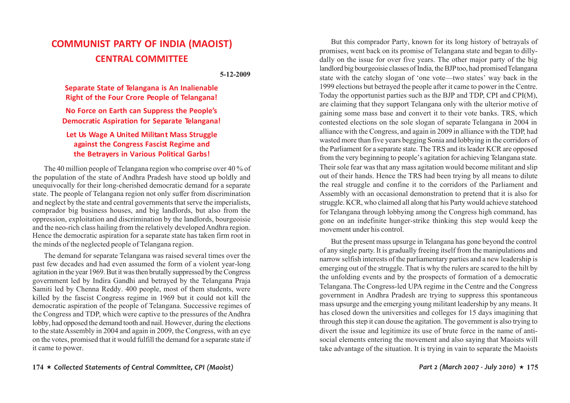**5-12-2009**

**Separate State of Telangana is An Inalienable Right of the Four Crore People of Telangana!**

**No Force on Earth can Suppress the People's Democratic Aspiration for Separate Telangana!**

### **Let Us Wage A United Militant Mass Struggle against the Congress Fascist Regime and the Betrayers in Various Political Garbs!**

The 40 million people of Telangana region who comprise over 40 % of the population of the state of Andhra Pradesh have stood up boldly and unequivocally for their long-cherished democratic demand for a separate state. The people of Telangana region not only suffer from discrimination and neglect by the state and central governments that serve the imperialists, comprador big business houses, and big landlords, but also from the oppression, exploitation and discrimination by the landlords, bourgeoisie and the neo-rich class hailing from the relatively developed Andhra region. Hence the democratic aspiration for a separate state has taken firm root in the minds of the neglected people of Telangana region.

The demand for separate Telangana was raised several times over the past few decades and had even assumed the form of a violent year-long agitation in the year 1969. But it was then brutally suppressed by the Congress government led by Indira Gandhi and betrayed by the Telangana Praja Samiti led by Chenna Reddy. 400 people, most of them students, were killed by the fascist Congress regime in 1969 but it could not kill the democratic aspiration of the people of Telangana. Successive regimes of the Congress and TDP, which were captive to the pressures of the Andhra lobby, had opposed the demand tooth and nail. However, during the elections to the state Assembly in 2004 and again in 2009, the Congress, with an eye on the votes, promised that it would fulfill the demand for a separate state if it came to power.

But this comprador Party, known for its long history of betrayals of promises, went back on its promise of Telangana state and began to dillydally on the issue for over five years. The other major party of the big landlord big bourgeoisie classes of India, the BJP too, had promised Telangana state with the catchy slogan of 'one vote—two states' way back in the 1999 elections but betrayed the people after it came to power in the Centre. Today the opportunist parties such as the BJP and TDP, CPI and CPI(M), are claiming that they support Telangana only with the ulterior motive of gaining some mass base and convert it to their vote banks. TRS, which contested elections on the sole slogan of separate Telangana in 2004 in alliance with the Congress, and again in 2009 in alliance with the TDP, had wasted more than five years begging Sonia and lobbying in the corridors of the Parliament for a separate state. The TRS and its leader KCR are opposed from the very beginning to people's agitation for achieving Telangana state. Their sole fear was that any mass agitation would become militant and slip out of their hands. Hence the TRS had been trying by all means to dilute the real struggle and confine it to the corridors of the Parliament and Assembly with an occasional demonstration to pretend that it is also for struggle. KCR, who claimed all along that his Party would achieve statehood for Telangana through lobbying among the Congress high command, has gone on an indefinite hunger-strike thinking this step would keep the movement under his control.

But the present mass upsurge in Telangana has gone beyond the control of any single party. It is gradually freeing itself from the manipulations and narrow selfish interests of the parliamentary parties and a new leadership is emerging out of the struggle. That is why the rulers are scared to the hilt by the unfolding events and by the prospects of formation of a democratic Telangana. The Congress-led UPA regime in the Centre and the Congress government in Andhra Pradesh are trying to suppress this spontaneous mass upsurge and the emerging young militant leadership by any means. It has closed down the universities and colleges for 15 days imagining that through this step it can douse the agitation. The government is also trying to divert the issue and legitimize its use of brute force in the name of antisocial elements entering the movement and also saying that Maoists will take advantage of the situation. It is trying in vain to separate the Maoists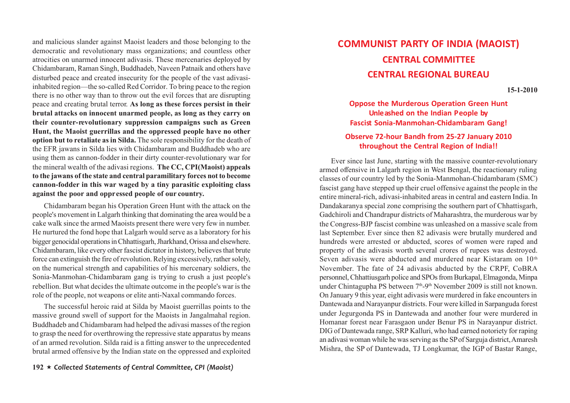and malicious slander against Maoist leaders and those belonging to the democratic and revolutionary mass organizations; and countless other atrocities on unarmed innocent adivasis. These mercenaries deployed by Chidambaram, Raman Singh, Buddhadeb, Naveen Patnaik and others have disturbed peace and created insecurity for the people of the vast adivasiinhabited region—the so-called Red Corridor. To bring peace to the region there is no other way than to throw out the evil forces that are disrupting peace and creating brutal terror. **As long as these forces persist in their brutal attacks on innocent unarmed people, as long as they carry on their counter-revolutionary suppression campaigns such as Green Hunt, the Maoist guerrillas and the oppressed people have no other option but to retaliate as in Silda.** The sole responsibility for the death of the EFR jawans in Silda lies with Chidambaram and Buddhadeb who are using them as cannon-fodder in their dirty counter-revolutionary war for the mineral wealth of the adivasi regions. **The CC, CPI(Maoist) appeals to the jawans of the state and central paramilitary forces not to become cannon-fodder in this war waged by a tiny parasitic exploiting class against the poor and oppressed people of our country.**

Chidambaram began his Operation Green Hunt with the attack on the people's movement in Lalgarh thinking that dominating the area would be a cake walk since the armed Maoists present there were very few in number. He nurtured the fond hope that Lalgarh would serve as a laboratory for his bigger genocidal operations in Chhattisgarh, Jharkhand, Orissa and elsewhere. Chidambaram, like every other fascist dictator in history, believes that brute force can extinguish the fire of revolution. Relying excessively, rather solely, on the numerical strength and capabilities of his mercenary soldiers, the Sonia-Manmohan-Chidambaram gang is trying to crush a just people's rebellion. But what decides the ultimate outcome in the people's war is the role of the people, not weapons or elite anti-Naxal commando forces.

The successful heroic raid at Silda by Maoist guerrillas points to the massive ground swell of support for the Maoists in Jangalmahal region. Buddhadeb and Chidambaram had helped the adivasi masses of the region to grasp the need for overthrowing the repressive state apparatus by means of an armed revolution. Silda raid is a fitting answer to the unprecedented brutal armed offensive by the Indian state on the oppressed and exploited

#### **192**  *Collected Statements of Central Committee, CPI (Maoist)*

# **COMMUNIST PARTY OF INDIA (MAOIST) CENTRAL COMMITTEE CENTRAL REGIONAL BUREAU**

**15-1-2010**

### **Oppose the Murderous Operation Green Hunt Unleashed on the Indian People by Fascist Sonia-Manmohan-Chidambaram Gang!**

### **Observe 72-hour Bandh from 25-27 January 2010 throughout the Central Region of India!!**

Ever since last June, starting with the massive counter-revolutionary armed offensive in Lalgarh region in West Bengal, the reactionary ruling classes of our country led by the Sonia-Manmohan-Chidambaram (SMC) fascist gang have stepped up their cruel offensive against the people in the entire mineral-rich, adivasi-inhabited areas in central and eastern India. In Dandakaranya special zone comprising the southern part of Chhattisgarh, Gadchiroli and Chandrapur districts of Maharashtra, the murderous war by the Congress-BJP fascist combine was unleashed on a massive scale from last September. Ever since then 82 adivasis were brutally murdered and hundreds were arrested or abducted, scores of women were raped and property of the adivasis worth several crores of rupees was destroyed. Seven adivasis were abducted and murdered near Kistaram on  $10<sup>th</sup>$ November. The fate of 24 adivasis abducted by the CRPF, CoBRA personnel, Chhattiusgarh police and SPOs from Burkapal, Elmagonda, Minpa under Chintagupha PS between 7<sup>th</sup>-9<sup>th</sup> November 2009 is still not known. On January 9 this year, eight adivasis were murdered in fake encounters in Dantewada and Narayanpur districts. Four were killed in Sarpanguda forest under Jegurgonda PS in Dantewada and another four were murdered in Homanar forest near Farasgaon under Benur PS in Narayanpur district. DIG of Dantewada range, SRP Kalluri, who had earned notoriety for raping an adivasi woman while he was serving as the SP of Sarguja district, Amaresh Mishra, the SP of Dantewada, TJ Longkumar, the IGP of Bastar Range,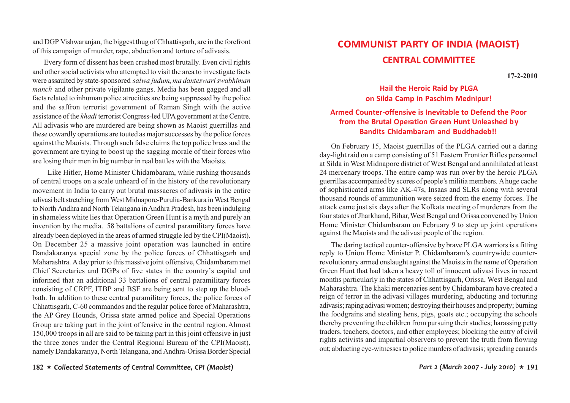and DGP Vishwaranjan, the biggest thug of Chhattisgarh, are in the forefront of this campaign of murder, rape, abduction and torture of adivasis.

Every form of dissent has been crushed most brutally. Even civil rights and other social activists who attempted to visit the area to investigate facts were assaulted by state-sponsored *salwa judum*, *ma danteswari swabhiman manch* and other private vigilante gangs. Media has been gagged and all facts related to inhuman police atrocities are being suppressed by the police and the saffron terrorist government of Raman Singh with the active assistance of the *khadi* terrorist Congress-led UPA government at the Centre. All adivasis who are murdered are being shown as Maoist guerrillas and these cowardly operations are touted as major successes by the police forces against the Maoists. Through such false claims the top police brass and the government are trying to boost up the sagging morale of their forces who are losing their men in big number in real battles with the Maoists.

 Like Hitler, Home Minister Chidambaram, while rushing thousands of central troops on a scale unheard of in the history of the revolutionary movement in India to carry out brutal massacres of adivasis in the entire adivasi belt stretching from West Midnapore-Purulia-Bankura in West Bengal to North Andhra and North Telangana in Andhra Pradesh, has been indulging in shameless white lies that Operation Green Hunt is a myth and purely an invention by the media. 58 battalions of central paramilitary forces have already been deployed in the areas of armed struggle led by the CPI(Maoist). On December 25 a massive joint operation was launched in entire Dandakaranya special zone by the police forces of Chhattisgarh and Maharashtra. A day prior to this massive joint offensive, Chidambaram met Chief Secretaries and DGPs of five states in the country's capital and informed that an additional 33 battalions of central paramilitary forces consisting of CRPF, ITBP and BSF are being sent to step up the bloodbath. In addition to these central paramilitary forces, the police forces of Chhattisgarh, C-60 commandos and the regular police force of Maharashtra, the AP Grey Hounds, Orissa state armed police and Special Operations Group are taking part in the joint offensive in the central region. Almost 150,000 troops in all are said to be taking part in this joint offensive in just the three zones under the Central Regional Bureau of the CPI(Maoist), namely Dandakaranya, North Telangana, and Andhra-Orissa Border Special

# **COMMUNIST PARTY OF INDIA (MAOIST) CENTRAL COMMITTEE**

**17-2-2010**

### **Hail the Heroic Raid by PLGA on Silda Camp in Paschim Mednipur!**

### **Armed Counter-offensive is Inevitable to Defend the Poor from the Brutal Operation Green Hunt Unleashed by Bandits Chidambaram and Buddhadeb!!**

On February 15, Maoist guerrillas of the PLGA carried out a daring day-light raid on a camp consisting of 51 Eastern Frontier Rifles personnel at Silda in West Midnapore district of West Bengal and annihilated at least 24 mercenary troops. The entire camp was run over by the heroic PLGA guerrillas accompanied by scores of people's militia members. A huge cache of sophisticated arms like AK-47s, Insaas and SLRs along with several thousand rounds of ammunition were seized from the enemy forces. The attack came just six days after the Kolkata meeting of murderers from the four states of Jharkhand, Bihar, West Bengal and Orissa convened by Union Home Minister Chidambaram on February 9 to step up joint operations against the Maoists and the adivasi people of the region.

The daring tactical counter-offensive by brave PLGA warriors is a fitting reply to Union Home Minister P. Chidambaram's countrywide counterrevolutionary armed onslaught against the Maoists in the name of Operation Green Hunt that had taken a heavy toll of innocent adivasi lives in recent months particularly in the states of Chhattisgarh, Orissa, West Bengal and Maharashtra. The khaki mercenaries sent by Chidambaram have created a reign of terror in the adivasi villages murdering, abducting and torturing adivasis; raping adivasi women; destroying their houses and property; burning the foodgrains and stealing hens, pigs, goats etc.; occupying the schools thereby preventing the children from pursuing their studies; harassing petty traders, teachers, doctors, and other employees; blocking the entry of civil rights activists and impartial observers to prevent the truth from flowing out; abducting eye-witnesses to police murders of adivasis; spreading canards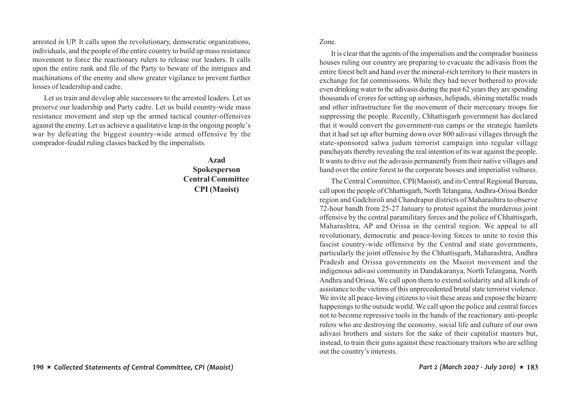arrested in UP. It calls upon the revolutionary, democratic organizations, individuals, and the people of the entire country to build up mass resistance movement to force the reactionary rulers to release our leaders. It calls upon the entire rank and file of the Party to beware of the intrigues and machinations of the enemy and show greater vigilance to prevent further losses of leadership and cadre.

Let us train and develop able successors to the arrested leaders. Let us preserve our leadership and Party cadre. Let us build country-wide mass resistance movement and step up the armed tactical counter-offensives against the enemy. Let us achieve a qualitative leap in the ongoing people's war by defeating the biggest country-wide armed offensive by the comprador-feudal ruling classes backed by the imperialists.

> **Azad Spokesperson Central Committee CPI (Maoist)**

#### **190**  *Collected Statements of Central Committee, CPI (Maoist)*

Zone.

It is clear that the agents of the imperialists and the comprador business houses ruling our country are preparing to evacuate the adivasis from the entire forest belt and hand over the mineral-rich territory to their masters in exchange for fat commissions. While they had never bothered to provide even drinking water to the adivasis during the past 62 years they are spending thousands of crores for setting up airbases, helipads, shining metallic roads and other infrastructure for the movement of their mercenary troops for suppressing the people. Recently, Chhattisgarh government has declared that it would convert the government-run camps or the strategic hamlets that it had set up after burning down over 800 adivasi villages through the state-sponsored salwa judum terrorist campaign into regular village panchayats thereby revealing the real intention of its war against the people. It wants to drive out the adivasis permanently from their native villages and hand over the entire forest to the corporate bosses and imperialist vultures.

The Central Committee, CPI(Maoist), and its Central Regional Bureau, call upon the people of Chhattisgarh, North Telangana, Andhra-Orissa Border region and Gadchiroli and Chandrapur districts of Maharashtra to observe 72-hour bandh from 25-27 January to protest against the murderous joint offensive by the central paramilitary forces and the police of Chhattisgarh, Maharashtra, AP and Orissa in the central region. We appeal to all revolutionary, democratic and peace-loving forces to unite to resist this fascist country-wide offensive by the Central and state governments, particularly the joint offensive by the Chhattisgarh, Maharashtra, Andhra Pradesh and Orissa governments on the Maoist movement and the indigenous adivasi community in Dandakaranya, North Telangana, North Andhra and Orissa. We call upon them to extend solidarity and all kinds of assistance to the victims of this unprecedented brutal state terrorist violence. We invite all peace-loving citizens to visit these areas and expose the bizarre happenings to the outside world. We call upon the police and central forces not to become repressive tools in the hands of the reactionary anti-people rulers who are destroying the economy, social life and culture of our own adivasi brothers and sisters for the sake of their capitalist masters but, instead, to train their guns against these reactionary traitors who are selling out the country's interests.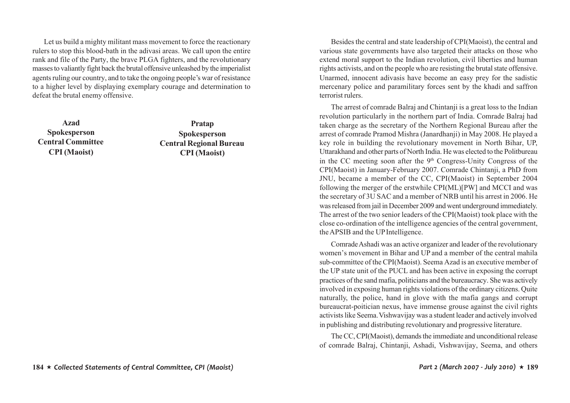Let us build a mighty militant mass movement to force the reactionary rulers to stop this blood-bath in the adivasi areas. We call upon the entire rank and file of the Party, the brave PLGA fighters, and the revolutionary masses to valiantly fight back the brutal offensive unleashed by the imperialist agents ruling our country, and to take the ongoing people's war of resistance to a higher level by displaying exemplary courage and determination to defeat the brutal enemy offensive.

**Azad Spokesperson Central Committee CPI (Maoist)**

**Pratap Spokesperson Central Regional Bureau CPI (Maoist)**

Besides the central and state leadership of CPI(Maoist), the central and various state governments have also targeted their attacks on those who extend moral support to the Indian revolution, civil liberties and human rights activists, and on the people who are resisting the brutal state offensive. Unarmed, innocent adivasis have become an easy prey for the sadistic mercenary police and paramilitary forces sent by the khadi and saffron terrorist rulers.

The arrest of comrade Balraj and Chintanji is a great loss to the Indian revolution particularly in the northern part of India. Comrade Balraj had taken charge as the secretary of the Northern Regional Bureau after the arrest of comrade Pramod Mishra (Janardhanji) in May 2008. He played a key role in building the revolutionary movement in North Bihar, UP, Uttarakhand and other parts of North India. He was elected to the Politbureau in the CC meeting soon after the  $9<sup>th</sup>$  Congress-Unity Congress of the CPI(Maoist) in January-February 2007. Comrade Chintanji, a PhD from JNU, became a member of the CC, CPI(Maoist) in September 2004 following the merger of the erstwhile CPI(ML)[PW] and MCCI and was the secretary of 3U SAC and a member of NRB until his arrest in 2006. He was released from jail in December 2009 and went underground immediately. The arrest of the two senior leaders of the CPI(Maoist) took place with the close co-ordination of the intelligence agencies of the central government, the APSIB and the UP Intelligence.

Comrade Ashadi was an active organizer and leader of the revolutionary women's movement in Bihar and UP and a member of the central mahila sub-committee of the CPI(Maoist). Seema Azad is an executive member of the UP state unit of the PUCL and has been active in exposing the corrupt practices of the sand mafia, politicians and the bureaucracy. She was actively involved in exposing human rights violations of the ordinary citizens. Quite naturally, the police, hand in glove with the mafia gangs and corrupt bureaucrat-poitician nexus, have immense grouse against the civil rights activists like Seema. Vishwavijay was a student leader and actively involved in publishing and distributing revolutionary and progressive literature.

The CC, CPI(Maoist), demands the immediate and unconditional release of comrade Balraj, Chintanji, Ashadi, Vishwavijay, Seema, and others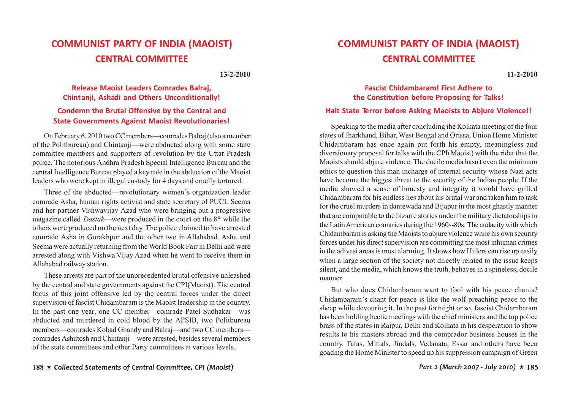**13-2-2010**

### **Release Maoist Leaders Comrades Balraj, Chintanji, Ashadi and Others Unconditionally!**

### **Condemn the Brutal Offensive by the Central and State Governments Against Maoist Revolutionaries!**

On February 6, 2010 two CC members—comrades Balraj (also a member of the Politbureau) and Chintanji—were abducted along with some state committee members and supporters of revolution by the Uttar Pradesh police. The notorious Andhra Pradesh Special Intelligence Bureau and the central Intelligence Bureau played a key role in the abduction of the Maoist leaders who were kept in illegal custody for 4 days and cruelly tortured.

Three of the abducted—revolutionary women's organization leader comrade Asha, human rights activist and state secretary of PUCL Seema and her partner Vishwavijay Azad who were bringing out a progressive magazine called *Dastak*—were produced in the court on the 8<sup>th</sup> while the others were produced on the next day. The police claimed to have arrested comrade Asha in Gorakhpur and the other two in Allahabad. Asha and Seema were actually returning from the World Book Fair in Delhi and were arrested along with Vishwa Vijay Azad when he went to receive them in Allahabad railway station.

These arrests are part of the unprecedented brutal offensive unleashed by the central and state governments against the CPI(Maoist). The central focus of this joint offensive led by the central forces under the direct supervision of fascist Chidambaram is the Maoist leadership in the country. In the past one year, one CC member—comrade Patel Sudhakar—was abducted and murdered in cold blood by the APSIB, two Politbureau members—comrades Kobad Ghandy and Balraj—and two CC members comrades Ashutosh and Chintanji—were arrested, besides several members of the state committees and other Party committees at various levels.

### **COMMUNIST PARTY OF INDIA (MAOIST) CENTRAL COMMITTEE**

**11-2-2010**

### **Fascist Chidambaram! First Adhere to the Constitution before Proposing for Talks!**

#### **Halt State Terror before Asking Maoists to Abjure Violence!!**

Speaking to the media after concluding the Kolkata meeting of the four states of Jharkhand, Bihar, West Bengal and Orissa, Union Home Minister Chidambaram has once again put forth his empty, meaningless and diversionary proposal for talks with the CPI(Maoist) with the rider that the Maoists should abjure violence. The docile media hasn't even the minimum ethics to question this man incharge of internal security whose Nazi acts have become the biggest threat to the security of the Indian people. If the media showed a sense of honesty and integrity it would have grilled Chidambaram for his endless lies about his brutal war and taken him to task for the cruel murders in dantewada and Bijapur in the most ghastly manner that are comparable to the bizarre stories under the military dictatorships in the Latin American countries during the 1960s-80s. The audacity with which Chidambaram is asking the Maoists to abjure violence while his own security forces under his direct supervision are committing the most inhuman crimes in the adivasi areas is most alarming. It shows how Hitlers can rise up easily when a large section of the society not directly related to the issue keeps silent, and the media, which knows the truth, behaves in a spineless, docile manner.

But who does Chidambaram want to fool with his peace chants? Chidambaram's chant for peace is like the wolf preaching peace to the sheep while devouring it. In the past fortnight or so, fascist Chidambaram has been holding hectic meetings with the chief ministers and the top police brass of the states in Raipur, Delhi and Kolkata in his desperation to show results to his masters abroad and the comprador business houses in the country. Tatas, Mittals, Jindals, Vedanata, Essar and others have been goading the Home Minister to speed up his suppression campaign of Green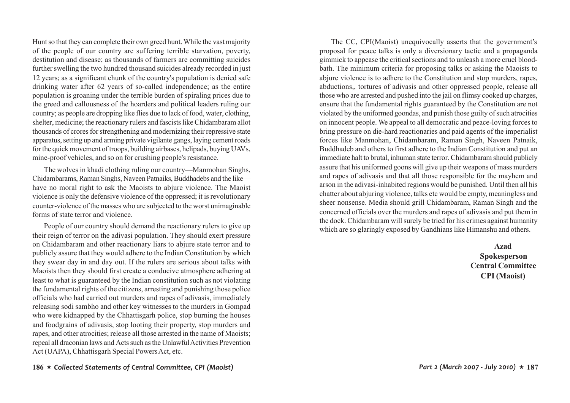Hunt so that they can complete their own greed hunt. While the vast majority of the people of our country are suffering terrible starvation, poverty, destitution and disease; as thousands of farmers are committing suicides further swelling the two hundred thousand suicides already recorded in just 12 years; as a significant chunk of the country's population is denied safe drinking water after 62 years of so-called independence; as the entire population is groaning under the terrible burden of spiraling prices due to the greed and callousness of the hoarders and political leaders ruling our country; as people are dropping like flies due to lack of food, water, clothing, shelter, medicine; the reactionary rulers and fascists like Chidambaram allot thousands of crores for strengthening and modernizing their repressive state apparatus, setting up and arming private vigilante gangs, laying cement roads for the quick movement of troops, building airbases, helipads, buying UAVs, mine-proof vehicles, and so on for crushing people's resistance.

The wolves in khadi clothing ruling our country—Manmohan Singhs, Chidambarams, Raman Singhs, Naveen Patnaiks, Buddhadebs and the like have no moral right to ask the Maoists to abjure violence. The Maoist violence is only the defensive violence of the oppressed; it is revolutionary counter-violence of the masses who are subjected to the worst unimaginable forms of state terror and violence.

People of our country should demand the reactionary rulers to give up their reign of terror on the adivasi population. They should exert pressure on Chidambaram and other reactionary liars to abjure state terror and to publicly assure that they would adhere to the Indian Constitution by which they swear day in and day out. If the rulers are serious about talks with Maoists then they should first create a conducive atmosphere adhering at least to what is guaranteed by the Indian constitution such as not violating the fundamental rights of the citizens, arresting and punishing those police officials who had carried out murders and rapes of adivasis, immediately releasing sodi sambho and other key witnesses to the murders in Gompad who were kidnapped by the Chhattisgarh police, stop burning the houses and foodgrains of adivasis, stop looting their property, stop murders and rapes, and other atrocities; release all those arrested in the name of Maoists; repeal all draconian laws and Acts such as the Unlawful Activities Prevention Act (UAPA), Chhattisgarh Special Powers Act, etc.

#### **186**  *Collected Statements of Central Committee, CPI (Maoist)*

The CC, CPI(Maoist) unequivocally asserts that the government's proposal for peace talks is only a diversionary tactic and a propaganda gimmick to appease the critical sections and to unleash a more cruel bloodbath. The minimum criteria for proposing talks or asking the Maoists to abjure violence is to adhere to the Constitution and stop murders, rapes, abductions,, tortures of adivasis and other oppressed people, release all those who are arrested and pushed into the jail on flimsy cooked up charges, ensure that the fundamental rights guaranteed by the Constitution are not violated by the uniformed goondas, and punish those guilty of such atrocities on innocent people. We appeal to all democratic and peace-loving forces to bring pressure on die-hard reactionaries and paid agents of the imperialist forces like Manmohan, Chidambaram, Raman Singh, Naveen Patnaik, Buddhadeb and others to first adhere to the Indian Constitution and put an immediate halt to brutal, inhuman state terror. Chidambaram should publicly assure that his uniformed goons will give up their weapons of mass murders and rapes of adivasis and that all those responsible for the mayhem and arson in the adivasi-inhabited regions would be punished. Until then all his chatter about abjuring violence, talks etc would be empty, meaningless and sheer nonsense. Media should grill Chidambaram, Raman Singh and the concerned officials over the murders and rapes of adivasis and put them in the dock. Chidambaram will surely be tried for his crimes against humanity which are so glaringly exposed by Gandhians like Himanshu and others.

> **Azad Spokesperson Central Committee CPI (Maoist)**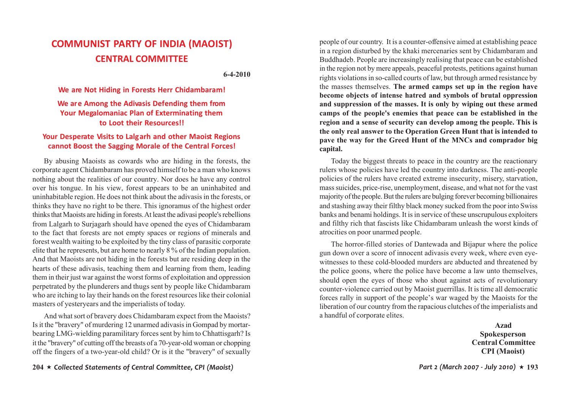**6-4-2010**

**We are Not Hiding in Forests Herr Chidambaram! We are Among the Adivasis Defending them from Your Megalomaniac Plan of Exterminating them to Loot their Resources!!**

#### **Your Desperate Visits to Lalgarh and other Maoist Regions cannot Boost the Sagging Morale of the Central Forces!**

By abusing Maoists as cowards who are hiding in the forests, the corporate agent Chidambaram has proved himself to be a man who knows nothing about the realities of our country. Nor does he have any control over his tongue. In his view, forest appears to be an uninhabited and uninhabitable region. He does not think about the adivasis in the forests, or thinks they have no right to be there. This ignoramus of the highest order thinks that Maoists are hiding in forests. At least the adivasi people's rebellions from Lalgarh to Surjagarh should have opened the eyes of Chidambaram to the fact that forests are not empty spaces or regions of minerals and forest wealth waiting to be exploited by the tiny class of parasitic corporate elite that he represents, but are home to nearly 8 % of the Indian population. And that Maoists are not hiding in the forests but are residing deep in the hearts of these adivasis, teaching them and learning from them, leading them in their just war against the worst forms of exploitation and oppression perpetrated by the plunderers and thugs sent by people like Chidambaram who are itching to lay their hands on the forest resources like their colonial masters of yesteryears and the imperialists of today.

And what sort of bravery does Chidambaram expect from the Maoists? Is it the "bravery" of murdering 12 unarmed adivasis in Gompad by mortarbearing LMG-wielding paramilitary forces sent by him to Chhattisgarh? Is it the "bravery" of cutting off the breasts of a 70-year-old woman or chopping off the fingers of a two-year-old child? Or is it the "bravery" of sexually

people of our country. It is a counter-offensive aimed at establishing peace in a region disturbed by the khaki mercenaries sent by Chidambaram and Buddhadeb. People are increasingly realising that peace can be established in the region not by mere appeals, peaceful protests, petitions against human rights violations in so-called courts of law, but through armed resistance by the masses themselves. **The armed camps set up in the region have become objects of intense hatred and symbols of brutal oppression and suppression of the masses. It is only by wiping out these armed camps of the people's enemies that peace can be established in the region and a sense of security can develop among the people. This is the only real answer to the Operation Green Hunt that is intended to pave the way for the Greed Hunt of the MNCs and comprador big capital.**

Today the biggest threats to peace in the country are the reactionary rulers whose policies have led the country into darkness. The anti-people policies of the rulers have created extreme insecurity, misery, starvation, mass suicides, price-rise, unemployment, disease, and what not for the vast majority of the people. But the rulers are bulging forever becoming billionaires and stashing away their filthy black money sucked from the poor into Swiss banks and benami holdings. It is in service of these unscrupulous exploiters and filthy rich that fascists like Chidambaram unleash the worst kinds of atrocities on poor unarmed people.

The horror-filled stories of Dantewada and Bijapur where the police gun down over a score of innocent adivasis every week, where even eyewitnesses to these cold-blooded murders are abducted and threatened by the police goons, where the police have become a law unto themselves, should open the eyes of those who shout against acts of revolutionary counter-violence carried out by Maoist guerrillas. It is time all democratic forces rally in support of the people's war waged by the Maoists for the liberation of our country from the rapacious clutches of the imperialists and a handful of corporate elites.

> **Azad Spokesperson Central Committee CPI (Maoist)**

**204**  *Collected Statements of Central Committee, CPI (Maoist)*

*Part 2 (March 2007 - July 2010)*  $\star$  193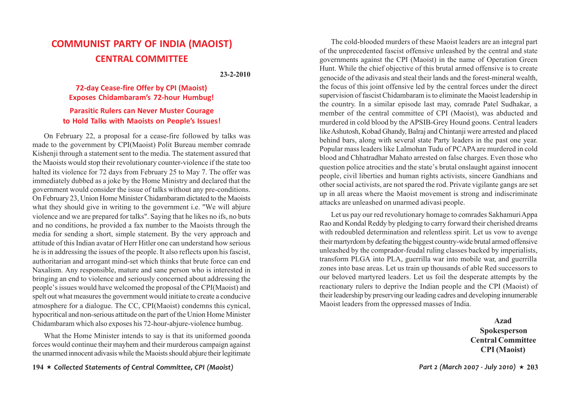**23-2-2010**

### **72-day Cease-fire Offer by CPI (Maoist) Exposes Chidambaram's 72-hour Humbug!**

### **Parasitic Rulers can Never Muster Courage to Hold Talks with Maoists on People's Issues!**

On February 22, a proposal for a cease-fire followed by talks was made to the government by CPI(Maoist) Polit Bureau member comrade Kishenji through a statement sent to the media. The statement assured that the Maoists would stop their revolutionary counter-violence if the state too halted its violence for 72 days from February 25 to May 7. The offer was immediately dubbed as a joke by the Home Ministry and declared that the government would consider the issue of talks without any pre-conditions. On February 23, Union Home Minister Chidambaram dictated to the Maoists what they should give in writing to the government i.e. "We will abjure violence and we are prepared for talks". Saying that he likes no ifs, no buts and no conditions, he provided a fax number to the Maoists through the media for sending a short, simple statement. By the very approach and attitude of this Indian avatar of Herr Hitler one can understand how serious he is in addressing the issues of the people. It also reflects upon his fascist, authoritarian and arrogant mind-set which thinks that brute force can end Naxalism. Any responsible, mature and sane person who is interested in bringing an end to violence and seriously concerned about addressing the people's issues would have welcomed the proposal of the CPI(Maoist) and spelt out what measures the government would initiate to create a conducive atmosphere for a dialogue. The CC, CPI(Maoist) condemns this cynical, hypocritical and non-serious attitude on the part of the Union Home Minister Chidambaram which also exposes his 72-hour-abjure-violence humbug.

What the Home Minister intends to say is that its uniformed goonda forces would continue their mayhem and their murderous campaign against the unarmed innocent adivasis while the Maoists should abjure their legitimate

The cold-blooded murders of these Maoist leaders are an integral part of the unprecedented fascist offensive unleashed by the central and state governments against the CPI (Maoist) in the name of Operation Green Hunt. While the chief objective of this brutal armed offensive is to create genocide of the adivasis and steal their lands and the forest-mineral wealth, the focus of this joint offensive led by the central forces under the direct supervision of fascist Chidambaram is to eliminate the Maoist leadership in the country. In a similar episode last may, comrade Patel Sudhakar, a member of the central committee of CPI (Maoist), was abducted and murdered in cold blood by the APSIB-Grey Hound goons. Central leaders like Ashutosh, Kobad Ghandy, Balraj and Chintanji were arrested and placed behind bars, along with several state Party leaders in the past one year. Popular mass leaders like Lalmohan Tudu of PCAPA are murdered in cold blood and Chhatradhar Mahato arrested on false charges. Even those who question police atrocities and the state's brutal onslaught against innocent people, civil liberties and human rights activists, sincere Gandhians and other social activists, are not spared the rod. Private vigilante gangs are set up in all areas where the Maoist movement is strong and indiscriminate attacks are unleashed on unarmed adivasi people.

Let us pay our red revolutionary homage to comrades Sakhamuri Appa Rao and Kondal Reddy by pledging to carry forward their cherished dreams with redoubled determination and relentless spirit. Let us vow to avenge their martyrdom by defeating the biggest country-wide brutal armed offensive unleashed by the comprador-feudal ruling classes backed by imperialists, transform PLGA into PLA, guerrilla war into mobile war, and guerrilla zones into base areas. Let us train up thousands of able Red successors to our beloved martyred leaders. Let us foil the desperate attempts by the reactionary rulers to deprive the Indian people and the CPI (Maoist) of their leadership by preserving our leading cadres and developing innumerable Maoist leaders from the oppressed masses of India.

> **Azad Spokesperson Central Committee CPI (Maoist)**

**194**  *Collected Statements of Central Committee, CPI (Maoist)*

*Part 2 (March 2007 - July 2010)*  $\star$  203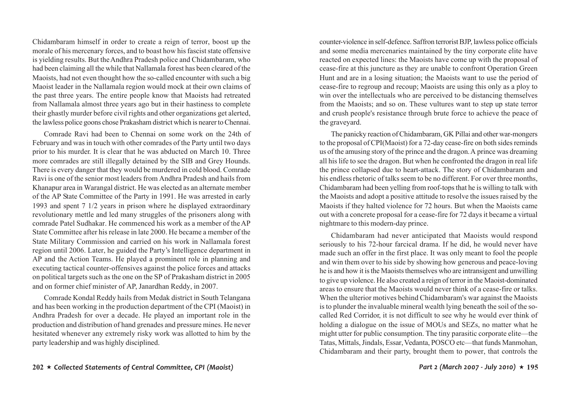Chidambaram himself in order to create a reign of terror, boost up the morale of his mercenary forces, and to boast how his fascist state offensive is yielding results. But the Andhra Pradesh police and Chidambaram, who had been claiming all the while that Nallamala forest has been cleared of the Maoists, had not even thought how the so-called encounter with such a big Maoist leader in the Nallamala region would mock at their own claims of the past three years. The entire people know that Maoists had retreated from Nallamala almost three years ago but in their hastiness to complete their ghastly murder before civil rights and other organizations get alerted, the lawless police goons chose Prakasham district which is nearer to Chennai.

Comrade Ravi had been to Chennai on some work on the 24th of February and was in touch with other comrades of the Party until two days prior to his murder. It is clear that he was abducted on March 10. Three more comrades are still illegally detained by the SIB and Grey Hounds. There is every danger that they would be murdered in cold blood. Comrade Ravi is one of the senior most leaders from Andhra Pradesh and hails from Khanapur area in Warangal district. He was elected as an alternate member of the AP State Committee of the Party in 1991. He was arrested in early 1993 and spent 7 1/2 years in prison where he displayed extraordinary revolutionary mettle and led many struggles of the prisoners along with comrade Patel Sudhakar. He commenced his work as a member of the AP State Committee after his release in late 2000. He became a member of the State Military Commission and carried on his work in Nallamala forest region until 2006. Later, he guided the Party's Intelligence department in AP and the Action Teams. He played a prominent role in planning and executing tactical counter-offensives against the police forces and attacks on political targets such as the one on the SP of Prakasham district in 2005 and on former chief minister of AP, Janardhan Reddy, in 2007.

Comrade Kondal Reddy hails from Medak district in South Telangana and has been working in the production department of the CPI (Maoist) in Andhra Pradesh for over a decade. He played an important role in the production and distribution of hand grenades and pressure mines. He never hesitated whenever any extremely risky work was allotted to him by the party leadership and was highly disciplined.

counter-violence in self-defence. Saffron terrorist BJP, lawless police officials and some media mercenaries maintained by the tiny corporate elite have reacted on expected lines: the Maoists have come up with the proposal of cease-fire at this juncture as they are unable to confront Operation Green Hunt and are in a losing situation; the Maoists want to use the period of cease-fire to regroup and recoup; Maoists are using this only as a ploy to win over the intellectuals who are perceived to be distancing themselves from the Maoists; and so on. These vultures want to step up state terror and crush people's resistance through brute force to achieve the peace of the graveyard.

The panicky reaction of Chidambaram, GK Pillai and other war-mongers to the proposal of CPI(Maoist) for a 72-day cease-fire on both sides reminds us of the amusing story of the prince and the dragon. A prince was dreaming all his life to see the dragon. But when he confronted the dragon in real life the prince collapsed due to heart-attack. The story of Chidambaram and his endless rhetoric of talks seem to be no different. For over three months, Chidambaram had been yelling from roof-tops that he is willing to talk with the Maoists and adopt a positive attitude to resolve the issues raised by the Maoists if they halted violence for 72 hours. But when the Maoists came out with a concrete proposal for a cease-fire for 72 days it became a virtual nightmare to this modern-day prince.

Chidambaram had never anticipated that Maoists would respond seriously to his 72-hour farcical drama. If he did, he would never have made such an offer in the first place. It was only meant to fool the people and win them over to his side by showing how generous and peace-loving he is and how it is the Maoists themselves who are intransigent and unwilling to give up violence. He also created a reign of terror in the Maoist-dominated areas to ensure that the Maoists would never think of a cease-fire or talks. When the ulterior motives behind Chidambaram's war against the Maoists is to plunder the invaluable mineral wealth lying beneath the soil of the socalled Red Corridor, it is not difficult to see why he would ever think of holding a dialogue on the issue of MOUs and SEZs, no matter what he might utter for public consumption. The tiny parasitic corporate elite—the Tatas, Mittals, Jindals, Essar, Vedanta, POSCO etc—that funds Manmohan, Chidambaram and their party, brought them to power, that controls the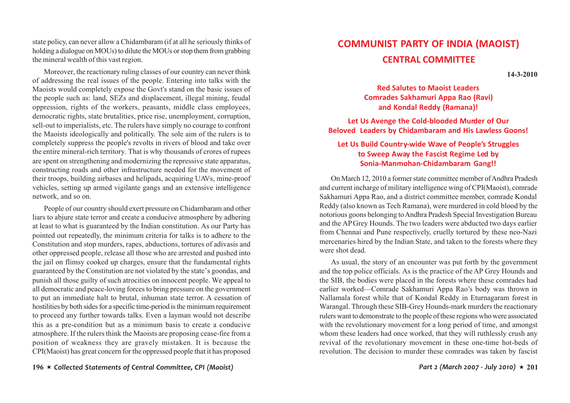state policy, can never allow a Chidambaram (if at all he seriously thinks of holding a dialogue on MOUs) to dilute the MOUs or stop them from grabbing the mineral wealth of this vast region.

Moreover, the reactionary ruling classes of our country can never think of addressing the real issues of the people. Entering into talks with the Maoists would completely expose the Govt's stand on the basic issues of the people such as: land, SEZs and displacement, illegal mining, feudal oppression, rights of the workers, peasants, middle class employees, democratic rights, state brutalities, price rise, unemployment, corruption, sell-out to imperialists, etc. The rulers have simply no courage to confront the Maoists ideologically and politically. The sole aim of the rulers is to completely suppress the people's revolts in rivers of blood and take over the entire mineral-rich territory. That is why thousands of crores of rupees are spent on strengthening and modernizing the repressive state apparatus, constructing roads and other infrastructure needed for the movement of their troops, building airbases and helipads, acquiring UAVs, mine-proof vehicles, setting up armed vigilante gangs and an extensive intelligence network, and so on.

People of our country should exert pressure on Chidambaram and other liars to abjure state terror and create a conducive atmosphere by adhering at least to what is guaranteed by the Indian constitution. As our Party has pointed out repeatedly, the minimum criteria for talks is to adhere to the Constitution and stop murders, rapes, abductions, tortures of adivasis and other oppressed people, release all those who are arrested and pushed into the jail on flimsy cooked up charges, ensure that the fundamental rights guaranteed by the Constitution are not violated by the state's goondas, and punish all those guilty of such atrocities on innocent people. We appeal to all democratic and peace-loving forces to bring pressure on the government to put an immediate halt to brutal, inhuman state terror. A cessation of hostilities by both sides for a specific time-period is the minimum requirement to proceed any further towards talks. Even a layman would not describe this as a pre-condition but as a minimum basis to create a conducive atmosphere. If the rulers think the Maoists are proposing cease-fire from a position of weakness they are gravely mistaken. It is because the CPI(Maoist) has great concern for the oppressed people that it has proposed

# **COMMUNIST PARTY OF INDIA (MAOIST) CENTRAL COMMITTEE**

**14-3-2010**

**Red Salutes to Maoist Leaders Comrades Sakhamuri Appa Rao (Ravi) and Kondal Reddy (Ramana)!**

**Let Us Avenge the Cold-blooded Murder of Our Beloved Leaders by Chidambaram and His Lawless Goons!**

### **Let Us Build Country-wide Wave of People's Struggles to Sweep Away the Fascist Regime Led by Sonia-Manmohan-Chidambaram Gang!!**

On March 12, 2010 a former state committee member of Andhra Pradesh and current incharge of military intelligence wing of CPI(Maoist), comrade Sakhamuri Appa Rao, and a district committee member, comrade Kondal Reddy (also known as Tech Ramana), were murdered in cold blood by the notorious goons belonging to Andhra Pradesh Special Investigation Bureau and the AP Grey Hounds. The two leaders were abducted two days earlier from Chennai and Pune respectively, cruelly tortured by these neo-Nazi mercenaries hired by the Indian State, and taken to the forests where they were shot dead.

As usual, the story of an encounter was put forth by the government and the top police officials. As is the practice of the AP Grey Hounds and the SIB, the bodies were placed in the forests where these comrades had earlier worked—Comrade Sakhamuri Appa Rao's body was thrown in Nallamala forest while that of Kondal Reddy in Eturnagaram forest in Warangal. Through these SIB-Grey Hounds-mark murders the reactionary rulers want to demonstrate to the people of these regions who were associated with the revolutionary movement for a long period of time, and amongst whom these leaders had once worked, that they will ruthlessly crush any revival of the revolutionary movement in these one-time hot-beds of revolution. The decision to murder these comrades was taken by fascist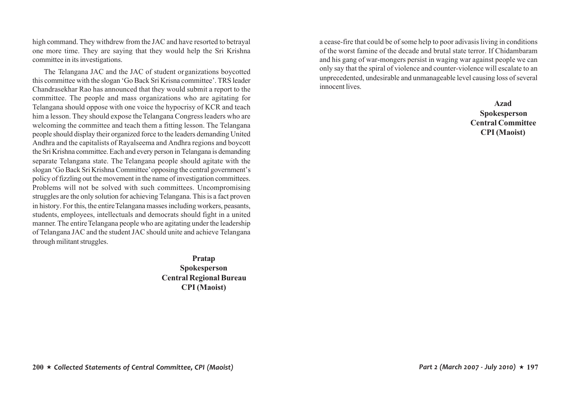high command. They withdrew from the JAC and have resorted to betrayal one more time. They are saying that they would help the Sri Krishna committee in its investigations.

The Telangana JAC and the JAC of student organizations boycotted this committee with the slogan 'Go Back Sri Krisna committee'. TRS leader Chandrasekhar Rao has announced that they would submit a report to the committee. The people and mass organizations who are agitating for Telangana should oppose with one voice the hypocrisy of KCR and teach him a lesson. They should expose the Telangana Congress leaders who are welcoming the committee and teach them a fitting lesson. The Telangana people should display their organized force to the leaders demanding United Andhra and the capitalists of Rayalseema and Andhra regions and boycott the Sri Krishna committee. Each and every person in Telangana is demanding separate Telangana state. The Telangana people should agitate with the slogan 'Go Back Sri Krishna Committee' opposing the central government's policy of fizzling out the movement in the name of investigation committees. Problems will not be solved with such committees. Uncompromising struggles are the only solution for achieving Telangana. This is a fact proven in history. For this, the entire Telangana masses including workers, peasants, students, employees, intellectuals and democrats should fight in a united manner. The entire Telangana people who are agitating under the leadership of Telangana JAC and the student JAC should unite and achieve Telangana through militant struggles.

> **Pratap Spokesperson Central Regional Bureau CPI (Maoist)**

a cease-fire that could be of some help to poor adivasis living in conditions of the worst famine of the decade and brutal state terror. If Chidambaram and his gang of war-mongers persist in waging war against people we can only say that the spiral of violence and counter-violence will escalate to an unprecedented, undesirable and unmanageable level causing loss of several innocent lives.

> **Azad Spokesperson Central Committee CPI (Maoist)**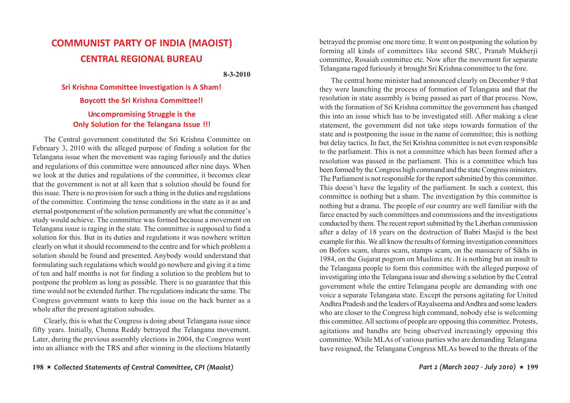### **COMMUNIST PARTY OF INDIA (MAOIST) CENTRAL REGIONAL BUREAU**

**8-3-2010**

**Sri Krishna Committee Investigation is A Sham! Boycott the Sri Krishna Committee!! Uncompromising Struggle is the**

# **Only Solution for the Telangana Issue !!!**

The Central government constituted the Sri Krishna Committee on February 3, 2010 with the alleged purpose of finding a solution for the Telangana issue when the movement was raging furiously and the duties and regulations of this committee were announced after nine days. When we look at the duties and regulations of the committee, it becomes clear that the government is not at all keen that a solution should be found for this issue. There is no provision for such a thing in the duties and regulations of the committee. Continuing the tense conditions in the state as it as and eternal postponement of the solution permanently are what the committee's study would achieve. The committee was formed because a movement on Telangana issue is raging in the state. The committee is supposed to find a solution for this. But in its duties and regulations it was nowhere written clearly on what it should recommend to the centre and for which problem a solution should be found and presented. Anybody would understand that formulating such regulations which would go nowhere and giving it a time of ten and half months is not for finding a solution to the problem but to postpone the problem as long as possible. There is no guarantee that this time would not be extended further. The regulations indicate the same. The Congress government wants to keep this issue on the back burner as a whole after the present agitation subsides.

Clearly, this is what the Congress is doing about Telangana issue since fifty years. Initially, Chenna Reddy betrayed the Telangana movement. Later, during the previous assembly elections in 2004, the Congress went into an alliance with the TRS and after winning in the elections blatantly betrayed the promise one more time. It went on postponing the solution by forming all kinds of committees like second SRC, Pranab Mukherji committee, Rosaiah committee etc. Now after the movement for separate Telangana raged furiously it brought Sri Krishna committee to the fore.

The central home minister had announced clearly on December 9 that they were launching the process of formation of Telangana and that the resolution in state assembly is being passed as part of that process. Now, with the formation of Sri Krishna committee the government has changed this into an issue which has to be investigated still. After making a clear statement, the government did not take steps towards formation of the state and is postponing the issue in the name of committee; this is nothing but delay tactics. In fact, the Sri Krishna committee is not even responsible to the parliament. This is not a committee which has been formed after a resolution was passed in the parliament. This is a committee which has been formed by the Congress high command and the state Congress ministers. The Parliament is not responsible for the report submitted by this committee. This doesn't have the legality of the parliament. In such a context, this committee is nothing but a sham. The investigation by this committee is nothing but a drama. The people of our country are well familiar with the farce enacted by such committees and commissions and the investigations conducted by them. The recent report submitted by the Liberhan commission after a delay of 18 years on the destruction of Babri Masjid is the best example for this. We all know the results of forming investigation committees on Bofors scam, shares scam, stamps scam, on the massacre of Sikhs in 1984, on the Gujarat pogrom on Muslims etc. It is nothing but an insult to the Telangana people to form this committee with the alleged purpose of investigating into the Telangana issue and showing a solution by the Central government while the entire Telangana people are demanding with one voice a separate Telangana state. Except the persons agitating for United Andhra Pradesh and the leaders of Rayalseema and Andhra and some leaders who are closer to the Congress high command, nobody else is welcoming this committee. All sections of people are opposing this committee. Protests, agitations and bandhs are being observed increasingly opposing this committee. While MLAs of various parties who are demanding Telangana have resigned, the Telangana Congress MLAs bowed to the threats of the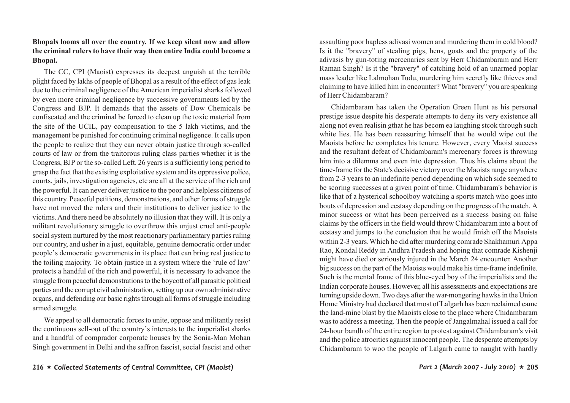### **Bhopals looms all over the country. If we keep silent now and allow the criminal rulers to have their way then entire India could become a Bhopal.**

The CC, CPI (Maoist) expresses its deepest anguish at the terrible plight faced by lakhs of people of Bhopal as a result of the effect of gas leak due to the criminal negligence of the American imperialist sharks followed by even more criminal negligence by successive governments led by the Congress and BJP. It demands that the assets of Dow Chemicals be confiscated and the criminal be forced to clean up the toxic material from the site of the UCIL, pay compensation to the 5 lakh victims, and the management be punished for continuing criminal negligence. It calls upon the people to realize that they can never obtain justice through so-called courts of law or from the traitorous ruling class parties whether it is the Congress, BJP or the so-called Left. 26 years is a sufficiently long period to grasp the fact that the existing exploitative system and its oppressive police, courts, jails, investigation agencies, etc are all at the service of the rich and the powerful. It can never deliver justice to the poor and helpless citizens of this country. Peaceful petitions, demonstrations, and other forms of struggle have not moved the rulers and their institutions to deliver justice to the victims. And there need be absolutely no illusion that they will. It is only a militant revolutionary struggle to overthrow this unjust cruel anti-people social system nurtured by the most reactionary parliamentary parties ruling our country, and usher in a just, equitable, genuine democratic order under people's democratic governments in its place that can bring real justice to the toiling majority. To obtain justice in a system where the 'rule of law' protects a handful of the rich and powerful, it is necessary to advance the struggle from peaceful demonstrations to the boycott of all parasitic political parties and the corrupt civil administration, setting up our own administrative organs, and defending our basic rights through all forms of struggle including armed struggle.

We appeal to all democratic forces to unite, oppose and militantly resist the continuous sell-out of the country's interests to the imperialist sharks and a handful of comprador corporate houses by the Sonia-Man Mohan Singh government in Delhi and the saffron fascist, social fascist and other

assaulting poor hapless adivasi women and murdering them in cold blood? Is it the "bravery" of stealing pigs, hens, goats and the property of the adivasis by gun-toting mercenaries sent by Herr Chidambaram and Herr Raman Singh? Is it the "bravery" of catching hold of an unarmed poplar mass leader like Lalmohan Tudu, murdering him secretly like thieves and claiming to have killed him in encounter? What "bravery" you are speaking of Herr Chidambaram?

Chidambaram has taken the Operation Green Hunt as his personal prestige issue despite his desperate attempts to deny its very existence all along not even realisin gthat he has becom ea laughing stcok through such white lies. He has been reassuring himself that he would wipe out the Maoists before he completes his tenure. However, every Maoist success and the resultant defeat of Chidambaram's mercenary forces is throwing him into a dilemma and even into depression. Thus his claims about the time-frame for the State's decisive victory over the Maoists range anywhere from 2-3 years to an indefinite period depending on which side seemed to be scoring successes at a given point of time. Chidambaram's behavior is like that of a hysterical schoolboy watching a sports match who goes into bouts of depression and ecstasy depending on the progress of the match. A minor success or what has been perceived as a success basing on false claims by the officers in the field would throw Chidambaram into a bout of ecstasy and jumps to the conclusion that he would finish off the Maoists within 2-3 years. Which he did after murdering comrade Shakhamuri Appa Rao, Kondal Reddy in Andhra Pradesh and hoping that comrade Kishenji might have died or seriously injured in the March 24 encounter. Another big success on the part of the Maoists would make his time-frame indefinite. Such is the mental frame of this blue-eyed boy of the imperialists and the Indian corporate houses. However, all his assessments and expectations are turning upside down. Two days after the war-mongering hawks in the Union Home Ministry had declared that most of Lalgarh has been reclaimed came the land-mine blast by the Maoists close to the place where Chidambaram was to address a meeting. Then the people of Jangalmahal issued a call for 24-hour bandh of the entire region to protest against Chidambaram's visit and the police atrocities against innocent people. The desperate attempts by Chidambaram to woo the people of Lalgarh came to naught with hardly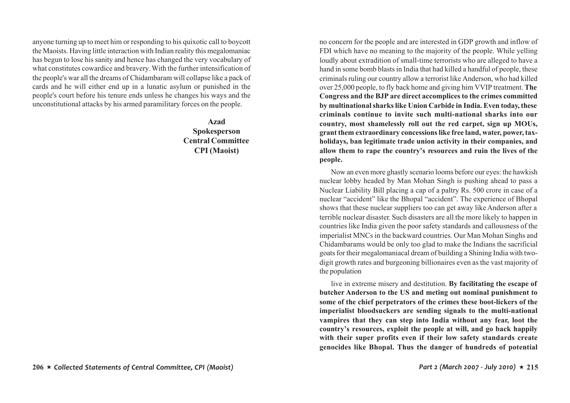anyone turning up to meet him or responding to his quixotic call to boycott the Maoists. Having little interaction with Indian reality this megalomaniac has begun to lose his sanity and hence has changed the very vocabulary of what constitutes cowardice and bravery. With the further intensification of the people's war all the dreams of Chidambaram will collapse like a pack of cards and he will either end up in a lunatic asylum or punished in the people's court before his tenure ends unless he changes his ways and the unconstitutional attacks by his armed paramilitary forces on the people.

> **Azad Spokesperson Central Committee CPI (Maoist)**

no concern for the people and are interested in GDP growth and inflow of FDI which have no meaning to the majority of the people. While yelling loudly about extradition of small-time terrorists who are alleged to have a hand in some bomb blasts in India that had killed a handful of people, these criminals ruling our country allow a terrorist like Anderson, who had killed over 25,000 people, to fly back home and giving him VVIP treatment. **The Congress and the BJP are direct accomplices to the crimes committed by multinational sharks like Union Carbide in India. Even today, these criminals continue to invite such multi-national sharks into our country, most shamelessly roll out the red carpet, sign up MOUs, grant them extraordinary concessions like free land, water, power, taxholidays, ban legitimate trade union activity in their companies, and allow them to rape the country's resources and ruin the lives of the people.**

Now an even more ghastly scenario looms before our eyes: the hawkish nuclear lobby headed by Man Mohan Singh is pushing ahead to pass a Nuclear Liability Bill placing a cap of a paltry Rs. 500 crore in case of a nuclear "accident" like the Bhopal "accident". The experience of Bhopal shows that these nuclear suppliers too can get away like Anderson after a terrible nuclear disaster. Such disasters are all the more likely to happen in countries like India given the poor safety standards and callousness of the imperialist MNCs in the backward countries. Our Man Mohan Singhs and Chidambarams would be only too glad to make the Indians the sacrificial goats for their megalomaniacal dream of building a Shining India with twodigit growth rates and burgeoning billionaires even as the vast majority of the population

live in extreme misery and destitution. **By facilitating the escape of butcher Anderson to the US and meting out nominal punishment to some of the chief perpetrators of the crimes these boot-lickers of the imperialist bloodsuckers are sending signals to the multi-national vampires that they can step into India without any fear, loot the country's resources, exploit the people at will, and go back happily with their super profits even if their low safety standards create genocides like Bhopal. Thus the danger of hundreds of potential**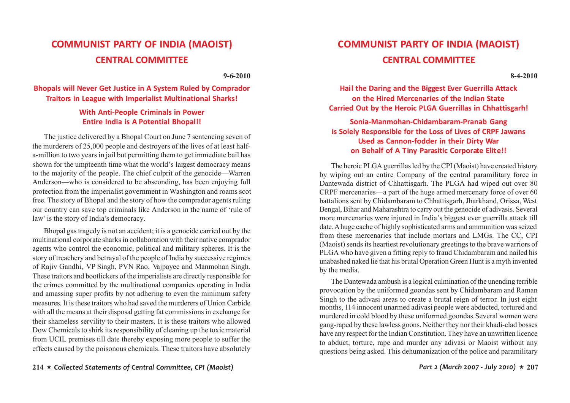**9-6-2010**

**Bhopals will Never Get Justice in A System Ruled by Comprador Traitors in League with Imperialist Multinational Sharks!**

### **With Anti-People Criminals in Power Entire India is A Potential Bhopal!!**

The justice delivered by a Bhopal Court on June 7 sentencing seven of the murderers of 25,000 people and destroyers of the lives of at least halfa-million to two years in jail but permitting them to get immediate bail has shown for the umpteenth time what the world's largest democracy means to the majority of the people. The chief culprit of the genocide—Warren Anderson—who is considered to be absconding, has been enjoying full protection from the imperialist government in Washington and roams scot free. The story of Bhopal and the story of how the comprador agents ruling our country can save top criminals like Anderson in the name of 'rule of law' is the story of India's democracy.

Bhopal gas tragedy is not an accident; it is a genocide carried out by the multinational corporate sharks in collaboration with their native comprador agents who control the economic, political and military spheres. It is the story of treachery and betrayal of the people of India by successive regimes of Rajiv Gandhi, VP Singh, PVN Rao, Vajpayee and Manmohan Singh. These traitors and bootlickers of the imperialists are directly responsible for the crimes committed by the multinational companies operating in India and amassing super profits by not adhering to even the minimum safety measures. It is these traitors who had saved the murderers of Union Carbide with all the means at their disposal getting fat commissions in exchange for their shameless servility to their masters. It is these traitors who allowed Dow Chemicals to shirk its responsibility of cleaning up the toxic material from UCIL premises till date thereby exposing more people to suffer the effects caused by the poisonous chemicals. These traitors have absolutely

### **COMMUNIST PARTY OF INDIA (MAOIST) CENTRAL COMMITTEE**

**8-4-2010**

**Hail the Daring and the Biggest Ever Guerrilla Attack on the Hired Mercenaries of the Indian State Carried Out by the Heroic PLGA Guerrillas in Chhattisgarh!**

### **Sonia-Manmohan-Chidambaram-Pranab Gang is Solely Responsible for the Loss of Lives of CRPF Jawans Used as Cannon-fodder in their Dirty War on Behalf of A Tiny Parasitic Corporate Elite!!**

The heroic PLGA guerrillas led by the CPI (Maoist) have created history by wiping out an entire Company of the central paramilitary force in Dantewada district of Chhattisgarh. The PLGA had wiped out over 80 CRPF mercenaries—a part of the huge armed mercenary force of over 60 battalions sent by Chidambaram to Chhattisgarh, Jharkhand, Orissa, West Bengal, Bihar and Maharashtra to carry out the genocide of adivasis. Several more mercenaries were injured in India's biggest ever guerrilla attack till date. A huge cache of highly sophisticated arms and ammunition was seized from these mercenaries that include mortars and LMGs. The CC, CPI (Maoist) sends its heartiest revolutionary greetings to the brave warriors of PLGA who have given a fitting reply to fraud Chidambaram and nailed his unabashed naked lie that his brutal Operation Green Hunt is a myth invented by the media.

The Dantewada ambush is a logical culmination of the unending terrible provocation by the uniformed goondas sent by Chidambaram and Raman Singh to the adivasi areas to create a brutal reign of terror. In just eight months, 114 innocent unarmed adivasi people were abducted, tortured and murdered in cold blood by these uniformed goondas*.*Several women were gang-raped by these lawless goons. Neither they nor their khadi-clad bosses have any respect for the Indian Constitution. They have an unwritten licence to abduct, torture, rape and murder any adivasi or Maoist without any questions being asked. This dehumanization of the police and paramilitary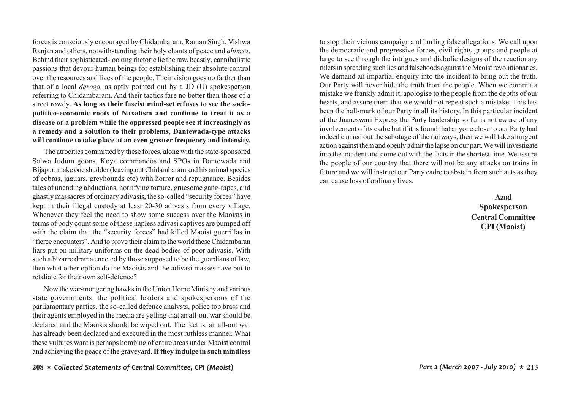forces is consciously encouraged by Chidambaram, Raman Singh, Vishwa Ranjan and others, notwithstanding their holy chants of peace and *ahimsa*. Behind their sophisticated-looking rhetoric lie the raw, beastly, cannibalistic passions that devour human beings for establishing their absolute control over the resources and lives of the people. Their vision goes no farther than that of a local *daroga,* as aptly pointed out by a JD (U) spokesperson referring to Chidambaram. And their tactics fare no better than those of a street rowdy. **As long as their fascist mind-set refuses to see the sociopolitico-economic roots of Naxalism and continue to treat it as a disease or a problem while the oppressed people see it increasingly as a remedy and a solution to their problems, Dantewada-type attacks will continue to take place at an even greater frequency and intensity.**

The atrocities committed by these forces, along with the state-sponsored Salwa Judum goons, Koya commandos and SPOs in Dantewada and Bijapur, make one shudder (leaving out Chidambaram and his animal species of cobras, jaguars, greyhounds etc) with horror and repugnance. Besides tales of unending abductions, horrifying torture, gruesome gang-rapes, and ghastly massacres of ordinary adivasis, the so-called "security forces" have kept in their illegal custody at least 20-30 adivasis from every village. Whenever they feel the need to show some success over the Maoists in terms of body count some of these hapless adivasi captives are bumped off with the claim that the "security forces" had killed Maoist guerrillas in "fierce encounters". And to prove their claim to the world these Chidambaran liars put on military uniforms on the dead bodies of poor adivasis. With such a bizarre drama enacted by those supposed to be the guardians of law, then what other option do the Maoists and the adivasi masses have but to retaliate for their own self-defence?

Now the war-mongering hawks in the Union Home Ministry and various state governments, the political leaders and spokespersons of the parliamentary parties, the so-called defence analysts, police top brass and their agents employed in the media are yelling that an all-out war should be declared and the Maoists should be wiped out. The fact is, an all-out war has already been declared and executed in the most ruthless manner. What these vultures want is perhaps bombing of entire areas under Maoist control and achieving the peace of the graveyard. **If they indulge in such mindless**

to stop their vicious campaign and hurling false allegations. We call upon the democratic and progressive forces, civil rights groups and people at large to see through the intrigues and diabolic designs of the reactionary rulers in spreading such lies and falsehoods against the Maoist revolutionaries. We demand an impartial enquiry into the incident to bring out the truth. Our Party will never hide the truth from the people. When we commit a mistake we frankly admit it, apologise to the people from the depths of our hearts, and assure them that we would not repeat such a mistake. This has been the hall-mark of our Party in all its history. In this particular incident of the Jnaneswari Express the Party leadership so far is not aware of any involvement of its cadre but if it is found that anyone close to our Party had indeed carried out the sabotage of the railways, then we will take stringent action against them and openly admit the lapse on our part. We will investigate into the incident and come out with the facts in the shortest time. We assure the people of our country that there will not be any attacks on trains in future and we will instruct our Party cadre to abstain from such acts as they can cause loss of ordinary lives.

> **Azad Spokesperson Central Committee CPI (Maoist)**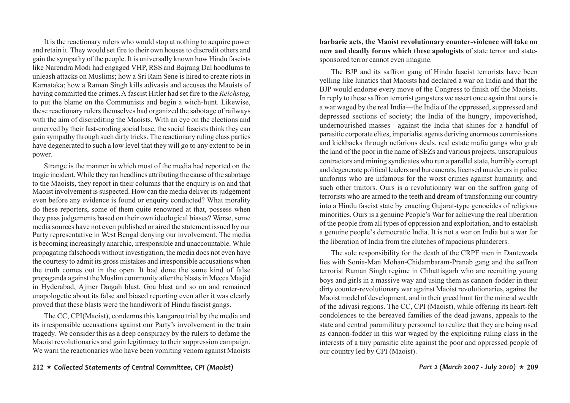It is the reactionary rulers who would stop at nothing to acquire power and retain it. They would set fire to their own houses to discredit others and gain the sympathy of the people. It is universally known how Hindu fascists like Narendra Modi had engaged VHP, RSS and Bajrang Dal hoodlums to unleash attacks on Muslims; how a Sri Ram Sene is hired to create riots in Karnataka; how a Raman Singh kills adivasis and accuses the Maoists of having committed the crimes. A fascist Hitler had set fire to the *Reichstag*, to put the blame on the Communists and begin a witch-hunt. Likewise, these reactionary rulers themselves had organized the sabotage of railways with the aim of discrediting the Maoists. With an eye on the elections and unnerved by their fast-eroding social base, the social fascists think they can gain sympathy through such dirty tricks. The reactionary ruling class parties have degenerated to such a low level that they will go to any extent to be in power.

Strange is the manner in which most of the media had reported on the tragic incident. While they ran headlines attributing the cause of the sabotage to the Maoists, they report in their columns that the enquiry is on and that Maoist involvement is suspected. How can the media deliver its judgement even before any evidence is found or enquiry conducted? What morality do these reporters, some of them quite renowned at that, possess when they pass judgements based on their own ideological biases? Worse, some media sources have not even published or aired the statement issued by our Party representative in West Bengal denying our involvement. The media is becoming increasingly anarchic, irresponsible and unaccountable. While propagating falsehoods without investigation, the media does not even have the courtesy to admit its gross mistakes and irresponsible accusations when the truth comes out in the open. It had done the same kind of false propaganda against the Muslim community after the blasts in Mecca Masjid in Hyderabad, Ajmer Dargah blast, Goa blast and so on and remained unapologetic about its false and biased reporting even after it was clearly proved that these blasts were the handiwork of Hindu fascist gangs.

The CC, CPI(Maoist), condemns this kangaroo trial by the media and its irresponsible accusations against our Party's involvement in the train tragedy. We consider this as a deep conspiracy by the rulers to defame the Maoist revolutionaries and gain legitimacy to their suppression campaign. We warn the reactionaries who have been vomiting venom against Maoists **barbaric acts, the Maoist revolutionary counter-violence will take on new and deadly forms which these apologists** of state terror and statesponsored terror cannot even imagine.

The BJP and its saffron gang of Hindu fascist terrorists have been yelling like lunatics that Maoists had declared a war on India and that the BJP would endorse every move of the Congress to finish off the Maoists. In reply to these saffron terrorist gangsters we assert once again that ours is a war waged by the real India—the India of the oppressed, suppressed and depressed sections of society; the India of the hungry, impoverished, undernourished masses—against the India that shines for a handful of parasitic corporate elites, imperialist agents deriving enormous commissions and kickbacks through nefarious deals, real estate mafia gangs who grab the land of the poor in the name of SEZs and various projects, unscrupulous contractors and mining syndicates who run a parallel state, horribly corrupt and degenerate political leaders and bureaucrats, licensed murderers in police uniforms who are infamous for the worst crimes against humanity, and such other traitors. Ours is a revolutionary war on the saffron gang of terrorists who are armed to the teeth and dream of transforming our country into a Hindu fascist state by enacting Gujarat-type genocides of religious minorities. Ours is a genuine People's War for achieving the real liberation of the people from all types of oppression and exploitation, and to establish a genuine people's democratic India. It is not a war on India but a war for the liberation of India from the clutches of rapacious plunderers.

The sole responsibility for the death of the CRPF men in Dantewada lies with Sonia-Man Mohan-Chidambaram-Pranab gang and the saffron terrorist Raman Singh regime in Chhattisgarh who are recruiting young boys and girls in a massive way and using them as cannon-fodder in their dirty counter-revolutionary war against Maoist revolutionaries, against the Maoist model of development, and in their greed hunt for the mineral wealth of the adivasi regions. The CC, CPI (Maoist), while offering its heart-felt condolences to the bereaved families of the dead jawans, appeals to the state and central paramilitary personnel to realize that they are being used as cannon-fodder in this war waged by the exploiting ruling class in the interests of a tiny parasitic elite against the poor and oppressed people of our country led by CPI (Maoist).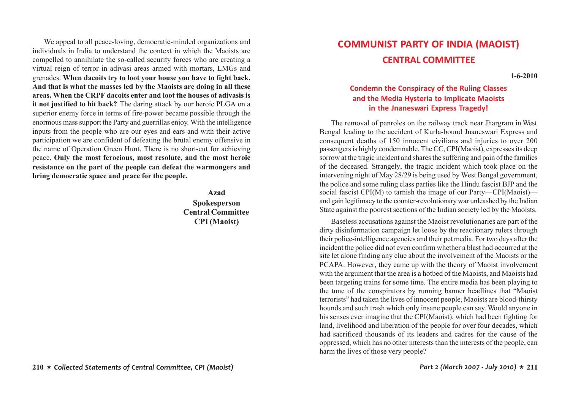We appeal to all peace-loving, democratic-minded organizations and individuals in India to understand the context in which the Maoists are compelled to annihilate the so-called security forces who are creating a virtual reign of terror in adivasi areas armed with mortars, LMGs and grenades. **When dacoits try to loot your house you have to fight back. And that is what the masses led by the Maoists are doing in all these areas. When the CRPF dacoits enter and loot the houses of adivasis is it not justified to hit back?** The daring attack by our heroic PLGA on a superior enemy force in terms of fire-power became possible through the enormous mass support the Party and guerrillas enjoy. With the intelligence inputs from the people who are our eyes and ears and with their active participation we are confident of defeating the brutal enemy offensive in the name of Operation Green Hunt. There is no short-cut for achieving peace. **Only the most ferocious, most resolute, and the most heroic resistance on the part of the people can defeat the warmongers and bring democratic space and peace for the people.**

> **Azad Spokesperson Central Committee CPI (Maoist)**

# **COMMUNIST PARTY OF INDIA (MAOIST) CENTRAL COMMITTEE**

**1-6-2010**

### **Condemn the Conspiracy of the Ruling Classes and the Media Hysteria to Implicate Maoists in the Jnaneswari Express Tragedy!**

The removal of panroles on the railway track near Jhargram in West Bengal leading to the accident of Kurla-bound Jnaneswari Express and consequent deaths of 150 innocent civilians and injuries to over 200 passengers is highly condemnable. The CC, CPI(Maoist), expresses its deep sorrow at the tragic incident and shares the suffering and pain of the families of the deceased. Strangely, the tragic incident which took place on the intervening night of May 28/29 is being used by West Bengal government, the police and some ruling class parties like the Hindu fascist BJP and the social fascist CPI(M) to tarnish the image of our Party—CPI(Maoist) and gain legitimacy to the counter-revolutionary war unleashed by the Indian State against the poorest sections of the Indian society led by the Maoists.

Baseless accusations against the Maoist revolutionaries are part of the dirty disinformation campaign let loose by the reactionary rulers through their police-intelligence agencies and their pet media. For two days after the incident the police did not even confirm whether a blast had occurred at the site let alone finding any clue about the involvement of the Maoists or the PCAPA. However, they came up with the theory of Maoist involvement with the argument that the area is a hotbed of the Maoists, and Maoists had been targeting trains for some time. The entire media has been playing to the tune of the conspirators by running banner headlines that "Maoist terrorists" had taken the lives of innocent people, Maoists are blood-thirsty hounds and such trash which only insane people can say. Would anyone in his senses ever imagine that the CPI(Maoist), which had been fighting for land, livelihood and liberation of the people for over four decades, which had sacrificed thousands of its leaders and cadres for the cause of the oppressed, which has no other interests than the interests of the people, can harm the lives of those very people?

*Part 2 (March 2007 - July 2010)* **211**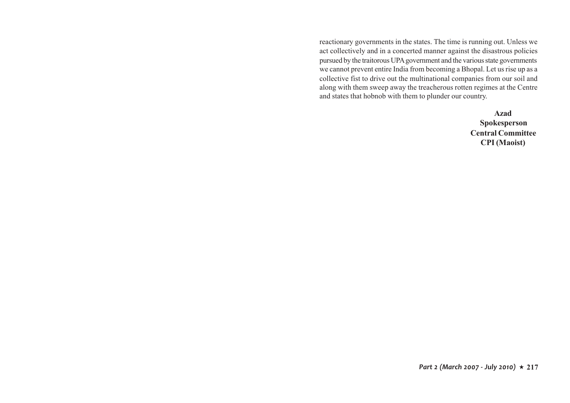reactionary governments in the states. The time is running out. Unless we act collectively and in a concerted manner against the disastrous policies pursued by the traitorous UPA government and the various state governments we cannot prevent entire India from becoming a Bhopal. Let us rise up as a collective fist to drive out the multinational companies from our soil and along with them sweep away the treacherous rotten regimes at the Centre and states that hobnob with them to plunder our country.

> **Azad Spokesperson Central Committee CPI (Maoist)**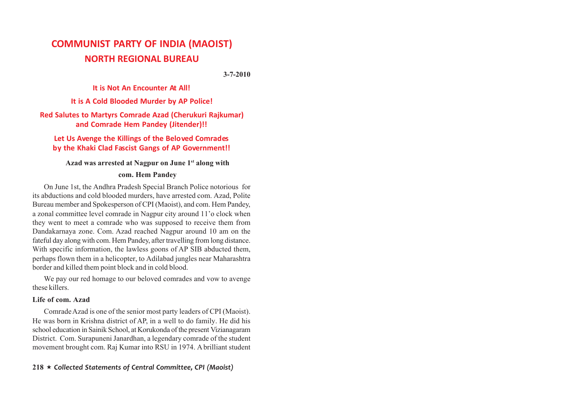# **COMMUNIST PARTY OF INDIA (MAOIST) NORTH REGIONAL BUREAU**

**3-7-2010**

**It is Not An Encounter At All!**

**It is A Cold Blooded Murder by AP Police!**

**Red Salutes to Martyrs Comrade Azad (Cherukuri Rajkumar) and Comrade Hem Pandey (Jitender)!!**

**Let Us Avenge the Killings of the Beloved Comrades by the Khaki Clad Fascist Gangs of AP Government!!**

#### **Azad was arrested at Nagpur on June 1st along with**

#### **com. Hem Pandey**

On June 1st, the Andhra Pradesh Special Branch Police notorious for its abductions and cold blooded murders, have arrested com. Azad, Polite Bureau member and Spokesperson of CPI (Maoist), and com. Hem Pandey, a zonal committee level comrade in Nagpur city around 11'o clock when they went to meet a comrade who was supposed to receive them from Dandakarnaya zone. Com. Azad reached Nagpur around 10 am on the fateful day along with com. Hem Pandey, after travelling from long distance. With specific information, the lawless goons of AP SIB abducted them, perhaps flown them in a helicopter, to Adilabad jungles near Maharashtra border and killed them point block and in cold blood.

We pay our red homage to our beloved comrades and yow to avenge these killers.

#### **Life of com. Azad**

Comrade Azad is one of the senior most party leaders of CPI (Maoist). He was born in Krishna district of AP, in a well to do family. He did his school education in Sainik School, at Korukonda of the present Vizianagaram District. Com. Surapuneni Janardhan, a legendary comrade of the student movement brought com. Raj Kumar into RSU in 1974. A brilliant student

## **218**  *Collected Statements of Central Committee, CPI (Maoist)*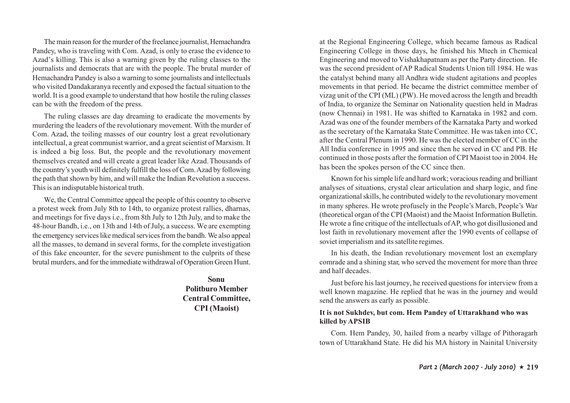The main reason for the murder of the freelance journalist, Hemachandra Pandey, who is traveling with Com. Azad, is only to erase the evidence to Azad's killing. This is also a warning given by the ruling classes to the journalists and democrats that are with the people. The brutal murder of Hemachandra Pandey is also a warning to some journalists and intellectuals who visited Dandakaranya recently and exposed the factual situation to the world. It is a good example to understand that how hostile the ruling classes can be with the freedom of the press.

The ruling classes are day dreaming to eradicate the movements by murdering the leaders of the revolutionary movement. With the murder of Com. Azad, the toiling masses of our country lost a great revolutionary intellectual, a great communist warrior, and a great scientist of Marxism. It is indeed a big loss. But, the people and the revolutionary movement themselves created and will create a great leader like Azad. Thousands of the country's youth will definitely fulfill the loss of Com. Azad by following the path that shown by him, and will make the Indian Revolution a success. This is an indisputable historical truth.

We, the Central Committee appeal the people of this country to observe a protest week from July 8th to 14th, to organize protest rallies, dharnas, and meetings for five days i.e., from 8th July to 12th July, and to make the 48-hour Bandh, i.e., on 13th and 14th of July, a success. We are exempting the emergency services like medical services from the bandh. We also appeal all the masses, to demand in several forms, for the complete investigation of this fake encounter, for the severe punishment to the culprits of these brutal murders, and for the immediate withdrawal of Operation Green Hunt.

> **Sonu Politburo Member Central Committee, CPI (Maoist)**

at the Regional Engineering College, which became famous as Radical Engineering College in those days, he finished his Mtech in Chemical Engineering and moved to Vishakhapatnam as per the Party direction. He was the second president of AP Radical Students Union till 1984. He was the catalyst behind many all Andhra wide student agitations and peoples movements in that period. He became the district committee member of vizag unit of the CPI (ML) (PW). He moved across the length and breadth of India, to organize the Seminar on Nationality question held in Madras (now Chennai) in 1981. He was shifted to Karnataka in 1982 and com. Azad was one of the founder members of the Karnataka Party and worked as the secretary of the Karnataka State Committee. He was taken into CC, after the Central Plenum in 1990. He was the elected member of CC in the All India conference in 1995 and since then he served in CC and PB. He continued in those posts after the formation of CPI Maoist too in 2004. He has been the spokes person of the CC since then.

Known for his simple life and hard work; voracious reading and brilliant analyses of situations, crystal clear articulation and sharp logic, and fine organizational skills, he contributed widely to the revolutionary movement in many spheres. He wrote profusely in the People's March, People's War (theoretical organ of the CPI (Maoist) and the Maoist Information Bulletin. He wrote a fine critique of the intellectuals of AP, who got disillusioned and lost faith in revolutionary movement after the 1990 events of collapse of soviet imperialism and its satellite regimes.

In his death, the Indian revolutionary movement lost an exemplary comrade and a shining star, who served the movement for more than three and half decades.

Just before his last journey, he received questions for interview from a well known magazine. He replied that he was in the journey and would send the answers as early as possible.

#### **It is not Sukhdev, but com. Hem Pandey of Uttarakhand who was killed by APSIB**

Com. Hem Pandey, 30, hailed from a nearby village of Pithoragarh town of Uttarakhand State. He did his MA history in Nainital University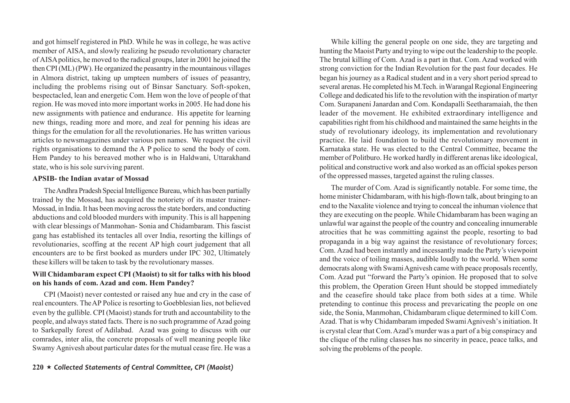and got himself registered in PhD. While he was in college, he was active member of AISA, and slowly realizing he pseudo revolutionary character of AISA politics, he moved to the radical groups, later in 2001 he joined the then CPI (ML) (PW). He organized the peasantry in the mountainous villages in Almora district, taking up umpteen numbers of issues of peasantry, including the problems rising out of Binsar Sanctuary. Soft-spoken, bespectacled, lean and energetic Com. Hem won the love of people of that region. He was moved into more important works in 2005. He had done his new assignments with patience and endurance. His appetite for learning new things, reading more and more, and zeal for penning his ideas are things for the emulation for all the revolutionaries. He has written various articles to newsmagazines under various pen names. We request the civil rights organisations to demand the A P police to send the body of com. Hem Pandey to his bereaved mother who is in Haldwani, Uttarakhand state, who is his sole surviving parent.

#### **APSIB- the Indian avatar of Mossad**

The Andhra Pradesh Special Intelligence Bureau, which has been partially trained by the Mossad, has acquired the notoriety of its master trainer-Mossad, in India. It has been moving across the state borders, and conducting abductions and cold blooded murders with impunity. This is all happening with clear blessings of Manmohan- Sonia and Chidambaram. This fascist gang has established its tentacles all over India, resorting the killings of revolutionaries, scoffing at the recent AP high court judgement that all encounters are to be first booked as murders under IPC 302, Ultimately these killers will be taken to task by the revolutionary masses.

### **Will Chidambaram expect CPI (Maoist) to sit for talks with his blood on his hands of com. Azad and com. Hem Pandey?**

CPI (Maoist) never contested or raised any hue and cry in the case of real encounters. The AP Police is resorting to Goebblesian lies, not believed even by the gullible. CPI (Maoist) stands for truth and accountability to the people, and always stated facts. There is no such programme of Azad going to Sarkepally forest of Adilabad. Azad was going to discuss with our comrades, inter alia, the concrete proposals of well meaning people like Swamy Agnivesh about particular dates for the mutual cease fire. He was a

While killing the general people on one side, they are targeting and hunting the Maoist Party and trying to wipe out the leadership to the people. The brutal killing of Com. Azad is a part in that. Com. Azad worked with strong conviction for the Indian Revolution for the past four decades. He began his journey as a Radical student and in a very short period spread to several arenas. He completed his M.Tech. in Warangal Regional Engineering College and dedicated his life to the revolution with the inspiration of martyr Com. Surapaneni Janardan and Com. Kondapalli Seetharamaiah, the then leader of the movement. He exhibited extraordinary intelligence and capabilities right from his childhood and maintained the same heights in the study of revolutionary ideology, its implementation and revolutionary practice. He laid foundation to build the revolutionary movement in Karnataka state. He was elected to the Central Committee, became the member of Politburo. He worked hardly in different arenas like ideological, political and constructive work and also worked as an official spokes person of the oppressed masses, targeted against the ruling classes.

The murder of Com. Azad is significantly notable. For some time, the home minister Chidambaram, with his high-flown talk, about bringing to an end to the Naxalite violence and trying to conceal the inhuman violence that they are executing on the people. While Chidambaram has been waging an unlawful war against the people of the country and concealing innumerable atrocities that he was committing against the people, resorting to bad propaganda in a big way against the resistance of revolutionary forces; Com. Azad had been instantly and incessantly made the Party's viewpoint and the voice of toiling masses, audible loudly to the world. When some democrats along with Swami Agnivesh came with peace proposals recently, Com. Azad put "forward the Party's opinion. He proposed that to solve this problem, the Operation Green Hunt should be stopped immediately and the ceasefire should take place from both sides at a time. While pretending to continue this process and prevaricating the people on one side, the Sonia, Manmohan, Chidambaram clique determined to kill Com. Azad. That is why Chidambaram impeded Swami Agnivesh's initiation. It is crystal clear that Com. Azad's murder was a part of a big conspiracy and the clique of the ruling classes has no sincerity in peace, peace talks, and solving the problems of the people.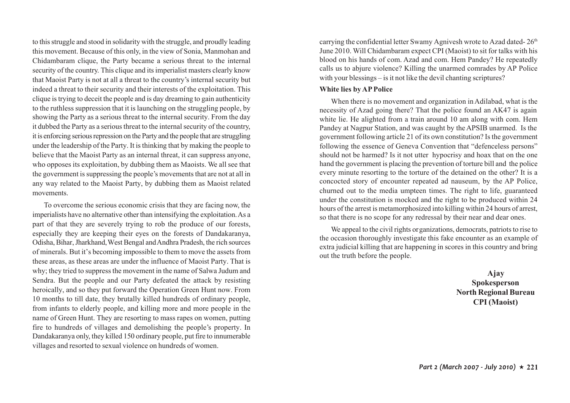to this struggle and stood in solidarity with the struggle, and proudly leading this movement. Because of this only, in the view of Sonia, Manmohan and Chidambaram clique, the Party became a serious threat to the internal security of the country. This clique and its imperialist masters clearly know that Maoist Party is not at all a threat to the country's internal security but indeed a threat to their security and their interests of the exploitation. This clique is trying to deceit the people and is day dreaming to gain authenticity to the ruthless suppression that it is launching on the struggling people, by showing the Party as a serious threat to the internal security. From the day it dubbed the Party as a serious threat to the internal security of the country, it is enforcing serious repression on the Party and the people that are struggling under the leadership of the Party. It is thinking that by making the people to believe that the Maoist Party as an internal threat, it can suppress anyone, who opposes its exploitation, by dubbing them as Maoists. We all see that the government is suppressing the people's movements that are not at all in any way related to the Maoist Party, by dubbing them as Maoist related movements.

To overcome the serious economic crisis that they are facing now, the imperialists have no alternative other than intensifying the exploitation. As a part of that they are severely trying to rob the produce of our forests, especially they are keeping their eyes on the forests of Dandakaranya, Odisha, Bihar, Jharkhand, West Bengal and Andhra Pradesh, the rich sources of minerals. But it's becoming impossible to them to move the assets from these areas, as these areas are under the influence of Maoist Party. That is why; they tried to suppress the movement in the name of Salwa Judum and Sendra. But the people and our Party defeated the attack by resisting heroically, and so they put forward the Operation Green Hunt now. From 10 months to till date, they brutally killed hundreds of ordinary people, from infants to elderly people, and killing more and more people in the name of Green Hunt. They are resorting to mass rapes on women, putting fire to hundreds of villages and demolishing the people's property. In Dandakaranya only, they killed 150 ordinary people, put fire to innumerable villages and resorted to sexual violence on hundreds of women.

carrying the confidential letter Swamy Agnivesh wrote to Azad dated-  $26<sup>th</sup>$ June 2010. Will Chidambaram expect CPI (Maoist) to sit for talks with his blood on his hands of com. Azad and com. Hem Pandey? He repeatedly calls us to abjure violence? Killing the unarmed comrades by AP Police with your blessings – is it not like the devil chanting scriptures?

#### **White lies by AP Police**

When there is no movement and organization in Adilabad, what is the necessity of Azad going there? That the police found an AK47 is again white lie. He alighted from a train around 10 am along with com. Hem Pandey at Nagpur Station, and was caught by the APSIB unarmed. Is the government following article 21 of its own constitution? Is the government following the essence of Geneva Convention that "defenceless persons" should not be harmed? Is it not utter hypocrisy and hoax that on the one hand the government is placing the prevention of torture bill and the police every minute resorting to the torture of the detained on the other? It is a concocted story of encounter repeated ad nauseum, by the AP Police, churned out to the media umpteen times. The right to life, guaranteed under the constitution is mocked and the right to be produced within 24 hours of the arrest is metamorphosized into killing within 24 hours of arrest, so that there is no scope for any redressal by their near and dear ones.

We appeal to the civil rights organizations, democrats, patriots to rise to the occasion thoroughly investigate this fake encounter as an example of extra judicial killing that are happening in scores in this country and bring out the truth before the people.

> **Ajay Spokesperson North Regional Bureau CPI (Maoist)**